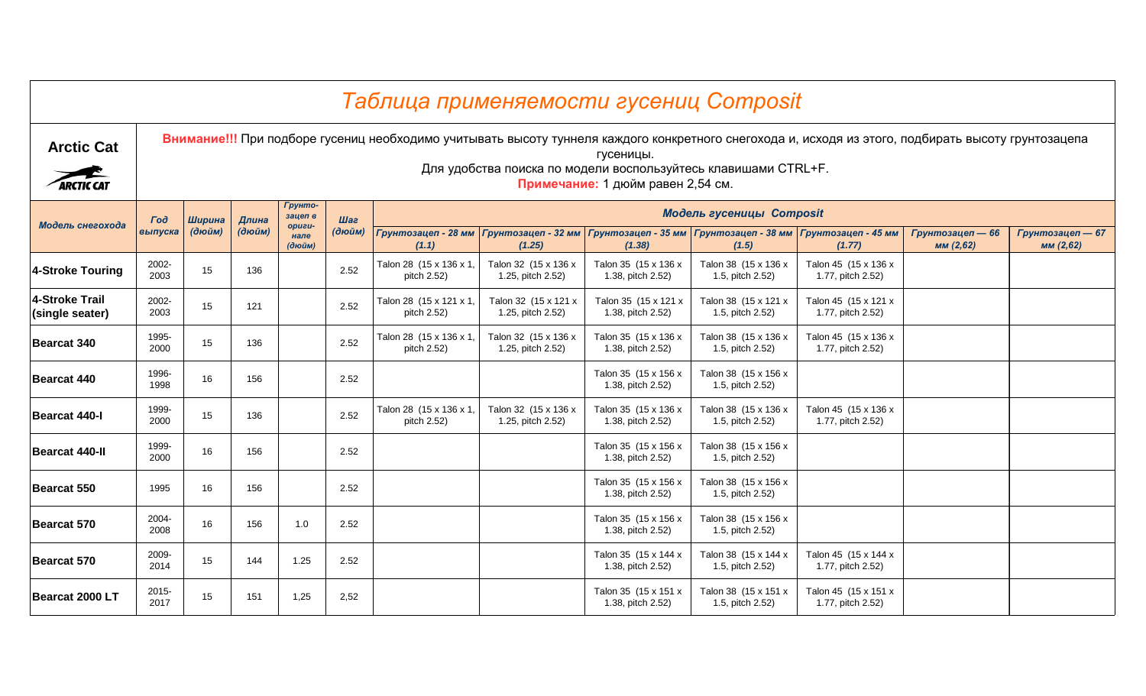|                                          |               |        |        |                   |        |                                        | Таблица применяемости гусениц Composit                                                                                                                                                                                |                                                                           |                                          |                                           |                              |                               |
|------------------------------------------|---------------|--------|--------|-------------------|--------|----------------------------------------|-----------------------------------------------------------------------------------------------------------------------------------------------------------------------------------------------------------------------|---------------------------------------------------------------------------|------------------------------------------|-------------------------------------------|------------------------------|-------------------------------|
| <b>Arctic Cat</b><br><b>ARCTIC CAT</b>   |               |        |        |                   |        |                                        | Внимание!!! При подборе гусениц необходимо учитывать высоту туннеля каждого конкретного снегохода и, исходя из этого, подбирать высоту грунтозацепа<br>Для удобства поиска по модели воспользуйтесь клавишами CTRL+F. | гусеницы.<br>Примечание: 1 дюйм равен 2,54 см.                            |                                          |                                           |                              |                               |
|                                          |               |        |        | Грунто-           |        |                                        |                                                                                                                                                                                                                       |                                                                           |                                          |                                           |                              |                               |
| Модель снегохода                         | $\Gamma$ od   | Ширина | Длина  | зацеп в<br>opuzu- | Шаг    |                                        |                                                                                                                                                                                                                       |                                                                           | Модель гусеницы Composit                 |                                           |                              |                               |
|                                          | выпуска       | (дюйм) | (дюйм) | нале<br>(дюйм)    | (дюйм) | (1.1)                                  | Грунтозацеп - 28 мм Грунтозацеп - 32 мм<br>(1.25)                                                                                                                                                                     | Грунтозацеп - 35 мм   Грунтозацеп - 38 мм   Грунтозацеп - 45 мм<br>(1.38) | (1.5)                                    | (1.77)                                    | Грунтозацеп - 66<br>MM(2,62) | Грунтозацеп - 67<br>мм (2,62) |
| 4-Stroke Touring                         | 2002-<br>2003 | 15     | 136    |                   | 2.52   | Talon 28 (15 x 136 x 1,<br>pitch 2.52) | Talon 32 (15 x 136 x<br>1.25, pitch 2.52)                                                                                                                                                                             | Talon 35 (15 x 136 x<br>1.38, pitch 2.52)                                 | Talon 38 (15 x 136 x<br>1.5, pitch 2.52) | Talon 45 (15 x 136 x<br>1.77, pitch 2.52) |                              |                               |
| <b>4-Stroke Trail</b><br>(single seater) | 2002-<br>2003 | 15     | 121    |                   | 2.52   | Talon 28 (15 x 121 x 1,<br>pitch 2.52) | Talon 32 (15 x 121 x<br>1.25, pitch 2.52)                                                                                                                                                                             | Talon 35 (15 x 121 x<br>1.38, pitch 2.52)                                 | Talon 38 (15 x 121 x<br>1.5, pitch 2.52) | Talon 45 (15 x 121 x<br>1.77, pitch 2.52) |                              |                               |
| <b>Bearcat 340</b>                       | 1995-<br>2000 | 15     | 136    |                   | 2.52   | Talon 28 (15 x 136 x 1,<br>pitch 2.52) | Talon 32 (15 x 136 x<br>1.25, pitch 2.52)                                                                                                                                                                             | Talon 35 (15 x 136 x<br>1.38, pitch 2.52)                                 | Talon 38 (15 x 136 x<br>1.5, pitch 2.52) | Talon 45 (15 x 136 x<br>1.77, pitch 2.52) |                              |                               |
| <b>Bearcat 440</b>                       | 1996-<br>1998 | 16     | 156    |                   | 2.52   |                                        |                                                                                                                                                                                                                       | Talon 35 (15 x 156 x<br>1.38, pitch 2.52)                                 | Talon 38 (15 x 156 x<br>1.5, pitch 2.52) |                                           |                              |                               |
| <b>Bearcat 440-I</b>                     | 1999-<br>2000 | 15     | 136    |                   | 2.52   | Talon 28 (15 x 136 x 1,<br>pitch 2.52) | Talon 32 (15 x 136 x<br>1.25, pitch 2.52)                                                                                                                                                                             | Talon 35 (15 x 136 x<br>1.38, pitch 2.52)                                 | Talon 38 (15 x 136 x<br>1.5, pitch 2.52) | Talon 45 (15 x 136 x<br>1.77, pitch 2.52) |                              |                               |
| <b>Bearcat 440-II</b>                    | 1999-<br>2000 | 16     | 156    |                   | 2.52   |                                        |                                                                                                                                                                                                                       | Talon 35 (15 x 156 x<br>1.38, pitch 2.52)                                 | Talon 38 (15 x 156 x<br>1.5, pitch 2.52) |                                           |                              |                               |
| <b>Bearcat 550</b>                       | 1995          | 16     | 156    |                   | 2.52   |                                        |                                                                                                                                                                                                                       | Talon 35 (15 x 156 x<br>1.38, pitch 2.52)                                 | Talon 38 (15 x 156 x<br>1.5, pitch 2.52) |                                           |                              |                               |
| <b>Bearcat 570</b>                       | 2004-<br>2008 | 16     | 156    | 1.0               | 2.52   |                                        |                                                                                                                                                                                                                       | Talon 35 (15 x 156 x<br>1.38, pitch 2.52)                                 | Talon 38 (15 x 156 x<br>1.5, pitch 2.52) |                                           |                              |                               |
| Bearcat 570                              | 2009-<br>2014 | 15     | 144    | 1.25              | 2.52   |                                        |                                                                                                                                                                                                                       | Talon 35 (15 x 144 x<br>1.38, pitch 2.52)                                 | Talon 38 (15 x 144 x<br>1.5, pitch 2.52) | Talon 45 (15 x 144 x<br>1.77, pitch 2.52) |                              |                               |
| Bearcat 2000 LT                          | 2015-<br>2017 | 15     | 151    | 1,25              | 2,52   |                                        |                                                                                                                                                                                                                       | Talon 35 (15 x 151 x<br>1.38, pitch 2.52)                                 | Talon 38 (15 x 151 x<br>1.5, pitch 2.52) | Talon 45 (15 x 151 x<br>1.77, pitch 2.52) |                              |                               |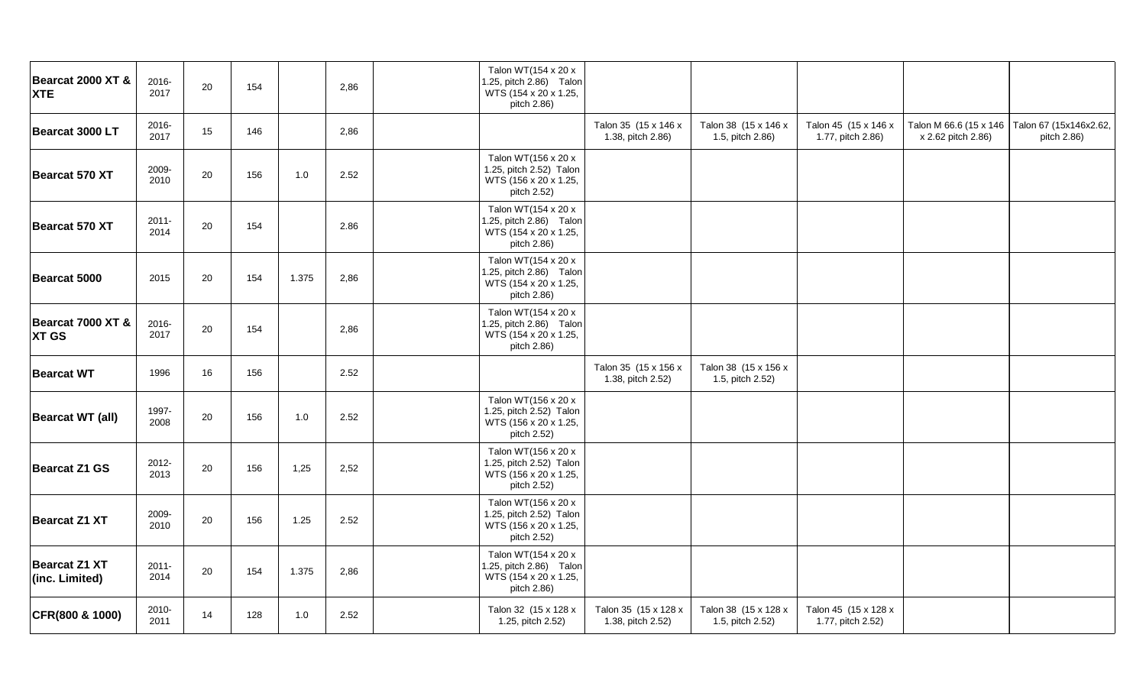| Bearcat 2000 XT &<br><b>XTE</b>        | 2016-<br>2017    | 20 | 154 |       | 2,86 | Talon WT(154 x 20 x<br>1.25, pitch 2.86) Talon<br>WTS (154 x 20 x 1.25,<br>pitch 2.86) |                                           |                                          |                                           |                    |                                                                |
|----------------------------------------|------------------|----|-----|-------|------|----------------------------------------------------------------------------------------|-------------------------------------------|------------------------------------------|-------------------------------------------|--------------------|----------------------------------------------------------------|
| Bearcat 3000 LT                        | 2016-<br>2017    | 15 | 146 |       | 2,86 |                                                                                        | Talon 35 (15 x 146 x<br>1.38, pitch 2.86) | Talon 38 (15 x 146 x<br>1.5, pitch 2.86) | Talon 45 (15 x 146 x<br>1.77, pitch 2.86) | x 2.62 pitch 2.86) | Talon M 66.6 (15 x 146   Talon 67 (15x146x2.62,<br>pitch 2.86) |
| Bearcat 570 XT                         | 2009-<br>2010    | 20 | 156 | 1.0   | 2.52 | Talon WT(156 x 20 x<br>1.25, pitch 2.52) Talon<br>WTS (156 x 20 x 1.25,<br>pitch 2.52) |                                           |                                          |                                           |                    |                                                                |
| Bearcat 570 XT                         | $2011 -$<br>2014 | 20 | 154 |       | 2.86 | Talon WT(154 x 20 x<br>1.25, pitch 2.86) Talon<br>WTS (154 x 20 x 1.25,<br>pitch 2.86) |                                           |                                          |                                           |                    |                                                                |
| Bearcat 5000                           | 2015             | 20 | 154 | 1.375 | 2,86 | Talon WT(154 x 20 x<br>1.25, pitch 2.86) Talon<br>WTS (154 x 20 x 1.25,<br>pitch 2.86) |                                           |                                          |                                           |                    |                                                                |
| Bearcat 7000 XT &<br><b>XT GS</b>      | 2016-<br>2017    | 20 | 154 |       | 2,86 | Talon WT(154 x 20 x<br>1.25, pitch 2.86) Talon<br>WTS (154 x 20 x 1.25,<br>pitch 2.86) |                                           |                                          |                                           |                    |                                                                |
| <b>Bearcat WT</b>                      | 1996             | 16 | 156 |       | 2.52 |                                                                                        | Talon 35 (15 x 156 x<br>1.38, pitch 2.52) | Talon 38 (15 x 156 x<br>1.5, pitch 2.52) |                                           |                    |                                                                |
| <b>Bearcat WT (all)</b>                | 1997-<br>2008    | 20 | 156 | 1.0   | 2.52 | Talon WT(156 x 20 x<br>1.25, pitch 2.52) Talon<br>WTS (156 x 20 x 1.25,<br>pitch 2.52) |                                           |                                          |                                           |                    |                                                                |
| <b>Bearcat Z1 GS</b>                   | 2012-<br>2013    | 20 | 156 | 1,25  | 2,52 | Talon WT(156 x 20 x<br>1.25, pitch 2.52) Talon<br>WTS (156 x 20 x 1.25,<br>pitch 2.52) |                                           |                                          |                                           |                    |                                                                |
| <b>Bearcat Z1 XT</b>                   | 2009-<br>2010    | 20 | 156 | 1.25  | 2.52 | Talon WT(156 x 20 x<br>1.25, pitch 2.52) Talon<br>WTS (156 x 20 x 1.25,<br>pitch 2.52) |                                           |                                          |                                           |                    |                                                                |
| <b>Bearcat Z1 XT</b><br>(inc. Limited) | $2011 -$<br>2014 | 20 | 154 | 1.375 | 2,86 | Talon WT(154 x 20 x<br>1.25, pitch 2.86) Talon<br>WTS (154 x 20 x 1.25,<br>pitch 2.86) |                                           |                                          |                                           |                    |                                                                |
| CFR(800 & 1000)                        | 2010-<br>2011    | 14 | 128 | 1.0   | 2.52 | Talon 32 (15 x 128 x<br>1.25, pitch 2.52)                                              | Talon 35 (15 x 128 x<br>1.38, pitch 2.52) | Talon 38 (15 x 128 x<br>1.5, pitch 2.52) | Talon 45 (15 x 128 x<br>1.77, pitch 2.52) |                    |                                                                |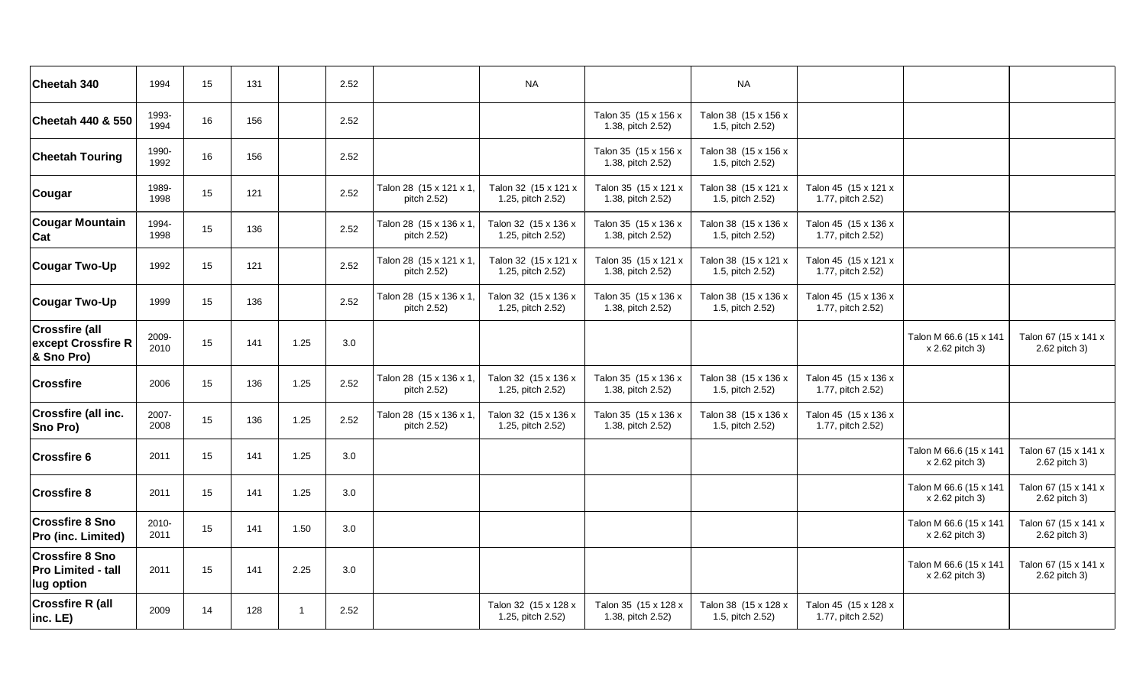| Cheetah 340                                                       | 1994          | 15 | 131 |      | 2.52    |                                        | <b>NA</b>                                 |                                           | <b>NA</b>                                |                                           |                                           |                                       |
|-------------------------------------------------------------------|---------------|----|-----|------|---------|----------------------------------------|-------------------------------------------|-------------------------------------------|------------------------------------------|-------------------------------------------|-------------------------------------------|---------------------------------------|
| <b>Cheetah 440 &amp; 550</b>                                      | 1993-<br>1994 | 16 | 156 |      | 2.52    |                                        |                                           | Talon 35 (15 x 156 x<br>1.38, pitch 2.52) | Talon 38 (15 x 156 x<br>1.5, pitch 2.52) |                                           |                                           |                                       |
| <b>Cheetah Touring</b>                                            | 1990-<br>1992 | 16 | 156 |      | 2.52    |                                        |                                           | Talon 35 (15 x 156 x<br>1.38, pitch 2.52) | Talon 38 (15 x 156 x<br>1.5, pitch 2.52) |                                           |                                           |                                       |
| Cougar                                                            | 1989-<br>1998 | 15 | 121 |      | 2.52    | Talon 28 (15 x 121 x 1,<br>pitch 2.52) | Talon 32 (15 x 121 x<br>1.25, pitch 2.52) | Talon 35 (15 x 121 x<br>1.38, pitch 2.52) | Talon 38 (15 x 121 x<br>1.5, pitch 2.52) | Talon 45 (15 x 121 x<br>1.77, pitch 2.52) |                                           |                                       |
| <b>Cougar Mountain</b><br>Cat                                     | 1994-<br>1998 | 15 | 136 |      | 2.52    | Talon 28 (15 x 136 x 1,<br>pitch 2.52) | Talon 32 (15 x 136 x<br>1.25, pitch 2.52) | Talon 35 (15 x 136 x<br>1.38, pitch 2.52) | Talon 38 (15 x 136 x<br>1.5, pitch 2.52) | Talon 45 (15 x 136 x<br>1.77, pitch 2.52) |                                           |                                       |
| <b>Cougar Two-Up</b>                                              | 1992          | 15 | 121 |      | 2.52    | Talon 28 (15 x 121 x 1,<br>pitch 2.52) | Talon 32 (15 x 121 x<br>1.25, pitch 2.52) | Talon 35 (15 x 121 x<br>1.38, pitch 2.52) | Talon 38 (15 x 121 x<br>1.5, pitch 2.52) | Talon 45 (15 x 121 x<br>1.77, pitch 2.52) |                                           |                                       |
| <b>Cougar Two-Up</b>                                              | 1999          | 15 | 136 |      | 2.52    | Talon 28 (15 x 136 x 1,<br>pitch 2.52) | Talon 32 (15 x 136 x<br>1.25, pitch 2.52) | Talon 35 (15 x 136 x<br>1.38, pitch 2.52) | Talon 38 (15 x 136 x<br>1.5, pitch 2.52) | Talon 45 (15 x 136 x<br>1.77, pitch 2.52) |                                           |                                       |
| <b>Crossfire (all</b><br>except Crossfire R<br>& Sno Pro)         | 2009-<br>2010 | 15 | 141 | 1.25 | 3.0     |                                        |                                           |                                           |                                          |                                           | Talon M 66.6 (15 x 141<br>x 2.62 pitch 3) | Talon 67 (15 x 141 x<br>2.62 pitch 3) |
| <b>Crossfire</b>                                                  | 2006          | 15 | 136 | 1.25 | 2.52    | Talon 28 (15 x 136 x 1,<br>pitch 2.52) | Talon 32 (15 x 136 x<br>1.25, pitch 2.52) | Talon 35 (15 x 136 x<br>1.38, pitch 2.52) | Talon 38 (15 x 136 x<br>1.5, pitch 2.52) | Talon 45 (15 x 136 x<br>1.77, pitch 2.52) |                                           |                                       |
| <b>Crossfire (all inc.</b><br>Sno Pro)                            | 2007-<br>2008 | 15 | 136 | 1.25 | 2.52    | Talon 28 (15 x 136 x 1,<br>pitch 2.52) | Talon 32 (15 x 136 x<br>1.25, pitch 2.52) | Talon 35 (15 x 136 x<br>1.38, pitch 2.52) | Talon 38 (15 x 136 x<br>1.5, pitch 2.52) | Talon 45 (15 x 136 x<br>1.77, pitch 2.52) |                                           |                                       |
| <b>Crossfire 6</b>                                                | 2011          | 15 | 141 | 1.25 | $3.0\,$ |                                        |                                           |                                           |                                          |                                           | Talon M 66.6 (15 x 141<br>x 2.62 pitch 3) | Talon 67 (15 x 141 x<br>2.62 pitch 3) |
| <b>Crossfire 8</b>                                                | 2011          | 15 | 141 | 1.25 | 3.0     |                                        |                                           |                                           |                                          |                                           | Talon M 66.6 (15 x 141<br>x 2.62 pitch 3) | Talon 67 (15 x 141 x<br>2.62 pitch 3) |
| <b>Crossfire 8 Sno</b><br>Pro (inc. Limited)                      | 2010-<br>2011 | 15 | 141 | 1.50 | 3.0     |                                        |                                           |                                           |                                          |                                           | Talon M 66.6 (15 x 141<br>x 2.62 pitch 3) | Talon 67 (15 x 141 x<br>2.62 pitch 3) |
| <b>Crossfire 8 Sno</b><br><b>Pro Limited - tall</b><br>lug option | 2011          | 15 | 141 | 2.25 | $3.0\,$ |                                        |                                           |                                           |                                          |                                           | Talon M 66.6 (15 x 141<br>x 2.62 pitch 3) | Talon 67 (15 x 141 x<br>2.62 pitch 3) |
| <b>Crossfire R (all</b><br>$inc.$ LE $)$                          | 2009          | 14 | 128 | 1    | 2.52    |                                        | Talon 32 (15 x 128 x<br>1.25, pitch 2.52) | Talon 35 (15 x 128 x<br>1.38, pitch 2.52) | Talon 38 (15 x 128 x<br>1.5, pitch 2.52) | Talon 45 (15 x 128 x<br>1.77, pitch 2.52) |                                           |                                       |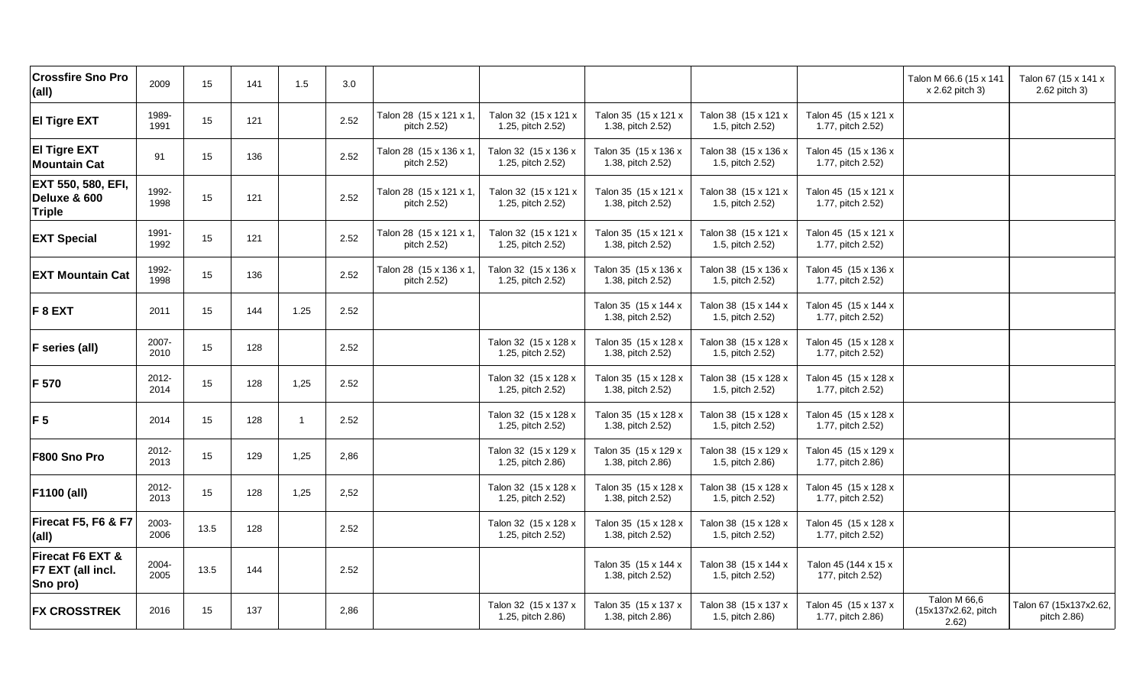| <b>Crossfire Sno Pro</b><br>(all)                   | 2009          | 15   | 141 | 1.5            | 3.0  |                                        |                                           |                                           |                                          |                                           | Talon M 66.6 (15 x 141<br>x 2.62 pitch 3)    | Talon 67 (15 x 141 x<br>2.62 pitch 3) |
|-----------------------------------------------------|---------------|------|-----|----------------|------|----------------------------------------|-------------------------------------------|-------------------------------------------|------------------------------------------|-------------------------------------------|----------------------------------------------|---------------------------------------|
| <b>El Tigre EXT</b>                                 | 1989-<br>1991 | 15   | 121 |                | 2.52 | Talon 28 (15 x 121 x 1,<br>pitch 2.52) | Talon 32 (15 x 121 x<br>1.25, pitch 2.52) | Talon 35 (15 x 121 x<br>1.38, pitch 2.52) | Talon 38 (15 x 121 x<br>1.5, pitch 2.52) | Talon 45 (15 x 121 x<br>1.77, pitch 2.52) |                                              |                                       |
| <b>El Tigre EXT</b><br><b>Mountain Cat</b>          | 91            | 15   | 136 |                | 2.52 | Talon 28 (15 x 136 x 1,<br>pitch 2.52) | Talon 32 (15 x 136 x<br>1.25, pitch 2.52) | Talon 35 (15 x 136 x<br>1.38, pitch 2.52) | Talon 38 (15 x 136 x<br>1.5, pitch 2.52) | Talon 45 (15 x 136 x<br>1.77, pitch 2.52) |                                              |                                       |
| EXT 550, 580, EFI,<br>Deluxe & 600<br><b>Triple</b> | 1992-<br>1998 | 15   | 121 |                | 2.52 | Talon 28 (15 x 121 x 1,<br>pitch 2.52) | Talon 32 (15 x 121 x<br>1.25, pitch 2.52) | Talon 35 (15 x 121 x<br>1.38, pitch 2.52) | Talon 38 (15 x 121 x<br>1.5, pitch 2.52) | Talon 45 (15 x 121 x<br>1.77, pitch 2.52) |                                              |                                       |
| <b>EXT Special</b>                                  | 1991-<br>1992 | 15   | 121 |                | 2.52 | Talon 28 (15 x 121 x 1,<br>pitch 2.52) | Talon 32 (15 x 121 x<br>1.25, pitch 2.52) | Talon 35 (15 x 121 x<br>1.38, pitch 2.52) | Talon 38 (15 x 121 x<br>1.5, pitch 2.52) | Talon 45 (15 x 121 x<br>1.77, pitch 2.52) |                                              |                                       |
| <b>EXT Mountain Cat</b>                             | 1992-<br>1998 | 15   | 136 |                | 2.52 | Talon 28 (15 x 136 x 1,<br>pitch 2.52) | Talon 32 (15 x 136 x<br>1.25, pitch 2.52) | Talon 35 (15 x 136 x<br>1.38, pitch 2.52) | Talon 38 (15 x 136 x<br>1.5, pitch 2.52) | Talon 45 (15 x 136 x<br>1.77, pitch 2.52) |                                              |                                       |
| F 8 EXT                                             | 2011          | 15   | 144 | 1.25           | 2.52 |                                        |                                           | Talon 35 (15 x 144 x<br>1.38, pitch 2.52) | Talon 38 (15 x 144 x<br>1.5, pitch 2.52) | Talon 45 (15 x 144 x<br>1.77, pitch 2.52) |                                              |                                       |
| F series (all)                                      | 2007-<br>2010 | 15   | 128 |                | 2.52 |                                        | Talon 32 (15 x 128 x<br>1.25, pitch 2.52) | Talon 35 (15 x 128 x<br>1.38, pitch 2.52) | Talon 38 (15 x 128 x<br>1.5, pitch 2.52) | Talon 45 (15 x 128 x<br>1.77, pitch 2.52) |                                              |                                       |
| F 570                                               | 2012-<br>2014 | 15   | 128 | 1,25           | 2.52 |                                        | Talon 32 (15 x 128 x<br>1.25, pitch 2.52) | Talon 35 (15 x 128 x<br>1.38, pitch 2.52) | Talon 38 (15 x 128 x<br>1.5, pitch 2.52) | Talon 45 (15 x 128 x<br>1.77, pitch 2.52) |                                              |                                       |
| F <sub>5</sub>                                      | 2014          | 15   | 128 | $\overline{1}$ | 2.52 |                                        | Talon 32 (15 x 128 x<br>1.25, pitch 2.52) | Talon 35 (15 x 128 x<br>1.38, pitch 2.52) | Talon 38 (15 x 128 x<br>1.5, pitch 2.52) | Talon 45 (15 x 128 x<br>1.77, pitch 2.52) |                                              |                                       |
| F800 Sno Pro                                        | 2012-<br>2013 | 15   | 129 | 1,25           | 2,86 |                                        | Talon 32 (15 x 129 x<br>1.25, pitch 2.86) | Talon 35 (15 x 129 x<br>1.38, pitch 2.86) | Talon 38 (15 x 129 x<br>1.5, pitch 2.86) | Talon 45 (15 x 129 x<br>1.77, pitch 2.86) |                                              |                                       |
| F1100 (all)                                         | 2012-<br>2013 | 15   | 128 | 1,25           | 2,52 |                                        | Talon 32 (15 x 128 x<br>1.25, pitch 2.52) | Talon 35 (15 x 128 x<br>1.38, pitch 2.52) | Talon 38 (15 x 128 x<br>1.5, pitch 2.52) | Talon 45 (15 x 128 x<br>1.77, pitch 2.52) |                                              |                                       |
| Firecat F5, F6 & F7<br>(all)                        | 2003-<br>2006 | 13.5 | 128 |                | 2.52 |                                        | Talon 32 (15 x 128 x<br>1.25, pitch 2.52) | Talon 35 (15 x 128 x<br>1.38, pitch 2.52) | Talon 38 (15 x 128 x<br>1.5, pitch 2.52) | Talon 45 (15 x 128 x<br>1.77, pitch 2.52) |                                              |                                       |
| Firecat F6 EXT &<br>F7 EXT (all incl.<br>Sno pro)   | 2004-<br>2005 | 13.5 | 144 |                | 2.52 |                                        |                                           | Talon 35 (15 x 144 x<br>1.38, pitch 2.52) | Talon 38 (15 x 144 x<br>1.5, pitch 2.52) | Talon 45 (144 x 15 x<br>177, pitch 2.52)  |                                              |                                       |
| <b>FX CROSSTREK</b>                                 | 2016          | 15   | 137 |                | 2,86 |                                        | Talon 32 (15 x 137 x<br>1.25, pitch 2.86) | Talon 35 (15 x 137 x<br>1.38, pitch 2.86) | Talon 38 (15 x 137 x<br>1.5, pitch 2.86) | Talon 45 (15 x 137 x<br>1.77, pitch 2.86) | Talon M 66,6<br>(15x137x2.62, pitch<br>2.62) | Talon 67 (15x137x2.62,<br>pitch 2.86) |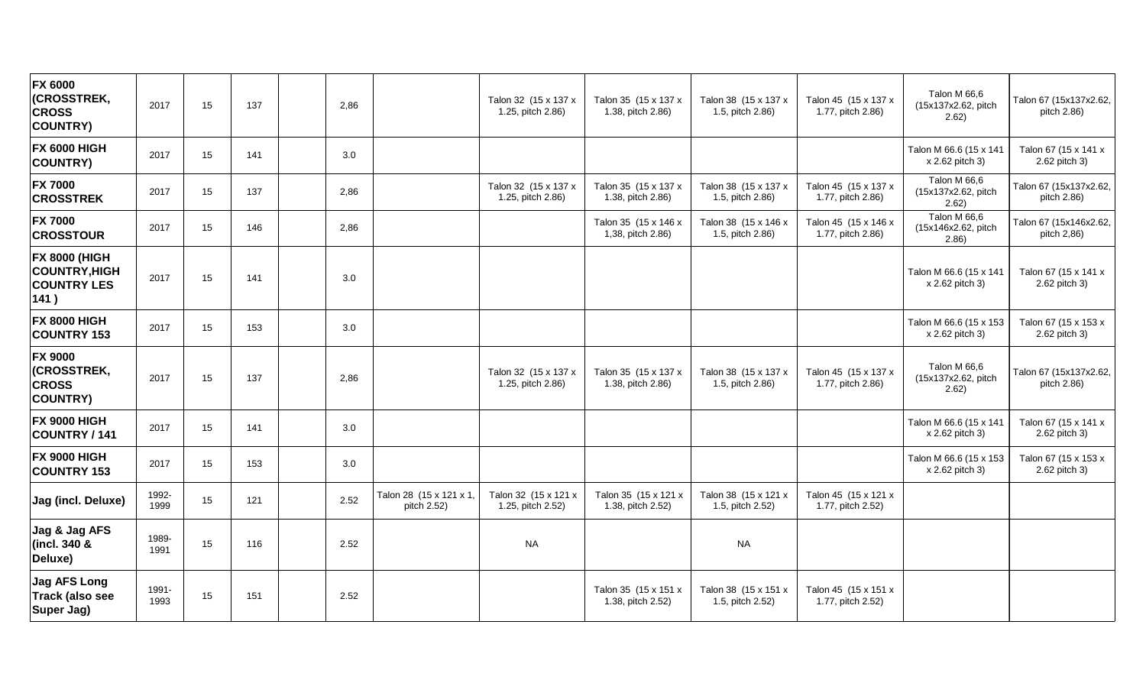| <b>FX 6000</b><br>(CROSSTREK,<br><b>CROSS</b><br><b>COUNTRY)</b>           | 2017          | 15 | 137 | 2,86 |                                        | Talon 32 (15 x 137 x<br>1.25, pitch 2.86) | Talon 35 (15 x 137 x<br>1.38, pitch 2.86) | Talon 38 (15 x 137 x<br>1.5, pitch 2.86) | Talon 45 (15 x 137 x<br>1.77, pitch 2.86) | Talon M 66,6<br>(15x137x2.62, pitch<br>2.62) | Talon 67 (15x137x2.62,<br>pitch 2.86) |
|----------------------------------------------------------------------------|---------------|----|-----|------|----------------------------------------|-------------------------------------------|-------------------------------------------|------------------------------------------|-------------------------------------------|----------------------------------------------|---------------------------------------|
| <b>FX 6000 HIGH</b><br><b>COUNTRY)</b>                                     | 2017          | 15 | 141 | 3.0  |                                        |                                           |                                           |                                          |                                           | Talon M 66.6 (15 x 141<br>x 2.62 pitch 3)    | Talon 67 (15 x 141 x<br>2.62 pitch 3) |
| <b>FX 7000</b><br><b>CROSSTREK</b>                                         | 2017          | 15 | 137 | 2,86 |                                        | Talon 32 (15 x 137 x<br>1.25, pitch 2.86) | Talon 35 (15 x 137 x<br>1.38, pitch 2.86) | Talon 38 (15 x 137 x<br>1.5, pitch 2.86) | Talon 45 (15 x 137 x<br>1.77, pitch 2.86) | Talon M 66,6<br>(15x137x2.62, pitch<br>2.62) | Talon 67 (15x137x2.62,<br>pitch 2.86) |
| <b>FX 7000</b><br><b>CROSSTOUR</b>                                         | 2017          | 15 | 146 | 2,86 |                                        |                                           | Talon 35 (15 x 146 x<br>1,38, pitch 2.86) | Talon 38 (15 x 146 x<br>1.5, pitch 2.86) | Talon 45 (15 x 146 x<br>1.77, pitch 2.86) | Talon M 66,6<br>(15x146x2.62, pitch<br>2.86) | Talon 67 (15x146x2.62,<br>pitch 2,86) |
| <b>FX 8000 (HIGH</b><br><b>COUNTRY, HIGH</b><br><b>COUNTRY LES</b><br>141) | 2017          | 15 | 141 | 3.0  |                                        |                                           |                                           |                                          |                                           | Talon M 66.6 (15 x 141<br>x 2.62 pitch 3)    | Talon 67 (15 x 141 x<br>2.62 pitch 3) |
| <b>FX 8000 HIGH</b><br><b>COUNTRY 153</b>                                  | 2017          | 15 | 153 | 3.0  |                                        |                                           |                                           |                                          |                                           | Talon M 66.6 (15 x 153<br>x 2.62 pitch 3)    | Talon 67 (15 x 153 x<br>2.62 pitch 3) |
| <b>FX 9000</b><br>(CROSSTREK,<br><b>CROSS</b><br><b>COUNTRY)</b>           | 2017          | 15 | 137 | 2,86 |                                        | Talon 32 (15 x 137 x<br>1.25, pitch 2.86) | Talon 35 (15 x 137 x<br>1.38, pitch 2.86) | Talon 38 (15 x 137 x<br>1.5, pitch 2.86) | Talon 45 (15 x 137 x<br>1.77, pitch 2.86) | Talon M 66,6<br>(15x137x2.62, pitch<br>2.62) | Talon 67 (15x137x2.62,<br>pitch 2.86) |
| <b>FX 9000 HIGH</b><br>COUNTRY / 141                                       | 2017          | 15 | 141 | 3.0  |                                        |                                           |                                           |                                          |                                           | Talon M 66.6 (15 x 141<br>x 2.62 pitch 3)    | Talon 67 (15 x 141 x<br>2.62 pitch 3) |
| <b>FX 9000 HIGH</b><br><b>COUNTRY 153</b>                                  | 2017          | 15 | 153 | 3.0  |                                        |                                           |                                           |                                          |                                           | Talon M 66.6 (15 x 153<br>x 2.62 pitch 3)    | Talon 67 (15 x 153 x<br>2.62 pitch 3) |
| Jag (incl. Deluxe)                                                         | 1992-<br>1999 | 15 | 121 | 2.52 | Talon 28 (15 x 121 x 1,<br>pitch 2.52) | Talon 32 (15 x 121 x<br>1.25, pitch 2.52) | Talon 35 (15 x 121 x<br>1.38, pitch 2.52) | Talon 38 (15 x 121 x<br>1.5, pitch 2.52) | Talon 45 (15 x 121 x<br>1.77, pitch 2.52) |                                              |                                       |
| Jag & Jag AFS<br>(incl. 340 &<br>Deluxe)                                   | 1989-<br>1991 | 15 | 116 | 2.52 |                                        | <b>NA</b>                                 |                                           | <b>NA</b>                                |                                           |                                              |                                       |
| <b>Jag AFS Long</b><br><b>Track (also see</b><br>Super Jag)                | 1991-<br>1993 | 15 | 151 | 2.52 |                                        |                                           | Talon 35 (15 x 151 x<br>1.38, pitch 2.52) | Talon 38 (15 x 151 x<br>1.5, pitch 2.52) | Talon 45 (15 x 151 x<br>1.77, pitch 2.52) |                                              |                                       |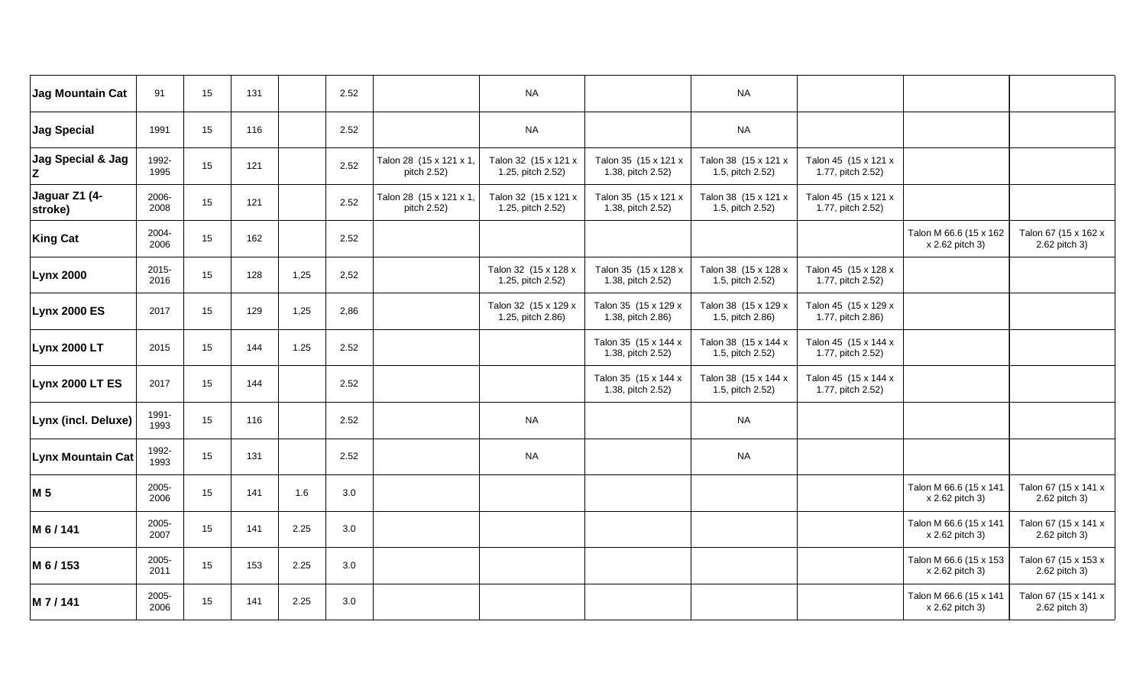| Jag Mountain Cat         | 91            | 15 | 131 |      | 2.52 |                                        | <b>NA</b>                                 |                                           | <b>NA</b>                                |                                           |                                           |                                       |
|--------------------------|---------------|----|-----|------|------|----------------------------------------|-------------------------------------------|-------------------------------------------|------------------------------------------|-------------------------------------------|-------------------------------------------|---------------------------------------|
| Jag Special              | 1991          | 15 | 116 |      | 2.52 |                                        | <b>NA</b>                                 |                                           | <b>NA</b>                                |                                           |                                           |                                       |
| Jag Special & Jag<br>Z   | 1992-<br>1995 | 15 | 121 |      | 2.52 | Talon 28 (15 x 121 x 1,<br>pitch 2.52) | Talon 32 (15 x 121 x<br>1.25, pitch 2.52) | Talon 35 (15 x 121 x<br>1.38, pitch 2.52) | Talon 38 (15 x 121 x<br>1.5, pitch 2.52) | Talon 45 (15 x 121 x<br>1.77, pitch 2.52) |                                           |                                       |
| Jaguar Z1 (4-<br>stroke) | 2006-<br>2008 | 15 | 121 |      | 2.52 | Talon 28 (15 x 121 x 1,<br>pitch 2.52) | Talon 32 (15 x 121 x<br>1.25, pitch 2.52) | Talon 35 (15 x 121 x<br>1.38, pitch 2.52) | Talon 38 (15 x 121 x<br>1.5, pitch 2.52) | Talon 45 (15 x 121 x<br>1.77, pitch 2.52) |                                           |                                       |
| <b>King Cat</b>          | 2004-<br>2006 | 15 | 162 |      | 2.52 |                                        |                                           |                                           |                                          |                                           | Talon M 66.6 (15 x 162<br>x 2.62 pitch 3) | Talon 67 (15 x 162 x<br>2.62 pitch 3) |
| <b>Lynx 2000</b>         | 2015-<br>2016 | 15 | 128 | 1,25 | 2,52 |                                        | Talon 32 (15 x 128 x<br>1.25, pitch 2.52) | Talon 35 (15 x 128 x<br>1.38, pitch 2.52) | Talon 38 (15 x 128 x<br>1.5, pitch 2.52) | Talon 45 (15 x 128 x<br>1.77, pitch 2.52) |                                           |                                       |
| <b>Lynx 2000 ES</b>      | 2017          | 15 | 129 | 1,25 | 2,86 |                                        | Talon 32 (15 x 129 x<br>1.25, pitch 2.86) | Talon 35 (15 x 129 x<br>1.38, pitch 2.86) | Talon 38 (15 x 129 x<br>1.5, pitch 2.86) | Talon 45 (15 x 129 x<br>1.77, pitch 2.86) |                                           |                                       |
| <b>Lynx 2000 LT</b>      | 2015          | 15 | 144 | 1.25 | 2.52 |                                        |                                           | Talon 35 (15 x 144 x<br>1.38, pitch 2.52) | Talon 38 (15 x 144 x<br>1.5, pitch 2.52) | Talon 45 (15 x 144 x<br>1.77, pitch 2.52) |                                           |                                       |
| Lynx 2000 LT ES          | 2017          | 15 | 144 |      | 2.52 |                                        |                                           | Talon 35 (15 x 144 x<br>1.38, pitch 2.52) | Talon 38 (15 x 144 x<br>1.5, pitch 2.52) | Talon 45 (15 x 144 x<br>1.77, pitch 2.52) |                                           |                                       |
| Lynx (incl. Deluxe)      | 1991-<br>1993 | 15 | 116 |      | 2.52 |                                        | <b>NA</b>                                 |                                           | <b>NA</b>                                |                                           |                                           |                                       |
| <b>Lynx Mountain Cat</b> | 1992-<br>1993 | 15 | 131 |      | 2.52 |                                        | <b>NA</b>                                 |                                           | $\sf NA$                                 |                                           |                                           |                                       |
| M 5                      | 2005-<br>2006 | 15 | 141 | 1.6  | 3.0  |                                        |                                           |                                           |                                          |                                           | Talon M 66.6 (15 x 141<br>x 2.62 pitch 3) | Talon 67 (15 x 141 x<br>2.62 pitch 3) |
| M 6 / 141                | 2005-<br>2007 | 15 | 141 | 2.25 | 3.0  |                                        |                                           |                                           |                                          |                                           | Talon M 66.6 (15 x 141<br>x 2.62 pitch 3) | Talon 67 (15 x 141 x<br>2.62 pitch 3) |
| M 6 / 153                | 2005-<br>2011 | 15 | 153 | 2.25 | 3.0  |                                        |                                           |                                           |                                          |                                           | Talon M 66.6 (15 x 153<br>x 2.62 pitch 3) | Talon 67 (15 x 153 x<br>2.62 pitch 3) |
| M 7/141                  | 2005-<br>2006 | 15 | 141 | 2.25 | 3.0  |                                        |                                           |                                           |                                          |                                           | Talon M 66.6 (15 x 141<br>x 2.62 pitch 3) | Talon 67 (15 x 141 x<br>2.62 pitch 3) |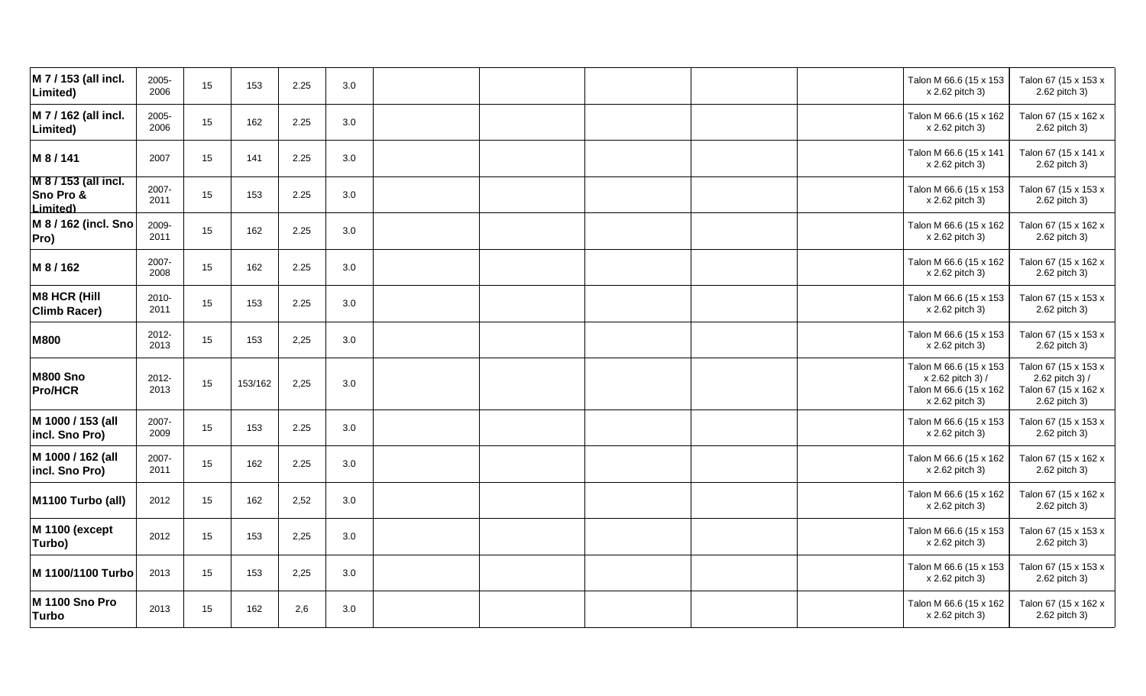| M 7 / 153 (all incl.<br>Limited)              | 2005-<br>2006 | 15 | 153     | 2.25 | 3.0 |  |  | Talon M 66.6 (15 x 153<br>x 2.62 pitch 3)                                                | Talon 67 (15 x 153 x<br>2.62 pitch 3)                                            |
|-----------------------------------------------|---------------|----|---------|------|-----|--|--|------------------------------------------------------------------------------------------|----------------------------------------------------------------------------------|
| M 7 / 162 (all incl.<br>Limited)              | 2005-<br>2006 | 15 | 162     | 2.25 | 3.0 |  |  | Talon M 66.6 (15 x 162<br>x 2.62 pitch 3)                                                | Talon 67 (15 x 162 x<br>2.62 pitch 3)                                            |
| M 8/141                                       | 2007          | 15 | 141     | 2.25 | 3.0 |  |  | Talon M 66.6 (15 x 141<br>x 2.62 pitch 3)                                                | Talon 67 (15 x 141 x<br>2.62 pitch 3)                                            |
| M 8 / 153 (all incl.<br>Sno Pro &<br>Limited) | 2007-<br>2011 | 15 | 153     | 2.25 | 3.0 |  |  | Talon M 66.6 (15 x 153<br>x 2.62 pitch 3)                                                | Talon 67 (15 x 153 x<br>2.62 pitch 3)                                            |
| M 8 / 162 (incl. Sno<br>Pro)                  | 2009-<br>2011 | 15 | 162     | 2.25 | 3.0 |  |  | Talon M 66.6 (15 x 162<br>x 2.62 pitch 3)                                                | Talon 67 (15 x 162 x<br>2.62 pitch 3)                                            |
| M 8 / 162                                     | 2007-<br>2008 | 15 | 162     | 2.25 | 3.0 |  |  | Talon M 66.6 (15 x 162<br>x 2.62 pitch 3)                                                | Talon 67 (15 x 162 x<br>2.62 pitch 3)                                            |
| <b>M8 HCR (Hill</b><br><b>Climb Racer)</b>    | 2010-<br>2011 | 15 | 153     | 2.25 | 3.0 |  |  | Talon M 66.6 (15 x 153<br>x 2.62 pitch 3)                                                | Talon 67 (15 x 153 x<br>2.62 pitch 3)                                            |
| <b>M800</b>                                   | 2012-<br>2013 | 15 | 153     | 2,25 | 3.0 |  |  | Talon M 66.6 (15 x 153<br>x 2.62 pitch 3)                                                | Talon 67 (15 x 153 x<br>2.62 pitch 3)                                            |
| <b>M800 Sno</b><br><b>Pro/HCR</b>             | 2012-<br>2013 | 15 | 153/162 | 2,25 | 3.0 |  |  | Talon M 66.6 (15 x 153<br>x 2.62 pitch 3) /<br>Talon M 66.6 (15 x 162<br>x 2.62 pitch 3) | Talon 67 (15 x 153 x<br>2.62 pitch 3) /<br>Talon 67 (15 x 162 x<br>2.62 pitch 3) |
| M 1000 / 153 (all<br>incl. Sno Pro)           | 2007-<br>2009 | 15 | 153     | 2.25 | 3.0 |  |  | Talon M 66.6 (15 x 153<br>x 2.62 pitch 3)                                                | Talon 67 (15 x 153 x<br>2.62 pitch 3)                                            |
| M 1000 / 162 (all<br>incl. Sno Pro)           | 2007-<br>2011 | 15 | 162     | 2.25 | 3.0 |  |  | Talon M 66.6 (15 x 162<br>x 2.62 pitch 3)                                                | Talon 67 (15 x 162 x<br>2.62 pitch 3)                                            |
| M1100 Turbo (all)                             | 2012          | 15 | 162     | 2,52 | 3.0 |  |  | Talon M 66.6 (15 x 162<br>x 2.62 pitch 3)                                                | Talon 67 (15 x 162 x<br>2.62 pitch 3)                                            |
| <b>M 1100 (except</b><br>Turbo)               | 2012          | 15 | 153     | 2,25 | 3.0 |  |  | Talon M 66.6 (15 x 153<br>x 2.62 pitch 3)                                                | Talon 67 (15 x 153 x<br>2.62 pitch 3)                                            |
| M 1100/1100 Turbo                             | 2013          | 15 | 153     | 2,25 | 3.0 |  |  | Talon M 66.6 (15 x 153<br>x 2.62 pitch 3)                                                | Talon 67 (15 x 153 x<br>2.62 pitch 3)                                            |
| M 1100 Sno Pro<br><b>Turbo</b>                | 2013          | 15 | 162     | 2,6  | 3.0 |  |  | Talon M 66.6 (15 x 162<br>x 2.62 pitch 3)                                                | Talon 67 (15 x 162 x<br>2.62 pitch 3)                                            |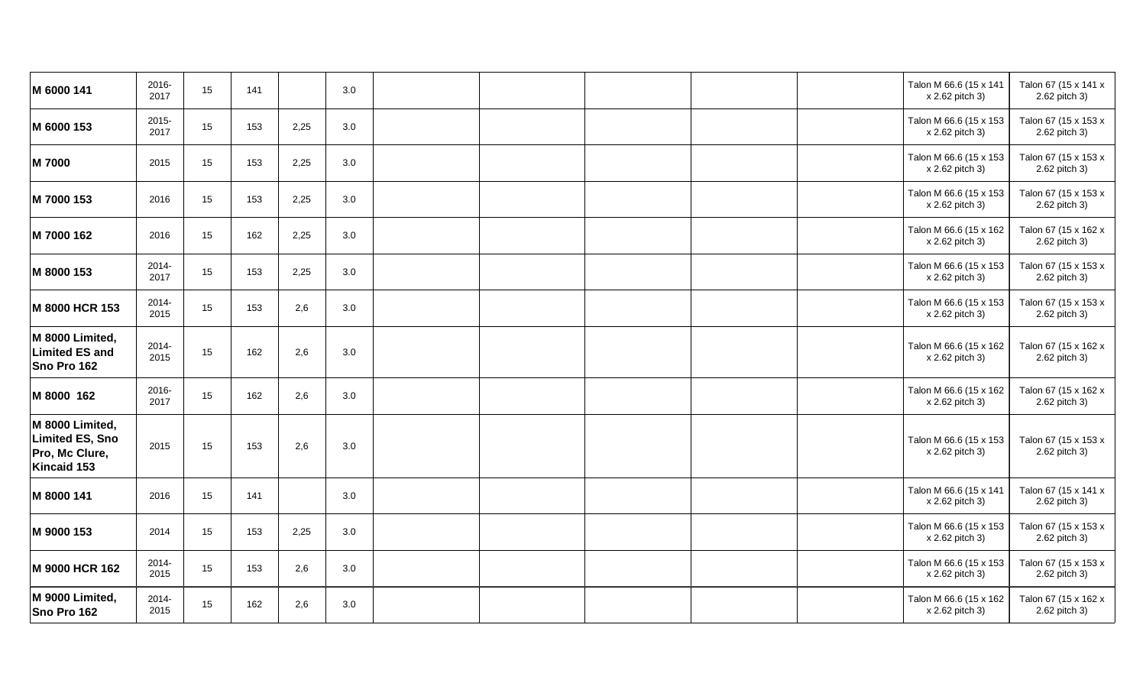| M 6000 141                                                                 | 2016-<br>2017 | 15 | 141 |      | 3.0 |  |  | Talon M 66.6 (15 x 141<br>x 2.62 pitch 3) | Talon 67 (15 x 141 x<br>2.62 pitch 3) |
|----------------------------------------------------------------------------|---------------|----|-----|------|-----|--|--|-------------------------------------------|---------------------------------------|
| M 6000 153                                                                 | 2015-<br>2017 | 15 | 153 | 2,25 | 3.0 |  |  | Talon M 66.6 (15 x 153<br>x 2.62 pitch 3) | Talon 67 (15 x 153 x<br>2.62 pitch 3) |
| M 7000                                                                     | 2015          | 15 | 153 | 2,25 | 3.0 |  |  | Talon M 66.6 (15 x 153<br>x 2.62 pitch 3) | Talon 67 (15 x 153 x<br>2.62 pitch 3) |
| M 7000 153                                                                 | 2016          | 15 | 153 | 2,25 | 3.0 |  |  | Talon M 66.6 (15 x 153<br>x 2.62 pitch 3) | Talon 67 (15 x 153 x<br>2.62 pitch 3) |
| M 7000 162                                                                 | 2016          | 15 | 162 | 2,25 | 3.0 |  |  | Talon M 66.6 (15 x 162<br>x 2.62 pitch 3) | Talon 67 (15 x 162 x<br>2.62 pitch 3) |
| M 8000 153                                                                 | 2014-<br>2017 | 15 | 153 | 2,25 | 3.0 |  |  | Talon M 66.6 (15 x 153<br>x 2.62 pitch 3) | Talon 67 (15 x 153 x<br>2.62 pitch 3) |
| M 8000 HCR 153                                                             | 2014-<br>2015 | 15 | 153 | 2,6  | 3.0 |  |  | Talon M 66.6 (15 x 153<br>x 2.62 pitch 3) | Talon 67 (15 x 153 x<br>2.62 pitch 3) |
| M 8000 Limited,<br><b>Limited ES and</b><br>Sno Pro 162                    | 2014-<br>2015 | 15 | 162 | 2,6  | 3.0 |  |  | Talon M 66.6 (15 x 162<br>x 2.62 pitch 3) | Talon 67 (15 x 162 x<br>2.62 pitch 3) |
| M 8000 162                                                                 | 2016-<br>2017 | 15 | 162 | 2,6  | 3.0 |  |  | Talon M 66.6 (15 x 162<br>x 2.62 pitch 3) | Talon 67 (15 x 162 x<br>2.62 pitch 3) |
| M 8000 Limited,<br><b>Limited ES, Sno</b><br>Pro, Mc Clure,<br>Kincaid 153 | 2015          | 15 | 153 | 2,6  | 3.0 |  |  | Talon M 66.6 (15 x 153<br>x 2.62 pitch 3) | Talon 67 (15 x 153 x<br>2.62 pitch 3) |
| M 8000 141                                                                 | 2016          | 15 | 141 |      | 3.0 |  |  | Talon M 66.6 (15 x 141<br>x 2.62 pitch 3) | Talon 67 (15 x 141 x<br>2.62 pitch 3) |
| M 9000 153                                                                 | 2014          | 15 | 153 | 2,25 | 3.0 |  |  | Talon M 66.6 (15 x 153<br>x 2.62 pitch 3) | Talon 67 (15 x 153 x<br>2.62 pitch 3) |
| M 9000 HCR 162                                                             | 2014-<br>2015 | 15 | 153 | 2,6  | 3.0 |  |  | Talon M 66.6 (15 x 153<br>x 2.62 pitch 3) | Talon 67 (15 x 153 x<br>2.62 pitch 3) |
| M 9000 Limited,<br>Sno Pro 162                                             | 2014-<br>2015 | 15 | 162 | 2,6  | 3.0 |  |  | Talon M 66.6 (15 x 162<br>x 2.62 pitch 3) | Talon 67 (15 x 162 x<br>2.62 pitch 3) |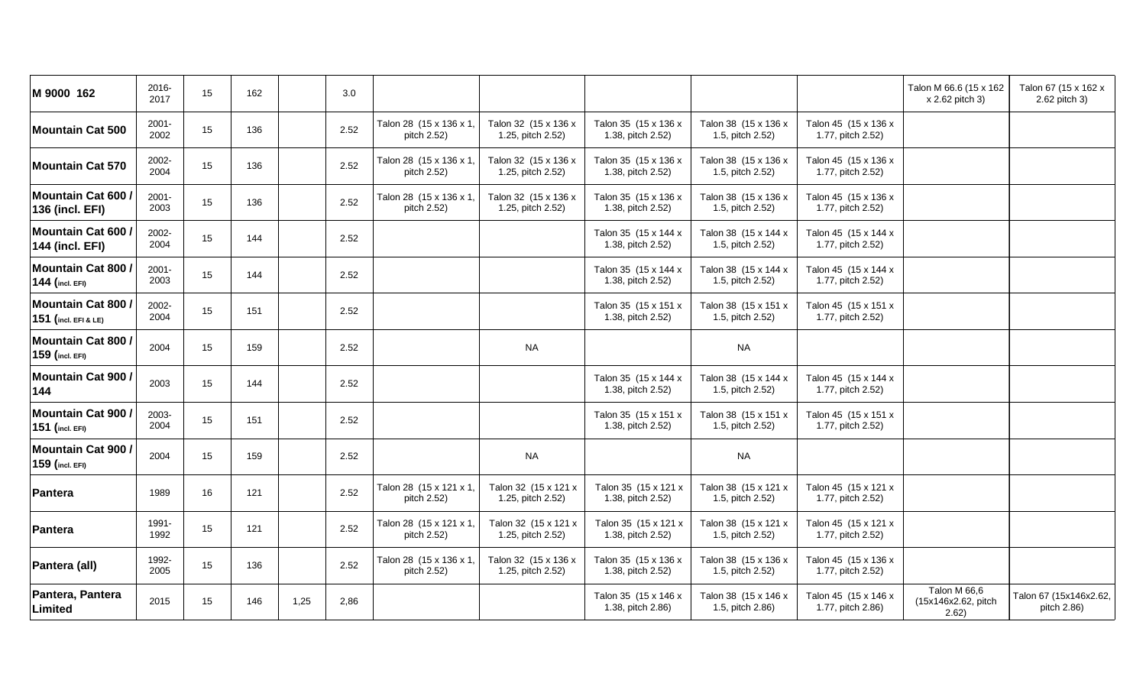| M 9000 162                                        | 2016-<br>2017    | 15 | 162 |      | 3.0  |                                        |                                           |                                           |                                          |                                           | Talon M 66.6 (15 x 162<br>x 2.62 pitch 3)    | Talon 67 (15 x 162 x<br>2.62 pitch 3) |
|---------------------------------------------------|------------------|----|-----|------|------|----------------------------------------|-------------------------------------------|-------------------------------------------|------------------------------------------|-------------------------------------------|----------------------------------------------|---------------------------------------|
| <b>Mountain Cat 500</b>                           | $2001 -$<br>2002 | 15 | 136 |      | 2.52 | Talon 28 (15 x 136 x 1,<br>pitch 2.52) | Talon 32 (15 x 136 x<br>1.25, pitch 2.52) | Talon 35 (15 x 136 x<br>1.38, pitch 2.52) | Talon 38 (15 x 136 x<br>1.5, pitch 2.52) | Talon 45 (15 x 136 x<br>1.77, pitch 2.52) |                                              |                                       |
| <b>Mountain Cat 570</b>                           | 2002-<br>2004    | 15 | 136 |      | 2.52 | Talon 28 (15 x 136 x 1,<br>pitch 2.52) | Talon 32 (15 x 136 x<br>1.25, pitch 2.52) | Talon 35 (15 x 136 x<br>1.38, pitch 2.52) | Talon 38 (15 x 136 x<br>1.5, pitch 2.52) | Talon 45 (15 x 136 x<br>1.77, pitch 2.52) |                                              |                                       |
| <b>Mountain Cat 600</b><br><b>136 (incl. EFI)</b> | $2001 -$<br>2003 | 15 | 136 |      | 2.52 | Talon 28 (15 x 136 x 1,<br>pitch 2.52) | Talon 32 (15 x 136 x<br>1.25, pitch 2.52) | Talon 35 (15 x 136 x<br>1.38, pitch 2.52) | Talon 38 (15 x 136 x<br>1.5, pitch 2.52) | Talon 45 (15 x 136 x<br>1.77, pitch 2.52) |                                              |                                       |
| Mountain Cat 600 /<br><b>144 (incl. EFI)</b>      | 2002-<br>2004    | 15 | 144 |      | 2.52 |                                        |                                           | Talon 35 (15 x 144 x<br>1.38, pitch 2.52) | Talon 38 (15 x 144 x<br>1.5, pitch 2.52) | Talon 45 (15 x 144 x<br>1.77, pitch 2.52) |                                              |                                       |
| <b>Mountain Cat 800</b><br>144 (incl. EFI)        | $2001 -$<br>2003 | 15 | 144 |      | 2.52 |                                        |                                           | Talon 35 (15 x 144 x<br>1.38, pitch 2.52) | Talon 38 (15 x 144 x<br>1.5, pitch 2.52) | Talon 45 (15 x 144 x<br>1.77, pitch 2.52) |                                              |                                       |
| Mountain Cat 800 /<br>151 (incl. EFI & LE)        | 2002-<br>2004    | 15 | 151 |      | 2.52 |                                        |                                           | Talon 35 (15 x 151 x<br>1.38, pitch 2.52) | Talon 38 (15 x 151 x<br>1.5, pitch 2.52) | Talon 45 (15 x 151 x<br>1.77, pitch 2.52) |                                              |                                       |
| <b>Mountain Cat 800/</b><br>159 (incl. EFI)       | 2004             | 15 | 159 |      | 2.52 |                                        | <b>NA</b>                                 |                                           | <b>NA</b>                                |                                           |                                              |                                       |
| <b>Mountain Cat 900/</b><br>144                   | 2003             | 15 | 144 |      | 2.52 |                                        |                                           | Talon 35 (15 x 144 x<br>1.38, pitch 2.52) | Talon 38 (15 x 144 x<br>1.5, pitch 2.52) | Talon 45 (15 x 144 x<br>1.77, pitch 2.52) |                                              |                                       |
| <b>Mountain Cat 900</b><br>151 (incl. EFI)        | 2003-<br>2004    | 15 | 151 |      | 2.52 |                                        |                                           | Talon 35 (15 x 151 x<br>1.38, pitch 2.52) | Talon 38 (15 x 151 x<br>1.5, pitch 2.52) | Talon 45 (15 x 151 x<br>1.77, pitch 2.52) |                                              |                                       |
| <b>Mountain Cat 900/</b><br>159 (incl. EFI)       | 2004             | 15 | 159 |      | 2.52 |                                        | <b>NA</b>                                 |                                           | <b>NA</b>                                |                                           |                                              |                                       |
| Pantera                                           | 1989             | 16 | 121 |      | 2.52 | Talon 28 (15 x 121 x 1,<br>pitch 2.52) | Talon 32 (15 x 121 x<br>1.25, pitch 2.52) | Talon 35 (15 x 121 x<br>1.38, pitch 2.52) | Talon 38 (15 x 121 x<br>1.5, pitch 2.52) | Talon 45 (15 x 121 x<br>1.77, pitch 2.52) |                                              |                                       |
| Pantera                                           | 1991-<br>1992    | 15 | 121 |      | 2.52 | Talon 28 (15 x 121 x 1,<br>pitch 2.52) | Talon 32 (15 x 121 x<br>1.25, pitch 2.52) | Talon 35 (15 x 121 x<br>1.38, pitch 2.52) | Talon 38 (15 x 121 x<br>1.5, pitch 2.52) | Talon 45 (15 x 121 x<br>1.77, pitch 2.52) |                                              |                                       |
| Pantera (all)                                     | 1992-<br>2005    | 15 | 136 |      | 2.52 | Talon 28 (15 x 136 x 1,<br>pitch 2.52) | Talon 32 (15 x 136 x<br>1.25, pitch 2.52) | Talon 35 (15 x 136 x<br>1.38, pitch 2.52) | Talon 38 (15 x 136 x<br>1.5, pitch 2.52) | Talon 45 (15 x 136 x<br>1.77, pitch 2.52) |                                              |                                       |
| Pantera, Pantera<br>Limited                       | 2015             | 15 | 146 | 1,25 | 2,86 |                                        |                                           | Talon 35 (15 x 146 x<br>1.38, pitch 2.86) | Talon 38 (15 x 146 x<br>1.5, pitch 2.86) | Talon 45 (15 x 146 x<br>1.77, pitch 2.86) | Talon M 66,6<br>(15x146x2.62, pitch<br>2.62) | Talon 67 (15x146x2.62,<br>pitch 2.86) |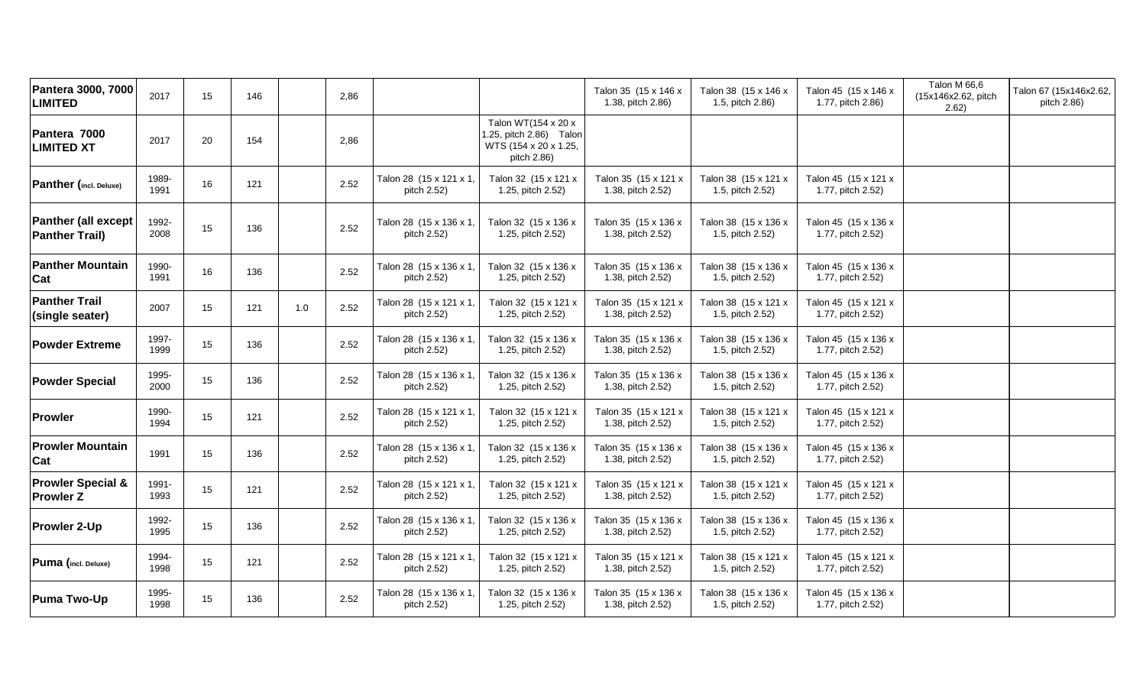| Pantera 3000, 7000<br><b>LIMITED</b>                | 2017          | 15 | 146 | 2,86        |                                        |                                                                                        | Talon 35 (15 x 146 x<br>1.38, pitch 2.86) | Talon 38 (15 x 146 x<br>1.5, pitch 2.86) | Talon 45 (15 x 146 x<br>1.77, pitch 2.86) | Talon M 66,6<br>(15x146x2.62, pitch<br>2.62) | Talon 67 (15x146x2.62,<br>pitch 2.86) |
|-----------------------------------------------------|---------------|----|-----|-------------|----------------------------------------|----------------------------------------------------------------------------------------|-------------------------------------------|------------------------------------------|-------------------------------------------|----------------------------------------------|---------------------------------------|
| Pantera 7000<br><b>LIMITED XT</b>                   | 2017          | 20 | 154 | 2,86        |                                        | Talon WT(154 x 20 x<br>1.25, pitch 2.86) Talon<br>WTS (154 x 20 x 1.25,<br>pitch 2.86) |                                           |                                          |                                           |                                              |                                       |
| Panther (incl. Deluxe)                              | 1989-<br>1991 | 16 | 121 | 2.52        | Talon 28 (15 x 121 x 1<br>pitch 2.52)  | Talon 32 (15 x 121 x<br>1.25, pitch 2.52)                                              | Talon 35 (15 x 121 x<br>1.38, pitch 2.52) | Talon 38 (15 x 121 x<br>1.5, pitch 2.52) | Talon 45 (15 x 121 x<br>1.77, pitch 2.52) |                                              |                                       |
| <b>Panther (all except</b><br><b>Panther Trail)</b> | 1992-<br>2008 | 15 | 136 | 2.52        | Talon 28 (15 x 136 x 1<br>pitch 2.52)  | Talon 32 (15 x 136 x<br>1.25, pitch 2.52)                                              | Talon 35 (15 x 136 x<br>1.38, pitch 2.52) | Talon 38 (15 x 136 x<br>1.5, pitch 2.52) | Talon 45 (15 x 136 x<br>1.77, pitch 2.52) |                                              |                                       |
| <b>Panther Mountain</b><br>Cat                      | 1990-<br>1991 | 16 | 136 | 2.52        | Talon 28 (15 x 136 x 1,<br>pitch 2.52) | Talon 32 (15 x 136 x<br>1.25, pitch 2.52)                                              | Talon 35 (15 x 136 x<br>1.38, pitch 2.52) | Talon 38 (15 x 136 x<br>1.5, pitch 2.52) | Talon 45 (15 x 136 x<br>1.77, pitch 2.52) |                                              |                                       |
| <b>Panther Trail</b><br>(single seater)             | 2007          | 15 | 121 | 2.52<br>1.0 | Talon 28 (15 x 121 x 1<br>pitch 2.52)  | Talon 32 (15 x 121 x<br>1.25, pitch 2.52)                                              | Talon 35 (15 x 121 x<br>1.38, pitch 2.52) | Talon 38 (15 x 121 x<br>1.5, pitch 2.52) | Talon 45 (15 x 121 x<br>1.77, pitch 2.52) |                                              |                                       |
| <b>Powder Extreme</b>                               | 1997-<br>1999 | 15 | 136 | 2.52        | Talon 28 (15 x 136 x 1,<br>pitch 2.52) | Talon 32 (15 x 136 x<br>1.25, pitch 2.52)                                              | Talon 35 (15 x 136 x<br>1.38, pitch 2.52) | Talon 38 (15 x 136 x<br>1.5, pitch 2.52) | Talon 45 (15 x 136 x<br>1.77, pitch 2.52) |                                              |                                       |
| <b>Powder Special</b>                               | 1995-<br>2000 | 15 | 136 | 2.52        | Talon 28 (15 x 136 x 1<br>pitch 2.52)  | Talon 32 (15 x 136 x<br>1.25, pitch 2.52)                                              | Talon 35 (15 x 136 x<br>1.38, pitch 2.52) | Talon 38 (15 x 136 x<br>1.5, pitch 2.52) | Talon 45 (15 x 136 x<br>1.77, pitch 2.52) |                                              |                                       |
| <b>Prowler</b>                                      | 1990-<br>1994 | 15 | 121 | 2.52        | Talon 28 (15 x 121 x 1<br>pitch 2.52)  | Talon 32 (15 x 121 x<br>1.25, pitch 2.52)                                              | Talon 35 (15 x 121 x<br>1.38, pitch 2.52) | Talon 38 (15 x 121 x<br>1.5, pitch 2.52) | Talon 45 (15 x 121 x<br>1.77, pitch 2.52) |                                              |                                       |
| <b>Prowler Mountain</b><br>Cat                      | 1991          | 15 | 136 | 2.52        | Talon 28 (15 x 136 x 1<br>pitch 2.52)  | Talon 32 (15 x 136 x<br>1.25, pitch 2.52)                                              | Talon 35 (15 x 136 x<br>1.38, pitch 2.52) | Talon 38 (15 x 136 x<br>1.5, pitch 2.52) | Talon 45 (15 x 136 x<br>1.77, pitch 2.52) |                                              |                                       |
| <b>Prowler Special &amp;</b><br><b>Prowler Z</b>    | 1991-<br>1993 | 15 | 121 | 2.52        | Talon 28 (15 x 121 x 1,<br>pitch 2.52) | Talon 32 (15 x 121 x<br>1.25, pitch 2.52)                                              | Talon 35 (15 x 121 x<br>1.38, pitch 2.52) | Talon 38 (15 x 121 x<br>1.5, pitch 2.52) | Talon 45 (15 x 121 x<br>1.77, pitch 2.52) |                                              |                                       |
| Prowler 2-Up                                        | 1992-<br>1995 | 15 | 136 | 2.52        | Talon 28 (15 x 136 x 1)<br>pitch 2.52) | Talon 32 (15 x 136 x<br>1.25, pitch 2.52)                                              | Talon 35 (15 x 136 x<br>1.38, pitch 2.52) | Talon 38 (15 x 136 x<br>1.5, pitch 2.52) | Talon 45 (15 x 136 x<br>1.77, pitch 2.52) |                                              |                                       |
| Puma (incl. Deluxe)                                 | 1994-<br>1998 | 15 | 121 | 2.52        | Talon 28 (15 x 121 x 1,<br>pitch 2.52) | Talon 32 (15 x 121 x<br>1.25, pitch 2.52)                                              | Talon 35 (15 x 121 x<br>1.38, pitch 2.52) | Talon 38 (15 x 121 x<br>1.5, pitch 2.52) | Talon 45 (15 x 121 x<br>1.77, pitch 2.52) |                                              |                                       |
| <b>Puma Two-Up</b>                                  | 1995-<br>1998 | 15 | 136 | 2.52        | Talon 28 (15 x 136 x 1,<br>pitch 2.52) | Talon 32 (15 x 136 x<br>1.25, pitch 2.52)                                              | Talon 35 (15 x 136 x<br>1.38, pitch 2.52) | Talon 38 (15 x 136 x<br>1.5, pitch 2.52) | Talon 45 (15 x 136 x<br>1.77, pitch 2.52) |                                              |                                       |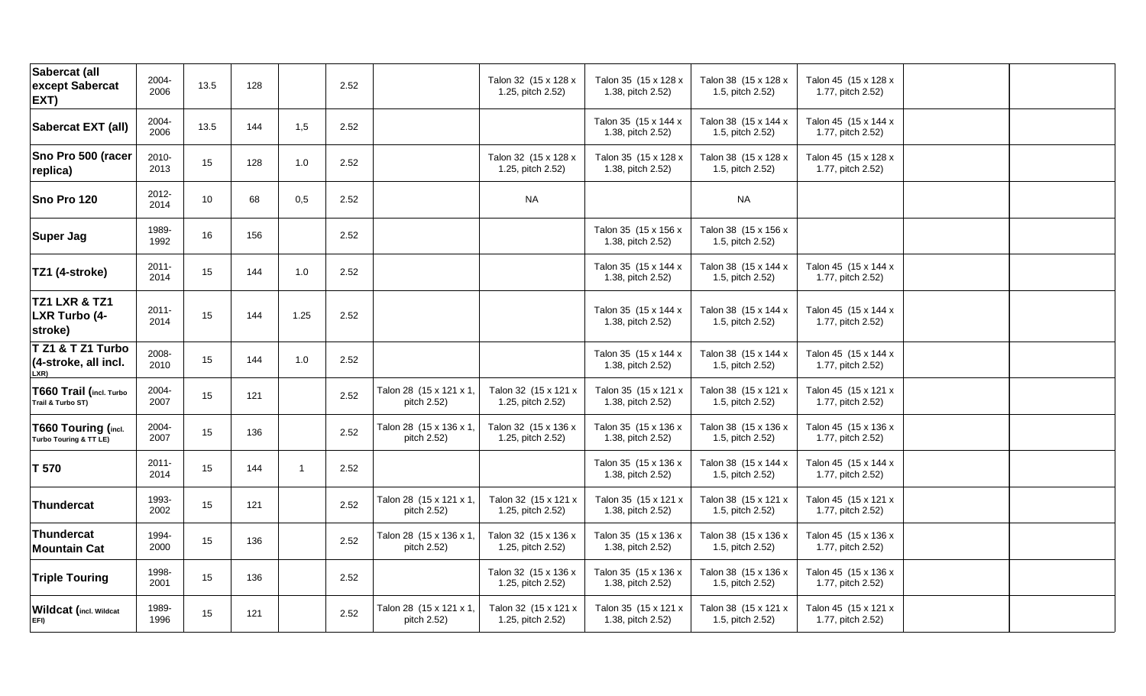| Sabercat (all<br>except Sabercat<br>EXT)             | 2004-<br>2006    | 13.5 | 128 |      | 2.52 |                                        | Talon 32 (15 x 128 x<br>1.25, pitch 2.52) | Talon 35 (15 x 128 x<br>1.38, pitch 2.52) | Talon 38 (15 x 128 x<br>1.5, pitch 2.52) | Talon 45 (15 x 128 x<br>1.77, pitch 2.52) |  |
|------------------------------------------------------|------------------|------|-----|------|------|----------------------------------------|-------------------------------------------|-------------------------------------------|------------------------------------------|-------------------------------------------|--|
| Sabercat EXT (all)                                   | 2004-<br>2006    | 13.5 | 144 | 1,5  | 2.52 |                                        |                                           | Talon 35 (15 x 144 x<br>1.38, pitch 2.52) | Talon 38 (15 x 144 x<br>1.5, pitch 2.52) | Talon 45 (15 x 144 x<br>1.77, pitch 2.52) |  |
| Sno Pro 500 (racer<br>replica)                       | 2010-<br>2013    | 15   | 128 | 1.0  | 2.52 |                                        | Talon 32 (15 x 128 x<br>1.25, pitch 2.52) | Talon 35 (15 x 128 x<br>1.38, pitch 2.52) | Talon 38 (15 x 128 x<br>1.5, pitch 2.52) | Talon 45 (15 x 128 x<br>1.77, pitch 2.52) |  |
| Sno Pro 120                                          | 2012-<br>2014    | 10   | 68  | 0,5  | 2.52 |                                        | <b>NA</b>                                 |                                           | <b>NA</b>                                |                                           |  |
| <b>Super Jag</b>                                     | 1989-<br>1992    | 16   | 156 |      | 2.52 |                                        |                                           | Talon 35 (15 x 156 x<br>1.38, pitch 2.52) | Talon 38 (15 x 156 x<br>1.5, pitch 2.52) |                                           |  |
| TZ1 (4-stroke)                                       | $2011 -$<br>2014 | 15   | 144 | 1.0  | 2.52 |                                        |                                           | Talon 35 (15 x 144 x<br>1.38, pitch 2.52) | Talon 38 (15 x 144 x<br>1.5, pitch 2.52) | Talon 45 (15 x 144 x<br>1.77, pitch 2.52) |  |
| TZ1 LXR & TZ1<br>LXR Turbo (4-<br>stroke)            | $2011 -$<br>2014 | 15   | 144 | 1.25 | 2.52 |                                        |                                           | Talon 35 (15 x 144 x<br>1.38, pitch 2.52) | Talon 38 (15 x 144 x<br>1.5, pitch 2.52) | Talon 45 (15 x 144 x<br>1.77, pitch 2.52) |  |
| T Z1 & T Z1 Turbo<br>(4-stroke, all incl.<br>LXR)    | 2008-<br>2010    | 15   | 144 | 1.0  | 2.52 |                                        |                                           | Talon 35 (15 x 144 x<br>1.38, pitch 2.52) | Talon 38 (15 x 144 x<br>1.5, pitch 2.52) | Talon 45 (15 x 144 x<br>1.77, pitch 2.52) |  |
| T660 Trail (incl. Turbo<br>Trail & Turbo ST)         | 2004-<br>2007    | 15   | 121 |      | 2.52 | Talon 28 (15 x 121 x 1,<br>pitch 2.52) | Talon 32 (15 x 121 x<br>1.25, pitch 2.52) | Talon 35 (15 x 121 x<br>1.38, pitch 2.52) | Talon 38 (15 x 121 x<br>1.5, pitch 2.52) | Talon 45 (15 x 121 x<br>1.77, pitch 2.52) |  |
| <b>T660 Touring (incl.</b><br>Turbo Touring & TT LE) | 2004-<br>2007    | 15   | 136 |      | 2.52 | Talon 28 (15 x 136 x 1,<br>pitch 2.52) | Talon 32 (15 x 136 x<br>1.25, pitch 2.52) | Talon 35 (15 x 136 x<br>1.38, pitch 2.52) | Talon 38 (15 x 136 x<br>1.5, pitch 2.52) | Talon 45 (15 x 136 x<br>1.77, pitch 2.52) |  |
| T 570                                                | $2011 -$<br>2014 | 15   | 144 | -1   | 2.52 |                                        |                                           | Talon 35 (15 x 136 x<br>1.38, pitch 2.52) | Talon 38 (15 x 144 x<br>1.5, pitch 2.52) | Talon 45 (15 x 144 x<br>1.77, pitch 2.52) |  |
| Thundercat                                           | 1993-<br>2002    | 15   | 121 |      | 2.52 | Talon 28 (15 x 121 x 1,<br>pitch 2.52) | Talon 32 (15 x 121 x<br>1.25, pitch 2.52) | Talon 35 (15 x 121 x<br>1.38, pitch 2.52) | Talon 38 (15 x 121 x<br>1.5, pitch 2.52) | Talon 45 (15 x 121 x<br>1.77, pitch 2.52) |  |
| <b>Thundercat</b><br><b>Mountain Cat</b>             | 1994-<br>2000    | 15   | 136 |      | 2.52 | Talon 28 (15 x 136 x 1,<br>pitch 2.52) | Talon 32 (15 x 136 x<br>1.25, pitch 2.52) | Talon 35 (15 x 136 x<br>1.38, pitch 2.52) | Talon 38 (15 x 136 x<br>1.5, pitch 2.52) | Talon 45 (15 x 136 x<br>1.77, pitch 2.52) |  |
| <b>Triple Touring</b>                                | 1998-<br>2001    | 15   | 136 |      | 2.52 |                                        | Talon 32 (15 x 136 x<br>1.25, pitch 2.52) | Talon 35 (15 x 136 x<br>1.38, pitch 2.52) | Talon 38 (15 x 136 x<br>1.5, pitch 2.52) | Talon 45 (15 x 136 x<br>1.77, pitch 2.52) |  |
| Wildcat (incl. Wildcat<br>EFI)                       | 1989-<br>1996    | 15   | 121 |      | 2.52 | Talon 28 (15 x 121 x 1,<br>pitch 2.52) | Talon 32 (15 x 121 x<br>1.25, pitch 2.52) | Talon 35 (15 x 121 x<br>1.38, pitch 2.52) | Talon 38 (15 x 121 x<br>1.5, pitch 2.52) | Talon 45 (15 x 121 x<br>1.77, pitch 2.52) |  |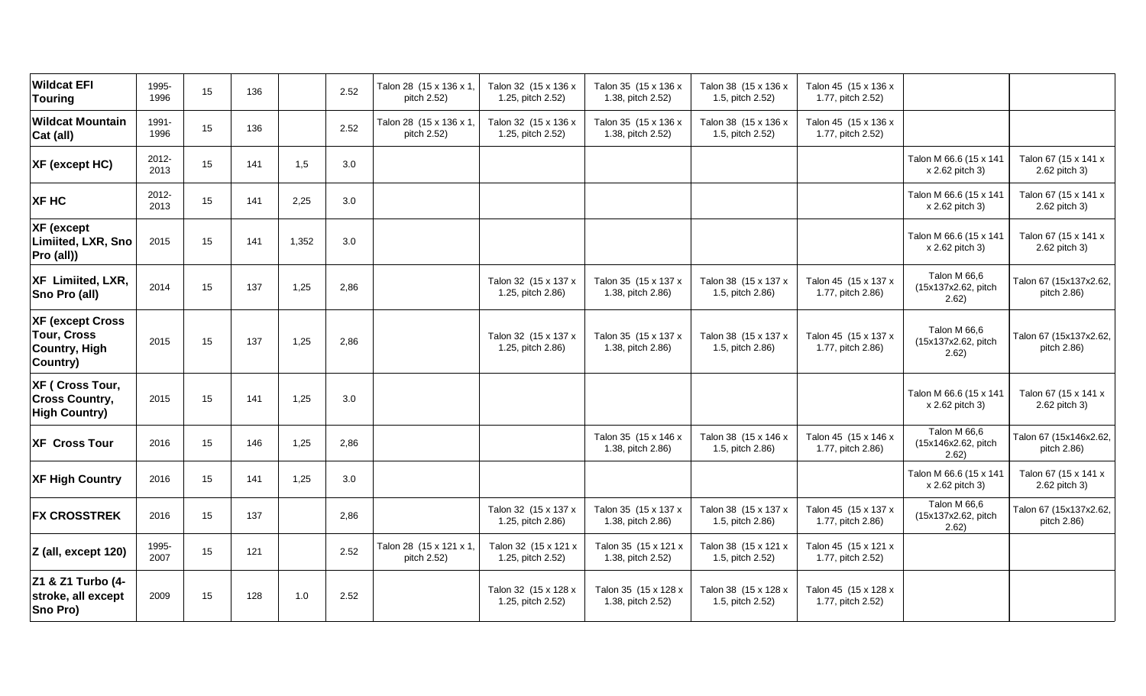| <b>Wildcat EFI</b><br><b>Touring</b>                                              | 1995-<br>1996 | 15 | 136 |       | 2.52 | Talon 28 (15 x 136 x 1,<br>pitch 2.52) | Talon 32 (15 x 136 x<br>1.25, pitch 2.52) | Talon 35 (15 x 136 x<br>1.38, pitch 2.52) | Talon 38 (15 x 136 x<br>1.5, pitch 2.52) | Talon 45 (15 x 136 x<br>1.77, pitch 2.52) |                                              |                                       |
|-----------------------------------------------------------------------------------|---------------|----|-----|-------|------|----------------------------------------|-------------------------------------------|-------------------------------------------|------------------------------------------|-------------------------------------------|----------------------------------------------|---------------------------------------|
| <b>Wildcat Mountain</b><br>Cat (all)                                              | 1991-<br>1996 | 15 | 136 |       | 2.52 | Talon 28 (15 x 136 x 1,<br>pitch 2.52) | Talon 32 (15 x 136 x<br>1.25, pitch 2.52) | Talon 35 (15 x 136 x<br>1.38, pitch 2.52) | Talon 38 (15 x 136 x<br>1.5, pitch 2.52) | Talon 45 (15 x 136 x<br>1.77, pitch 2.52) |                                              |                                       |
| XF (except HC)                                                                    | 2012-<br>2013 | 15 | 141 | 1,5   | 3.0  |                                        |                                           |                                           |                                          |                                           | Talon M 66.6 (15 x 141<br>x 2.62 pitch 3)    | Talon 67 (15 x 141 x<br>2.62 pitch 3) |
| XF HC                                                                             | 2012-<br>2013 | 15 | 141 | 2,25  | 3.0  |                                        |                                           |                                           |                                          |                                           | Talon M 66.6 (15 x 141<br>x 2.62 pitch 3)    | Talon 67 (15 x 141 x<br>2.62 pitch 3) |
| <b>XF</b> (except<br>Limiited, LXR, Sno<br>Pro (all))                             | 2015          | 15 | 141 | 1,352 | 3.0  |                                        |                                           |                                           |                                          |                                           | Talon M 66.6 (15 x 141<br>x 2.62 pitch 3)    | Talon 67 (15 x 141 x<br>2.62 pitch 3) |
| XF Limiited, LXR,<br>Sno Pro (all)                                                | 2014          | 15 | 137 | 1,25  | 2,86 |                                        | Talon 32 (15 x 137 x<br>1.25, pitch 2.86) | Talon 35 (15 x 137 x<br>1.38, pitch 2.86) | Talon 38 (15 x 137 x<br>1.5, pitch 2.86) | Talon 45 (15 x 137 x<br>1.77, pitch 2.86) | Talon M 66,6<br>(15x137x2.62, pitch<br>2.62) | Talon 67 (15x137x2.62,<br>pitch 2.86) |
| <b>XF (except Cross</b><br><b>Tour, Cross</b><br><b>Country, High</b><br>Country) | 2015          | 15 | 137 | 1,25  | 2,86 |                                        | Talon 32 (15 x 137 x<br>1.25, pitch 2.86) | Talon 35 (15 x 137 x<br>1.38, pitch 2.86) | Talon 38 (15 x 137 x<br>1.5, pitch 2.86) | Talon 45 (15 x 137 x<br>1.77, pitch 2.86) | Talon M 66,6<br>(15x137x2.62, pitch<br>2.62) | Talon 67 (15x137x2.62,<br>pitch 2.86) |
| XF ( Cross Tour,<br><b>Cross Country,</b><br><b>High Country)</b>                 | 2015          | 15 | 141 | 1,25  | 3.0  |                                        |                                           |                                           |                                          |                                           | Talon M 66.6 (15 x 141<br>x 2.62 pitch 3)    | Talon 67 (15 x 141 x<br>2.62 pitch 3) |
| <b>XF Cross Tour</b>                                                              | 2016          | 15 | 146 | 1,25  | 2,86 |                                        |                                           | Talon 35 (15 x 146 x<br>1.38, pitch 2.86) | Talon 38 (15 x 146 x<br>1.5, pitch 2.86) | Talon 45 (15 x 146 x<br>1.77, pitch 2.86) | Talon M 66,6<br>(15x146x2.62, pitch<br>2.62) | Talon 67 (15x146x2.62,<br>pitch 2.86) |
| <b>XF High Country</b>                                                            | 2016          | 15 | 141 | 1,25  | 3.0  |                                        |                                           |                                           |                                          |                                           | Talon M 66.6 (15 x 141<br>x 2.62 pitch 3)    | Talon 67 (15 x 141 x<br>2.62 pitch 3) |
| <b>FX CROSSTREK</b>                                                               | 2016          | 15 | 137 |       | 2,86 |                                        | Talon 32 (15 x 137 x<br>1.25, pitch 2.86) | Talon 35 (15 x 137 x<br>1.38, pitch 2.86) | Talon 38 (15 x 137 x<br>1.5, pitch 2.86) | Talon 45 (15 x 137 x<br>1.77, pitch 2.86) | Talon M 66,6<br>(15x137x2.62, pitch<br>2.62) | Talon 67 (15x137x2.62,<br>pitch 2.86) |
| Z (all, except 120)                                                               | 1995-<br>2007 | 15 | 121 |       | 2.52 | Talon 28 (15 x 121 x 1,<br>pitch 2.52) | Talon 32 (15 x 121 x<br>1.25, pitch 2.52) | Talon 35 (15 x 121 x<br>1.38, pitch 2.52) | Talon 38 (15 x 121 x<br>1.5, pitch 2.52) | Talon 45 (15 x 121 x<br>1.77, pitch 2.52) |                                              |                                       |
| Z1 & Z1 Turbo (4-<br>stroke, all except<br>Sno Pro)                               | 2009          | 15 | 128 | 1.0   | 2.52 |                                        | Talon 32 (15 x 128 x<br>1.25, pitch 2.52) | Talon 35 (15 x 128 x<br>1.38, pitch 2.52) | Talon 38 (15 x 128 x<br>1.5, pitch 2.52) | Talon 45 (15 x 128 x<br>1.77, pitch 2.52) |                                              |                                       |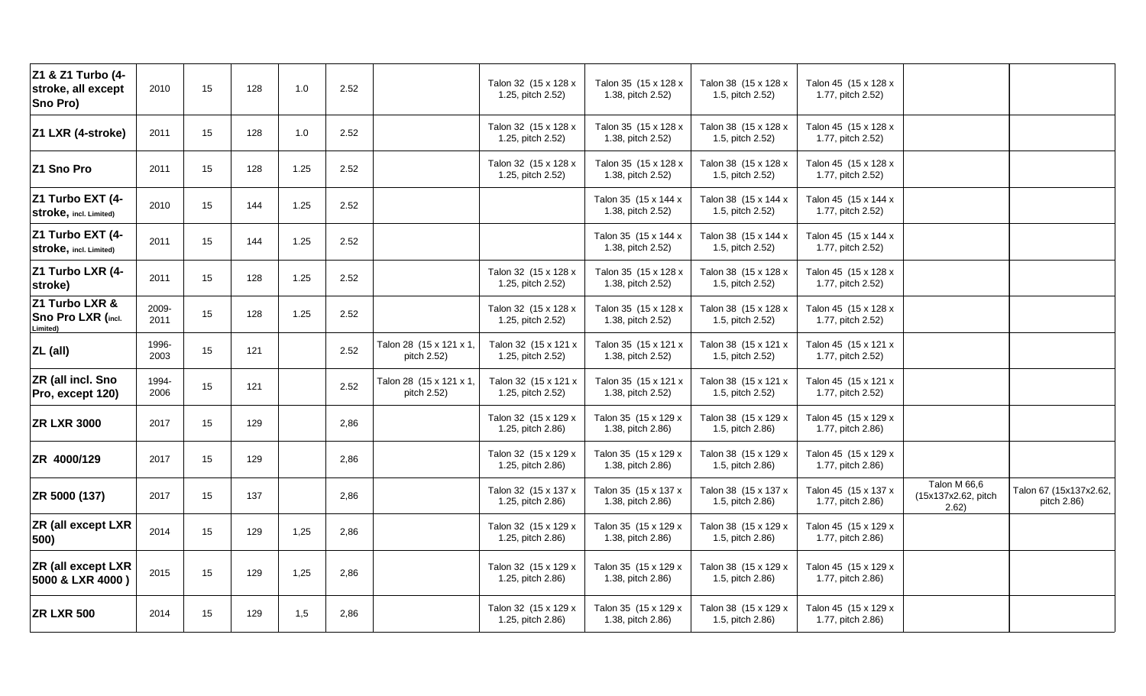| Z1 & Z1 Turbo (4-<br>stroke, all except<br>Sno Pro) | 2010          | 15 | 128 | 1.0  | 2.52 |                                        | Talon 32 (15 x 128 x<br>1.25, pitch 2.52) | Talon 35 (15 x 128 x<br>1.38, pitch 2.52) | Talon 38 (15 x 128 x<br>1.5, pitch 2.52) | Talon 45 (15 x 128 x<br>1.77, pitch 2.52) |                                              |                                       |
|-----------------------------------------------------|---------------|----|-----|------|------|----------------------------------------|-------------------------------------------|-------------------------------------------|------------------------------------------|-------------------------------------------|----------------------------------------------|---------------------------------------|
| Z1 LXR (4-stroke)                                   | 2011          | 15 | 128 | 1.0  | 2.52 |                                        | Talon 32 (15 x 128 x<br>1.25, pitch 2.52) | Talon 35 (15 x 128 x<br>1.38, pitch 2.52) | Talon 38 (15 x 128 x<br>1.5, pitch 2.52) | Talon 45 (15 x 128 x<br>1.77, pitch 2.52) |                                              |                                       |
| Z1 Sno Pro                                          | 2011          | 15 | 128 | 1.25 | 2.52 |                                        | Talon 32 (15 x 128 x<br>1.25, pitch 2.52) | Talon 35 (15 x 128 x<br>1.38, pitch 2.52) | Talon 38 (15 x 128 x<br>1.5, pitch 2.52) | Talon 45 (15 x 128 x<br>1.77, pitch 2.52) |                                              |                                       |
| Z1 Turbo EXT (4-<br>Stroke, incl. Limited)          | 2010          | 15 | 144 | 1.25 | 2.52 |                                        |                                           | Talon 35 (15 x 144 x<br>1.38, pitch 2.52) | Talon 38 (15 x 144 x<br>1.5, pitch 2.52) | Talon 45 (15 x 144 x<br>1.77, pitch 2.52) |                                              |                                       |
| Z1 Turbo EXT (4-<br>Stroke, incl. Limited)          | 2011          | 15 | 144 | 1.25 | 2.52 |                                        |                                           | Talon 35 (15 x 144 x<br>1.38, pitch 2.52) | Talon 38 (15 x 144 x<br>1.5, pitch 2.52) | Talon 45 (15 x 144 x<br>1.77, pitch 2.52) |                                              |                                       |
| Z1 Turbo LXR (4-<br>stroke)                         | 2011          | 15 | 128 | 1.25 | 2.52 |                                        | Talon 32 (15 x 128 x<br>1.25, pitch 2.52) | Talon 35 (15 x 128 x<br>1.38, pitch 2.52) | Talon 38 (15 x 128 x<br>1.5, pitch 2.52) | Talon 45 (15 x 128 x<br>1.77, pitch 2.52) |                                              |                                       |
| Z1 Turbo LXR &<br>Sno Pro LXR (incl.<br>Limited)    | 2009-<br>2011 | 15 | 128 | 1.25 | 2.52 |                                        | Talon 32 (15 x 128 x<br>1.25, pitch 2.52) | Talon 35 (15 x 128 x<br>1.38, pitch 2.52) | Talon 38 (15 x 128 x<br>1.5, pitch 2.52) | Talon 45 (15 x 128 x<br>1.77, pitch 2.52) |                                              |                                       |
| ZL (all)                                            | 1996-<br>2003 | 15 | 121 |      | 2.52 | Talon 28 (15 x 121 x 1,<br>pitch 2.52) | Talon 32 (15 x 121 x<br>1.25, pitch 2.52) | Talon 35 (15 x 121 x<br>1.38, pitch 2.52) | Talon 38 (15 x 121 x<br>1.5, pitch 2.52) | Talon 45 (15 x 121 x<br>1.77, pitch 2.52) |                                              |                                       |
| ZR (all incl. Sno<br>Pro, except 120)               | 1994-<br>2006 | 15 | 121 |      | 2.52 | Talon 28 (15 x 121 x 1,<br>pitch 2.52) | Talon 32 (15 x 121 x<br>1.25, pitch 2.52) | Talon 35 (15 x 121 x<br>1.38, pitch 2.52) | Talon 38 (15 x 121 x<br>1.5, pitch 2.52) | Talon 45 (15 x 121 x<br>1.77, pitch 2.52) |                                              |                                       |
| <b>ZR LXR 3000</b>                                  | 2017          | 15 | 129 |      | 2,86 |                                        | Talon 32 (15 x 129 x<br>1.25, pitch 2.86) | Talon 35 (15 x 129 x<br>1.38, pitch 2.86) | Talon 38 (15 x 129 x<br>1.5, pitch 2.86) | Talon 45 (15 x 129 x<br>1.77, pitch 2.86) |                                              |                                       |
| ZR 4000/129                                         | 2017          | 15 | 129 |      | 2,86 |                                        | Talon 32 (15 x 129 x<br>1.25, pitch 2.86) | Talon 35 (15 x 129 x<br>1.38, pitch 2.86) | Talon 38 (15 x 129 x<br>1.5, pitch 2.86) | Talon 45 (15 x 129 x<br>1.77, pitch 2.86) |                                              |                                       |
| ZR 5000 (137)                                       | 2017          | 15 | 137 |      | 2,86 |                                        | Talon 32 (15 x 137 x<br>1.25, pitch 2.86) | Talon 35 (15 x 137 x<br>1.38, pitch 2.86) | Talon 38 (15 x 137 x<br>1.5, pitch 2.86) | Talon 45 (15 x 137 x<br>1.77, pitch 2.86) | Talon M 66,6<br>(15x137x2.62, pitch<br>2.62) | Talon 67 (15x137x2.62,<br>pitch 2.86) |
| <b>ZR (all except LXR</b><br>500)                   | 2014          | 15 | 129 | 1,25 | 2,86 |                                        | Talon 32 (15 x 129 x<br>1.25, pitch 2.86) | Talon 35 (15 x 129 x<br>1.38, pitch 2.86) | Talon 38 (15 x 129 x<br>1.5, pitch 2.86) | Talon 45 (15 x 129 x<br>1.77, pitch 2.86) |                                              |                                       |
| ZR (all except LXR<br>5000 & LXR 4000)              | 2015          | 15 | 129 | 1,25 | 2,86 |                                        | Talon 32 (15 x 129 x<br>1.25, pitch 2.86) | Talon 35 (15 x 129 x<br>1.38, pitch 2.86) | Talon 38 (15 x 129 x<br>1.5, pitch 2.86) | Talon 45 (15 x 129 x<br>1.77, pitch 2.86) |                                              |                                       |
| <b>ZR LXR 500</b>                                   | 2014          | 15 | 129 | 1,5  | 2,86 |                                        | Talon 32 (15 x 129 x<br>1.25, pitch 2.86) | Talon 35 (15 x 129 x<br>1.38, pitch 2.86) | Talon 38 (15 x 129 x<br>1.5, pitch 2.86) | Talon 45 (15 x 129 x<br>1.77, pitch 2.86) |                                              |                                       |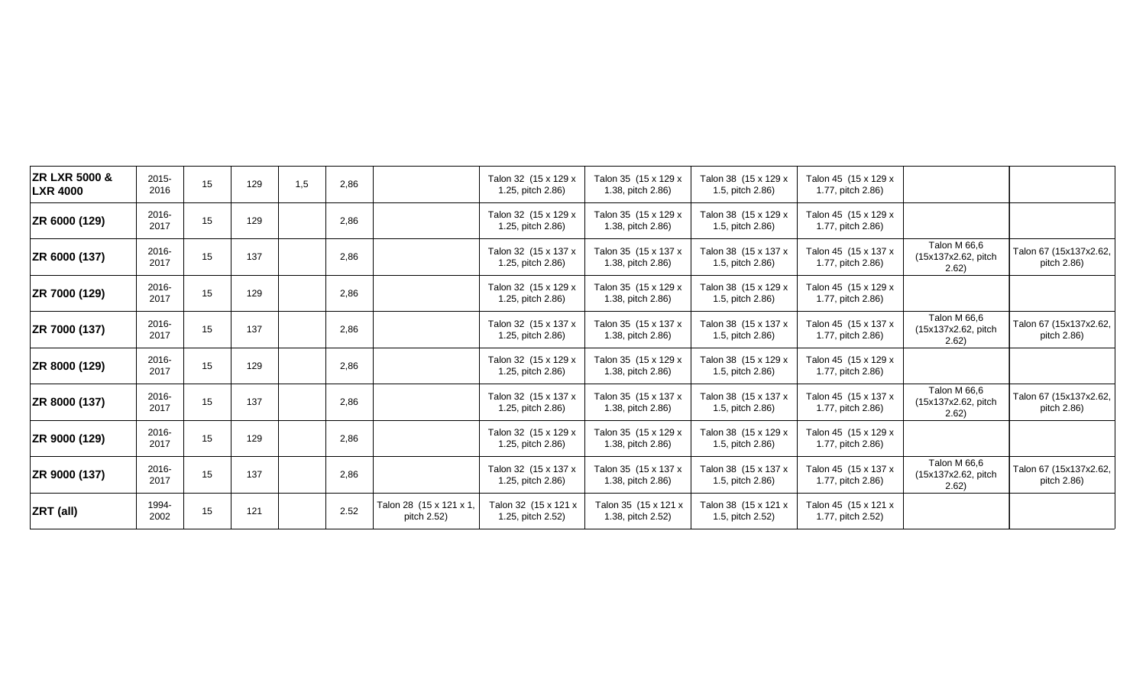| <b>ZR LXR 5000 &amp;</b><br><b>LXR 4000</b> | 2015-<br>2016 | 15 | 129 | 1,5 | 2,86 |                                        | Talon 32 (15 x 129 x<br>1.25, pitch 2.86) | Talon 35 (15 x 129 x<br>1.38, pitch 2.86) | Talon 38 (15 x 129 x<br>1.5, pitch 2.86) | Talon 45 (15 x 129 x<br>1.77, pitch 2.86) |                                              |                                       |
|---------------------------------------------|---------------|----|-----|-----|------|----------------------------------------|-------------------------------------------|-------------------------------------------|------------------------------------------|-------------------------------------------|----------------------------------------------|---------------------------------------|
| ZR 6000 (129)                               | 2016-<br>2017 | 15 | 129 |     | 2,86 |                                        | Talon 32 (15 x 129 x<br>1.25, pitch 2.86) | Talon 35 (15 x 129 x<br>1.38, pitch 2.86) | Talon 38 (15 x 129 x<br>1.5, pitch 2.86) | Talon 45 (15 x 129 x<br>1.77, pitch 2.86) |                                              |                                       |
| ZR 6000 (137)                               | 2016-<br>2017 | 15 | 137 |     | 2,86 |                                        | Talon 32 (15 x 137 x<br>1.25, pitch 2.86) | Talon 35 (15 x 137 x<br>1.38, pitch 2.86) | Talon 38 (15 x 137 x<br>1.5, pitch 2.86) | Talon 45 (15 x 137 x<br>1.77, pitch 2.86) | Talon M 66,6<br>(15x137x2.62, pitch<br>2.62) | Talon 67 (15x137x2.62,<br>pitch 2.86) |
| ZR 7000 (129)                               | 2016-<br>2017 | 15 | 129 |     | 2,86 |                                        | Talon 32 (15 x 129 x<br>1.25, pitch 2.86) | Talon 35 (15 x 129 x<br>1.38, pitch 2.86) | Talon 38 (15 x 129 x<br>1.5, pitch 2.86) | Talon 45 (15 x 129 x<br>1.77, pitch 2.86) |                                              |                                       |
| ZR 7000 (137)                               | 2016-<br>2017 | 15 | 137 |     | 2,86 |                                        | Talon 32 (15 x 137 x<br>1.25, pitch 2.86) | Talon 35 (15 x 137 x<br>1.38, pitch 2.86) | Talon 38 (15 x 137 x<br>1.5, pitch 2.86) | Talon 45 (15 x 137 x<br>1.77, pitch 2.86) | Talon M 66,6<br>(15x137x2.62, pitch<br>2.62) | Talon 67 (15x137x2.62,<br>pitch 2.86) |
| ZR 8000 (129)                               | 2016-<br>2017 | 15 | 129 |     | 2,86 |                                        | Talon 32 (15 x 129 x<br>1.25, pitch 2.86) | Talon 35 (15 x 129 x<br>1.38, pitch 2.86) | Talon 38 (15 x 129 x<br>1.5, pitch 2.86) | Talon 45 (15 x 129 x<br>1.77, pitch 2.86) |                                              |                                       |
| ZR 8000 (137)                               | 2016-<br>2017 | 15 | 137 |     | 2,86 |                                        | Talon 32 (15 x 137 x<br>1.25, pitch 2.86) | Talon 35 (15 x 137 x<br>1.38, pitch 2.86) | Talon 38 (15 x 137 x<br>1.5, pitch 2.86) | Talon 45 (15 x 137 x<br>1.77, pitch 2.86) | Talon M 66,6<br>(15x137x2.62, pitch<br>2.62  | Talon 67 (15x137x2.62,<br>pitch 2.86) |
| ZR 9000 (129)                               | 2016-<br>2017 | 15 | 129 |     | 2,86 |                                        | Talon 32 (15 x 129 x<br>1.25, pitch 2.86) | Talon 35 (15 x 129 x<br>1.38, pitch 2.86) | Talon 38 (15 x 129 x<br>1.5, pitch 2.86) | Talon 45 (15 x 129 x<br>1.77, pitch 2.86) |                                              |                                       |
| ZR 9000 (137)                               | 2016-<br>2017 | 15 | 137 |     | 2,86 |                                        | Talon 32 (15 x 137 x<br>1.25, pitch 2.86) | Talon 35 (15 x 137 x<br>1.38, pitch 2.86) | Talon 38 (15 x 137 x<br>1.5, pitch 2.86) | Talon 45 (15 x 137 x<br>1.77, pitch 2.86) | Talon M 66,6<br>(15x137x2.62, pitch<br>2.62) | Talon 67 (15x137x2.62,<br>pitch 2.86) |
| ZRT (all)                                   | 1994-<br>2002 | 15 | 121 |     | 2.52 | Talon 28 (15 x 121 x 1,<br>pitch 2.52) | Talon 32 (15 x 121 x<br>1.25, pitch 2.52) | Talon 35 (15 x 121 x<br>1.38, pitch 2.52) | Talon 38 (15 x 121 x<br>1.5, pitch 2.52) | Talon 45 (15 x 121 x<br>1.77, pitch 2.52) |                                              |                                       |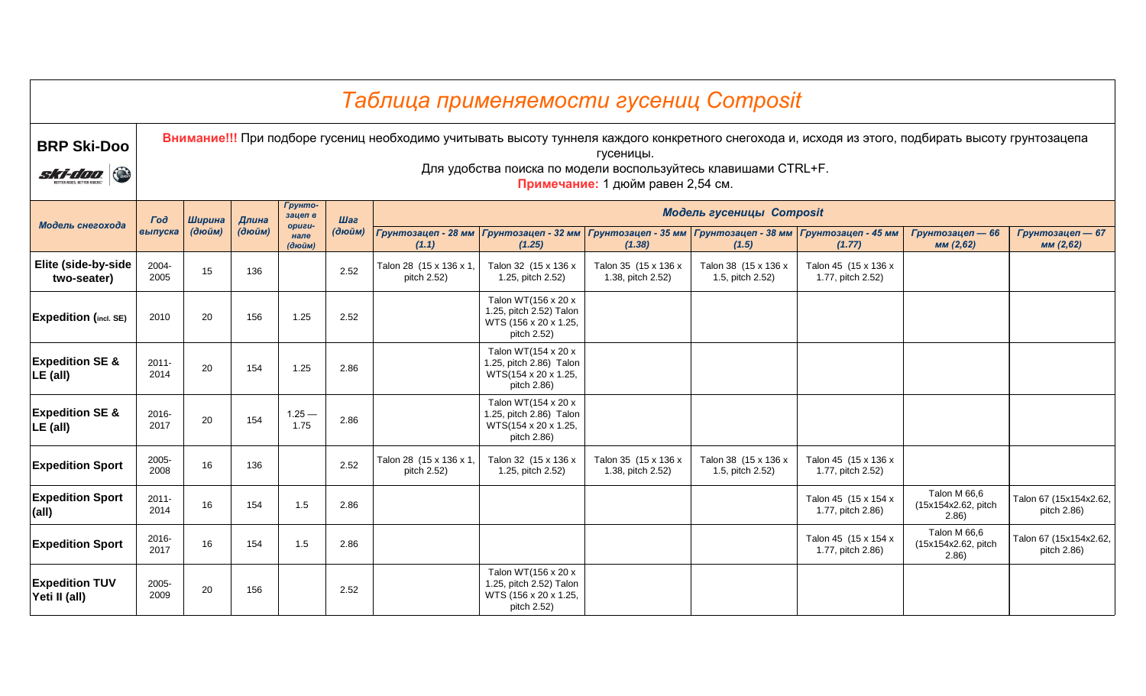|                                             |                  |        |        |                          |        | Таблица применяемости гусениц Composit |                                                                                                                       |                                                |                                          |                                                                                                                                                     |                                               |                                       |
|---------------------------------------------|------------------|--------|--------|--------------------------|--------|----------------------------------------|-----------------------------------------------------------------------------------------------------------------------|------------------------------------------------|------------------------------------------|-----------------------------------------------------------------------------------------------------------------------------------------------------|-----------------------------------------------|---------------------------------------|
| <b>BRP Ski-Doo</b><br>$\bigodot$<br>ski-doo |                  |        |        |                          |        |                                        | Для удобства поиска по модели воспользуйтесь клавишами CTRL+F.                                                        | гусеницы.<br>Примечание: 1 дюйм равен 2,54 см. |                                          | Внимание!!! При подборе гусениц необходимо учитывать высоту туннеля каждого конкретного снегохода и, исходя из этого, подбирать высоту грунтозацепа |                                               |                                       |
|                                             | $\Gamma$ oð      | Ширина | Длина  | Грунто-<br>зацеп в       | Шаг    |                                        |                                                                                                                       |                                                | <b>Модель гусеницы Composit</b>          |                                                                                                                                                     |                                               |                                       |
| Модель снегохода                            | выпуска          | (дюйм) | (дюйм) | opuzu-<br>нале<br>(дюйм) | (дюйм) | (1.1)                                  | Грунтозацеп - 28 мм   Грунтозацеп - 32 мм   Грунтозацеп - 35 мм   Грунтозацеп - 38 мм   Грунтозацеп - 45 мм<br>(1.25) | (1.38)                                         | (1.5)                                    | (1.77)                                                                                                                                              | Грунтозацеп - 66<br>MM(2,62)                  | Грунтозацеп - 67<br>мм (2,62)         |
| Elite (side-by-side<br>two-seater)          | 2004-<br>2005    | 15     | 136    |                          | 2.52   | Talon 28 (15 x 136 x 1,<br>pitch 2.52) | Talon 32 (15 x 136 x<br>1.25, pitch 2.52)                                                                             | Talon 35 (15 x 136 x<br>1.38, pitch 2.52)      | Talon 38 (15 x 136 x<br>1.5, pitch 2.52) | Talon 45 (15 x 136 x<br>1.77, pitch 2.52)                                                                                                           |                                               |                                       |
| <b>Expedition (incl. SE)</b>                | 2010             | 20     | 156    | 1.25                     | 2.52   |                                        | Talon WT(156 x 20 x<br>1.25, pitch 2.52) Talon<br>WTS (156 x 20 x 1.25,<br>pitch 2.52)                                |                                                |                                          |                                                                                                                                                     |                                               |                                       |
| <b>Expedition SE &amp;</b><br>LE (all)      | $2011 -$<br>2014 | 20     | 154    | 1.25                     | 2.86   |                                        | Talon WT(154 x 20 x<br>1.25, pitch 2.86) Talon<br>WTS(154 x 20 x 1.25,<br>pitch 2.86)                                 |                                                |                                          |                                                                                                                                                     |                                               |                                       |
| <b>Expedition SE &amp;</b><br>$LE$ (all)    | 2016-<br>2017    | 20     | 154    | $1.25 -$<br>1.75         | 2.86   |                                        | Talon WT(154 x 20 x<br>1.25, pitch 2.86) Talon<br>WTS(154 x 20 x 1.25,<br>pitch 2.86)                                 |                                                |                                          |                                                                                                                                                     |                                               |                                       |
| <b>Expedition Sport</b>                     | 2005-<br>2008    | 16     | 136    |                          | 2.52   | Talon 28 (15 x 136 x 1,<br>pitch 2.52) | Talon 32 (15 x 136 x<br>1.25, pitch 2.52)                                                                             | Talon 35 (15 x 136 x<br>1.38, pitch 2.52)      | Talon 38 (15 x 136 x<br>1.5, pitch 2.52) | Talon 45 (15 x 136 x<br>1.77, pitch 2.52)                                                                                                           |                                               |                                       |
| <b>Expedition Sport</b><br>(all)            | $2011 -$<br>2014 | 16     | 154    | 1.5                      | 2.86   |                                        |                                                                                                                       |                                                |                                          | Talon 45 (15 x 154 x<br>1.77, pitch 2.86)                                                                                                           | Talon M 66,6<br>(15x154x2.62, pitch<br>(2.86) | Talon 67 (15x154x2.62,<br>pitch 2.86) |
| <b>Expedition Sport</b>                     | 2016-<br>2017    | 16     | 154    | 1.5                      | 2.86   |                                        |                                                                                                                       |                                                |                                          | Talon 45 (15 x 154 x<br>1.77, pitch 2.86)                                                                                                           | Talon M 66,6<br>(15x154x2.62, pitch<br>2.86   | Talon 67 (15x154x2.62,<br>pitch 2.86) |
| <b>Expedition TUV</b><br>Yeti II (all)      | 2005-<br>2009    | 20     | 156    |                          | 2.52   |                                        | Talon WT(156 x 20 x<br>1.25, pitch 2.52) Talon<br>WTS (156 x 20 x 1.25,<br>pitch 2.52)                                |                                                |                                          |                                                                                                                                                     |                                               |                                       |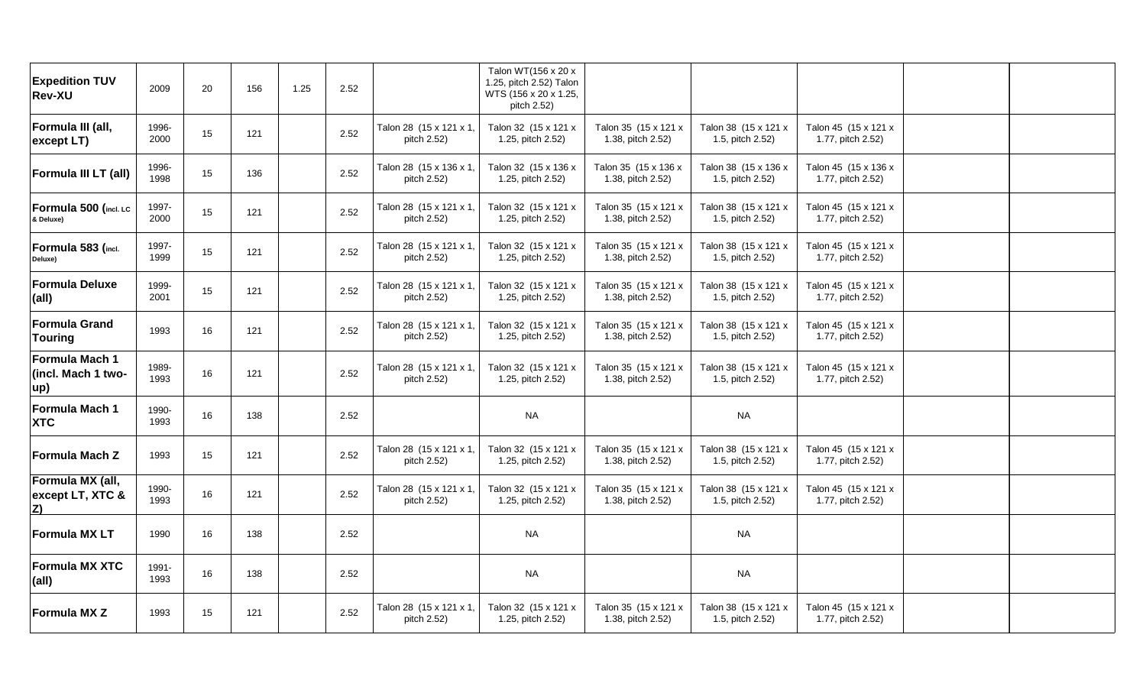| <b>Expedition TUV</b><br><b>Rev-XU</b>            | 2009          | 20 | 156 | 1.25 | 2.52 |                                        | Talon WT(156 x 20 x<br>1.25, pitch 2.52) Talon<br>WTS (156 x 20 x 1.25,<br>pitch 2.52) |                                           |                                          |                                           |  |
|---------------------------------------------------|---------------|----|-----|------|------|----------------------------------------|----------------------------------------------------------------------------------------|-------------------------------------------|------------------------------------------|-------------------------------------------|--|
| Formula III (all,<br>except LT)                   | 1996-<br>2000 | 15 | 121 |      | 2.52 | Talon 28 (15 x 121 x 1,<br>pitch 2.52) | Talon 32 (15 x 121 x<br>1.25, pitch 2.52)                                              | Talon 35 (15 x 121 x<br>1.38, pitch 2.52) | Talon 38 (15 x 121 x<br>1.5, pitch 2.52) | Talon 45 (15 x 121 x<br>1.77, pitch 2.52) |  |
| Formula III LT (all)                              | 1996-<br>1998 | 15 | 136 |      | 2.52 | Talon 28 (15 x 136 x 1,<br>pitch 2.52) | Talon 32 (15 x 136 x<br>1.25, pitch 2.52)                                              | Talon 35 (15 x 136 x<br>1.38, pitch 2.52) | Talon 38 (15 x 136 x<br>1.5, pitch 2.52) | Talon 45 (15 x 136 x<br>1.77, pitch 2.52) |  |
| Formula 500 (incl. LC<br>& Deluxe)                | 1997-<br>2000 | 15 | 121 |      | 2.52 | Talon 28 (15 x 121 x 1,<br>pitch 2.52) | Talon 32 (15 x 121 x<br>1.25, pitch 2.52)                                              | Talon 35 (15 x 121 x<br>1.38, pitch 2.52) | Talon 38 (15 x 121 x<br>1.5, pitch 2.52) | Talon 45 (15 x 121 x<br>1.77, pitch 2.52) |  |
| Formula 583 (incl.<br>Deluxe)                     | 1997-<br>1999 | 15 | 121 |      | 2.52 | Talon 28 (15 x 121 x 1,<br>pitch 2.52) | Talon 32 (15 x 121 x<br>1.25, pitch 2.52)                                              | Talon 35 (15 x 121 x<br>1.38, pitch 2.52) | Talon 38 (15 x 121 x<br>1.5, pitch 2.52) | Talon 45 (15 x 121 x<br>1.77, pitch 2.52) |  |
| <b>Formula Deluxe</b><br>(all)                    | 1999-<br>2001 | 15 | 121 |      | 2.52 | Talon 28 (15 x 121 x 1,<br>pitch 2.52) | Talon 32 (15 x 121 x<br>1.25, pitch 2.52)                                              | Talon 35 (15 x 121 x<br>1.38, pitch 2.52) | Talon 38 (15 x 121 x<br>1.5, pitch 2.52) | Talon 45 (15 x 121 x<br>1.77, pitch 2.52) |  |
| <b>Formula Grand</b><br><b>Touring</b>            | 1993          | 16 | 121 |      | 2.52 | Talon 28 (15 x 121 x 1,<br>pitch 2.52) | Talon 32 (15 x 121 x<br>1.25, pitch 2.52)                                              | Talon 35 (15 x 121 x<br>1.38, pitch 2.52) | Talon 38 (15 x 121 x<br>1.5, pitch 2.52) | Talon 45 (15 x 121 x<br>1.77, pitch 2.52) |  |
| Formula Mach 1<br>(incl. Mach 1 two-<br>up)       | 1989-<br>1993 | 16 | 121 |      | 2.52 | Talon 28 (15 x 121 x 1,<br>pitch 2.52) | Talon 32 (15 x 121 x<br>1.25, pitch 2.52)                                              | Talon 35 (15 x 121 x<br>1.38, pitch 2.52) | Talon 38 (15 x 121 x<br>1.5, pitch 2.52) | Talon 45 (15 x 121 x<br>1.77, pitch 2.52) |  |
| Formula Mach 1<br><b>XTC</b>                      | 1990-<br>1993 | 16 | 138 |      | 2.52 |                                        | <b>NA</b>                                                                              |                                           | <b>NA</b>                                |                                           |  |
| <b>Formula Mach Z</b>                             | 1993          | 15 | 121 |      | 2.52 | Talon 28 (15 x 121 x 1,<br>pitch 2.52) | Talon 32 (15 x 121 x<br>1.25, pitch 2.52)                                              | Talon 35 (15 x 121 x<br>1.38, pitch 2.52) | Talon 38 (15 x 121 x<br>1.5, pitch 2.52) | Talon 45 (15 x 121 x<br>1.77, pitch 2.52) |  |
| Formula MX (all,<br>except LT, XTC &<br><u>Z)</u> | 1990-<br>1993 | 16 | 121 |      | 2.52 | Talon 28 (15 x 121 x 1,<br>pitch 2.52) | Talon 32 (15 x 121 x<br>1.25, pitch 2.52)                                              | Talon 35 (15 x 121 x<br>1.38, pitch 2.52) | Talon 38 (15 x 121 x<br>1.5, pitch 2.52) | Talon 45 (15 x 121 x<br>1.77, pitch 2.52) |  |
| <b>Formula MX LT</b>                              | 1990          | 16 | 138 |      | 2.52 |                                        | <b>NA</b>                                                                              |                                           | <b>NA</b>                                |                                           |  |
| <b>Formula MX XTC</b><br>(all)                    | 1991-<br>1993 | 16 | 138 |      | 2.52 |                                        | <b>NA</b>                                                                              |                                           | <b>NA</b>                                |                                           |  |
| <b>Formula MX Z</b>                               | 1993          | 15 | 121 |      | 2.52 | Talon 28 (15 x 121 x 1,<br>pitch 2.52) | Talon 32 (15 x 121 x<br>1.25, pitch 2.52)                                              | Talon 35 (15 x 121 x<br>1.38, pitch 2.52) | Talon 38 (15 x 121 x<br>1.5, pitch 2.52) | Talon 45 (15 x 121 x<br>1.77, pitch 2.52) |  |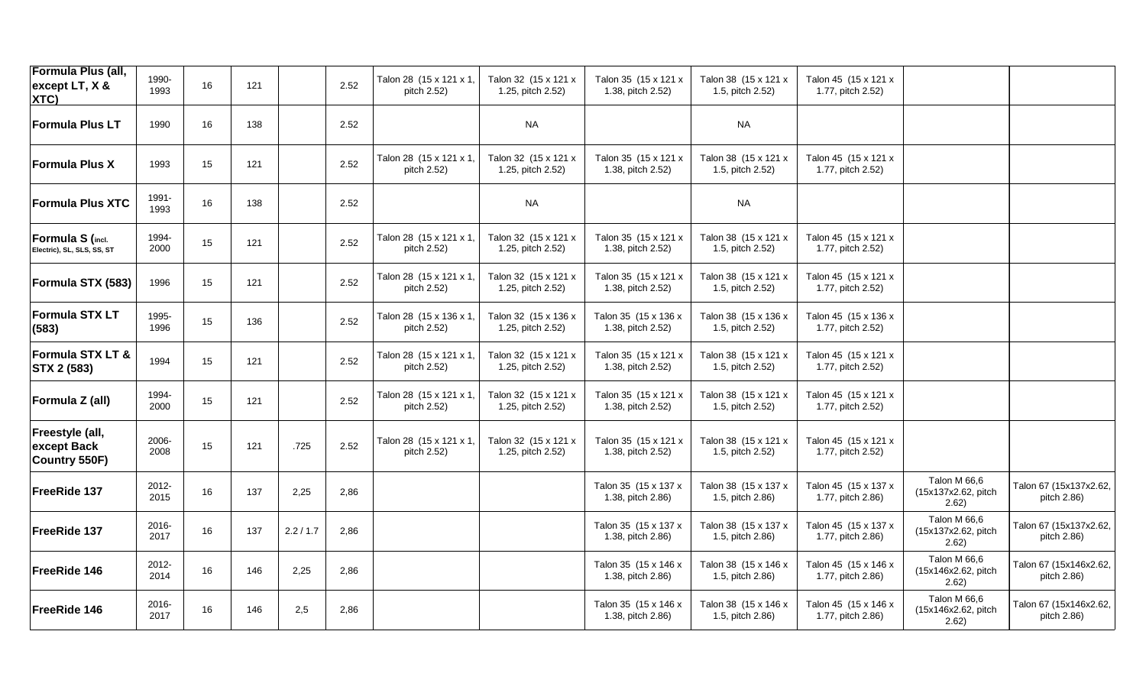| Formula Plus (all,<br>except LT, X &<br>XTC)      | 1990-<br>1993 | 16 | 121 |           | 2.52 | Talon 28 (15 x 121 x 1,<br>pitch 2.52) | Talon 32 (15 x 121 x<br>1.25, pitch 2.52) | Talon 35 (15 x 121 x<br>1.38, pitch 2.52) | Talon 38 (15 x 121 x<br>1.5, pitch 2.52) | Talon 45 (15 x 121 x<br>1.77, pitch 2.52) |                                              |                                       |
|---------------------------------------------------|---------------|----|-----|-----------|------|----------------------------------------|-------------------------------------------|-------------------------------------------|------------------------------------------|-------------------------------------------|----------------------------------------------|---------------------------------------|
| <b>Formula Plus LT</b>                            | 1990          | 16 | 138 |           | 2.52 |                                        | <b>NA</b>                                 |                                           | <b>NA</b>                                |                                           |                                              |                                       |
| <b>Formula Plus X</b>                             | 1993          | 15 | 121 |           | 2.52 | Talon 28 (15 x 121 x 1,<br>pitch 2.52) | Talon 32 (15 x 121 x<br>1.25, pitch 2.52) | Talon 35 (15 x 121 x<br>1.38, pitch 2.52) | Talon 38 (15 x 121 x<br>1.5, pitch 2.52) | Talon 45 (15 x 121 x<br>1.77, pitch 2.52) |                                              |                                       |
| <b>Formula Plus XTC</b>                           | 1991-<br>1993 | 16 | 138 |           | 2.52 |                                        | <b>NA</b>                                 |                                           | <b>NA</b>                                |                                           |                                              |                                       |
| Formula S (incl.<br>Electric), SL, SLS, SS, ST    | 1994-<br>2000 | 15 | 121 |           | 2.52 | Talon 28 (15 x 121 x 1,<br>pitch 2.52) | Talon 32 (15 x 121 x<br>1.25, pitch 2.52) | Talon 35 (15 x 121 x<br>1.38, pitch 2.52) | Talon 38 (15 x 121 x<br>1.5, pitch 2.52) | Talon 45 (15 x 121 x<br>1.77, pitch 2.52) |                                              |                                       |
| Formula STX (583)                                 | 1996          | 15 | 121 |           | 2.52 | Talon 28 (15 x 121 x 1,<br>pitch 2.52) | Talon 32 (15 x 121 x<br>1.25, pitch 2.52) | Talon 35 (15 x 121 x<br>1.38, pitch 2.52) | Talon 38 (15 x 121 x<br>1.5, pitch 2.52) | Talon 45 (15 x 121 x<br>1.77, pitch 2.52) |                                              |                                       |
| <b>Formula STX LT</b><br>(583)                    | 1995-<br>1996 | 15 | 136 |           | 2.52 | Talon 28 (15 x 136 x 1,<br>pitch 2.52) | Talon 32 (15 x 136 x<br>1.25, pitch 2.52) | Talon 35 (15 x 136 x<br>1.38, pitch 2.52) | Talon 38 (15 x 136 x<br>1.5, pitch 2.52) | Talon 45 (15 x 136 x<br>1.77, pitch 2.52) |                                              |                                       |
| <b>Formula STX LT &amp;</b><br><b>STX 2 (583)</b> | 1994          | 15 | 121 |           | 2.52 | Talon 28 (15 x 121 x 1,<br>pitch 2.52) | Talon 32 (15 x 121 x<br>1.25, pitch 2.52) | Talon 35 (15 x 121 x<br>1.38, pitch 2.52) | Talon 38 (15 x 121 x<br>1.5, pitch 2.52) | Talon 45 (15 x 121 x<br>1.77, pitch 2.52) |                                              |                                       |
| Formula Z (all)                                   | 1994-<br>2000 | 15 | 121 |           | 2.52 | Talon 28 (15 x 121 x 1,<br>pitch 2.52) | Talon 32 (15 x 121 x<br>1.25, pitch 2.52) | Talon 35 (15 x 121 x<br>1.38, pitch 2.52) | Talon 38 (15 x 121 x<br>1.5, pitch 2.52) | Talon 45 (15 x 121 x<br>1.77, pitch 2.52) |                                              |                                       |
| Freestyle (all,<br>except Back<br>Country 550F)   | 2006-<br>2008 | 15 | 121 | .725      | 2.52 | Talon 28 (15 x 121 x 1,<br>pitch 2.52) | Talon 32 (15 x 121 x<br>1.25, pitch 2.52) | Talon 35 (15 x 121 x<br>1.38, pitch 2.52) | Talon 38 (15 x 121 x<br>1.5, pitch 2.52) | Talon 45 (15 x 121 x<br>1.77, pitch 2.52) |                                              |                                       |
| FreeRide 137                                      | 2012-<br>2015 | 16 | 137 | 2,25      | 2,86 |                                        |                                           | Talon 35 (15 x 137 x<br>1.38, pitch 2.86) | Talon 38 (15 x 137 x<br>1.5, pitch 2.86) | Talon 45 (15 x 137 x<br>1.77, pitch 2.86) | Talon M 66,6<br>(15x137x2.62, pitch<br>2.62) | Talon 67 (15x137x2.62,<br>pitch 2.86) |
| FreeRide 137                                      | 2016-<br>2017 | 16 | 137 | 2.2 / 1.7 | 2,86 |                                        |                                           | Talon 35 (15 x 137 x<br>1.38, pitch 2.86) | Talon 38 (15 x 137 x<br>1.5, pitch 2.86) | Talon 45 (15 x 137 x<br>1.77, pitch 2.86) | Talon M 66,6<br>(15x137x2.62, pitch<br>2.62) | Talon 67 (15x137x2.62,<br>pitch 2.86) |
| FreeRide 146                                      | 2012-<br>2014 | 16 | 146 | 2,25      | 2,86 |                                        |                                           | Talon 35 (15 x 146 x<br>1.38, pitch 2.86) | Talon 38 (15 x 146 x<br>1.5, pitch 2.86) | Talon 45 (15 x 146 x<br>1.77, pitch 2.86) | Talon M 66,6<br>(15x146x2.62, pitch<br>2.62) | Talon 67 (15x146x2.62,<br>pitch 2.86) |
| FreeRide 146                                      | 2016-<br>2017 | 16 | 146 | 2,5       | 2,86 |                                        |                                           | Talon 35 (15 x 146 x<br>1.38, pitch 2.86) | Talon 38 (15 x 146 x<br>1.5, pitch 2.86) | Talon 45 (15 x 146 x<br>1.77, pitch 2.86) | Talon M 66,6<br>(15x146x2.62, pitch<br>2.62) | Talon 67 (15x146x2.62,<br>pitch 2.86) |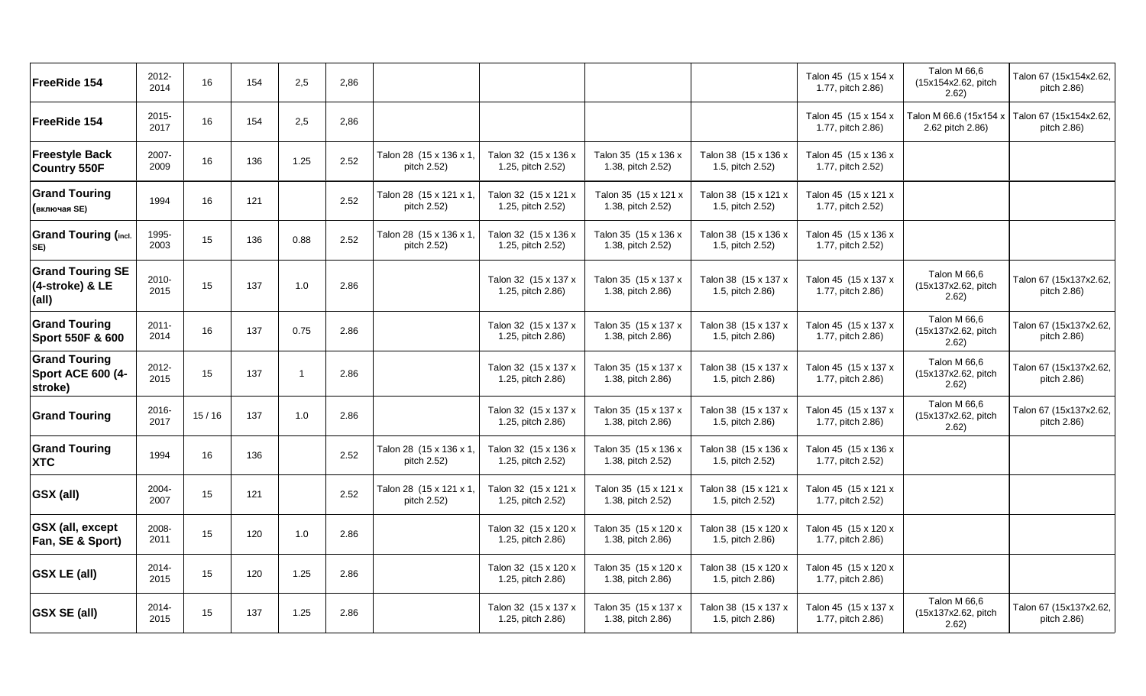| FreeRide 154                                                | 2012-<br>2014    | 16    | 154 | 2,5                     | 2,86 |                                        |                                           |                                           |                                          | Talon 45 (15 x 154 x<br>1.77, pitch 2.86) | Talon M 66,6<br>(15x154x2.62, pitch<br>2.62) | Talon 67 (15x154x2.62,<br>pitch 2.86)                        |
|-------------------------------------------------------------|------------------|-------|-----|-------------------------|------|----------------------------------------|-------------------------------------------|-------------------------------------------|------------------------------------------|-------------------------------------------|----------------------------------------------|--------------------------------------------------------------|
| FreeRide 154                                                | $2015 -$<br>2017 | 16    | 154 | 2,5                     | 2,86 |                                        |                                           |                                           |                                          | Talon 45 (15 x 154 x<br>1.77, pitch 2.86) | 2.62 pitch 2.86)                             | Talon M 66.6 (15x154 x Talon 67 (15x154x2.62,<br>pitch 2.86) |
| <b>Freestyle Back</b><br><b>Country 550F</b>                | 2007-<br>2009    | 16    | 136 | 1.25                    | 2.52 | Talon 28 (15 x 136 x 1,<br>pitch 2.52) | Talon 32 (15 x 136 x<br>1.25, pitch 2.52) | Talon 35 (15 x 136 x<br>1.38, pitch 2.52) | Talon 38 (15 x 136 x<br>1.5, pitch 2.52) | Talon 45 (15 x 136 x<br>1.77, pitch 2.52) |                                              |                                                              |
| <b>Grand Touring</b><br>(включая SE)                        | 1994             | 16    | 121 |                         | 2.52 | Talon 28 (15 x 121 x 1,<br>pitch 2.52) | Talon 32 (15 x 121 x<br>1.25, pitch 2.52) | Talon 35 (15 x 121 x<br>1.38, pitch 2.52) | Talon 38 (15 x 121 x<br>1.5, pitch 2.52) | Talon 45 (15 x 121 x<br>1.77, pitch 2.52) |                                              |                                                              |
| <b>Grand Touring (incl.</b><br>SE)                          | 1995-<br>2003    | 15    | 136 | 0.88                    | 2.52 | Talon 28 (15 x 136 x 1,<br>pitch 2.52) | Talon 32 (15 x 136 x<br>1.25, pitch 2.52) | Talon 35 (15 x 136 x<br>1.38, pitch 2.52) | Talon 38 (15 x 136 x<br>1.5, pitch 2.52) | Talon 45 (15 x 136 x<br>1.77, pitch 2.52) |                                              |                                                              |
| <b>Grand Touring SE</b><br>(4-stroke) & LE<br>(all)         | 2010-<br>2015    | 15    | 137 | 1.0                     | 2.86 |                                        | Talon 32 (15 x 137 x<br>1.25, pitch 2.86) | Talon 35 (15 x 137 x<br>1.38, pitch 2.86) | Talon 38 (15 x 137 x<br>1.5, pitch 2.86) | Talon 45 (15 x 137 x<br>1.77, pitch 2.86) | Talon M 66,6<br>(15x137x2.62, pitch<br>2.62) | Talon 67 (15x137x2.62,<br>pitch 2.86)                        |
| <b>Grand Touring</b><br>Sport 550F & 600                    | $2011 -$<br>2014 | 16    | 137 | 0.75                    | 2.86 |                                        | Talon 32 (15 x 137 x<br>1.25, pitch 2.86) | Talon 35 (15 x 137 x<br>1.38, pitch 2.86) | Talon 38 (15 x 137 x<br>1.5, pitch 2.86) | Talon 45 (15 x 137 x<br>1.77, pitch 2.86) | Talon M 66.6<br>(15x137x2.62, pitch<br>2.62) | Talon 67 (15x137x2.62,<br>pitch 2.86)                        |
| <b>Grand Touring</b><br><b>Sport ACE 600 (4-</b><br>stroke) | 2012-<br>2015    | 15    | 137 | $\overline{\mathbf{1}}$ | 2.86 |                                        | Talon 32 (15 x 137 x<br>1.25, pitch 2.86) | Talon 35 (15 x 137 x<br>1.38, pitch 2.86) | Talon 38 (15 x 137 x<br>1.5, pitch 2.86) | Talon 45 (15 x 137 x<br>1.77, pitch 2.86) | Talon M 66,6<br>(15x137x2.62, pitch<br>2.62) | Talon 67 (15x137x2.62,<br>pitch 2.86)                        |
| <b>Grand Touring</b>                                        | 2016-<br>2017    | 15/16 | 137 | 1.0                     | 2.86 |                                        | Talon 32 (15 x 137 x<br>1.25, pitch 2.86) | Talon 35 (15 x 137 x<br>1.38, pitch 2.86) | Talon 38 (15 x 137 x<br>1.5, pitch 2.86) | Talon 45 (15 x 137 x<br>1.77, pitch 2.86) | Talon M 66,6<br>(15x137x2.62, pitch<br>2.62) | Talon 67 (15x137x2.62,<br>pitch 2.86)                        |
| <b>Grand Touring</b><br><b>XTC</b>                          | 1994             | 16    | 136 |                         | 2.52 | Talon 28 (15 x 136 x 1,<br>pitch 2.52) | Talon 32 (15 x 136 x<br>1.25, pitch 2.52) | Talon 35 (15 x 136 x<br>1.38, pitch 2.52) | Talon 38 (15 x 136 x<br>1.5, pitch 2.52) | Talon 45 (15 x 136 x<br>1.77, pitch 2.52) |                                              |                                                              |
| GSX (all)                                                   | 2004-<br>2007    | 15    | 121 |                         | 2.52 | Talon 28 (15 x 121 x 1,<br>pitch 2.52) | Talon 32 (15 x 121 x<br>1.25, pitch 2.52) | Talon 35 (15 x 121 x<br>1.38, pitch 2.52) | Talon 38 (15 x 121 x<br>1.5, pitch 2.52) | Talon 45 (15 x 121 x<br>1.77, pitch 2.52) |                                              |                                                              |
| <b>GSX</b> (all, except<br>Fan, SE & Sport)                 | 2008-<br>2011    | 15    | 120 | 1.0                     | 2.86 |                                        | Talon 32 (15 x 120 x<br>1.25, pitch 2.86) | Talon 35 (15 x 120 x<br>1.38, pitch 2.86) | Talon 38 (15 x 120 x<br>1.5, pitch 2.86) | Talon 45 (15 x 120 x<br>1.77, pitch 2.86) |                                              |                                                              |
| <b>GSX LE (all)</b>                                         | 2014-<br>2015    | 15    | 120 | 1.25                    | 2.86 |                                        | Talon 32 (15 x 120 x<br>1.25, pitch 2.86) | Talon 35 (15 x 120 x<br>1.38, pitch 2.86) | Talon 38 (15 x 120 x<br>1.5, pitch 2.86) | Talon 45 (15 x 120 x<br>1.77, pitch 2.86) |                                              |                                                              |
| <b>GSX SE (all)</b>                                         | 2014-<br>2015    | 15    | 137 | 1.25                    | 2.86 |                                        | Talon 32 (15 x 137 x<br>1.25, pitch 2.86) | Talon 35 (15 x 137 x<br>1.38, pitch 2.86) | Talon 38 (15 x 137 x<br>1.5, pitch 2.86) | Talon 45 (15 x 137 x<br>1.77, pitch 2.86) | Talon M 66,6<br>(15x137x2.62, pitch<br>2.62) | Talon 67 (15x137x2.62,<br>pitch 2.86)                        |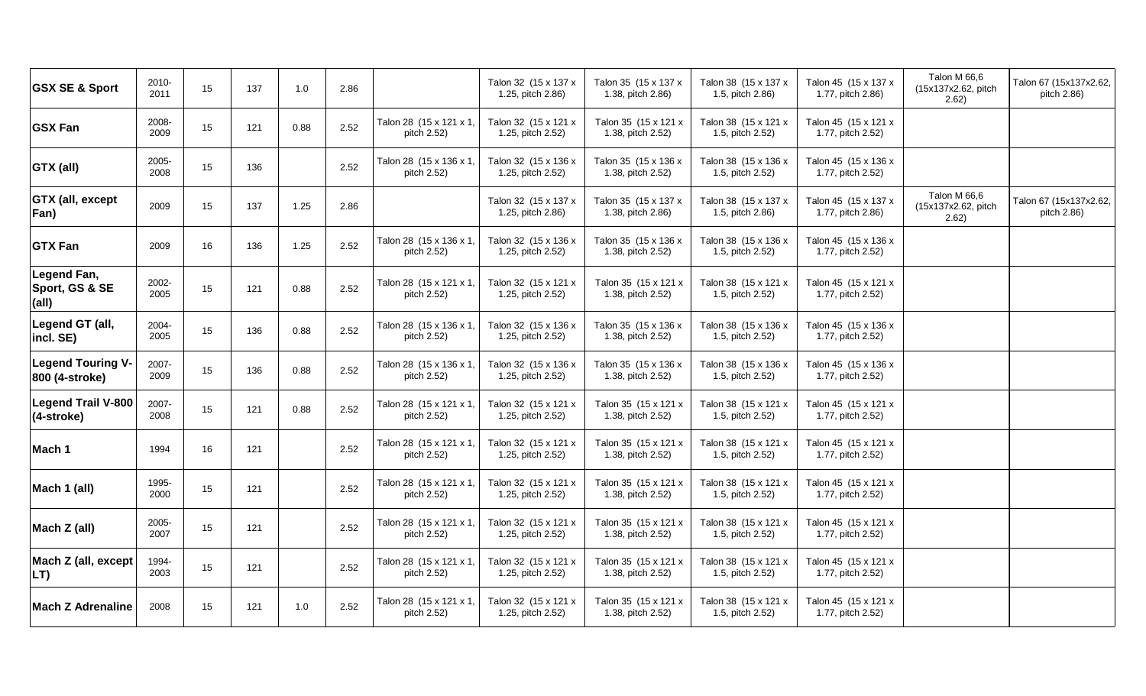| <b>GSX SE &amp; Sport</b>                  | 2010-<br>2011 | 15 | 137 | 1.0  | 2.86 |                                        | Talon 32 (15 x 137 x<br>1.25, pitch 2.86) | Talon 35 (15 x 137 x<br>1.38, pitch 2.86) | Talon 38 (15 x 137 x<br>1.5, pitch 2.86) | Talon 45 (15 x 137 x<br>1.77, pitch 2.86) | Talon M 66,6<br>(15x137x2.62, pitch<br>2.62) | Talon 67 (15x137x2.62,<br>pitch 2.86) |
|--------------------------------------------|---------------|----|-----|------|------|----------------------------------------|-------------------------------------------|-------------------------------------------|------------------------------------------|-------------------------------------------|----------------------------------------------|---------------------------------------|
| <b>GSX Fan</b>                             | 2008-<br>2009 | 15 | 121 | 0.88 | 2.52 | Talon 28 (15 x 121 x 1,<br>pitch 2.52) | Talon 32 (15 x 121 x<br>1.25, pitch 2.52) | Talon 35 (15 x 121 x<br>1.38, pitch 2.52) | Talon 38 (15 x 121 x<br>1.5, pitch 2.52) | Talon 45 (15 x 121 x<br>1.77, pitch 2.52) |                                              |                                       |
| GTX (all)                                  | 2005-<br>2008 | 15 | 136 |      | 2.52 | Talon 28 (15 x 136 x 1,<br>pitch 2.52) | Talon 32 (15 x 136 x<br>1.25, pitch 2.52) | Talon 35 (15 x 136 x<br>1.38, pitch 2.52) | Talon 38 (15 x 136 x<br>1.5, pitch 2.52) | Talon 45 (15 x 136 x<br>1.77, pitch 2.52) |                                              |                                       |
| GTX (all, except<br>Fan)                   | 2009          | 15 | 137 | 1.25 | 2.86 |                                        | Talon 32 (15 x 137 x<br>1.25, pitch 2.86) | Talon 35 (15 x 137 x<br>1.38, pitch 2.86) | Talon 38 (15 x 137 x<br>1.5, pitch 2.86) | Talon 45 (15 x 137 x<br>1.77, pitch 2.86) | Talon M 66,6<br>(15x137x2.62, pitch<br>2.62) | Talon 67 (15x137x2.62,<br>pitch 2.86) |
| <b>GTX Fan</b>                             | 2009          | 16 | 136 | 1.25 | 2.52 | Talon 28 (15 x 136 x 1,<br>pitch 2.52) | Talon 32 (15 x 136 x<br>1.25, pitch 2.52) | Talon 35 (15 x 136 x<br>1.38, pitch 2.52) | Talon 38 (15 x 136 x<br>1.5, pitch 2.52) | Talon 45 (15 x 136 x<br>1.77, pitch 2.52) |                                              |                                       |
| Legend Fan,<br>Sport, GS & SE<br>(all)     | 2002-<br>2005 | 15 | 121 | 0.88 | 2.52 | Talon 28 (15 x 121 x 1,<br>pitch 2.52) | Talon 32 (15 x 121 x<br>1.25, pitch 2.52) | Talon 35 (15 x 121 x<br>1.38, pitch 2.52) | Talon 38 (15 x 121 x<br>1.5, pitch 2.52) | Talon 45 (15 x 121 x<br>1.77, pitch 2.52) |                                              |                                       |
| Legend GT (all,<br>incl. SE)               | 2004-<br>2005 | 15 | 136 | 0.88 | 2.52 | Talon 28 (15 x 136 x 1,<br>pitch 2.52) | Talon 32 (15 x 136 x<br>1.25, pitch 2.52) | Talon 35 (15 x 136 x<br>1.38, pitch 2.52) | Talon 38 (15 x 136 x<br>1.5, pitch 2.52) | Talon 45 (15 x 136 x<br>1.77, pitch 2.52) |                                              |                                       |
| <b>Legend Touring V-</b><br>800 (4-stroke) | 2007-<br>2009 | 15 | 136 | 0.88 | 2.52 | Talon 28 (15 x 136 x 1,<br>pitch 2.52) | Talon 32 (15 x 136 x<br>1.25, pitch 2.52) | Talon 35 (15 x 136 x<br>1.38, pitch 2.52) | Talon 38 (15 x 136 x<br>1.5, pitch 2.52) | Talon 45 (15 x 136 x<br>1.77, pitch 2.52) |                                              |                                       |
| <b>Legend Trail V-800</b><br>(4-stroke)    | 2007-<br>2008 | 15 | 121 | 0.88 | 2.52 | Talon 28 (15 x 121 x 1,<br>pitch 2.52) | Talon 32 (15 x 121 x<br>1.25, pitch 2.52) | Talon 35 (15 x 121 x<br>1.38, pitch 2.52) | Talon 38 (15 x 121 x<br>1.5, pitch 2.52) | Talon 45 (15 x 121 x<br>1.77, pitch 2.52) |                                              |                                       |
| Mach 1                                     | 1994          | 16 | 121 |      | 2.52 | Talon 28 (15 x 121 x 1,<br>pitch 2.52) | Talon 32 (15 x 121 x<br>1.25, pitch 2.52) | Talon 35 (15 x 121 x<br>1.38, pitch 2.52) | Talon 38 (15 x 121 x<br>1.5, pitch 2.52) | Talon 45 (15 x 121 x<br>1.77, pitch 2.52) |                                              |                                       |
| Mach 1 (all)                               | 1995-<br>2000 | 15 | 121 |      | 2.52 | Talon 28 (15 x 121 x 1,<br>pitch 2.52) | Talon 32 (15 x 121 x<br>1.25, pitch 2.52) | Talon 35 (15 x 121 x<br>1.38, pitch 2.52) | Talon 38 (15 x 121 x<br>1.5, pitch 2.52) | Talon 45 (15 x 121 x<br>1.77, pitch 2.52) |                                              |                                       |
| Mach Z (all)                               | 2005-<br>2007 | 15 | 121 |      | 2.52 | Talon 28 (15 x 121 x 1,<br>pitch 2.52) | Talon 32 (15 x 121 x<br>1.25, pitch 2.52) | Talon 35 (15 x 121 x<br>1.38, pitch 2.52) | Talon 38 (15 x 121 x<br>1.5, pitch 2.52) | Talon 45 (15 x 121 x<br>1.77, pitch 2.52) |                                              |                                       |
| Mach Z (all, except<br>LT)                 | 1994-<br>2003 | 15 | 121 |      | 2.52 | Talon 28 (15 x 121 x 1,<br>pitch 2.52) | Talon 32 (15 x 121 x<br>1.25, pitch 2.52) | Talon 35 (15 x 121 x<br>1.38, pitch 2.52) | Talon 38 (15 x 121 x<br>1.5, pitch 2.52) | Talon 45 (15 x 121 x<br>1.77, pitch 2.52) |                                              |                                       |
| <b>Mach Z Adrenaline</b>                   | 2008          | 15 | 121 | 1.0  | 2.52 | Talon 28 (15 x 121 x 1,<br>pitch 2.52) | Talon 32 (15 x 121 x<br>1.25, pitch 2.52) | Talon 35 (15 x 121 x<br>1.38, pitch 2.52) | Talon 38 (15 x 121 x<br>1.5, pitch 2.52) | Talon 45 (15 x 121 x<br>1.77, pitch 2.52) |                                              |                                       |
|                                            |               |    |     |      |      |                                        |                                           |                                           |                                          |                                           |                                              |                                       |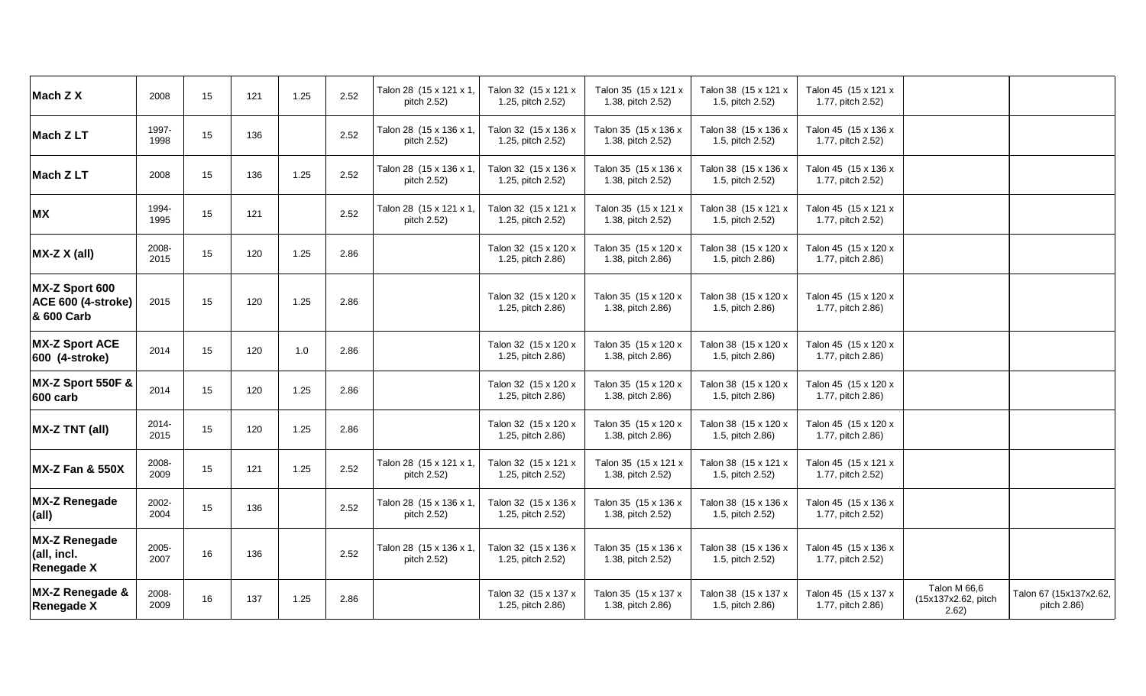| Mach Z X                                                  | 2008          | 15 | 121 | 1.25 | 2.52 | Talon 28 (15 x 121 x 1,<br>pitch 2.52) | Talon 32 (15 x 121 x<br>1.25, pitch 2.52) | Talon 35 (15 x 121 x<br>1.38, pitch 2.52) | Talon 38 (15 x 121 x<br>1.5, pitch 2.52) | Talon 45 (15 x 121 x<br>1.77, pitch 2.52) |                                              |                                       |
|-----------------------------------------------------------|---------------|----|-----|------|------|----------------------------------------|-------------------------------------------|-------------------------------------------|------------------------------------------|-------------------------------------------|----------------------------------------------|---------------------------------------|
| Mach Z LT                                                 | 1997-<br>1998 | 15 | 136 |      | 2.52 | Talon 28 (15 x 136 x 1,<br>pitch 2.52) | Talon 32 (15 x 136 x<br>1.25, pitch 2.52) | Talon 35 (15 x 136 x<br>1.38, pitch 2.52) | Talon 38 (15 x 136 x<br>1.5, pitch 2.52) | Talon 45 (15 x 136 x<br>1.77, pitch 2.52) |                                              |                                       |
| Mach Z LT                                                 | 2008          | 15 | 136 | 1.25 | 2.52 | Talon 28 (15 x 136 x 1,<br>pitch 2.52) | Talon 32 (15 x 136 x<br>1.25, pitch 2.52) | Talon 35 (15 x 136 x<br>1.38, pitch 2.52) | Talon 38 (15 x 136 x<br>1.5, pitch 2.52) | Talon 45 (15 x 136 x<br>1.77, pitch 2.52) |                                              |                                       |
| <b>MX</b>                                                 | 1994-<br>1995 | 15 | 121 |      | 2.52 | Talon 28 (15 x 121 x 1,<br>pitch 2.52) | Talon 32 (15 x 121 x<br>1.25, pitch 2.52) | Talon 35 (15 x 121 x<br>1.38, pitch 2.52) | Talon 38 (15 x 121 x<br>1.5, pitch 2.52) | Talon 45 (15 x 121 x<br>1.77, pitch 2.52) |                                              |                                       |
| MX-Z X (all)                                              | 2008-<br>2015 | 15 | 120 | 1.25 | 2.86 |                                        | Talon 32 (15 x 120 x<br>1.25, pitch 2.86) | Talon 35 (15 x 120 x<br>1.38, pitch 2.86) | Talon 38 (15 x 120 x<br>1.5, pitch 2.86) | Talon 45 (15 x 120 x<br>1.77, pitch 2.86) |                                              |                                       |
| MX-Z Sport 600<br><b>ACE 600 (4-stroke)</b><br>& 600 Carb | 2015          | 15 | 120 | 1.25 | 2.86 |                                        | Talon 32 (15 x 120 x<br>1.25, pitch 2.86) | Talon 35 (15 x 120 x<br>1.38, pitch 2.86) | Talon 38 (15 x 120 x<br>1.5, pitch 2.86) | Talon 45 (15 x 120 x<br>1.77, pitch 2.86) |                                              |                                       |
| <b>MX-Z Sport ACE</b><br>600 (4-stroke)                   | 2014          | 15 | 120 | 1.0  | 2.86 |                                        | Talon 32 (15 x 120 x<br>1.25, pitch 2.86) | Talon 35 (15 x 120 x<br>1.38, pitch 2.86) | Talon 38 (15 x 120 x<br>1.5, pitch 2.86) | Talon 45 (15 x 120 x<br>1.77, pitch 2.86) |                                              |                                       |
| MX-Z Sport 550F &<br>600 carb                             | 2014          | 15 | 120 | 1.25 | 2.86 |                                        | Talon 32 (15 x 120 x<br>1.25, pitch 2.86) | Talon 35 (15 x 120 x<br>1.38, pitch 2.86) | Talon 38 (15 x 120 x<br>1.5, pitch 2.86) | Talon 45 (15 x 120 x<br>1.77, pitch 2.86) |                                              |                                       |
| <b>MX-Z TNT (all)</b>                                     | 2014-<br>2015 | 15 | 120 | 1.25 | 2.86 |                                        | Talon 32 (15 x 120 x<br>1.25, pitch 2.86) | Talon 35 (15 x 120 x<br>1.38, pitch 2.86) | Talon 38 (15 x 120 x<br>1.5, pitch 2.86) | Talon 45 (15 x 120 x<br>1.77, pitch 2.86) |                                              |                                       |
| <b>MX-Z Fan &amp; 550X</b>                                | 2008-<br>2009 | 15 | 121 | 1.25 | 2.52 | Talon 28 (15 x 121 x 1,<br>pitch 2.52) | Talon 32 (15 x 121 x<br>1.25, pitch 2.52) | Talon 35 (15 x 121 x<br>1.38, pitch 2.52) | Talon 38 (15 x 121 x<br>1.5, pitch 2.52) | Talon 45 (15 x 121 x<br>1.77, pitch 2.52) |                                              |                                       |
| <b>MX-Z Renegade</b><br>(all)                             | 2002-<br>2004 | 15 | 136 |      | 2.52 | Talon 28 (15 x 136 x 1,<br>pitch 2.52) | Talon 32 (15 x 136 x<br>1.25, pitch 2.52) | Talon 35 (15 x 136 x<br>1.38, pitch 2.52) | Talon 38 (15 x 136 x<br>1.5, pitch 2.52) | Talon 45 (15 x 136 x<br>1.77, pitch 2.52) |                                              |                                       |
| <b>MX-Z Renegade</b><br>(all, incl.<br><b>Renegade X</b>  | 2005-<br>2007 | 16 | 136 |      | 2.52 | Talon 28 (15 x 136 x 1,<br>pitch 2.52) | Talon 32 (15 x 136 x<br>1.25, pitch 2.52) | Talon 35 (15 x 136 x<br>1.38, pitch 2.52) | Talon 38 (15 x 136 x<br>1.5, pitch 2.52) | Talon 45 (15 x 136 x<br>1.77, pitch 2.52) |                                              |                                       |
| MX-Z Renegade &<br><b>Renegade X</b>                      | 2008-<br>2009 | 16 | 137 | 1.25 | 2.86 |                                        | Talon 32 (15 x 137 x<br>1.25, pitch 2.86) | Talon 35 (15 x 137 x<br>1.38, pitch 2.86) | Talon 38 (15 x 137 x<br>1.5, pitch 2.86) | Talon 45 (15 x 137 x<br>1.77, pitch 2.86) | Talon M 66,6<br>(15x137x2.62, pitch<br>2.62) | Talon 67 (15x137x2.62,<br>pitch 2.86) |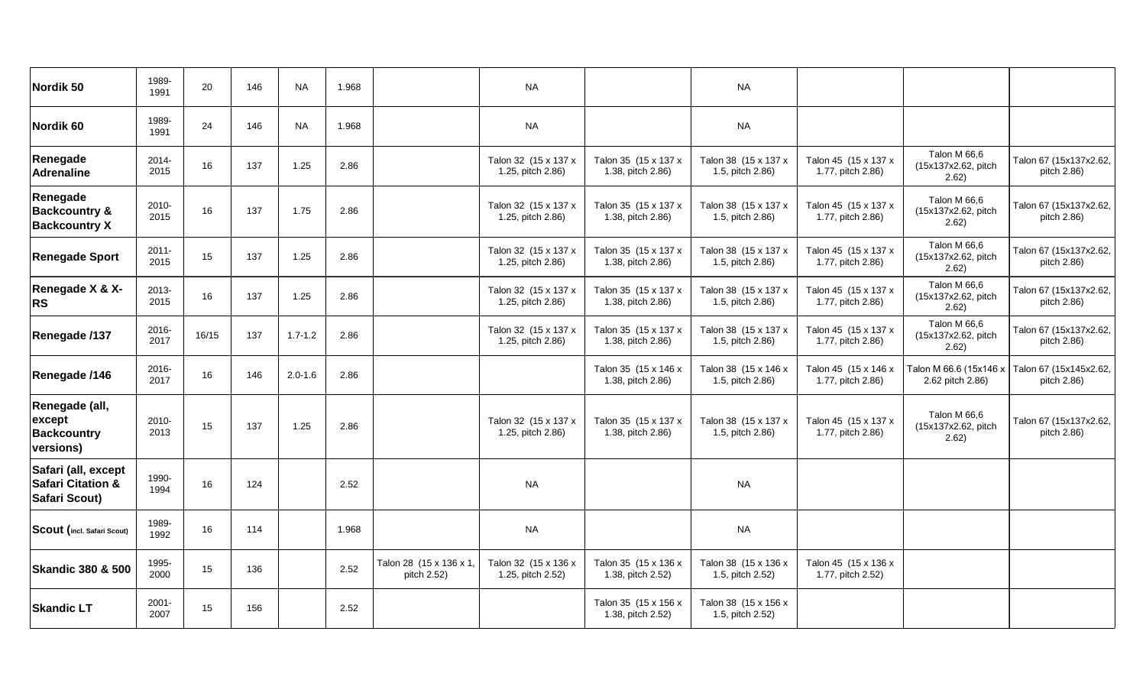| Nordik 50                                                            | 1989-<br>1991    | 20    | 146 | <b>NA</b>   | 1.968 |                                        | <b>NA</b>                                 |                                           | <b>NA</b>                                |                                           |                                              |                                                              |
|----------------------------------------------------------------------|------------------|-------|-----|-------------|-------|----------------------------------------|-------------------------------------------|-------------------------------------------|------------------------------------------|-------------------------------------------|----------------------------------------------|--------------------------------------------------------------|
| Nordik <sub>60</sub>                                                 | 1989-<br>1991    | 24    | 146 | <b>NA</b>   | 1.968 |                                        | <b>NA</b>                                 |                                           | <b>NA</b>                                |                                           |                                              |                                                              |
| Renegade<br><b>Adrenaline</b>                                        | 2014-<br>2015    | 16    | 137 | 1.25        | 2.86  |                                        | Talon 32 (15 x 137 x<br>1.25, pitch 2.86) | Talon 35 (15 x 137 x<br>1.38, pitch 2.86) | Talon 38 (15 x 137 x<br>1.5, pitch 2.86) | Talon 45 (15 x 137 x<br>1.77, pitch 2.86) | Talon M 66,6<br>(15x137x2.62, pitch<br>2.62) | Talon 67 (15x137x2.62,<br>pitch 2.86)                        |
| Renegade<br><b>Backcountry &amp;</b><br><b>Backcountry X</b>         | 2010-<br>2015    | 16    | 137 | 1.75        | 2.86  |                                        | Talon 32 (15 x 137 x<br>1.25, pitch 2.86) | Talon 35 (15 x 137 x<br>1.38, pitch 2.86) | Talon 38 (15 x 137 x<br>1.5, pitch 2.86) | Talon 45 (15 x 137 x<br>1.77, pitch 2.86) | Talon M 66,6<br>(15x137x2.62, pitch<br>2.62) | Talon 67 (15x137x2.62,<br>pitch 2.86)                        |
| <b>Renegade Sport</b>                                                | $2011 -$<br>2015 | 15    | 137 | 1.25        | 2.86  |                                        | Talon 32 (15 x 137 x<br>1.25, pitch 2.86) | Talon 35 (15 x 137 x<br>1.38, pitch 2.86) | Talon 38 (15 x 137 x<br>1.5, pitch 2.86) | Talon 45 (15 x 137 x<br>1.77, pitch 2.86) | Talon M 66,6<br>(15x137x2.62, pitch<br>2.62) | Talon 67 (15x137x2.62,<br>pitch 2.86)                        |
| <b>Renegade X &amp; X-</b><br><b>RS</b>                              | $2013 -$<br>2015 | 16    | 137 | 1.25        | 2.86  |                                        | Talon 32 (15 x 137 x<br>1.25, pitch 2.86) | Talon 35 (15 x 137 x<br>1.38, pitch 2.86) | Talon 38 (15 x 137 x<br>1.5, pitch 2.86) | Talon 45 (15 x 137 x<br>1.77, pitch 2.86) | Talon M 66,6<br>(15x137x2.62, pitch<br>2.62) | Talon 67 (15x137x2.62,<br>pitch 2.86)                        |
| Renegade /137                                                        | 2016-<br>2017    | 16/15 | 137 | $1.7 - 1.2$ | 2.86  |                                        | Talon 32 (15 x 137 x<br>1.25, pitch 2.86) | Talon 35 (15 x 137 x<br>1.38, pitch 2.86) | Talon 38 (15 x 137 x<br>1.5, pitch 2.86) | Talon 45 (15 x 137 x<br>1.77, pitch 2.86) | Talon M 66,6<br>(15x137x2.62, pitch<br>2.62) | Talon 67 (15x137x2.62,<br>pitch 2.86)                        |
| Renegade /146                                                        | $2016 -$<br>2017 | 16    | 146 | $2.0 - 1.6$ | 2.86  |                                        |                                           | Talon 35 (15 x 146 x<br>1.38, pitch 2.86) | Talon 38 (15 x 146 x<br>1.5, pitch 2.86) | Talon 45 (15 x 146 x<br>1.77, pitch 2.86) | 2.62 pitch 2.86)                             | Talon M 66.6 (15x146 x Talon 67 (15x145x2.62,<br>pitch 2.86) |
| Renegade (all,<br>except<br><b>Backcountry</b><br>versions)          | 2010-<br>2013    | 15    | 137 | 1.25        | 2.86  |                                        | Talon 32 (15 x 137 x<br>1.25, pitch 2.86) | Talon 35 (15 x 137 x<br>1.38, pitch 2.86) | Talon 38 (15 x 137 x<br>1.5, pitch 2.86) | Talon 45 (15 x 137 x<br>1.77, pitch 2.86) | Talon M 66,6<br>(15x137x2.62, pitch<br>2.62) | Talon 67 (15x137x2.62,<br>pitch 2.86)                        |
| Safari (all, except<br><b>Safari Citation &amp;</b><br>Safari Scout) | 1990-<br>1994    | 16    | 124 |             | 2.52  |                                        | <b>NA</b>                                 |                                           | <b>NA</b>                                |                                           |                                              |                                                              |
| Scout (incl. Safari Scout)                                           | 1989-<br>1992    | 16    | 114 |             | 1.968 |                                        | <b>NA</b>                                 |                                           | <b>NA</b>                                |                                           |                                              |                                                              |
| <b>Skandic 380 &amp; 500</b>                                         | 1995-<br>2000    | 15    | 136 |             | 2.52  | Talon 28 (15 x 136 x 1,<br>pitch 2.52) | Talon 32 (15 x 136 x<br>1.25, pitch 2.52) | Talon 35 (15 x 136 x<br>1.38, pitch 2.52) | Talon 38 (15 x 136 x<br>1.5, pitch 2.52) | Talon 45 (15 x 136 x<br>1.77, pitch 2.52) |                                              |                                                              |
| <b>Skandic LT</b>                                                    | $2001 -$<br>2007 | 15    | 156 |             | 2.52  |                                        |                                           | Talon 35 (15 x 156 x<br>1.38, pitch 2.52) | Talon 38 (15 x 156 x<br>1.5, pitch 2.52) |                                           |                                              |                                                              |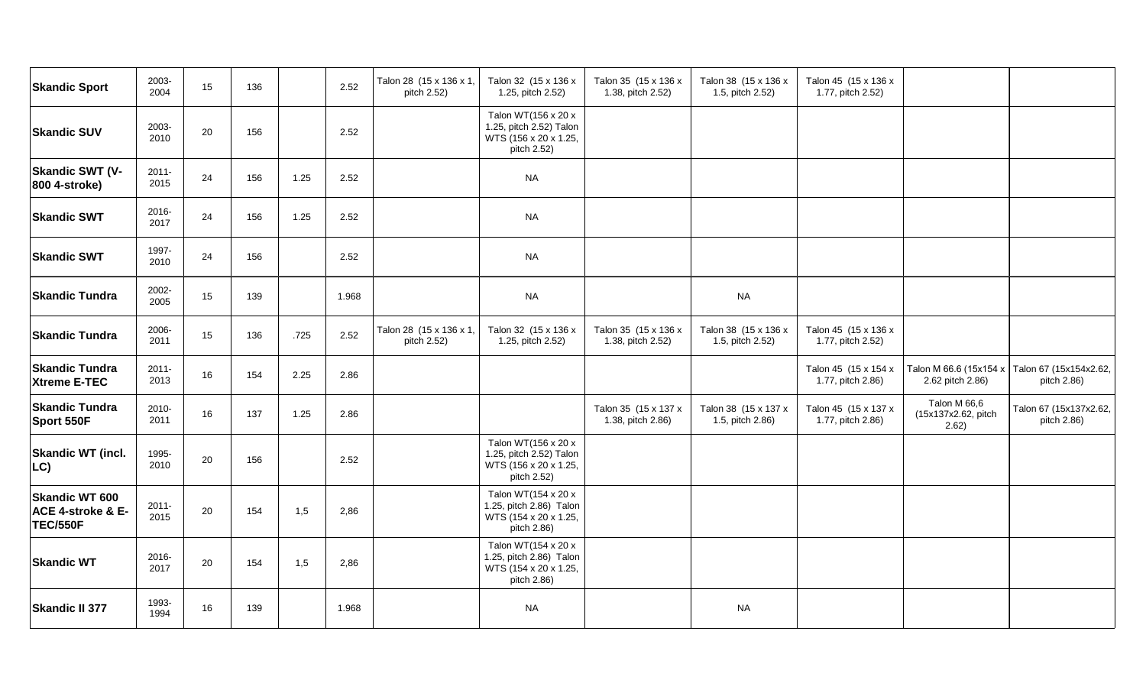| <b>Skandic Sport</b>                                          | 2003-<br>2004    | 15 | 136 |      | 2.52  | Talon 28 (15 x 136 x 1,<br>pitch 2.52) | Talon 32 (15 x 136 x<br>1.25, pitch 2.52)                                              | Talon 35 (15 x 136 x<br>1.38, pitch 2.52) | Talon 38 (15 x 136 x<br>1.5, pitch 2.52) | Talon 45 (15 x 136 x<br>1.77, pitch 2.52) |                                              |                                                              |
|---------------------------------------------------------------|------------------|----|-----|------|-------|----------------------------------------|----------------------------------------------------------------------------------------|-------------------------------------------|------------------------------------------|-------------------------------------------|----------------------------------------------|--------------------------------------------------------------|
| <b>Skandic SUV</b>                                            | 2003-<br>2010    | 20 | 156 |      | 2.52  |                                        | Talon WT(156 x 20 x<br>1.25, pitch 2.52) Talon<br>WTS (156 x 20 x 1.25,<br>pitch 2.52) |                                           |                                          |                                           |                                              |                                                              |
| <b>Skandic SWT (V-</b><br>800 4-stroke)                       | $2011 -$<br>2015 | 24 | 156 | 1.25 | 2.52  |                                        | <b>NA</b>                                                                              |                                           |                                          |                                           |                                              |                                                              |
| <b>Skandic SWT</b>                                            | 2016-<br>2017    | 24 | 156 | 1.25 | 2.52  |                                        | <b>NA</b>                                                                              |                                           |                                          |                                           |                                              |                                                              |
| <b>Skandic SWT</b>                                            | 1997-<br>2010    | 24 | 156 |      | 2.52  |                                        | <b>NA</b>                                                                              |                                           |                                          |                                           |                                              |                                                              |
| <b>Skandic Tundra</b>                                         | 2002-<br>2005    | 15 | 139 |      | 1.968 |                                        | <b>NA</b>                                                                              |                                           | <b>NA</b>                                |                                           |                                              |                                                              |
| <b>Skandic Tundra</b>                                         | 2006-<br>2011    | 15 | 136 | .725 | 2.52  | Talon 28 (15 x 136 x 1,<br>pitch 2.52) | Talon 32 (15 x 136 x<br>1.25, pitch 2.52)                                              | Talon 35 (15 x 136 x<br>1.38, pitch 2.52) | Talon 38 (15 x 136 x<br>1.5, pitch 2.52) | Talon 45 (15 x 136 x<br>1.77, pitch 2.52) |                                              |                                                              |
| <b>Skandic Tundra</b><br><b>Xtreme E-TEC</b>                  | $2011 -$<br>2013 | 16 | 154 | 2.25 | 2.86  |                                        |                                                                                        |                                           |                                          | Talon 45 (15 x 154 x<br>1.77, pitch 2.86) | 2.62 pitch 2.86)                             | Talon M 66.6 (15x154 x Talon 67 (15x154x2.62,<br>pitch 2.86) |
| <b>Skandic Tundra</b><br>Sport 550F                           | 2010-<br>2011    | 16 | 137 | 1.25 | 2.86  |                                        |                                                                                        | Talon 35 (15 x 137 x<br>1.38, pitch 2.86) | Talon 38 (15 x 137 x<br>1.5, pitch 2.86) | Talon 45 (15 x 137 x<br>1.77, pitch 2.86) | Talon M 66,6<br>(15x137x2.62, pitch<br>2.62) | Talon 67 (15x137x2.62,<br>pitch 2.86)                        |
| <b>Skandic WT (incl.</b><br>LC)                               | 1995-<br>2010    | 20 | 156 |      | 2.52  |                                        | Talon WT(156 x 20 x<br>1.25, pitch 2.52) Talon<br>WTS (156 x 20 x 1.25,<br>pitch 2.52) |                                           |                                          |                                           |                                              |                                                              |
| <b>Skandic WT 600</b><br>ACE 4-stroke & E-<br><b>TEC/550F</b> | $2011 -$<br>2015 | 20 | 154 | 1,5  | 2,86  |                                        | Talon WT(154 x 20 x<br>1.25, pitch 2.86) Talon<br>WTS (154 x 20 x 1.25,<br>pitch 2.86) |                                           |                                          |                                           |                                              |                                                              |
| <b>Skandic WT</b>                                             | 2016-<br>2017    | 20 | 154 | 1,5  | 2,86  |                                        | Talon WT(154 x 20 x<br>1.25, pitch 2.86) Talon<br>WTS (154 x 20 x 1.25,<br>pitch 2.86) |                                           |                                          |                                           |                                              |                                                              |
| <b>Skandic II 377</b>                                         | 1993-<br>1994    | 16 | 139 |      | 1.968 |                                        | <b>NA</b>                                                                              |                                           | <b>NA</b>                                |                                           |                                              |                                                              |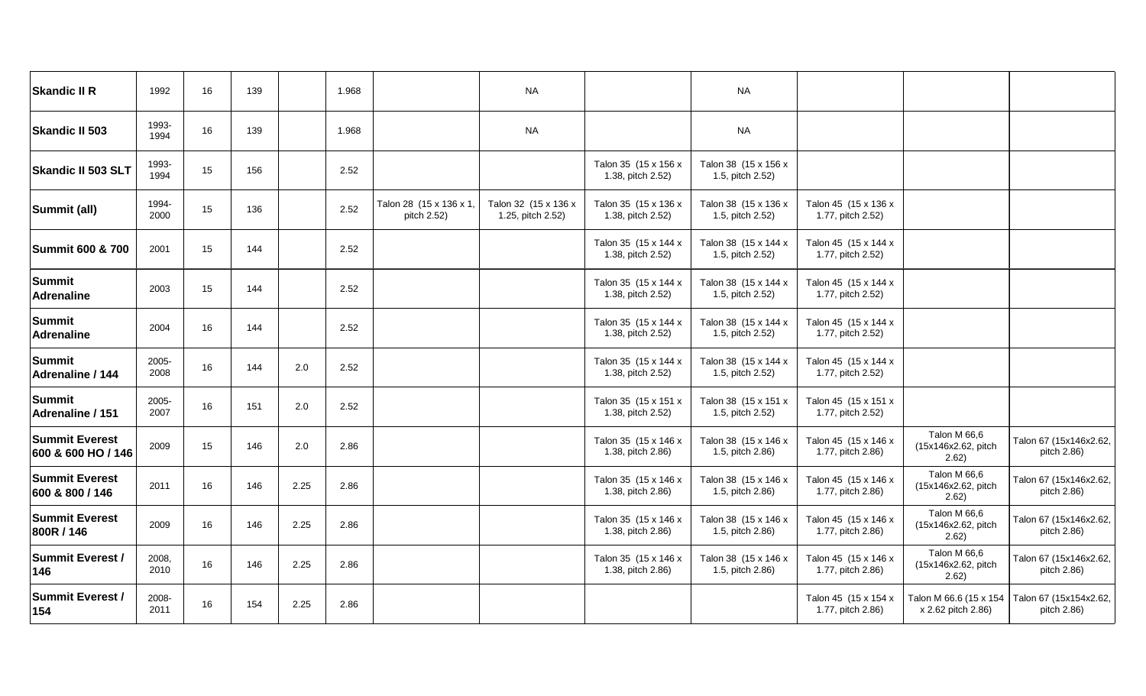| <b>Skandic II R</b>                         | 1992          | 16 | 139 |      | 1.968 |                                        | <b>NA</b>                                 |                                           | <b>NA</b>                                |                                           |                                              |                                       |
|---------------------------------------------|---------------|----|-----|------|-------|----------------------------------------|-------------------------------------------|-------------------------------------------|------------------------------------------|-------------------------------------------|----------------------------------------------|---------------------------------------|
| <b>Skandic II 503</b>                       | 1993-<br>1994 | 16 | 139 |      | 1.968 |                                        | <b>NA</b>                                 |                                           | <b>NA</b>                                |                                           |                                              |                                       |
| <b>Skandic II 503 SLT</b>                   | 1993-<br>1994 | 15 | 156 |      | 2.52  |                                        |                                           | Talon 35 (15 x 156 x<br>1.38, pitch 2.52) | Talon 38 (15 x 156 x<br>1.5, pitch 2.52) |                                           |                                              |                                       |
| Summit (all)                                | 1994-<br>2000 | 15 | 136 |      | 2.52  | Talon 28 (15 x 136 x 1,<br>pitch 2.52) | Talon 32 (15 x 136 x<br>1.25, pitch 2.52) | Talon 35 (15 x 136 x<br>1.38, pitch 2.52) | Talon 38 (15 x 136 x<br>1.5, pitch 2.52) | Talon 45 (15 x 136 x<br>1.77, pitch 2.52) |                                              |                                       |
| <b>Summit 600 &amp; 700</b>                 | 2001          | 15 | 144 |      | 2.52  |                                        |                                           | Talon 35 (15 x 144 x<br>1.38, pitch 2.52) | Talon 38 (15 x 144 x<br>1.5, pitch 2.52) | Talon 45 (15 x 144 x<br>1.77, pitch 2.52) |                                              |                                       |
| <b>Summit</b><br><b>Adrenaline</b>          | 2003          | 15 | 144 |      | 2.52  |                                        |                                           | Talon 35 (15 x 144 x<br>1.38, pitch 2.52) | Talon 38 (15 x 144 x<br>1.5, pitch 2.52) | Talon 45 (15 x 144 x<br>1.77, pitch 2.52) |                                              |                                       |
| <b>Summit</b><br><b>Adrenaline</b>          | 2004          | 16 | 144 |      | 2.52  |                                        |                                           | Talon 35 (15 x 144 x<br>1.38, pitch 2.52) | Talon 38 (15 x 144 x<br>1.5, pitch 2.52) | Talon 45 (15 x 144 x<br>1.77, pitch 2.52) |                                              |                                       |
| <b>Summit</b><br>Adrenaline / 144           | 2005-<br>2008 | 16 | 144 | 2.0  | 2.52  |                                        |                                           | Talon 35 (15 x 144 x<br>1.38, pitch 2.52) | Talon 38 (15 x 144 x<br>1.5, pitch 2.52) | Talon 45 (15 x 144 x<br>1.77, pitch 2.52) |                                              |                                       |
| <b>Summit</b><br>Adrenaline / 151           | 2005-<br>2007 | 16 | 151 | 2.0  | 2.52  |                                        |                                           | Talon 35 (15 x 151 x<br>1.38, pitch 2.52) | Talon 38 (15 x 151 x<br>1.5, pitch 2.52) | Talon 45 (15 x 151 x<br>1.77, pitch 2.52) |                                              |                                       |
| <b>Summit Everest</b><br>600 & 600 HO / 146 | 2009          | 15 | 146 | 2.0  | 2.86  |                                        |                                           | Talon 35 (15 x 146 x<br>1.38, pitch 2.86) | Talon 38 (15 x 146 x<br>1.5, pitch 2.86) | Talon 45 (15 x 146 x<br>1.77, pitch 2.86) | Talon M 66,6<br>(15x146x2.62, pitch<br>2.62) | Talon 67 (15x146x2.62,<br>pitch 2.86) |
| <b>Summit Everest</b><br>600 & 800 / 146    | 2011          | 16 | 146 | 2.25 | 2.86  |                                        |                                           | Talon 35 (15 x 146 x<br>1.38, pitch 2.86) | Talon 38 (15 x 146 x<br>1.5, pitch 2.86) | Talon 45 (15 x 146 x<br>1.77, pitch 2.86) | Talon M 66,6<br>(15x146x2.62, pitch<br>2.62) | Talon 67 (15x146x2.62,<br>pitch 2.86) |
| <b>Summit Everest</b><br>800R / 146         | 2009          | 16 | 146 | 2.25 | 2.86  |                                        |                                           | Talon 35 (15 x 146 x<br>1.38, pitch 2.86) | Talon 38 (15 x 146 x<br>1.5, pitch 2.86) | Talon 45 (15 x 146 x<br>1.77, pitch 2.86) | Talon M 66,6<br>(15x146x2.62, pitch<br>2.62) | Talon 67 (15x146x2.62,<br>pitch 2.86) |
| <b>Summit Everest /</b><br>146              | 2008,<br>2010 | 16 | 146 | 2.25 | 2.86  |                                        |                                           | Talon 35 (15 x 146 x<br>1.38, pitch 2.86) | Talon 38 (15 x 146 x<br>1.5, pitch 2.86) | Talon 45 (15 x 146 x<br>1.77, pitch 2.86) | Talon M 66,6<br>(15x146x2.62, pitch<br>2.62) | Talon 67 (15x146x2.62,<br>pitch 2.86) |
| <b>Summit Everest/</b><br>154               | 2008-<br>2011 | 16 | 154 | 2.25 | 2.86  |                                        |                                           |                                           |                                          | Talon 45 (15 x 154 x<br>1.77, pitch 2.86) | Talon M 66.6 (15 x 154<br>x 2.62 pitch 2.86) | Talon 67 (15x154x2.62,<br>pitch 2.86) |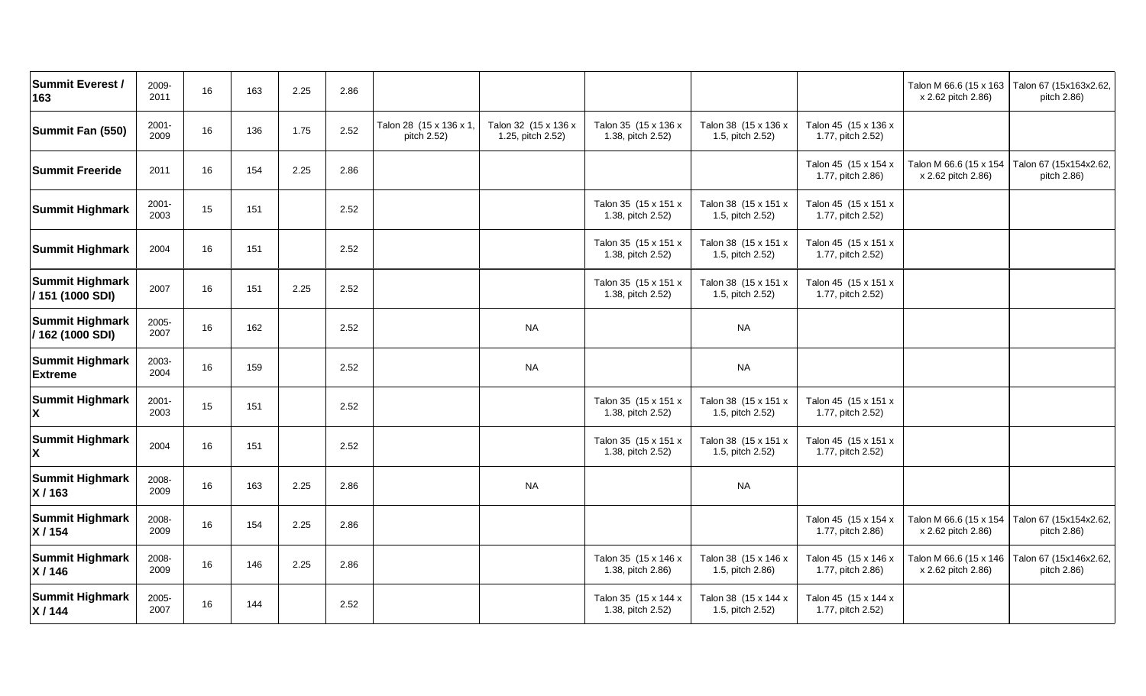| <b>Summit Everest /</b><br>163             | 2009-<br>2011    | 16 | 163 | 2.25 | 2.86 |                                        |                                           |                                           |                                          |                                           | x 2.62 pitch 2.86)                           | Talon M 66.6 (15 x 163   Talon 67 (15x163x2.62,<br>pitch 2.86) |
|--------------------------------------------|------------------|----|-----|------|------|----------------------------------------|-------------------------------------------|-------------------------------------------|------------------------------------------|-------------------------------------------|----------------------------------------------|----------------------------------------------------------------|
| Summit Fan (550)                           | 2001-<br>2009    | 16 | 136 | 1.75 | 2.52 | Talon 28 (15 x 136 x 1,<br>pitch 2.52) | Talon 32 (15 x 136 x<br>1.25, pitch 2.52) | Talon 35 (15 x 136 x<br>1.38, pitch 2.52) | Talon 38 (15 x 136 x<br>1.5, pitch 2.52) | Talon 45 (15 x 136 x<br>1.77, pitch 2.52) |                                              |                                                                |
| <b>Summit Freeride</b>                     | 2011             | 16 | 154 | 2.25 | 2.86 |                                        |                                           |                                           |                                          | Talon 45 (15 x 154 x<br>1.77, pitch 2.86) | Talon M 66.6 (15 x 154<br>x 2.62 pitch 2.86) | Talon 67 (15x154x2.62,<br>pitch 2.86)                          |
| <b>Summit Highmark</b>                     | $2001 -$<br>2003 | 15 | 151 |      | 2.52 |                                        |                                           | Talon 35 (15 x 151 x<br>1.38, pitch 2.52) | Talon 38 (15 x 151 x<br>1.5, pitch 2.52) | Talon 45 (15 x 151 x<br>1.77, pitch 2.52) |                                              |                                                                |
| <b>Summit Highmark</b>                     | 2004             | 16 | 151 |      | 2.52 |                                        |                                           | Talon 35 (15 x 151 x<br>1.38, pitch 2.52) | Talon 38 (15 x 151 x<br>1.5, pitch 2.52) | Talon 45 (15 x 151 x<br>1.77, pitch 2.52) |                                              |                                                                |
| <b>Summit Highmark</b><br>/ 151 (1000 SDI) | 2007             | 16 | 151 | 2.25 | 2.52 |                                        |                                           | Talon 35 (15 x 151 x<br>1.38, pitch 2.52) | Talon 38 (15 x 151 x<br>1.5, pitch 2.52) | Talon 45 (15 x 151 x<br>1.77, pitch 2.52) |                                              |                                                                |
| <b>Summit Highmark</b><br>/162 (1000 SDI)  | 2005-<br>2007    | 16 | 162 |      | 2.52 |                                        | <b>NA</b>                                 |                                           | <b>NA</b>                                |                                           |                                              |                                                                |
| <b>Summit Highmark</b><br><b>Extreme</b>   | 2003-<br>2004    | 16 | 159 |      | 2.52 |                                        | <b>NA</b>                                 |                                           | <b>NA</b>                                |                                           |                                              |                                                                |
| <b>Summit Highmark</b>                     | $2001 -$<br>2003 | 15 | 151 |      | 2.52 |                                        |                                           | Talon 35 (15 x 151 x<br>1.38, pitch 2.52) | Talon 38 (15 x 151 x<br>1.5, pitch 2.52) | Talon 45 (15 x 151 x<br>1.77, pitch 2.52) |                                              |                                                                |
| <b>Summit Highmark</b>                     | 2004             | 16 | 151 |      | 2.52 |                                        |                                           | Talon 35 (15 x 151 x<br>1.38, pitch 2.52) | Talon 38 (15 x 151 x<br>1.5, pitch 2.52) | Talon 45 (15 x 151 x<br>1.77, pitch 2.52) |                                              |                                                                |
| <b>Summit Highmark</b><br>X/163            | 2008-<br>2009    | 16 | 163 | 2.25 | 2.86 |                                        | <b>NA</b>                                 |                                           | <b>NA</b>                                |                                           |                                              |                                                                |
| <b>Summit Highmark</b><br>X/154            | 2008-<br>2009    | 16 | 154 | 2.25 | 2.86 |                                        |                                           |                                           |                                          | Talon 45 (15 x 154 x<br>1.77, pitch 2.86) | x 2.62 pitch 2.86)                           | Talon M 66.6 (15 x 154   Talon 67 (15x154x2.62,<br>pitch 2.86) |
| <b>Summit Highmark</b><br>X/146            | 2008-<br>2009    | 16 | 146 | 2.25 | 2.86 |                                        |                                           | Talon 35 (15 x 146 x<br>1.38, pitch 2.86) | Talon 38 (15 x 146 x<br>1.5, pitch 2.86) | Talon 45 (15 x 146 x<br>1.77, pitch 2.86) | Talon M 66.6 (15 x 146<br>x 2.62 pitch 2.86) | Talon 67 (15x146x2.62,<br>pitch 2.86)                          |
| <b>Summit Highmark</b><br>X/144            | 2005-<br>2007    | 16 | 144 |      | 2.52 |                                        |                                           | Talon 35 (15 x 144 x<br>1.38, pitch 2.52) | Talon 38 (15 x 144 x<br>1.5, pitch 2.52) | Talon 45 (15 x 144 x<br>1.77, pitch 2.52) |                                              |                                                                |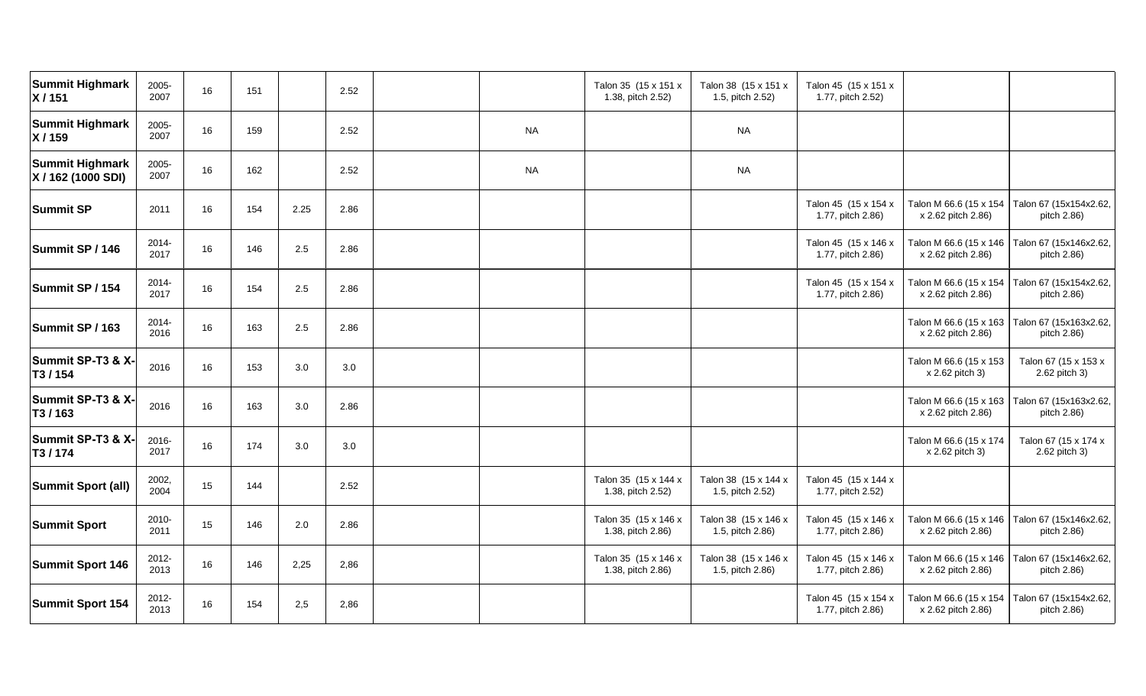| <b>Summit Highmark</b><br>X/151              | 2005-<br>2007 | 16 | 151 |      | 2.52 |           | Talon 35 (15 x 151 x<br>1.38, pitch 2.52) | Talon 38 (15 x 151 x<br>1.5, pitch 2.52) | Talon 45 (15 x 151 x<br>1.77, pitch 2.52) |                                              |                                                                |
|----------------------------------------------|---------------|----|-----|------|------|-----------|-------------------------------------------|------------------------------------------|-------------------------------------------|----------------------------------------------|----------------------------------------------------------------|
| <b>Summit Highmark</b><br>X/159              | 2005-<br>2007 | 16 | 159 |      | 2.52 | <b>NA</b> |                                           | <b>NA</b>                                |                                           |                                              |                                                                |
| <b>Summit Highmark</b><br>X / 162 (1000 SDI) | 2005-<br>2007 | 16 | 162 |      | 2.52 | <b>NA</b> |                                           | <b>NA</b>                                |                                           |                                              |                                                                |
| <b>Summit SP</b>                             | 2011          | 16 | 154 | 2.25 | 2.86 |           |                                           |                                          | Talon 45 (15 x 154 x<br>1.77, pitch 2.86) | Talon M 66.6 (15 x 154<br>x 2.62 pitch 2.86) | Talon 67 (15x154x2.62,<br>pitch 2.86)                          |
| Summit SP / 146                              | 2014-<br>2017 | 16 | 146 | 2.5  | 2.86 |           |                                           |                                          | Talon 45 (15 x 146 x<br>1.77, pitch 2.86) | Talon M 66.6 (15 x 146<br>x 2.62 pitch 2.86) | Talon 67 (15x146x2.62,<br>pitch 2.86)                          |
| Summit SP / 154                              | 2014-<br>2017 | 16 | 154 | 2.5  | 2.86 |           |                                           |                                          | Talon 45 (15 x 154 x<br>1.77, pitch 2.86) | Talon M 66.6 (15 x 154<br>x 2.62 pitch 2.86) | Talon 67 (15x154x2.62,<br>pitch 2.86)                          |
| Summit SP / 163                              | 2014-<br>2016 | 16 | 163 | 2.5  | 2.86 |           |                                           |                                          |                                           | Talon M 66.6 (15 x 163<br>x 2.62 pitch 2.86) | Talon 67 (15x163x2.62,<br>pitch 2.86)                          |
| Summit SP-T3 & X-<br>T3/154                  | 2016          | 16 | 153 | 3.0  | 3.0  |           |                                           |                                          |                                           | Talon M 66.6 (15 x 153<br>x 2.62 pitch 3)    | Talon 67 (15 x 153 x<br>2.62 pitch 3)                          |
| Summit SP-T3 & X-<br>T3/163                  | 2016          | 16 | 163 | 3.0  | 2.86 |           |                                           |                                          |                                           | x 2.62 pitch 2.86)                           | Talon M 66.6 (15 x 163   Talon 67 (15x163x2.62,<br>pitch 2.86) |
| Summit SP-T3 & X-<br>T3/174                  | 2016-<br>2017 | 16 | 174 | 3.0  | 3.0  |           |                                           |                                          |                                           | Talon M 66.6 (15 x 174<br>x 2.62 pitch 3)    | Talon 67 (15 x 174 x<br>2.62 pitch 3)                          |
| <b>Summit Sport (all)</b>                    | 2002,<br>2004 | 15 | 144 |      | 2.52 |           | Talon 35 (15 x 144 x<br>1.38, pitch 2.52) | Talon 38 (15 x 144 x<br>1.5, pitch 2.52) | Talon 45 (15 x 144 x<br>1.77, pitch 2.52) |                                              |                                                                |
| <b>Summit Sport</b>                          | 2010-<br>2011 | 15 | 146 | 2.0  | 2.86 |           | Talon 35 (15 x 146 x<br>1.38, pitch 2.86) | Talon 38 (15 x 146 x<br>1.5, pitch 2.86) | Talon 45 (15 x 146 x<br>1.77, pitch 2.86) | Talon M 66.6 (15 x 146<br>x 2.62 pitch 2.86) | Talon 67 (15x146x2.62,<br>pitch 2.86)                          |
| <b>Summit Sport 146</b>                      | 2012-<br>2013 | 16 | 146 | 2,25 | 2,86 |           | Talon 35 (15 x 146 x<br>1.38, pitch 2.86) | Talon 38 (15 x 146 x<br>1.5, pitch 2.86) | Talon 45 (15 x 146 x<br>1.77, pitch 2.86) | Talon M 66.6 (15 x 146<br>x 2.62 pitch 2.86) | Talon 67 (15x146x2.62,<br>pitch 2.86)                          |
| <b>Summit Sport 154</b>                      | 2012-<br>2013 | 16 | 154 | 2,5  | 2,86 |           |                                           |                                          | Talon 45 (15 x 154 x<br>1.77, pitch 2.86) | Talon M 66.6 (15 x 154<br>x 2.62 pitch 2.86) | Talon 67 (15x154x2.62,<br>pitch 2.86)                          |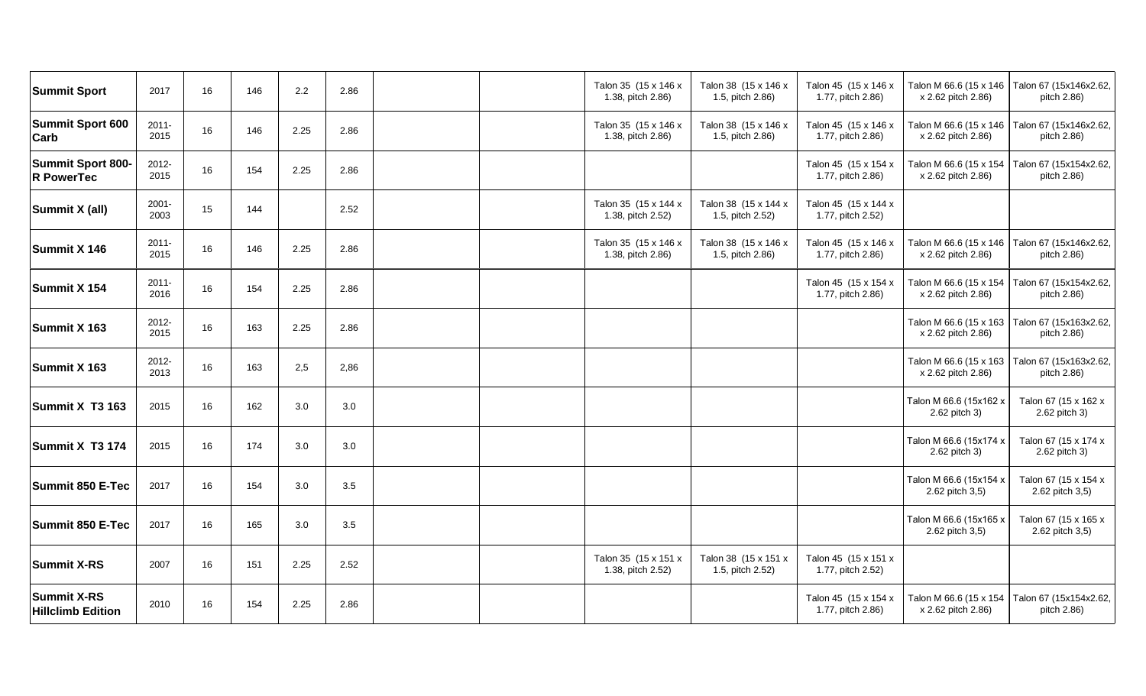| <b>Summit Sport</b>                            | 2017             | 16 | 146 | 2.2  | 2.86 |  | Talon 35 (15 x 146 x<br>1.38, pitch 2.86) | Talon 38 (15 x 146 x<br>1.5, pitch 2.86) | Talon 45 (15 x 146 x<br>1.77, pitch 2.86) | Talon M 66.6 (15 x 146   Talon 67 (15x146x2.62,<br>x 2.62 pitch 2.86) | pitch 2.86)                             |
|------------------------------------------------|------------------|----|-----|------|------|--|-------------------------------------------|------------------------------------------|-------------------------------------------|-----------------------------------------------------------------------|-----------------------------------------|
| <b>Summit Sport 600</b><br>Carb                | $2011 -$<br>2015 | 16 | 146 | 2.25 | 2.86 |  | Talon 35 (15 x 146 x<br>1.38, pitch 2.86) | Talon 38 (15 x 146 x<br>1.5, pitch 2.86) | Talon 45 (15 x 146 x<br>1.77, pitch 2.86) | Talon M 66.6 (15 x 146<br>x 2.62 pitch 2.86)                          | Talon 67 (15x146x2.62,<br>pitch 2.86)   |
| <b>Summit Sport 800-</b><br><b>R</b> PowerTec  | 2012-<br>2015    | 16 | 154 | 2.25 | 2.86 |  |                                           |                                          | Talon 45 (15 x 154 x<br>1.77, pitch 2.86) | Talon M 66.6 (15 x 154<br>x 2.62 pitch 2.86)                          | Talon 67 (15x154x2.62,<br>pitch 2.86)   |
| Summit X (all)                                 | $2001 -$<br>2003 | 15 | 144 |      | 2.52 |  | Talon 35 (15 x 144 x<br>1.38, pitch 2.52) | Talon 38 (15 x 144 x<br>1.5, pitch 2.52) | Talon 45 (15 x 144 x<br>1.77, pitch 2.52) |                                                                       |                                         |
| Summit X 146                                   | $2011 -$<br>2015 | 16 | 146 | 2.25 | 2.86 |  | Talon 35 (15 x 146 x<br>1.38, pitch 2.86) | Talon 38 (15 x 146 x<br>1.5, pitch 2.86) | Talon 45 (15 x 146 x<br>1.77, pitch 2.86) | Talon M 66.6 (15 x 146<br>x 2.62 pitch 2.86)                          | Talon 67 (15x146x2.62,<br>pitch 2.86)   |
| Summit X 154                                   | $2011 -$<br>2016 | 16 | 154 | 2.25 | 2.86 |  |                                           |                                          | Talon 45 (15 x 154 x<br>1.77, pitch 2.86) | Talon M 66.6 (15 x 154<br>x 2.62 pitch 2.86)                          | Talon 67 (15x154x2.62,<br>pitch 2.86)   |
| Summit X 163                                   | 2012-<br>2015    | 16 | 163 | 2.25 | 2.86 |  |                                           |                                          |                                           | Talon M 66.6 (15 x 163<br>x 2.62 pitch 2.86)                          | Talon 67 (15x163x2.62,<br>pitch 2.86)   |
| Summit X 163                                   | 2012-<br>2013    | 16 | 163 | 2,5  | 2,86 |  |                                           |                                          |                                           | Talon M 66.6 (15 x 163<br>x 2.62 pitch 2.86)                          | Talon 67 (15x163x2.62,<br>pitch 2.86)   |
| Summit X T3 163                                | 2015             | 16 | 162 | 3.0  | 3.0  |  |                                           |                                          |                                           | Talon M 66.6 (15x162 x<br>2.62 pitch 3)                               | Talon 67 (15 x 162 x<br>2.62 pitch 3)   |
| Summit X T3 174                                | 2015             | 16 | 174 | 3.0  | 3.0  |  |                                           |                                          |                                           | Talon M 66.6 (15x174 x<br>2.62 pitch 3)                               | Talon 67 (15 x 174 x<br>2.62 pitch 3)   |
| <b>Summit 850 E-Tec</b>                        | 2017             | 16 | 154 | 3.0  | 3.5  |  |                                           |                                          |                                           | Talon M 66.6 (15x154 x<br>2.62 pitch 3,5)                             | Talon 67 (15 x 154 x<br>2.62 pitch 3,5) |
| <b>Summit 850 E-Tec</b>                        | 2017             | 16 | 165 | 3.0  | 3.5  |  |                                           |                                          |                                           | Talon M 66.6 (15x165 x<br>2.62 pitch 3,5)                             | Talon 67 (15 x 165 x<br>2.62 pitch 3,5) |
| <b>Summit X-RS</b>                             | 2007             | 16 | 151 | 2.25 | 2.52 |  | Talon 35 (15 x 151 x<br>1.38, pitch 2.52) | Talon 38 (15 x 151 x<br>1.5, pitch 2.52) | Talon 45 (15 x 151 x<br>1.77, pitch 2.52) |                                                                       |                                         |
| <b>Summit X-RS</b><br><b>Hillclimb Edition</b> | 2010             | 16 | 154 | 2.25 | 2.86 |  |                                           |                                          | Talon 45 (15 x 154 x<br>1.77, pitch 2.86) | Talon M 66.6 (15 x 154<br>x 2.62 pitch 2.86)                          | Talon 67 (15x154x2.62,<br>pitch 2.86)   |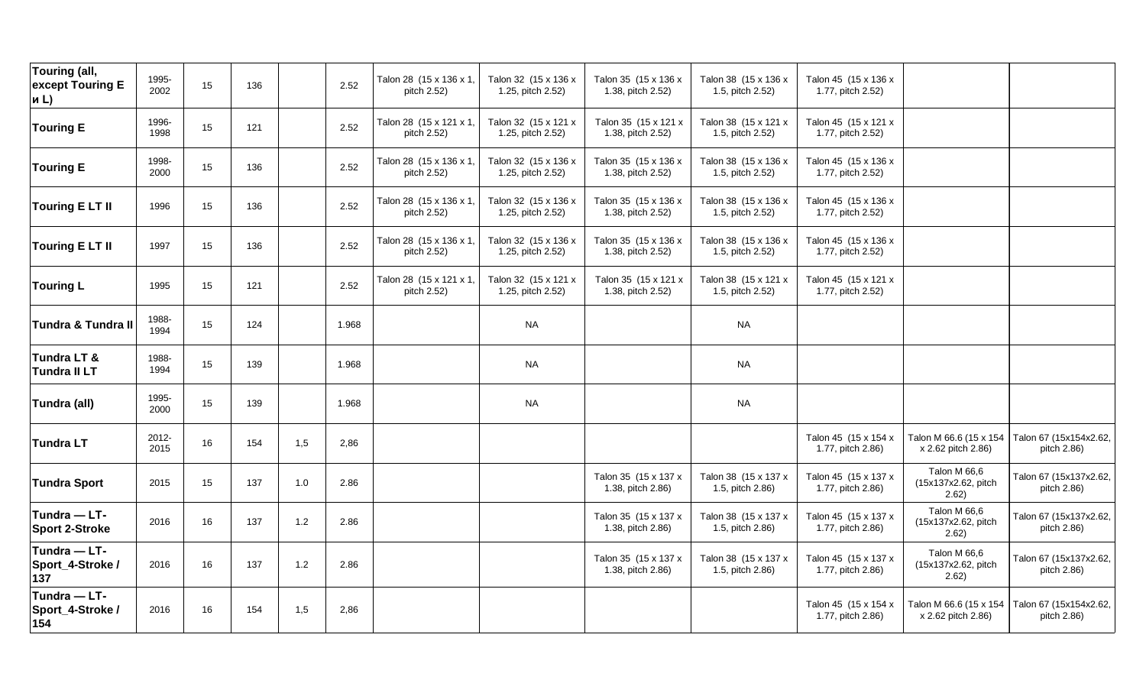| Touring (all,<br>except Touring E<br>и $L$ ) | 1995-<br>2002 | 15 | 136 |     | 2.52  | Talon 28 (15 x 136 x 1,<br>pitch 2.52) | Talon 32 (15 x 136 x<br>1.25, pitch 2.52) | Talon 35 (15 x 136 x<br>1.38, pitch 2.52) | Talon 38 (15 x 136 x<br>1.5, pitch 2.52) | Talon 45 (15 x 136 x<br>1.77, pitch 2.52) |                                              |                                       |
|----------------------------------------------|---------------|----|-----|-----|-------|----------------------------------------|-------------------------------------------|-------------------------------------------|------------------------------------------|-------------------------------------------|----------------------------------------------|---------------------------------------|
| <b>Touring E</b>                             | 1996-<br>1998 | 15 | 121 |     | 2.52  | Talon 28 (15 x 121 x 1,<br>pitch 2.52) | Talon 32 (15 x 121 x<br>1.25, pitch 2.52) | Talon 35 (15 x 121 x<br>1.38, pitch 2.52) | Talon 38 (15 x 121 x<br>1.5, pitch 2.52) | Talon 45 (15 x 121 x<br>1.77, pitch 2.52) |                                              |                                       |
| <b>Touring E</b>                             | 1998-<br>2000 | 15 | 136 |     | 2.52  | Talon 28 (15 x 136 x 1,<br>pitch 2.52) | Talon 32 (15 x 136 x<br>1.25, pitch 2.52) | Talon 35 (15 x 136 x<br>1.38, pitch 2.52) | Talon 38 (15 x 136 x<br>1.5, pitch 2.52) | Talon 45 (15 x 136 x<br>1.77, pitch 2.52) |                                              |                                       |
| <b>Touring ELTII</b>                         | 1996          | 15 | 136 |     | 2.52  | Talon 28 (15 x 136 x 1,<br>pitch 2.52) | Talon 32 (15 x 136 x<br>1.25, pitch 2.52) | Talon 35 (15 x 136 x<br>1.38, pitch 2.52) | Talon 38 (15 x 136 x<br>1.5, pitch 2.52) | Talon 45 (15 x 136 x<br>1.77, pitch 2.52) |                                              |                                       |
| <b>Touring ELTII</b>                         | 1997          | 15 | 136 |     | 2.52  | Talon 28 (15 x 136 x 1,<br>pitch 2.52) | Talon 32 (15 x 136 x<br>1.25, pitch 2.52) | Talon 35 (15 x 136 x<br>1.38, pitch 2.52) | Talon 38 (15 x 136 x<br>1.5, pitch 2.52) | Talon 45 (15 x 136 x<br>1.77, pitch 2.52) |                                              |                                       |
| <b>Touring L</b>                             | 1995          | 15 | 121 |     | 2.52  | Talon 28 (15 x 121 x 1,<br>pitch 2.52) | Talon 32 (15 x 121 x<br>1.25, pitch 2.52) | Talon 35 (15 x 121 x<br>1.38, pitch 2.52) | Talon 38 (15 x 121 x<br>1.5, pitch 2.52) | Talon 45 (15 x 121 x<br>1.77, pitch 2.52) |                                              |                                       |
| <b>Tundra &amp; Tundra II</b>                | 1988-<br>1994 | 15 | 124 |     | 1.968 |                                        | <b>NA</b>                                 |                                           | <b>NA</b>                                |                                           |                                              |                                       |
| Tundra LT &<br><b>Tundra II LT</b>           | 1988-<br>1994 | 15 | 139 |     | 1.968 |                                        | <b>NA</b>                                 |                                           | <b>NA</b>                                |                                           |                                              |                                       |
| Tundra (all)                                 | 1995-<br>2000 | 15 | 139 |     | 1.968 |                                        | <b>NA</b>                                 |                                           | <b>NA</b>                                |                                           |                                              |                                       |
| <b>Tundra LT</b>                             | 2012-<br>2015 | 16 | 154 | 1,5 | 2,86  |                                        |                                           |                                           |                                          | Talon 45 (15 x 154 x<br>1.77, pitch 2.86) | Talon M 66.6 (15 x 154<br>x 2.62 pitch 2.86) | Talon 67 (15x154x2.62,<br>pitch 2.86) |
| <b>Tundra Sport</b>                          | 2015          | 15 | 137 | 1.0 | 2.86  |                                        |                                           | Talon 35 (15 x 137 x<br>1.38, pitch 2.86) | Talon 38 (15 x 137 x<br>1.5, pitch 2.86) | Talon 45 (15 x 137 x<br>1.77, pitch 2.86) | Talon M 66,6<br>(15x137x2.62, pitch<br>2.62) | Talon 67 (15x137x2.62,<br>pitch 2.86) |
| Tundra - LT-<br><b>Sport 2-Stroke</b>        | 2016          | 16 | 137 | 1.2 | 2.86  |                                        |                                           | Talon 35 (15 x 137 x<br>1.38, pitch 2.86) | Talon 38 (15 x 137 x<br>1.5, pitch 2.86) | Talon 45 (15 x 137 x<br>1.77, pitch 2.86) | Talon M 66,6<br>(15x137x2.62, pitch<br>2.62) | Talon 67 (15x137x2.62,<br>pitch 2.86) |
| Tundra - LT-<br>Sport_4-Stroke /<br>137      | 2016          | 16 | 137 | 1.2 | 2.86  |                                        |                                           | Talon 35 (15 x 137 x<br>1.38, pitch 2.86) | Talon 38 (15 x 137 x<br>1.5, pitch 2.86) | Talon 45 (15 x 137 x<br>1.77, pitch 2.86) | Talon M 66,6<br>(15x137x2.62, pitch<br>2.62) | Talon 67 (15x137x2.62,<br>pitch 2.86) |
| Tundra - LT-<br>Sport_4-Stroke /<br>154      | 2016          | 16 | 154 | 1,5 | 2,86  |                                        |                                           |                                           |                                          | Talon 45 (15 x 154 x<br>1.77, pitch 2.86) | Talon M 66.6 (15 x 154<br>x 2.62 pitch 2.86) | Talon 67 (15x154x2.62,<br>pitch 2.86) |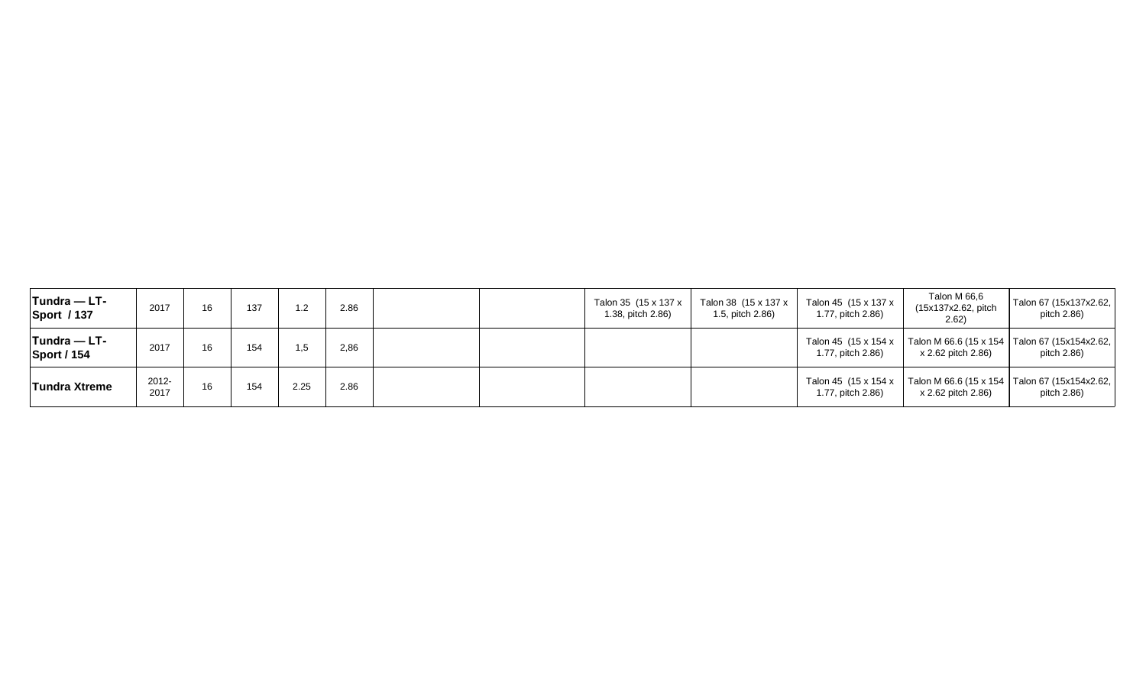| $T$ undra — LT-<br><b>Sport / 137</b> | 2017          | 16 | 137 |      | 2.86 | Talon 35 (15 x 137 x<br>1.38, pitch 2.86) | Talon 38 (15 x 137 x<br>1.5, pitch 2.86) | Talon 45 (15 x 137 x<br>1.77, pitch 2.86) | Talon M 66,6<br>(15x137x2.62, pitch<br>2.62) | Talon 67 (15x137x2.62,<br>pitch 2.86)                          |
|---------------------------------------|---------------|----|-----|------|------|-------------------------------------------|------------------------------------------|-------------------------------------------|----------------------------------------------|----------------------------------------------------------------|
| $T$ undra — LT-<br><b>Sport / 154</b> | 2017          | 16 | 154 | .5   | 2,86 |                                           |                                          | Talon 45 (15 x 154 x<br>1.77, pitch 2.86) | x 2.62 pitch 2.86)                           | Talon M 66.6 (15 x 154   Talon 67 (15x154x2.62,<br>pitch 2.86) |
| <b>Tundra Xtreme</b>                  | 2012-<br>2017 | 16 | 154 | 2.25 | 2.86 |                                           |                                          | Talon 45 (15 x 154 x<br>1.77, pitch 2.86) | x 2.62 pitch 2.86)                           | Talon M 66.6 (15 x 154   Talon 67 (15x154x2.62,<br>pitch 2.86) |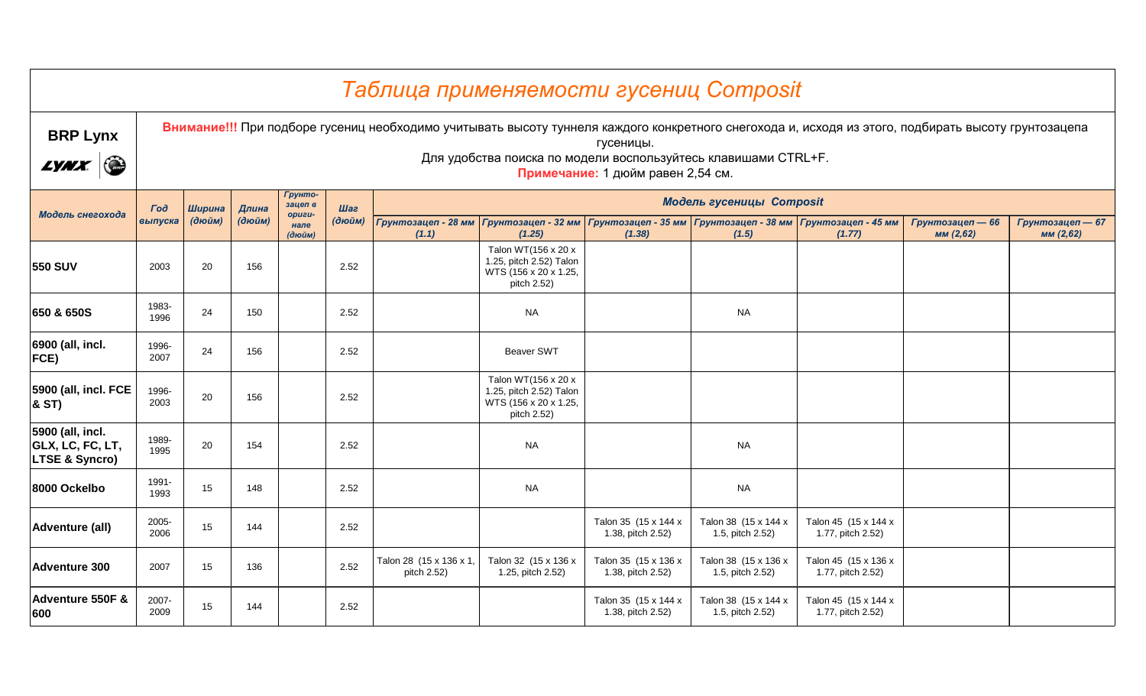|                                                                   |               |                                             |        |                          |        | Таблица применяемости гусениц Composit                                                                                                              |                                                                                        |                                                |                                                                                                |                                           |                               |                               |  |  |
|-------------------------------------------------------------------|---------------|---------------------------------------------|--------|--------------------------|--------|-----------------------------------------------------------------------------------------------------------------------------------------------------|----------------------------------------------------------------------------------------|------------------------------------------------|------------------------------------------------------------------------------------------------|-------------------------------------------|-------------------------------|-------------------------------|--|--|
| <b>BRP Lynx</b><br>$\bigodot$<br><i>LYNX</i>                      |               |                                             |        |                          |        | Внимание!!! При подборе гусениц необходимо учитывать высоту туннеля каждого конкретного снегохода и, исходя из этого, подбирать высоту грунтозацепа |                                                                                        | гусеницы.<br>Примечание: 1 дюйм равен 2,54 см. | Для удобства поиска по модели воспользуйтесь клавишами CTRL+F.                                 |                                           |                               |                               |  |  |
|                                                                   | $\Gamma$ oð   | Ширина                                      | Длина  | Грунто-<br>зацеп в       | Шаг    |                                                                                                                                                     |                                                                                        |                                                | <b>Модель гусеницы Composit</b>                                                                |                                           |                               |                               |  |  |
| Модель снегохода                                                  | выпуска       | (дюйм)                                      | (дюйм) | opuzu-<br>нале<br>(дюйм) | (дюйм) | Грунтозацеп - 28 мм<br>(1.1)                                                                                                                        | (1.25)                                                                                 | (1.38)                                         | Грунтозацеп - 32 мм   Грунтозацеп - 35 мм   Грунтозацеп - 38 мм   Грунтозацеп - 45 мм<br>(1.5) | (1.77)                                    | Грунтозацеп - 66<br>мм (2,62) | Грунтозацеп - 67<br>мм (2,62) |  |  |
| <b>550 SUV</b>                                                    | 2003          | 20                                          | 156    |                          | 2.52   |                                                                                                                                                     | Talon WT(156 x 20 x<br>1.25, pitch 2.52) Talon<br>WTS (156 x 20 x 1.25,<br>pitch 2.52) |                                                |                                                                                                |                                           |                               |                               |  |  |
| 650 & 650S                                                        | 1983-<br>1996 | <b>NA</b><br>24<br>150<br>2.52<br><b>NA</b> |        |                          |        |                                                                                                                                                     |                                                                                        |                                                |                                                                                                |                                           |                               |                               |  |  |
| 6900 (all, incl.<br>FCE)                                          | 1996-<br>2007 | 24                                          | 156    |                          | 2.52   |                                                                                                                                                     | <b>Beaver SWT</b>                                                                      |                                                |                                                                                                |                                           |                               |                               |  |  |
| 5900 (all, incl. FCE<br>& ST)                                     | 1996-<br>2003 | 20                                          | 156    |                          | 2.52   |                                                                                                                                                     | Talon WT(156 x 20 x<br>1.25, pitch 2.52) Talon<br>WTS (156 x 20 x 1.25,<br>pitch 2.52) |                                                |                                                                                                |                                           |                               |                               |  |  |
| 5900 (all, incl.<br>GLX, LC, FC, LT,<br><b>LTSE &amp; Syncro)</b> | 1989-<br>1995 | 20                                          | 154    |                          | 2.52   |                                                                                                                                                     | <b>NA</b>                                                                              |                                                | <b>NA</b>                                                                                      |                                           |                               |                               |  |  |
| 8000 Ockelbo                                                      | 1991-<br>1993 | 15                                          | 148    |                          | 2.52   |                                                                                                                                                     | <b>NA</b>                                                                              |                                                | <b>NA</b>                                                                                      |                                           |                               |                               |  |  |
| Adventure (all)                                                   | 2005-<br>2006 | 15                                          | 144    |                          | 2.52   |                                                                                                                                                     |                                                                                        | Talon 35 (15 x 144 x<br>1.38, pitch 2.52)      | Talon 38 (15 x 144 x<br>1.5, pitch 2.52)                                                       | Talon 45 (15 x 144 x<br>1.77, pitch 2.52) |                               |                               |  |  |
| <b>Adventure 300</b>                                              | 2007          | 15                                          | 136    |                          | 2.52   | Talon 28 (15 x 136 x 1,<br>pitch 2.52)                                                                                                              | Talon 32 (15 x 136 x<br>1.25, pitch 2.52)                                              | Talon 35 (15 x 136 x<br>1.38, pitch 2.52)      | Talon 38 (15 x 136 x<br>1.5, pitch 2.52)                                                       | Talon 45 (15 x 136 x<br>1.77, pitch 2.52) |                               |                               |  |  |
| Adventure 550F &<br>600                                           | 2007-<br>2009 | 15                                          | 144    |                          | 2.52   |                                                                                                                                                     |                                                                                        | Talon 35 (15 x 144 x<br>1.38, pitch 2.52)      | Talon 38 (15 x 144 x<br>1.5, pitch 2.52)                                                       | Talon 45 (15 x 144 x<br>1.77, pitch 2.52) |                               |                               |  |  |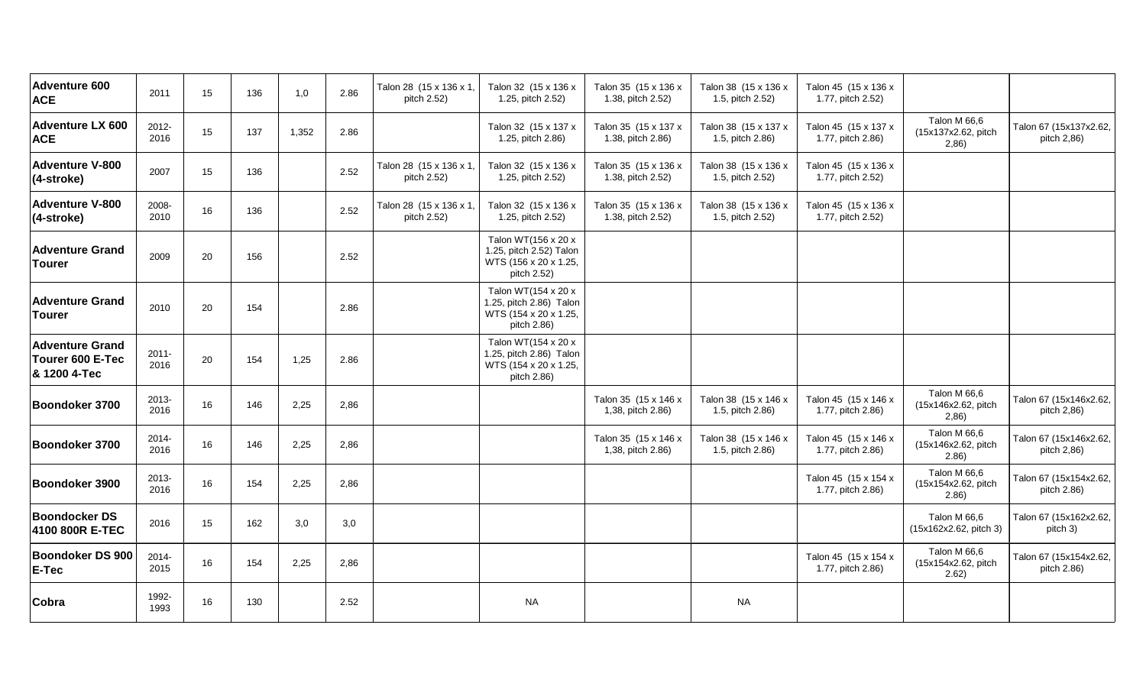| <b>Adventure 600</b><br><b>ACE</b>                         | 2011             | 15     | 136 | 1,0   | 2.86 | Talon 28 (15 x 136 x 1,<br>pitch 2.52) | Talon 32 (15 x 136 x<br>1.25, pitch 2.52)                                              | Talon 35 (15 x 136 x<br>1.38, pitch 2.52) | Talon 38 (15 x 136 x<br>1.5, pitch 2.52) | Talon 45 (15 x 136 x<br>1.77, pitch 2.52) |                                               |                                       |
|------------------------------------------------------------|------------------|--------|-----|-------|------|----------------------------------------|----------------------------------------------------------------------------------------|-------------------------------------------|------------------------------------------|-------------------------------------------|-----------------------------------------------|---------------------------------------|
| <b>Adventure LX 600</b><br><b>ACE</b>                      | 2012-<br>2016    | 15     | 137 | 1,352 | 2.86 |                                        | Talon 32 (15 x 137 x<br>1.25, pitch 2.86)                                              | Talon 35 (15 x 137 x<br>1.38, pitch 2.86) | Talon 38 (15 x 137 x<br>1.5, pitch 2.86) | Talon 45 (15 x 137 x<br>1.77, pitch 2.86) | Talon M 66,6<br>(15x137x2.62, pitch<br>2,86)  | Talon 67 (15x137x2.62,<br>pitch 2,86) |
| <b>Adventure V-800</b><br>(4-stroke)                       | 2007             | 15     | 136 |       | 2.52 | Talon 28 (15 x 136 x 1,<br>pitch 2.52) | Talon 32 (15 x 136 x<br>1.25, pitch 2.52)                                              | Talon 35 (15 x 136 x<br>1.38, pitch 2.52) | Talon 38 (15 x 136 x<br>1.5, pitch 2.52) | Talon 45 (15 x 136 x<br>1.77, pitch 2.52) |                                               |                                       |
| <b>Adventure V-800</b><br>(4-stroke)                       | 2008-<br>2010    | 16     | 136 |       | 2.52 | Talon 28 (15 x 136 x 1,<br>pitch 2.52) | Talon 32 (15 x 136 x<br>1.25, pitch 2.52)                                              | Talon 35 (15 x 136 x<br>1.38, pitch 2.52) | Talon 38 (15 x 136 x<br>1.5, pitch 2.52) | Talon 45 (15 x 136 x<br>1.77, pitch 2.52) |                                               |                                       |
| <b>Adventure Grand</b><br><b>Tourer</b>                    | 2009             | 20     | 156 |       | 2.52 |                                        | Talon WT(156 x 20 x<br>1.25, pitch 2.52) Talon<br>WTS (156 x 20 x 1.25,<br>pitch 2.52) |                                           |                                          |                                           |                                               |                                       |
| <b>Adventure Grand</b><br><b>Tourer</b>                    | 2010             | 20     | 154 |       | 2.86 |                                        | Talon WT(154 x 20 x<br>1.25, pitch 2.86) Talon<br>WTS (154 x 20 x 1.25,<br>pitch 2.86) |                                           |                                          |                                           |                                               |                                       |
| <b>Adventure Grand</b><br>Tourer 600 E-Tec<br>& 1200 4-Tec | $2011 -$<br>2016 | $20\,$ | 154 | 1,25  | 2.86 |                                        | Talon WT(154 x 20 x<br>1.25, pitch 2.86) Talon<br>WTS (154 x 20 x 1.25,<br>pitch 2.86) |                                           |                                          |                                           |                                               |                                       |
| Boondoker 3700                                             | 2013-<br>2016    | 16     | 146 | 2,25  | 2,86 |                                        |                                                                                        | Talon 35 (15 x 146 x<br>1,38, pitch 2.86) | Talon 38 (15 x 146 x<br>1.5, pitch 2.86) | Talon 45 (15 x 146 x<br>1.77, pitch 2.86) | Talon M 66,6<br>(15x146x2.62, pitch<br>2,86)  | Talon 67 (15x146x2.62,<br>pitch 2,86) |
| Boondoker 3700                                             | 2014-<br>2016    | 16     | 146 | 2,25  | 2,86 |                                        |                                                                                        | Talon 35 (15 x 146 x<br>1,38, pitch 2.86) | Talon 38 (15 x 146 x<br>1.5, pitch 2.86) | Talon 45 (15 x 146 x<br>1.77, pitch 2.86) | Talon M 66,6<br>(15x146x2.62, pitch<br>(2.86) | Talon 67 (15x146x2.62,<br>pitch 2,86) |
| Boondoker 3900                                             | 2013-<br>2016    | 16     | 154 | 2,25  | 2,86 |                                        |                                                                                        |                                           |                                          | Talon 45 (15 x 154 x<br>1.77, pitch 2.86) | Talon M 66,6<br>(15x154x2.62, pitch<br>(2.86) | Talon 67 (15x154x2.62,<br>pitch 2.86) |
| <b>Boondocker DS</b><br>4100 800R E-TEC                    | 2016             | 15     | 162 | 3,0   | 3,0  |                                        |                                                                                        |                                           |                                          |                                           | Talon M 66,6<br>(15x162x2.62, pitch 3)        | Talon 67 (15x162x2.62,<br>pitch 3)    |
| <b>Boondoker DS 900</b><br>E-Tec                           | $2014 -$<br>2015 | 16     | 154 | 2,25  | 2,86 |                                        |                                                                                        |                                           |                                          | Talon 45 (15 x 154 x<br>1.77, pitch 2.86) | Talon M 66,6<br>(15x154x2.62, pitch<br>2.62)  | Talon 67 (15x154x2.62,<br>pitch 2.86) |
| Cobra                                                      | 1992-<br>1993    | 16     | 130 |       | 2.52 |                                        | <b>NA</b>                                                                              |                                           | <b>NA</b>                                |                                           |                                               |                                       |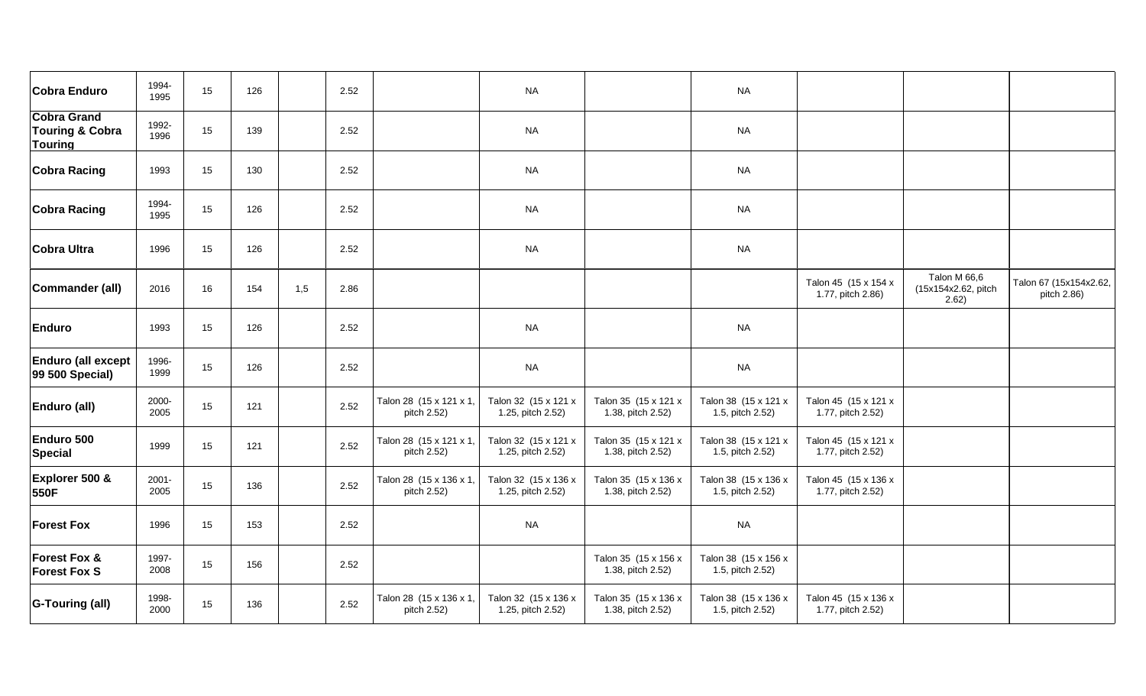| <b>Cobra Enduro</b>                                                | 1994-<br>1995    | 15 | 126 | 2.52        |                                        | <b>NA</b>                                 |                                           | <b>NA</b>                                |                                           |                                              |                                       |
|--------------------------------------------------------------------|------------------|----|-----|-------------|----------------------------------------|-------------------------------------------|-------------------------------------------|------------------------------------------|-------------------------------------------|----------------------------------------------|---------------------------------------|
| <b>Cobra Grand</b><br><b>Touring &amp; Cobra</b><br><b>Touring</b> | 1992-<br>1996    | 15 | 139 | 2.52        |                                        | <b>NA</b>                                 |                                           | <b>NA</b>                                |                                           |                                              |                                       |
| <b>Cobra Racing</b>                                                | 1993             | 15 | 130 | 2.52        |                                        | <b>NA</b>                                 |                                           | <b>NA</b>                                |                                           |                                              |                                       |
| <b>Cobra Racing</b>                                                | 1994-<br>1995    | 15 | 126 | 2.52        |                                        | <b>NA</b>                                 |                                           | <b>NA</b>                                |                                           |                                              |                                       |
| <b>Cobra Ultra</b>                                                 | 1996             | 15 | 126 | 2.52        |                                        | <b>NA</b>                                 |                                           | <b>NA</b>                                |                                           |                                              |                                       |
| Commander (all)                                                    | 2016             | 16 | 154 | 1,5<br>2.86 |                                        |                                           |                                           |                                          | Talon 45 (15 x 154 x<br>1.77, pitch 2.86) | Talon M 66,6<br>(15x154x2.62, pitch<br>2.62) | Talon 67 (15x154x2.62,<br>pitch 2.86) |
| <b>Enduro</b>                                                      | 1993             | 15 | 126 | 2.52        |                                        | <b>NA</b>                                 |                                           | <b>NA</b>                                |                                           |                                              |                                       |
| <b>Enduro (all except</b><br>99 500 Special)                       | 1996-<br>1999    | 15 | 126 | 2.52        |                                        | <b>NA</b>                                 |                                           | <b>NA</b>                                |                                           |                                              |                                       |
| Enduro (all)                                                       | 2000-<br>2005    | 15 | 121 | 2.52        | Talon 28 (15 x 121 x 1,<br>pitch 2.52) | Talon 32 (15 x 121 x<br>1.25, pitch 2.52) | Talon 35 (15 x 121 x<br>1.38, pitch 2.52) | Talon 38 (15 x 121 x<br>1.5, pitch 2.52) | Talon 45 (15 x 121 x<br>1.77, pitch 2.52) |                                              |                                       |
| Enduro 500<br><b>Special</b>                                       | 1999             | 15 | 121 | 2.52        | Talon 28 (15 x 121 x 1,<br>pitch 2.52) | Talon 32 (15 x 121 x<br>1.25, pitch 2.52) | Talon 35 (15 x 121 x<br>1.38, pitch 2.52) | Talon 38 (15 x 121 x<br>1.5, pitch 2.52) | Talon 45 (15 x 121 x<br>1.77, pitch 2.52) |                                              |                                       |
| Explorer 500 &<br>550F                                             | $2001 -$<br>2005 | 15 | 136 | 2.52        | Talon 28 (15 x 136 x 1,<br>pitch 2.52) | Talon 32 (15 x 136 x<br>1.25, pitch 2.52) | Talon 35 (15 x 136 x<br>1.38, pitch 2.52) | Talon 38 (15 x 136 x<br>1.5, pitch 2.52) | Talon 45 (15 x 136 x<br>1.77, pitch 2.52) |                                              |                                       |
| <b>Forest Fox</b>                                                  | 1996             | 15 | 153 | 2.52        |                                        | <b>NA</b>                                 |                                           | <b>NA</b>                                |                                           |                                              |                                       |
| <b>Forest Fox &amp;</b><br><b>Forest Fox S</b>                     | 1997-<br>2008    | 15 | 156 | 2.52        |                                        |                                           | Talon 35 (15 x 156 x<br>1.38, pitch 2.52) | Talon 38 (15 x 156 x<br>1.5, pitch 2.52) |                                           |                                              |                                       |
| <b>G-Touring (all)</b>                                             | 1998-<br>2000    | 15 | 136 | 2.52        | Talon 28 (15 x 136 x 1,<br>pitch 2.52) | Talon 32 (15 x 136 x<br>1.25, pitch 2.52) | Talon 35 (15 x 136 x<br>1.38, pitch 2.52) | Talon 38 (15 x 136 x<br>1.5, pitch 2.52) | Talon 45 (15 x 136 x<br>1.77, pitch 2.52) |                                              |                                       |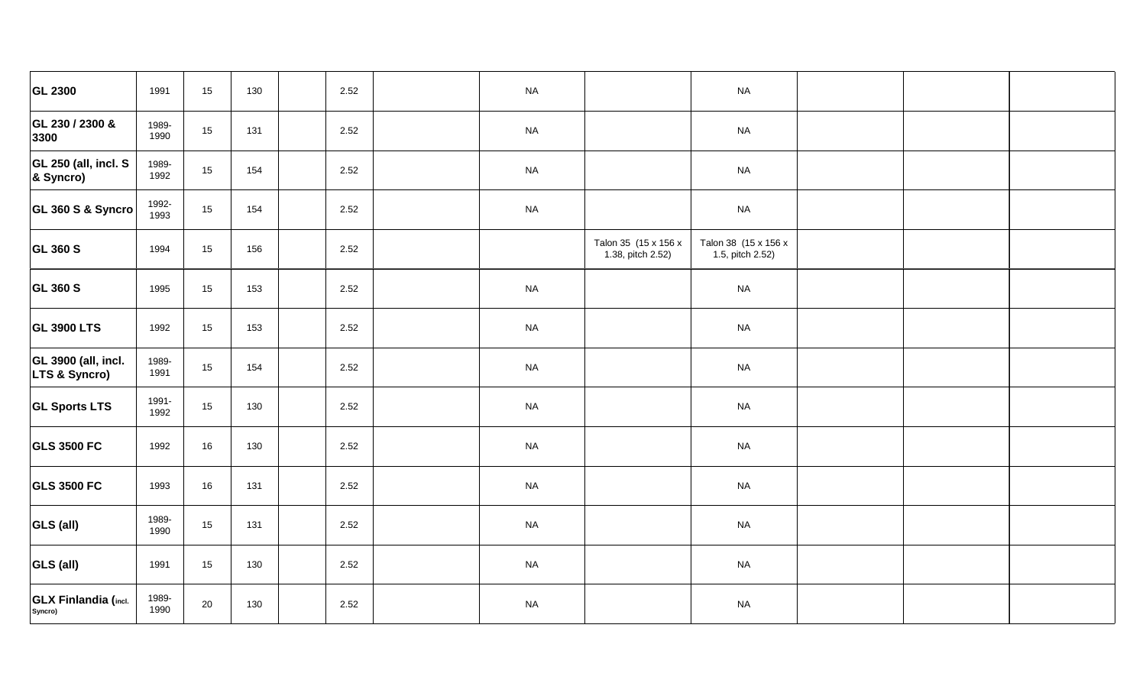| <b>GL 2300</b>                         | 1991          | 15     | 130 | 2.52 | <b>NA</b> |                                           | <b>NA</b>                                |  |
|----------------------------------------|---------------|--------|-----|------|-----------|-------------------------------------------|------------------------------------------|--|
| GL 230 / 2300 &<br>3300                | 1989-<br>1990 | 15     | 131 | 2.52 | <b>NA</b> |                                           | <b>NA</b>                                |  |
| GL 250 (all, incl. S<br>& Syncro)      | 1989-<br>1992 | 15     | 154 | 2.52 | $\sf NA$  |                                           | <b>NA</b>                                |  |
| GL 360 S & Syncro                      | 1992-<br>1993 | 15     | 154 | 2.52 | <b>NA</b> |                                           | <b>NA</b>                                |  |
| <b>GL 360 S</b>                        | 1994          | 15     | 156 | 2.52 |           | Talon 35 (15 x 156 x<br>1.38, pitch 2.52) | Talon 38 (15 x 156 x<br>1.5, pitch 2.52) |  |
| <b>GL 360 S</b>                        | 1995          | $15\,$ | 153 | 2.52 | $\sf NA$  |                                           | $\sf NA$                                 |  |
| <b>GL 3900 LTS</b>                     | 1992          | 15     | 153 | 2.52 | $\sf NA$  |                                           | <b>NA</b>                                |  |
| GL 3900 (all, incl.<br>LTS & Syncro)   | 1989-<br>1991 | $15\,$ | 154 | 2.52 | $\sf NA$  |                                           | <b>NA</b>                                |  |
| <b>GL Sports LTS</b>                   | 1991-<br>1992 | $15\,$ | 130 | 2.52 | $\sf NA$  |                                           | <b>NA</b>                                |  |
| <b>GLS 3500 FC</b>                     | 1992          | $16\,$ | 130 | 2.52 | $\sf NA$  |                                           | $\sf NA$                                 |  |
| <b>GLS 3500 FC</b>                     | 1993          | 16     | 131 | 2.52 | $\sf NA$  |                                           | <b>NA</b>                                |  |
| <b>GLS (all)</b>                       | 1989-<br>1990 | $15\,$ | 131 | 2.52 | <b>NA</b> |                                           | <b>NA</b>                                |  |
| <b>GLS (all)</b>                       | 1991          | $15\,$ | 130 | 2.52 | $\sf NA$  |                                           | $\sf NA$                                 |  |
| <b>GLX Finlandia (incl.</b><br>Syncro) | 1989-<br>1990 | 20     | 130 | 2.52 | <b>NA</b> |                                           | <b>NA</b>                                |  |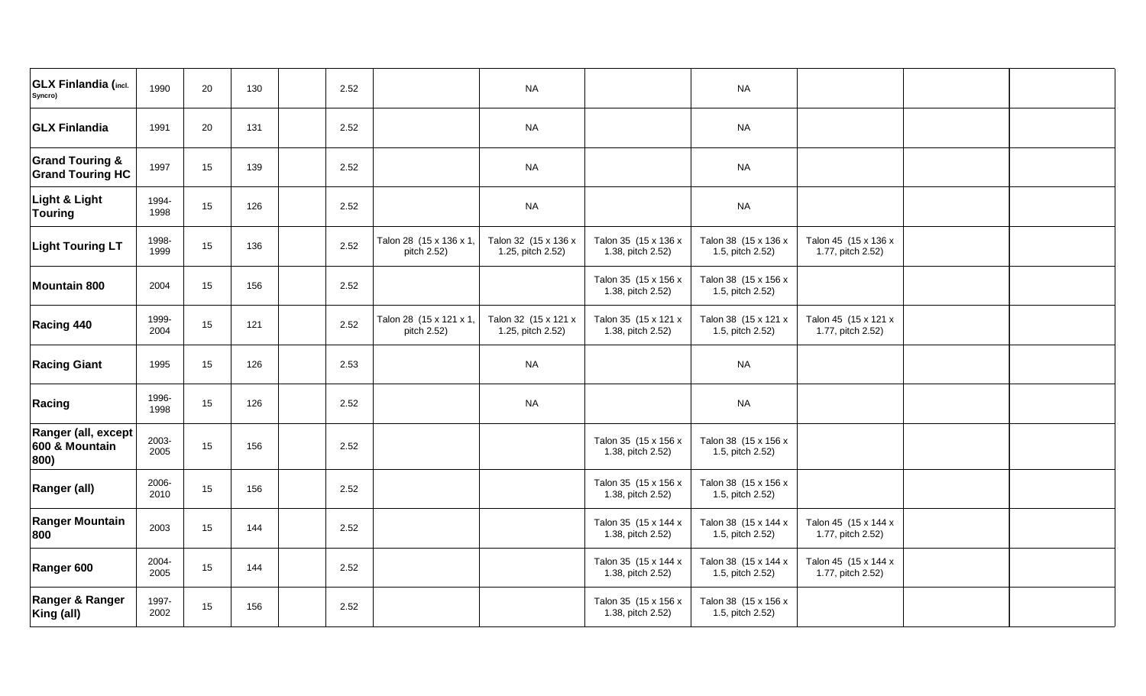| <b>GLX Finlandia (incl.</b><br>Syncro)                | 1990          | 20 | 130 | 2.52 |                                        | <b>NA</b>                                 |                                           | <b>NA</b>                                |                                           |  |
|-------------------------------------------------------|---------------|----|-----|------|----------------------------------------|-------------------------------------------|-------------------------------------------|------------------------------------------|-------------------------------------------|--|
| <b>GLX Finlandia</b>                                  | 1991          | 20 | 131 | 2.52 |                                        | <b>NA</b>                                 |                                           | <b>NA</b>                                |                                           |  |
| <b>Grand Touring &amp;</b><br><b>Grand Touring HC</b> | 1997          | 15 | 139 | 2.52 |                                        | <b>NA</b>                                 |                                           | <b>NA</b>                                |                                           |  |
| Light & Light<br><b>Touring</b>                       | 1994-<br>1998 | 15 | 126 | 2.52 |                                        | <b>NA</b>                                 |                                           | <b>NA</b>                                |                                           |  |
| <b>Light Touring LT</b>                               | 1998-<br>1999 | 15 | 136 | 2.52 | Talon 28 (15 x 136 x 1,<br>pitch 2.52) | Talon 32 (15 x 136 x<br>1.25, pitch 2.52) | Talon 35 (15 x 136 x<br>1.38, pitch 2.52) | Talon 38 (15 x 136 x<br>1.5, pitch 2.52) | Talon 45 (15 x 136 x<br>1.77, pitch 2.52) |  |
| <b>Mountain 800</b>                                   | 2004          | 15 | 156 | 2.52 |                                        |                                           | Talon 35 (15 x 156 x<br>1.38, pitch 2.52) | Talon 38 (15 x 156 x<br>1.5, pitch 2.52) |                                           |  |
| Racing 440                                            | 1999-<br>2004 | 15 | 121 | 2.52 | Talon 28 (15 x 121 x 1,<br>pitch 2.52) | Talon 32 (15 x 121 x<br>1.25, pitch 2.52) | Talon 35 (15 x 121 x<br>1.38, pitch 2.52) | Talon 38 (15 x 121 x<br>1.5, pitch 2.52) | Talon 45 (15 x 121 x<br>1.77, pitch 2.52) |  |
| <b>Racing Giant</b>                                   | 1995          | 15 | 126 | 2.53 |                                        | <b>NA</b>                                 |                                           | <b>NA</b>                                |                                           |  |
| Racing                                                | 1996-<br>1998 | 15 | 126 | 2.52 |                                        | <b>NA</b>                                 |                                           | <b>NA</b>                                |                                           |  |
| Ranger (all, except<br>600 & Mountain<br>800)         | 2003-<br>2005 | 15 | 156 | 2.52 |                                        |                                           | Talon 35 (15 x 156 x<br>1.38, pitch 2.52) | Talon 38 (15 x 156 x<br>1.5, pitch 2.52) |                                           |  |
| Ranger (all)                                          | 2006-<br>2010 | 15 | 156 | 2.52 |                                        |                                           | Talon 35 (15 x 156 x<br>1.38, pitch 2.52) | Talon 38 (15 x 156 x<br>1.5, pitch 2.52) |                                           |  |
| <b>Ranger Mountain</b><br>800                         | 2003          | 15 | 144 | 2.52 |                                        |                                           | Talon 35 (15 x 144 x<br>1.38, pitch 2.52) | Talon 38 (15 x 144 x<br>1.5, pitch 2.52) | Talon 45 (15 x 144 x<br>1.77, pitch 2.52) |  |
| Ranger 600                                            | 2004-<br>2005 | 15 | 144 | 2.52 |                                        |                                           | Talon 35 (15 x 144 x<br>1.38, pitch 2.52) | Talon 38 (15 x 144 x<br>1.5, pitch 2.52) | Talon 45 (15 x 144 x<br>1.77, pitch 2.52) |  |
| Ranger & Ranger<br>King (all)                         | 1997-<br>2002 | 15 | 156 | 2.52 |                                        |                                           | Talon 35 (15 x 156 x<br>1.38, pitch 2.52) | Talon 38 (15 x 156 x<br>1.5, pitch 2.52) |                                           |  |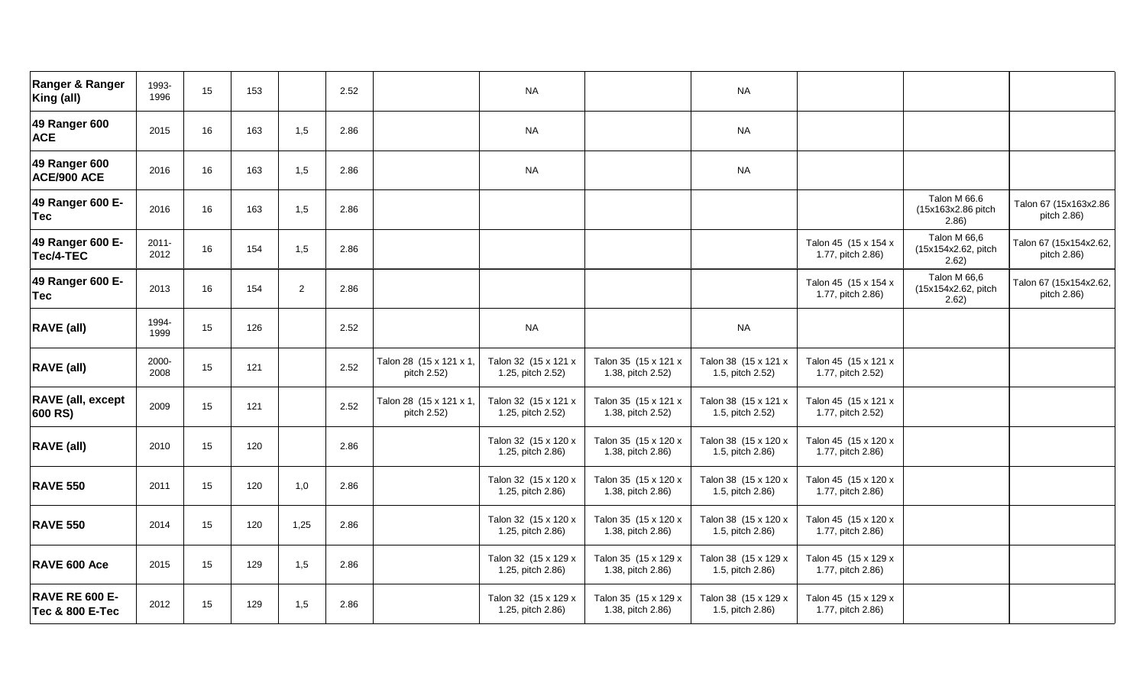| Ranger & Ranger<br>King (all)                       | 1993-<br>1996    | 15 | 153 |                | 2.52 |                                        | <b>NA</b>                                 |                                           | <b>NA</b>                                |                                           |                                              |                                       |
|-----------------------------------------------------|------------------|----|-----|----------------|------|----------------------------------------|-------------------------------------------|-------------------------------------------|------------------------------------------|-------------------------------------------|----------------------------------------------|---------------------------------------|
| 49 Ranger 600<br><b>ACE</b>                         | 2015             | 16 | 163 | 1,5            | 2.86 |                                        | <b>NA</b>                                 |                                           | <b>NA</b>                                |                                           |                                              |                                       |
| 49 Ranger 600<br>ACE/900 ACE                        | 2016             | 16 | 163 | 1,5            | 2.86 |                                        | <b>NA</b>                                 |                                           | <b>NA</b>                                |                                           |                                              |                                       |
| 49 Ranger 600 E-<br><b>Tec</b>                      | 2016             | 16 | 163 | 1,5            | 2.86 |                                        |                                           |                                           |                                          |                                           | Talon M 66.6<br>(15x163x2.86 pitch<br>2.86)  | Talon 67 (15x163x2.86<br>pitch 2.86)  |
| 49 Ranger 600 E-<br>Tec/4-TEC                       | $2011 -$<br>2012 | 16 | 154 | 1,5            | 2.86 |                                        |                                           |                                           |                                          | Talon 45 (15 x 154 x<br>1.77, pitch 2.86) | Talon M 66,6<br>(15x154x2.62, pitch<br>2.62) | Talon 67 (15x154x2.62,<br>pitch 2.86) |
| 49 Ranger 600 E-<br><b>Tec</b>                      | 2013             | 16 | 154 | $\overline{2}$ | 2.86 |                                        |                                           |                                           |                                          | Talon 45 (15 x 154 x<br>1.77, pitch 2.86) | Talon M 66,6<br>(15x154x2.62, pitch<br>2.62) | Talon 67 (15x154x2.62,<br>pitch 2.86) |
| <b>RAVE (all)</b>                                   | 1994-<br>1999    | 15 | 126 |                | 2.52 |                                        | <b>NA</b>                                 |                                           | <b>NA</b>                                |                                           |                                              |                                       |
| <b>RAVE (all)</b>                                   | 2000-<br>2008    | 15 | 121 |                | 2.52 | Talon 28 (15 x 121 x 1,<br>pitch 2.52) | Talon 32 (15 x 121 x<br>1.25, pitch 2.52) | Talon 35 (15 x 121 x<br>1.38, pitch 2.52) | Talon 38 (15 x 121 x<br>1.5, pitch 2.52) | Talon 45 (15 x 121 x<br>1.77, pitch 2.52) |                                              |                                       |
| <b>RAVE</b> (all, except<br>600 RS)                 | 2009             | 15 | 121 |                | 2.52 | Talon 28 (15 x 121 x 1,<br>pitch 2.52) | Talon 32 (15 x 121 x<br>1.25, pitch 2.52) | Talon 35 (15 x 121 x<br>1.38, pitch 2.52) | Talon 38 (15 x 121 x<br>1.5, pitch 2.52) | Talon 45 (15 x 121 x<br>1.77, pitch 2.52) |                                              |                                       |
| <b>RAVE (all)</b>                                   | 2010             | 15 | 120 |                | 2.86 |                                        | Talon 32 (15 x 120 x<br>1.25, pitch 2.86) | Talon 35 (15 x 120 x<br>1.38, pitch 2.86) | Talon 38 (15 x 120 x<br>1.5, pitch 2.86) | Talon 45 (15 x 120 x<br>1.77, pitch 2.86) |                                              |                                       |
| <b>RAVE 550</b>                                     | 2011             | 15 | 120 | 1,0            | 2.86 |                                        | Talon 32 (15 x 120 x<br>1.25, pitch 2.86) | Talon 35 (15 x 120 x<br>1.38, pitch 2.86) | Talon 38 (15 x 120 x<br>1.5, pitch 2.86) | Talon 45 (15 x 120 x<br>1.77, pitch 2.86) |                                              |                                       |
| <b>RAVE 550</b>                                     | 2014             | 15 | 120 | 1,25           | 2.86 |                                        | Talon 32 (15 x 120 x<br>1.25, pitch 2.86) | Talon 35 (15 x 120 x<br>1.38, pitch 2.86) | Talon 38 (15 x 120 x<br>1.5, pitch 2.86) | Talon 45 (15 x 120 x<br>1.77, pitch 2.86) |                                              |                                       |
| RAVE 600 Ace                                        | 2015             | 15 | 129 | 1,5            | 2.86 |                                        | Talon 32 (15 x 129 x<br>1.25, pitch 2.86) | Talon 35 (15 x 129 x<br>1.38, pitch 2.86) | Talon 38 (15 x 129 x<br>1.5, pitch 2.86) | Talon 45 (15 x 129 x<br>1.77, pitch 2.86) |                                              |                                       |
| <b>RAVE RE 600 E-</b><br><b>Tec &amp; 800 E-Tec</b> | 2012             | 15 | 129 | 1,5            | 2.86 |                                        | Talon 32 (15 x 129 x<br>1.25, pitch 2.86) | Talon 35 (15 x 129 x<br>1.38, pitch 2.86) | Talon 38 (15 x 129 x<br>1.5, pitch 2.86) | Talon 45 (15 x 129 x<br>1.77, pitch 2.86) |                                              |                                       |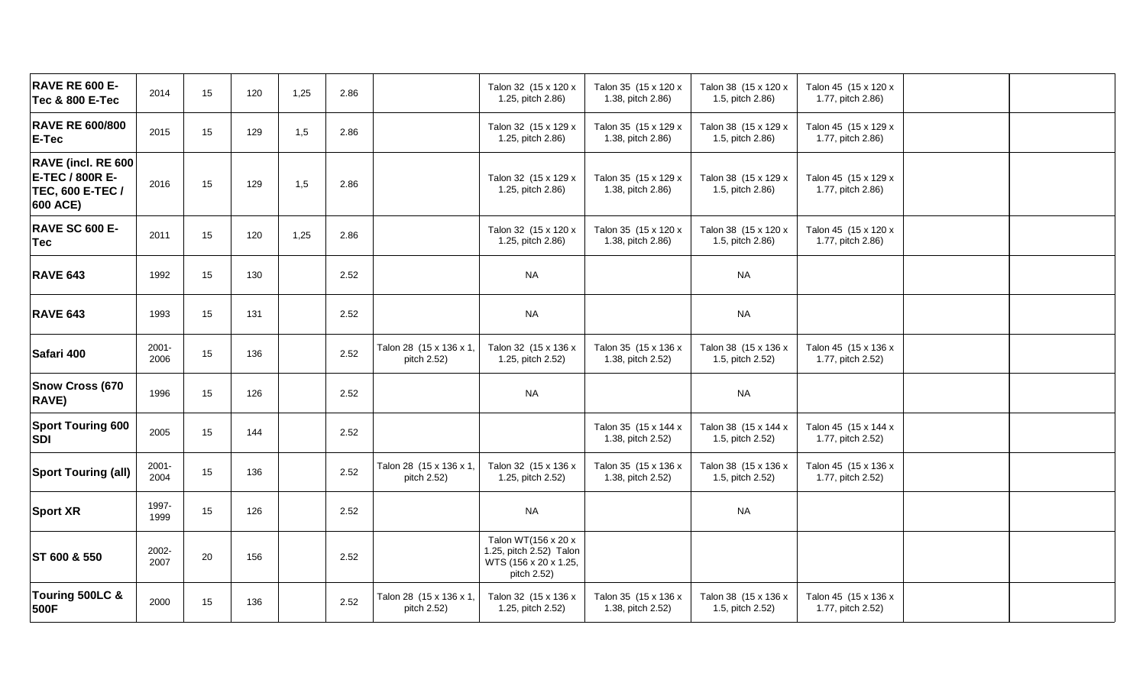| <b>RAVE RE 600 E-</b><br><b>Tec &amp; 800 E-Tec</b>                          | 2014             | 15 | 120 | 1,25 | 2.86 |                                        | Talon 32 (15 x 120 x<br>1.25, pitch 2.86)                                              | Talon 35 (15 x 120 x<br>1.38, pitch 2.86) | Talon 38 (15 x 120 x<br>1.5, pitch 2.86) | Talon 45 (15 x 120 x<br>1.77, pitch 2.86) |  |
|------------------------------------------------------------------------------|------------------|----|-----|------|------|----------------------------------------|----------------------------------------------------------------------------------------|-------------------------------------------|------------------------------------------|-------------------------------------------|--|
| <b>RAVE RE 600/800</b><br>E-Tec                                              | 2015             | 15 | 129 | 1,5  | 2.86 |                                        | Talon 32 (15 x 129 x<br>1.25, pitch 2.86)                                              | Talon 35 (15 x 129 x<br>1.38, pitch 2.86) | Talon 38 (15 x 129 x<br>1.5, pitch 2.86) | Talon 45 (15 x 129 x<br>1.77, pitch 2.86) |  |
| RAVE (incl. RE 600<br><b>E-TEC / 800R E-</b><br>TEC, 600 E-TEC /<br>600 ACE) | 2016             | 15 | 129 | 1,5  | 2.86 |                                        | Talon 32 (15 x 129 x<br>1.25, pitch 2.86)                                              | Talon 35 (15 x 129 x<br>1.38, pitch 2.86) | Talon 38 (15 x 129 x<br>1.5, pitch 2.86) | Talon 45 (15 x 129 x<br>1.77, pitch 2.86) |  |
| <b>RAVE SC 600 E-</b><br><b>Tec</b>                                          | 2011             | 15 | 120 | 1,25 | 2.86 |                                        | Talon 32 (15 x 120 x<br>1.25, pitch 2.86)                                              | Talon 35 (15 x 120 x<br>1.38, pitch 2.86) | Talon 38 (15 x 120 x<br>1.5, pitch 2.86) | Talon 45 (15 x 120 x<br>1.77, pitch 2.86) |  |
| <b>RAVE 643</b>                                                              | 1992             | 15 | 130 |      | 2.52 |                                        | <b>NA</b>                                                                              |                                           | <b>NA</b>                                |                                           |  |
| <b>RAVE 643</b>                                                              | 1993             | 15 | 131 |      | 2.52 |                                        | <b>NA</b>                                                                              |                                           | <b>NA</b>                                |                                           |  |
| Safari 400                                                                   | $2001 -$<br>2006 | 15 | 136 |      | 2.52 | Talon 28 (15 x 136 x 1,<br>pitch 2.52) | Talon 32 (15 x 136 x<br>1.25, pitch 2.52)                                              | Talon 35 (15 x 136 x<br>1.38, pitch 2.52) | Talon 38 (15 x 136 x<br>1.5, pitch 2.52) | Talon 45 (15 x 136 x<br>1.77, pitch 2.52) |  |
| Snow Cross (670<br>RAVE)                                                     | 1996             | 15 | 126 |      | 2.52 |                                        | <b>NA</b>                                                                              |                                           | <b>NA</b>                                |                                           |  |
| <b>Sport Touring 600</b><br><b>SDI</b>                                       | 2005             | 15 | 144 |      | 2.52 |                                        |                                                                                        | Talon 35 (15 x 144 x<br>1.38, pitch 2.52) | Talon 38 (15 x 144 x<br>1.5, pitch 2.52) | Talon 45 (15 x 144 x<br>1.77, pitch 2.52) |  |
| <b>Sport Touring (all)</b>                                                   | $2001 -$<br>2004 | 15 | 136 |      | 2.52 | Talon 28 (15 x 136 x 1,<br>pitch 2.52) | Talon 32 (15 x 136 x<br>1.25, pitch 2.52)                                              | Talon 35 (15 x 136 x<br>1.38, pitch 2.52) | Talon 38 (15 x 136 x<br>1.5, pitch 2.52) | Talon 45 (15 x 136 x<br>1.77, pitch 2.52) |  |
| <b>Sport XR</b>                                                              | 1997-<br>1999    | 15 | 126 |      | 2.52 |                                        | <b>NA</b>                                                                              |                                           | <b>NA</b>                                |                                           |  |
| ST 600 & 550                                                                 | 2002-<br>2007    | 20 | 156 |      | 2.52 |                                        | Talon WT(156 x 20 x<br>1.25, pitch 2.52) Talon<br>WTS (156 x 20 x 1.25,<br>pitch 2.52) |                                           |                                          |                                           |  |
| Touring 500LC &<br>500F                                                      | 2000             | 15 | 136 |      | 2.52 | Talon 28 (15 x 136 x 1,<br>pitch 2.52) | Talon 32 (15 x 136 x<br>1.25, pitch 2.52)                                              | Talon 35 (15 x 136 x<br>1.38, pitch 2.52) | Talon 38 (15 x 136 x<br>1.5, pitch 2.52) | Talon 45 (15 x 136 x<br>1.77, pitch 2.52) |  |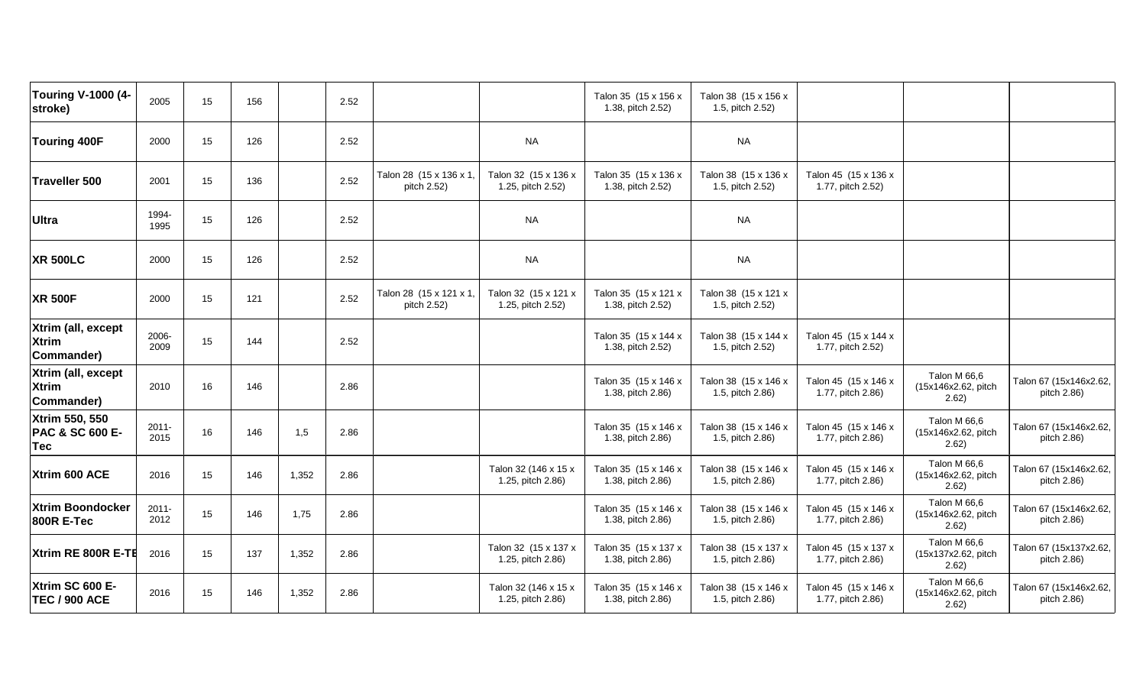| <b>Touring V-1000 (4-</b><br>stroke)             | 2005             | 15 | 156 |       | 2.52 |                                        |                                           | Talon 35 (15 x 156 x<br>1.38, pitch 2.52) | Talon 38 (15 x 156 x<br>1.5, pitch 2.52) |                                           |                                              |                                       |
|--------------------------------------------------|------------------|----|-----|-------|------|----------------------------------------|-------------------------------------------|-------------------------------------------|------------------------------------------|-------------------------------------------|----------------------------------------------|---------------------------------------|
| <b>Touring 400F</b>                              | 2000             | 15 | 126 |       | 2.52 |                                        | <b>NA</b>                                 |                                           | <b>NA</b>                                |                                           |                                              |                                       |
| <b>Traveller 500</b>                             | 2001             | 15 | 136 |       | 2.52 | Talon 28 (15 x 136 x 1,<br>pitch 2.52) | Talon 32 (15 x 136 x<br>1.25, pitch 2.52) | Talon 35 (15 x 136 x<br>1.38, pitch 2.52) | Talon 38 (15 x 136 x<br>1.5, pitch 2.52) | Talon 45 (15 x 136 x<br>1.77, pitch 2.52) |                                              |                                       |
| <b>Ultra</b>                                     | 1994-<br>1995    | 15 | 126 |       | 2.52 |                                        | <b>NA</b>                                 |                                           | <b>NA</b>                                |                                           |                                              |                                       |
| <b>XR 500LC</b>                                  | 2000             | 15 | 126 |       | 2.52 |                                        | <b>NA</b>                                 |                                           | <b>NA</b>                                |                                           |                                              |                                       |
| <b>XR 500F</b>                                   | 2000             | 15 | 121 |       | 2.52 | Talon 28 (15 x 121 x 1,<br>pitch 2.52) | Talon 32 (15 x 121 x<br>1.25, pitch 2.52) | Talon 35 (15 x 121 x<br>1.38, pitch 2.52) | Talon 38 (15 x 121 x<br>1.5, pitch 2.52) |                                           |                                              |                                       |
| Xtrim (all, except<br><b>Xtrim</b><br>Commander) | 2006-<br>2009    | 15 | 144 |       | 2.52 |                                        |                                           | Talon 35 (15 x 144 x<br>1.38, pitch 2.52) | Talon 38 (15 x 144 x<br>1.5, pitch 2.52) | Talon 45 (15 x 144 x<br>1.77, pitch 2.52) |                                              |                                       |
| Xtrim (all, except<br><b>Xtrim</b><br>Commander) | 2010             | 16 | 146 |       | 2.86 |                                        |                                           | Talon 35 (15 x 146 x<br>1.38, pitch 2.86) | Talon 38 (15 x 146 x<br>1.5, pitch 2.86) | Talon 45 (15 x 146 x<br>1.77, pitch 2.86) | Talon M 66,6<br>(15x146x2.62, pitch<br>2.62) | Talon 67 (15x146x2.62,<br>pitch 2.86) |
| Xtrim 550, 550<br>PAC & SC 600 E-<br><b>Tec</b>  | $2011 -$<br>2015 | 16 | 146 | 1,5   | 2.86 |                                        |                                           | Talon 35 (15 x 146 x<br>1.38, pitch 2.86) | Talon 38 (15 x 146 x<br>1.5, pitch 2.86) | Talon 45 (15 x 146 x<br>1.77, pitch 2.86) | Talon M 66,6<br>(15x146x2.62, pitch<br>2.62) | Talon 67 (15x146x2.62,<br>pitch 2.86) |
| Xtrim 600 ACE                                    | 2016             | 15 | 146 | 1,352 | 2.86 |                                        | Talon 32 (146 x 15 x<br>1.25, pitch 2.86) | Talon 35 (15 x 146 x<br>1.38, pitch 2.86) | Talon 38 (15 x 146 x<br>1.5, pitch 2.86) | Talon 45 (15 x 146 x<br>1.77, pitch 2.86) | Talon M 66,6<br>(15x146x2.62, pitch<br>2.62) | Talon 67 (15x146x2.62,<br>pitch 2.86) |
| <b>Xtrim Boondocker</b><br><b>800R E-Tec</b>     | $2011 -$<br>2012 | 15 | 146 | 1,75  | 2.86 |                                        |                                           | Talon 35 (15 x 146 x<br>1.38, pitch 2.86) | Talon 38 (15 x 146 x<br>1.5, pitch 2.86) | Talon 45 (15 x 146 x<br>1.77, pitch 2.86) | Talon M 66,6<br>(15x146x2.62, pitch<br>2.62) | Talon 67 (15x146x2.62,<br>pitch 2.86) |
| Xtrim RE 800R E-TE                               | 2016             | 15 | 137 | 1,352 | 2.86 |                                        | Talon 32 (15 x 137 x<br>1.25, pitch 2.86) | Talon 35 (15 x 137 x<br>1.38, pitch 2.86) | Talon 38 (15 x 137 x<br>1.5, pitch 2.86) | Talon 45 (15 x 137 x<br>1.77, pitch 2.86) | Talon M 66,6<br>(15x137x2.62, pitch<br>2.62) | Talon 67 (15x137x2.62,<br>pitch 2.86) |
| Xtrim SC 600 E-<br><b>TEC / 900 ACE</b>          | 2016             | 15 | 146 | 1,352 | 2.86 |                                        | Talon 32 (146 x 15 x<br>1.25, pitch 2.86) | Talon 35 (15 x 146 x<br>1.38, pitch 2.86) | Talon 38 (15 x 146 x<br>1.5, pitch 2.86) | Talon 45 (15 x 146 x<br>1.77, pitch 2.86) | Talon M 66,6<br>(15x146x2.62, pitch<br>2.62) | Talon 67 (15x146x2.62,<br>pitch 2.86) |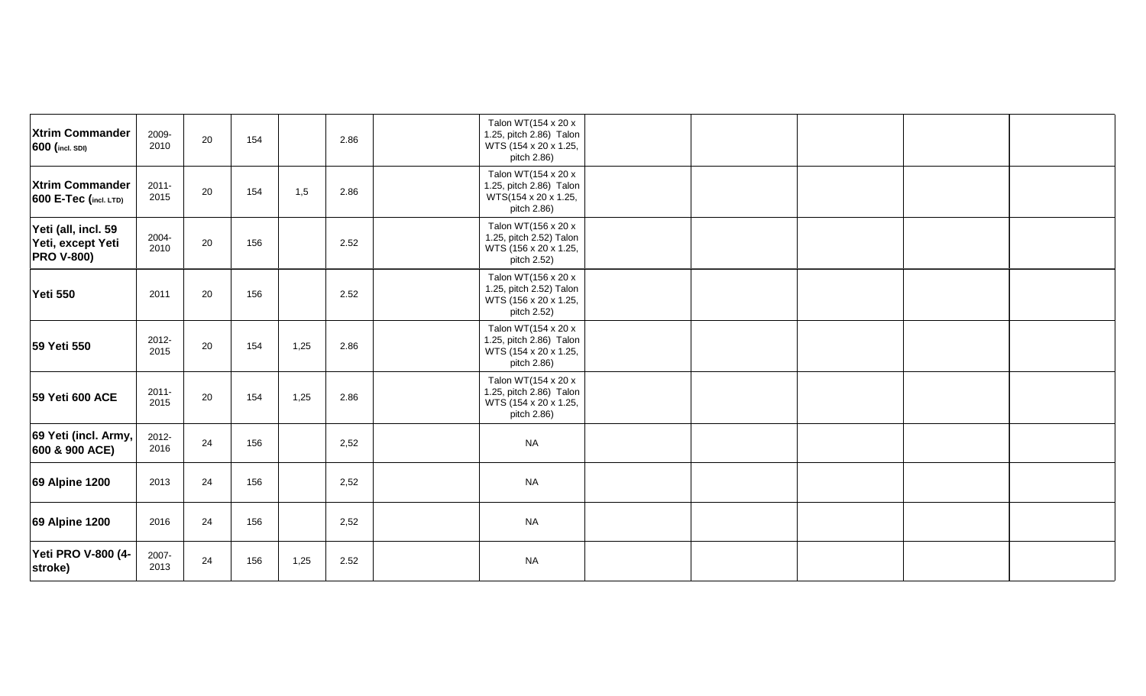| <b>Xtrim Commander</b><br>600 (incl. SDI)                     | 2009-<br>2010    | 20 | 154 |      | 2.86 | Talon WT(154 x 20 x<br>1.25, pitch 2.86) Talon<br>WTS (154 x 20 x 1.25,<br>pitch 2.86) |  |  |
|---------------------------------------------------------------|------------------|----|-----|------|------|----------------------------------------------------------------------------------------|--|--|
| <b>Xtrim Commander</b><br><b>600 E-Tec (incl. LTD)</b>        | $2011 -$<br>2015 | 20 | 154 | 1,5  | 2.86 | Talon WT(154 x 20 x<br>1.25, pitch 2.86) Talon<br>WTS(154 x 20 x 1.25,<br>pitch 2.86)  |  |  |
| Yeti (all, incl. 59<br>Yeti, except Yeti<br><b>PRO V-800)</b> | 2004-<br>2010    | 20 | 156 |      | 2.52 | Talon WT(156 x 20 x<br>1.25, pitch 2.52) Talon<br>WTS (156 x 20 x 1.25,<br>pitch 2.52) |  |  |
| <b>Yeti 550</b>                                               | 2011             | 20 | 156 |      | 2.52 | Talon WT(156 x 20 x<br>1.25, pitch 2.52) Talon<br>WTS (156 x 20 x 1.25,<br>pitch 2.52) |  |  |
| 59 Yeti 550                                                   | 2012-<br>2015    | 20 | 154 | 1,25 | 2.86 | Talon WT(154 x 20 x<br>1.25, pitch 2.86) Talon<br>WTS (154 x 20 x 1.25,<br>pitch 2.86) |  |  |
| 59 Yeti 600 ACE                                               | $2011 -$<br>2015 | 20 | 154 | 1,25 | 2.86 | Talon WT(154 x 20 x<br>1.25, pitch 2.86) Talon<br>WTS (154 x 20 x 1.25,<br>pitch 2.86) |  |  |
| 69 Yeti (incl. Army,<br>600 & 900 ACE)                        | 2012-<br>2016    | 24 | 156 |      | 2,52 | <b>NA</b>                                                                              |  |  |
| 69 Alpine 1200                                                | 2013             | 24 | 156 |      | 2,52 | <b>NA</b>                                                                              |  |  |
| 69 Alpine 1200                                                | 2016             | 24 | 156 |      | 2,52 | <b>NA</b>                                                                              |  |  |
| Yeti PRO V-800 (4-<br>stroke)                                 | 2007-<br>2013    | 24 | 156 | 1,25 | 2.52 | <b>NA</b>                                                                              |  |  |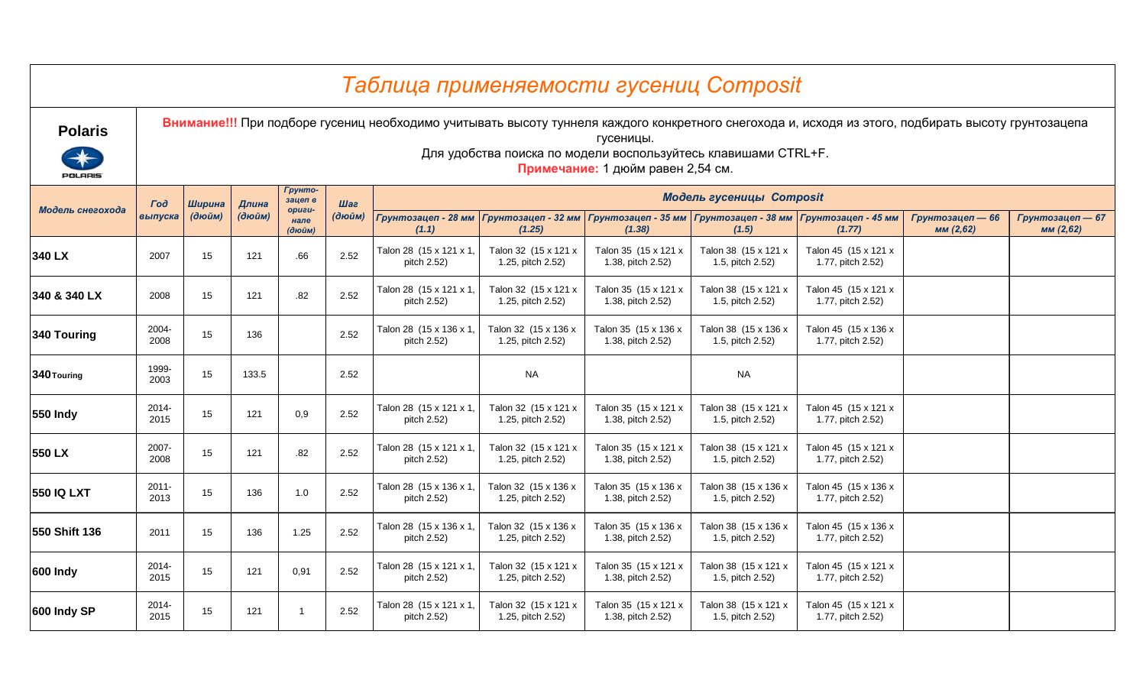|                                  |                  |        |        |                          |        | Таблица применяемости гусениц Composit                                                                                                              |                                           |                                                                                                                  |                                                                          |                                           |                               |                               |
|----------------------------------|------------------|--------|--------|--------------------------|--------|-----------------------------------------------------------------------------------------------------------------------------------------------------|-------------------------------------------|------------------------------------------------------------------------------------------------------------------|--------------------------------------------------------------------------|-------------------------------------------|-------------------------------|-------------------------------|
| <b>Polaris</b><br><b>POLARIS</b> |                  |        |        |                          |        | Внимание!!! При подборе гусениц необходимо учитывать высоту туннеля каждого конкретного снегохода и, исходя из этого, подбирать высоту грунтозацепа |                                           | гусеницы.<br>Для удобства поиска по модели воспользуйтесь клавишами CTRL+F.<br>Примечание: 1 дюйм равен 2,54 см. |                                                                          |                                           |                               |                               |
|                                  | <b>Tod</b>       | Ширина | Длина  | Грунто-<br>зацеп в       | Шаг    |                                                                                                                                                     |                                           |                                                                                                                  | Модель гусеницы Composit                                                 |                                           |                               |                               |
| Модель снегохода                 | выпуска          | (дюйм) | (дюйм) | -nsupo<br>нале<br>(дюйм) | (дюйм) | Грунтозацеп - 28 мм<br>(1.1)                                                                                                                        | Грунтозацеп - 32 мм<br>(1.25)             | (1.38)                                                                                                           | Грунтозацеп - 35 мм   Грунтозацеп - 38 мм   Грунтозацеп - 45 мм<br>(1.5) | (1.77)                                    | Грунтозацеп — 66<br>мм (2,62) | Грунтозацеп — 67<br>мм (2,62) |
| 340 LX                           | 2007             | 15     | 121    | .66                      | 2.52   | Talon 28 (15 x 121 x 1,<br>pitch 2.52)                                                                                                              | Talon 32 (15 x 121 x<br>1.25, pitch 2.52) | Talon 35 (15 x 121 x<br>1.38, pitch 2.52)                                                                        | Talon 38 (15 x 121 x<br>1.5, pitch 2.52)                                 | Talon 45 (15 x 121 x<br>1.77, pitch 2.52) |                               |                               |
| 340 & 340 LX                     | 2008             | 15     | 121    | .82                      | 2.52   | Talon 28 (15 x 121 x 1,<br>pitch 2.52)                                                                                                              | Talon 32 (15 x 121 x<br>1.25, pitch 2.52) | Talon 35 (15 x 121 x<br>1.38, pitch 2.52)                                                                        | Talon 38 (15 x 121 x<br>1.5, pitch 2.52)                                 | Talon 45 (15 x 121 x<br>1.77, pitch 2.52) |                               |                               |
| 340 Touring                      | 2004-<br>2008    | 15     | 136    |                          | 2.52   | Talon 28 (15 x 136 x 1,<br>pitch 2.52)                                                                                                              | Talon 32 (15 x 136 x<br>1.25, pitch 2.52) | Talon 35 (15 x 136 x<br>1.38, pitch 2.52)                                                                        | Talon 38 (15 x 136 x<br>1.5, pitch 2.52)                                 | Talon 45 (15 x 136 x<br>1.77, pitch 2.52) |                               |                               |
| 340 Touring                      | 1999-<br>2003    | 15     | 133.5  |                          | 2.52   |                                                                                                                                                     | <b>NA</b>                                 |                                                                                                                  | <b>NA</b>                                                                |                                           |                               |                               |
| <b>550 Indy</b>                  | 2014-<br>2015    | 15     | 121    | 0,9                      | 2.52   | Talon 28 (15 x 121 x 1<br>pitch 2.52)                                                                                                               | Talon 32 (15 x 121 x<br>1.25, pitch 2.52) | Talon 35 (15 x 121 x<br>1.38, pitch 2.52)                                                                        | Talon 38 (15 x 121 x<br>1.5, pitch 2.52)                                 | Talon 45 (15 x 121 x<br>1.77, pitch 2.52) |                               |                               |
| 550 LX                           | 2007-<br>2008    | 15     | 121    | .82                      | 2.52   | Talon 28 (15 x 121 x 1,<br>pitch 2.52)                                                                                                              | Talon 32 (15 x 121 x<br>1.25, pitch 2.52) | Talon 35 (15 x 121 x<br>1.38, pitch 2.52)                                                                        | Talon 38 (15 x 121 x<br>1.5, pitch 2.52)                                 | Talon 45 (15 x 121 x<br>1.77, pitch 2.52) |                               |                               |
| <b>550 IQ LXT</b>                | $2011 -$<br>2013 | 15     | 136    | 1.0                      | 2.52   | Talon 28 (15 x 136 x 1,<br>pitch 2.52)                                                                                                              | Talon 32 (15 x 136 x<br>1.25, pitch 2.52) | Talon 35 (15 x 136 x<br>1.38, pitch 2.52)                                                                        | Talon 38 (15 x 136 x<br>1.5, pitch 2.52)                                 | Talon 45 (15 x 136 x<br>1.77, pitch 2.52) |                               |                               |
| 550 Shift 136                    | 2011             | 15     | 136    | 1.25                     | 2.52   | Talon 28 (15 x 136 x 1<br>pitch 2.52)                                                                                                               | Talon 32 (15 x 136 x<br>1.25, pitch 2.52) | Talon 35 (15 x 136 x<br>1.38, pitch 2.52)                                                                        | Talon 38 (15 x 136 x<br>1.5, pitch 2.52)                                 | Talon 45 (15 x 136 x<br>1.77, pitch 2.52) |                               |                               |
| 600 Indy                         | 2014-<br>2015    | 15     | 121    | 0,91                     | 2.52   | Talon 28 (15 x 121 x 1,<br>pitch 2.52)                                                                                                              | Talon 32 (15 x 121 x<br>1.25, pitch 2.52) | Talon 35 (15 x 121 x<br>1.38, pitch 2.52)                                                                        | Talon 38 (15 x 121 x<br>1.5, pitch 2.52)                                 | Talon 45 (15 x 121 x<br>1.77, pitch 2.52) |                               |                               |
| 600 Indy SP                      | 2014-<br>2015    | 15     | 121    | -1                       | 2.52   | Talon 28 (15 x 121 x 1<br>pitch 2.52)                                                                                                               | Talon 32 (15 x 121 x<br>1.25, pitch 2.52) | Talon 35 (15 x 121 x<br>1.38, pitch 2.52)                                                                        | Talon 38 (15 x 121 x<br>1.5, pitch 2.52)                                 | Talon 45 (15 x 121 x<br>1.77, pitch 2.52) |                               |                               |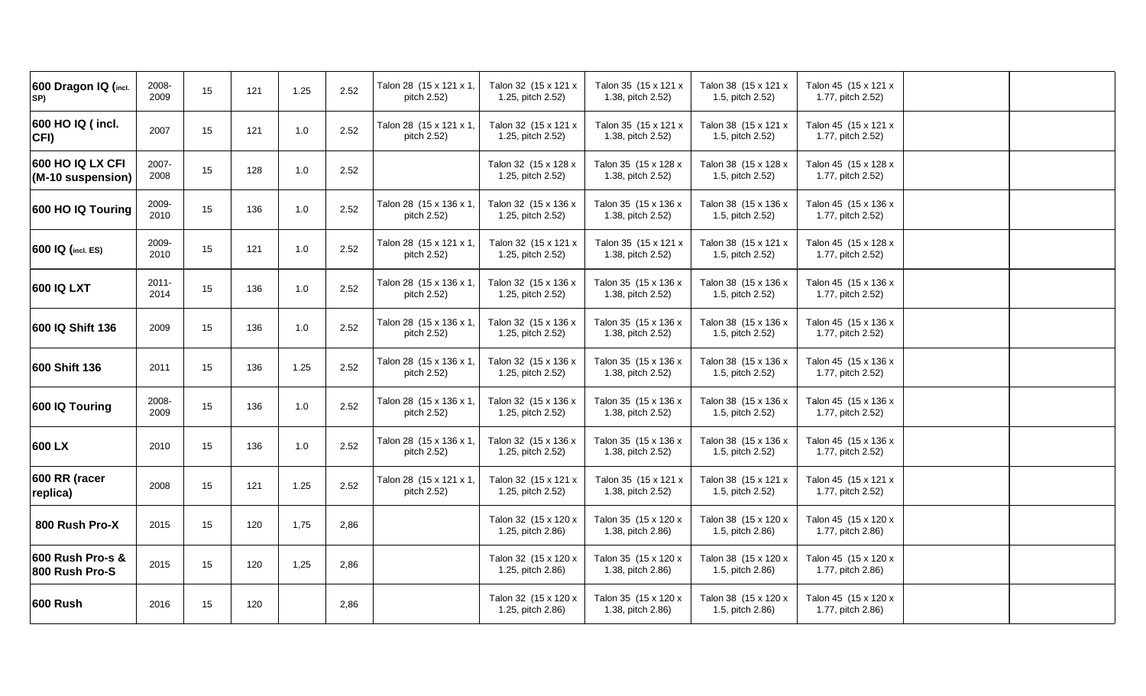| 2008-<br>2009    | 15 | 121 | 1.25 | 2.52 | Talon 28 (15 x 121 x 1,<br>pitch 2.52) | Talon 32 (15 x 121 x<br>1.25, pitch 2.52) | Talon 35 (15 x 121 x<br>1.38, pitch 2.52) | Talon 38 (15 x 121 x<br>1.5, pitch 2.52) | Talon 45 (15 x 121 x<br>1.77, pitch 2.52) |  |
|------------------|----|-----|------|------|----------------------------------------|-------------------------------------------|-------------------------------------------|------------------------------------------|-------------------------------------------|--|
| 2007             | 15 | 121 | 1.0  | 2.52 | Talon 28 (15 x 121 x 1,<br>pitch 2.52) | Talon 32 (15 x 121 x<br>1.25, pitch 2.52) | Talon 35 (15 x 121 x<br>1.38, pitch 2.52) | Talon 38 (15 x 121 x<br>1.5, pitch 2.52) | Talon 45 (15 x 121 x<br>1.77, pitch 2.52) |  |
| 2007-<br>2008    | 15 | 128 | 1.0  | 2.52 |                                        | Talon 32 (15 x 128 x<br>1.25, pitch 2.52) | Talon 35 (15 x 128 x<br>1.38, pitch 2.52) | Talon 38 (15 x 128 x<br>1.5, pitch 2.52) | Talon 45 (15 x 128 x<br>1.77, pitch 2.52) |  |
| 2009-<br>2010    | 15 | 136 | 1.0  | 2.52 | Talon 28 (15 x 136 x 1,<br>pitch 2.52) | Talon 32 (15 x 136 x<br>1.25, pitch 2.52) | Talon 35 (15 x 136 x<br>1.38, pitch 2.52) | Talon 38 (15 x 136 x<br>1.5, pitch 2.52) | Talon 45 (15 x 136 x<br>1.77, pitch 2.52) |  |
| 2009-<br>2010    | 15 | 121 | 1.0  | 2.52 | Talon 28 (15 x 121 x 1)<br>pitch 2.52) | Talon 32 (15 x 121 x<br>1.25, pitch 2.52) | Talon 35 (15 x 121 x<br>1.38, pitch 2.52) | Talon 38 (15 x 121 x<br>1.5, pitch 2.52) | Talon 45 (15 x 128 x<br>1.77, pitch 2.52) |  |
| $2011 -$<br>2014 | 15 | 136 | 1.0  | 2.52 | Talon 28 (15 x 136 x 1,<br>pitch 2.52) | Talon 32 (15 x 136 x<br>1.25, pitch 2.52) | Talon 35 (15 x 136 x<br>1.38, pitch 2.52) | Talon 38 (15 x 136 x<br>1.5, pitch 2.52) | Talon 45 (15 x 136 x<br>1.77, pitch 2.52) |  |
| 2009             | 15 | 136 | 1.0  | 2.52 | Talon 28 (15 x 136 x 1,<br>pitch 2.52) | Talon 32 (15 x 136 x<br>1.25, pitch 2.52) | Talon 35 (15 x 136 x<br>1.38, pitch 2.52) | Talon 38 (15 x 136 x<br>1.5, pitch 2.52) | Talon 45 (15 x 136 x<br>1.77, pitch 2.52) |  |
| 2011             | 15 | 136 | 1.25 | 2.52 | Talon 28 (15 x 136 x 1,<br>pitch 2.52) | Talon 32 (15 x 136 x<br>1.25, pitch 2.52) | Talon 35 (15 x 136 x<br>1.38, pitch 2.52) | Talon 38 (15 x 136 x<br>1.5, pitch 2.52) | Talon 45 (15 x 136 x<br>1.77, pitch 2.52) |  |
| 2008-<br>2009    | 15 | 136 | 1.0  | 2.52 | Talon 28 (15 x 136 x 1,<br>pitch 2.52) | Talon 32 (15 x 136 x<br>1.25, pitch 2.52) | Talon 35 (15 x 136 x<br>1.38, pitch 2.52) | Talon 38 (15 x 136 x<br>1.5, pitch 2.52) | Talon 45 (15 x 136 x<br>1.77, pitch 2.52) |  |
| 2010             | 15 | 136 | 1.0  | 2.52 | Talon 28 (15 x 136 x 1,<br>pitch 2.52) | Talon 32 (15 x 136 x<br>1.25, pitch 2.52) | Talon 35 (15 x 136 x<br>1.38, pitch 2.52) | Talon 38 (15 x 136 x<br>1.5, pitch 2.52) | Talon 45 (15 x 136 x<br>1.77, pitch 2.52) |  |
| 2008             | 15 | 121 | 1.25 | 2.52 | Talon 28 (15 x 121 x 1)<br>pitch 2.52) | Talon 32 (15 x 121 x<br>1.25, pitch 2.52) | Talon 35 (15 x 121 x<br>1.38, pitch 2.52) | Talon 38 (15 x 121 x<br>1.5, pitch 2.52) | Talon 45 (15 x 121 x<br>1.77, pitch 2.52) |  |
| 2015             | 15 | 120 | 1,75 | 2,86 |                                        | Talon 32 (15 x 120 x<br>1.25, pitch 2.86) | Talon 35 (15 x 120 x<br>1.38, pitch 2.86) | Talon 38 (15 x 120 x<br>1.5, pitch 2.86) | Talon 45 (15 x 120 x<br>1.77, pitch 2.86) |  |
| 2015             | 15 | 120 | 1,25 | 2,86 |                                        | Talon 32 (15 x 120 x<br>1.25, pitch 2.86) | Talon 35 (15 x 120 x<br>1.38, pitch 2.86) | Talon 38 (15 x 120 x<br>1.5, pitch 2.86) | Talon 45 (15 x 120 x<br>1.77, pitch 2.86) |  |
| 2016             | 15 | 120 |      | 2,86 |                                        | Talon 32 (15 x 120 x<br>1.25, pitch 2.86) | Talon 35 (15 x 120 x<br>1.38, pitch 2.86) | Talon 38 (15 x 120 x<br>1.5, pitch 2.86) | Talon 45 (15 x 120 x<br>1.77, pitch 2.86) |  |
|                  |    |     |      |      |                                        |                                           |                                           |                                          |                                           |  |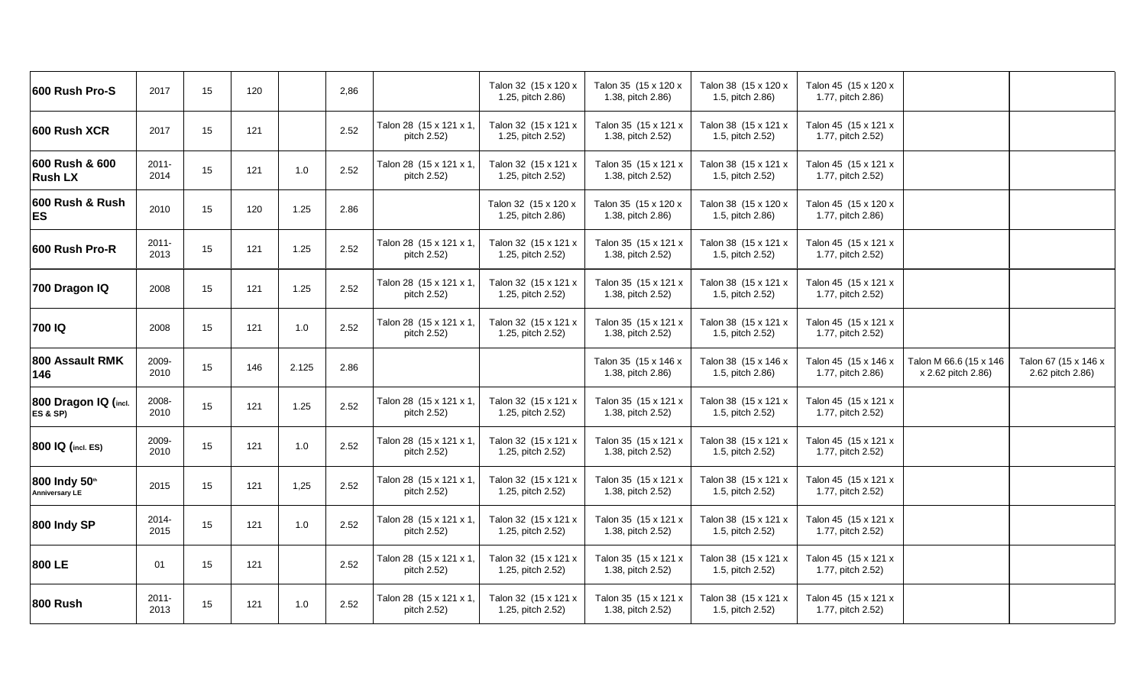| 600 Rush Pro-S                         | 2017             | 15 | 120 |       | 2,86 |                                        | Talon 32 (15 x 120 x<br>1.25, pitch 2.86) | Talon 35 (15 x 120 x<br>1.38, pitch 2.86) | Talon 38 (15 x 120 x<br>1.5, pitch 2.86) | Talon 45 (15 x 120 x<br>1.77, pitch 2.86) |                                              |                                          |
|----------------------------------------|------------------|----|-----|-------|------|----------------------------------------|-------------------------------------------|-------------------------------------------|------------------------------------------|-------------------------------------------|----------------------------------------------|------------------------------------------|
| 600 Rush XCR                           | 2017             | 15 | 121 |       | 2.52 | Talon 28 (15 x 121 x 1,<br>pitch 2.52) | Talon 32 (15 x 121 x<br>1.25, pitch 2.52) | Talon 35 (15 x 121 x<br>1.38, pitch 2.52) | Talon 38 (15 x 121 x<br>1.5, pitch 2.52) | Talon 45 (15 x 121 x<br>1.77, pitch 2.52) |                                              |                                          |
| 600 Rush & 600<br><b>Rush LX</b>       | $2011 -$<br>2014 | 15 | 121 | 1.0   | 2.52 | Talon 28 (15 x 121 x 1,<br>pitch 2.52) | Talon 32 (15 x 121 x<br>1.25, pitch 2.52) | Talon 35 (15 x 121 x<br>1.38, pitch 2.52) | Talon 38 (15 x 121 x<br>1.5, pitch 2.52) | Talon 45 (15 x 121 x<br>1.77, pitch 2.52) |                                              |                                          |
| 600 Rush & Rush<br><b>ES</b>           | 2010             | 15 | 120 | 1.25  | 2.86 |                                        | Talon 32 (15 x 120 x<br>1.25, pitch 2.86) | Talon 35 (15 x 120 x<br>1.38, pitch 2.86) | Talon 38 (15 x 120 x<br>1.5, pitch 2.86) | Talon 45 (15 x 120 x<br>1.77, pitch 2.86) |                                              |                                          |
| 600 Rush Pro-R                         | $2011 -$<br>2013 | 15 | 121 | 1.25  | 2.52 | Talon 28 (15 x 121 x 1,<br>pitch 2.52) | Talon 32 (15 x 121 x<br>1.25, pitch 2.52) | Talon 35 (15 x 121 x<br>1.38, pitch 2.52) | Talon 38 (15 x 121 x<br>1.5, pitch 2.52) | Talon 45 (15 x 121 x<br>1.77, pitch 2.52) |                                              |                                          |
| 700 Dragon IQ                          | 2008             | 15 | 121 | 1.25  | 2.52 | Talon 28 (15 x 121 x 1,<br>pitch 2.52) | Talon 32 (15 x 121 x<br>1.25, pitch 2.52) | Talon 35 (15 x 121 x<br>1.38, pitch 2.52) | Talon 38 (15 x 121 x<br>1.5, pitch 2.52) | Talon 45 (15 x 121 x<br>1.77, pitch 2.52) |                                              |                                          |
| 700 IQ                                 | 2008             | 15 | 121 | 1.0   | 2.52 | Talon 28 (15 x 121 x 1,<br>pitch 2.52) | Talon 32 (15 x 121 x<br>1.25, pitch 2.52) | Talon 35 (15 x 121 x<br>1.38, pitch 2.52) | Talon 38 (15 x 121 x<br>1.5, pitch 2.52) | Talon 45 (15 x 121 x<br>1.77, pitch 2.52) |                                              |                                          |
| 800 Assault RMK<br>146                 | 2009-<br>2010    | 15 | 146 | 2.125 | 2.86 |                                        |                                           | Talon 35 (15 x 146 x<br>1.38, pitch 2.86) | Talon 38 (15 x 146 x<br>1.5, pitch 2.86) | Talon 45 (15 x 146 x<br>1.77, pitch 2.86) | Talon M 66.6 (15 x 146<br>x 2.62 pitch 2.86) | Talon 67 (15 x 146 x<br>2.62 pitch 2.86) |
| 800 Dragon IQ (incl.<br>ES & SP)       | 2008-<br>2010    | 15 | 121 | 1.25  | 2.52 | Talon 28 (15 x 121 x 1,<br>pitch 2.52) | Talon 32 (15 x 121 x<br>1.25, pitch 2.52) | Talon 35 (15 x 121 x<br>1.38, pitch 2.52) | Talon 38 (15 x 121 x<br>1.5, pitch 2.52) | Talon 45 (15 x 121 x<br>1.77, pitch 2.52) |                                              |                                          |
| 800 IQ (incl. ES)                      | 2009-<br>2010    | 15 | 121 | 1.0   | 2.52 | Talon 28 (15 x 121 x 1,<br>pitch 2.52) | Talon 32 (15 x 121 x<br>1.25, pitch 2.52) | Talon 35 (15 x 121 x<br>1.38, pitch 2.52) | Talon 38 (15 x 121 x<br>1.5, pitch 2.52) | Talon 45 (15 x 121 x<br>1.77, pitch 2.52) |                                              |                                          |
| 800 Indy 50th<br><b>Anniversary LE</b> | 2015             | 15 | 121 | 1,25  | 2.52 | Talon 28 (15 x 121 x 1,<br>pitch 2.52) | Talon 32 (15 x 121 x<br>1.25, pitch 2.52) | Talon 35 (15 x 121 x<br>1.38, pitch 2.52) | Talon 38 (15 x 121 x<br>1.5, pitch 2.52) | Talon 45 (15 x 121 x<br>1.77, pitch 2.52) |                                              |                                          |
| 800 Indy SP                            | 2014-<br>2015    | 15 | 121 | 1.0   | 2.52 | Talon 28 (15 x 121 x 1,<br>pitch 2.52) | Talon 32 (15 x 121 x<br>1.25, pitch 2.52) | Talon 35 (15 x 121 x<br>1.38, pitch 2.52) | Talon 38 (15 x 121 x<br>1.5, pitch 2.52) | Talon 45 (15 x 121 x<br>1.77, pitch 2.52) |                                              |                                          |
| 800 LE                                 | 01               | 15 | 121 |       | 2.52 | Talon 28 (15 x 121 x 1,<br>pitch 2.52) | Talon 32 (15 x 121 x<br>1.25, pitch 2.52) | Talon 35 (15 x 121 x<br>1.38, pitch 2.52) | Talon 38 (15 x 121 x<br>1.5, pitch 2.52) | Talon 45 (15 x 121 x<br>1.77, pitch 2.52) |                                              |                                          |
| <b>800 Rush</b>                        | $2011 -$<br>2013 | 15 | 121 | 1.0   | 2.52 | Talon 28 (15 x 121 x 1,<br>pitch 2.52) | Talon 32 (15 x 121 x<br>1.25, pitch 2.52) | Talon 35 (15 x 121 x<br>1.38, pitch 2.52) | Talon 38 (15 x 121 x<br>1.5, pitch 2.52) | Talon 45 (15 x 121 x<br>1.77, pitch 2.52) |                                              |                                          |
|                                        |                  |    |     |       |      |                                        |                                           |                                           |                                          |                                           |                                              |                                          |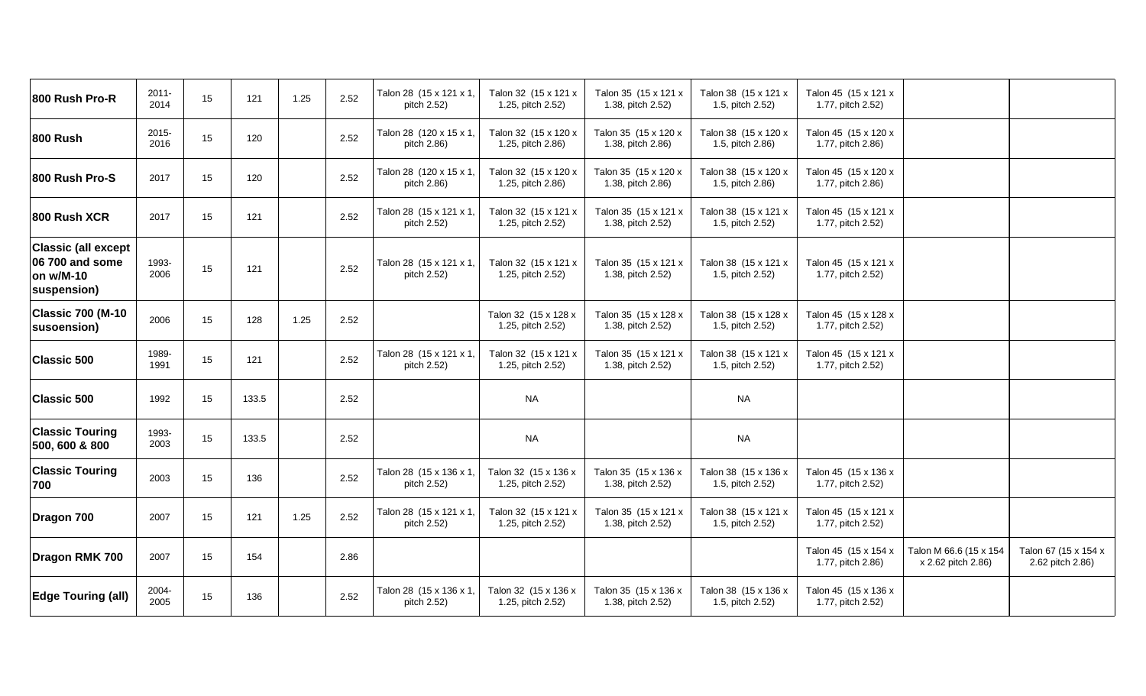| 800 Rush Pro-R                                                            | $2011 -$<br>2014 | 15 | 121   | 1.25 | 2.52 | Talon 28 (15 x 121 x 1,<br>pitch 2.52) | Talon 32 (15 x 121 x<br>1.25, pitch 2.52) | Talon 35 (15 x 121 x<br>1.38, pitch 2.52) | Talon 38 (15 x 121 x<br>1.5, pitch 2.52) | Talon 45 (15 x 121 x<br>1.77, pitch 2.52) |                                              |                                          |
|---------------------------------------------------------------------------|------------------|----|-------|------|------|----------------------------------------|-------------------------------------------|-------------------------------------------|------------------------------------------|-------------------------------------------|----------------------------------------------|------------------------------------------|
| <b>800 Rush</b>                                                           | 2015-<br>2016    | 15 | 120   |      | 2.52 | Talon 28 (120 x 15 x 1,<br>pitch 2.86) | Talon 32 (15 x 120 x<br>1.25, pitch 2.86) | Talon 35 (15 x 120 x<br>1.38, pitch 2.86) | Talon 38 (15 x 120 x<br>1.5, pitch 2.86) | Talon 45 (15 x 120 x<br>1.77, pitch 2.86) |                                              |                                          |
| 800 Rush Pro-S                                                            | 2017             | 15 | 120   |      | 2.52 | Talon 28 (120 x 15 x 1,<br>pitch 2.86) | Talon 32 (15 x 120 x<br>1.25, pitch 2.86) | Talon 35 (15 x 120 x<br>1.38, pitch 2.86) | Talon 38 (15 x 120 x<br>1.5, pitch 2.86) | Talon 45 (15 x 120 x<br>1.77, pitch 2.86) |                                              |                                          |
| 800 Rush XCR                                                              | 2017             | 15 | 121   |      | 2.52 | Talon 28 (15 x 121 x 1,<br>pitch 2.52) | Talon 32 (15 x 121 x<br>1.25, pitch 2.52) | Talon 35 (15 x 121 x<br>1.38, pitch 2.52) | Talon 38 (15 x 121 x<br>1.5, pitch 2.52) | Talon 45 (15 x 121 x<br>1.77, pitch 2.52) |                                              |                                          |
| <b>Classic (all except</b><br>06 700 and some<br>on w/M-10<br>suspension) | 1993-<br>2006    | 15 | 121   |      | 2.52 | Talon 28 (15 x 121 x 1,<br>pitch 2.52) | Talon 32 (15 x 121 x<br>1.25, pitch 2.52) | Talon 35 (15 x 121 x<br>1.38, pitch 2.52) | Talon 38 (15 x 121 x<br>1.5, pitch 2.52) | Talon 45 (15 x 121 x<br>1.77, pitch 2.52) |                                              |                                          |
| Classic 700 (M-10<br>susoension)                                          | 2006             | 15 | 128   | 1.25 | 2.52 |                                        | Talon 32 (15 x 128 x<br>1.25, pitch 2.52) | Talon 35 (15 x 128 x<br>1.38, pitch 2.52) | Talon 38 (15 x 128 x<br>1.5, pitch 2.52) | Talon 45 (15 x 128 x<br>1.77, pitch 2.52) |                                              |                                          |
| <b>Classic 500</b>                                                        | 1989-<br>1991    | 15 | 121   |      | 2.52 | Talon 28 (15 x 121 x 1,<br>pitch 2.52) | Talon 32 (15 x 121 x<br>1.25, pitch 2.52) | Talon 35 (15 x 121 x<br>1.38, pitch 2.52) | Talon 38 (15 x 121 x<br>1.5, pitch 2.52) | Talon 45 (15 x 121 x<br>1.77, pitch 2.52) |                                              |                                          |
| <b>Classic 500</b>                                                        | 1992             | 15 | 133.5 |      | 2.52 |                                        | <b>NA</b>                                 |                                           | <b>NA</b>                                |                                           |                                              |                                          |
| <b>Classic Touring</b><br>500, 600 & 800                                  | 1993-<br>2003    | 15 | 133.5 |      | 2.52 |                                        | <b>NA</b>                                 |                                           | <b>NA</b>                                |                                           |                                              |                                          |
| <b>Classic Touring</b><br>700                                             | 2003             | 15 | 136   |      | 2.52 | Talon 28 (15 x 136 x 1,<br>pitch 2.52) | Talon 32 (15 x 136 x<br>1.25, pitch 2.52) | Talon 35 (15 x 136 x<br>1.38, pitch 2.52) | Talon 38 (15 x 136 x<br>1.5, pitch 2.52) | Talon 45 (15 x 136 x<br>1.77, pitch 2.52) |                                              |                                          |
| Dragon 700                                                                | 2007             | 15 | 121   | 1.25 | 2.52 | Talon 28 (15 x 121 x 1,<br>pitch 2.52) | Talon 32 (15 x 121 x<br>1.25, pitch 2.52) | Talon 35 (15 x 121 x<br>1.38, pitch 2.52) | Talon 38 (15 x 121 x<br>1.5, pitch 2.52) | Talon 45 (15 x 121 x<br>1.77, pitch 2.52) |                                              |                                          |
| Dragon RMK 700                                                            | 2007             | 15 | 154   |      | 2.86 |                                        |                                           |                                           |                                          | Talon 45 (15 x 154 x<br>1.77, pitch 2.86) | Talon M 66.6 (15 x 154<br>x 2.62 pitch 2.86) | Talon 67 (15 x 154 x<br>2.62 pitch 2.86) |
| <b>Edge Touring (all)</b>                                                 | 2004-<br>2005    | 15 | 136   |      | 2.52 | Talon 28 (15 x 136 x 1,<br>pitch 2.52) | Talon 32 (15 x 136 x<br>1.25, pitch 2.52) | Talon 35 (15 x 136 x<br>1.38, pitch 2.52) | Talon 38 (15 x 136 x<br>1.5, pitch 2.52) | Talon 45 (15 x 136 x<br>1.77, pitch 2.52) |                                              |                                          |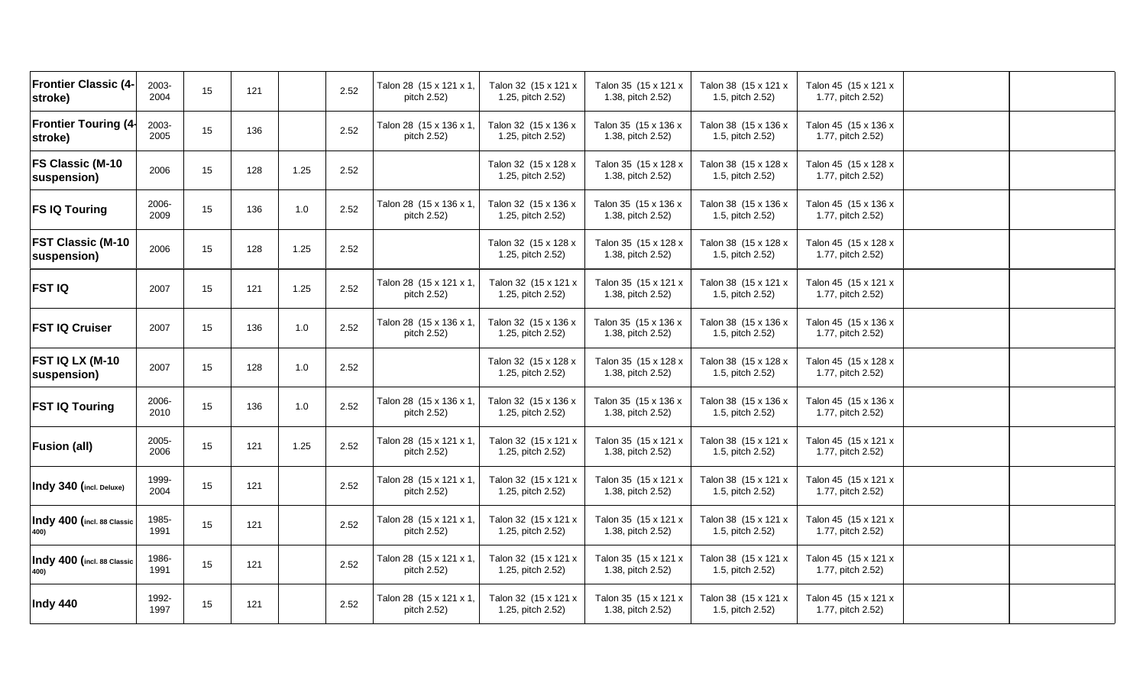| <b>Frontier Classic (4-</b><br>stroke)  | 2003-<br>2004 | 15 | 121 |         | 2.52 | Talon 28 (15 x 121 x 1,<br>pitch 2.52) | Talon 32 (15 x 121 x<br>1.25, pitch 2.52) | Talon 35 (15 x 121 x<br>1.38, pitch 2.52) | Talon 38 (15 x 121 x<br>1.5, pitch 2.52) | Talon 45 (15 x 121 x<br>1.77, pitch 2.52) |  |
|-----------------------------------------|---------------|----|-----|---------|------|----------------------------------------|-------------------------------------------|-------------------------------------------|------------------------------------------|-------------------------------------------|--|
| <b>Frontier Touring (4-</b><br>stroke)  | 2003-<br>2005 | 15 | 136 |         | 2.52 | Talon 28 (15 x 136 x 1,<br>pitch 2.52) | Talon 32 (15 x 136 x<br>1.25, pitch 2.52) | Talon 35 (15 x 136 x<br>1.38, pitch 2.52) | Talon 38 (15 x 136 x<br>1.5, pitch 2.52) | Talon 45 (15 x 136 x<br>1.77, pitch 2.52) |  |
| FS Classic (M-10<br>suspension)         | 2006          | 15 | 128 | 1.25    | 2.52 |                                        | Talon 32 (15 x 128 x<br>1.25, pitch 2.52) | Talon 35 (15 x 128 x<br>1.38, pitch 2.52) | Talon 38 (15 x 128 x<br>1.5, pitch 2.52) | Talon 45 (15 x 128 x<br>1.77, pitch 2.52) |  |
| <b>FS IQ Touring</b>                    | 2006-<br>2009 | 15 | 136 | $1.0\,$ | 2.52 | Talon 28 (15 x 136 x 1,<br>pitch 2.52) | Talon 32 (15 x 136 x<br>1.25, pitch 2.52) | Talon 35 (15 x 136 x<br>1.38, pitch 2.52) | Talon 38 (15 x 136 x<br>1.5, pitch 2.52) | Talon 45 (15 x 136 x<br>1.77, pitch 2.52) |  |
| <b>FST Classic (M-10</b><br>suspension) | 2006          | 15 | 128 | 1.25    | 2.52 |                                        | Talon 32 (15 x 128 x<br>1.25, pitch 2.52) | Talon 35 (15 x 128 x<br>1.38, pitch 2.52) | Talon 38 (15 x 128 x<br>1.5, pitch 2.52) | Talon 45 (15 x 128 x<br>1.77, pitch 2.52) |  |
| <b>FST IQ</b>                           | 2007          | 15 | 121 | 1.25    | 2.52 | Talon 28 (15 x 121 x 1,<br>pitch 2.52) | Talon 32 (15 x 121 x<br>1.25, pitch 2.52) | Talon 35 (15 x 121 x<br>1.38, pitch 2.52) | Talon 38 (15 x 121 x<br>1.5, pitch 2.52) | Talon 45 (15 x 121 x<br>1.77, pitch 2.52) |  |
| <b>FST IQ Cruiser</b>                   | 2007          | 15 | 136 | 1.0     | 2.52 | Talon 28 (15 x 136 x 1,<br>pitch 2.52) | Talon 32 (15 x 136 x<br>1.25, pitch 2.52) | Talon 35 (15 x 136 x<br>1.38, pitch 2.52) | Talon 38 (15 x 136 x<br>1.5, pitch 2.52) | Talon 45 (15 x 136 x<br>1.77, pitch 2.52) |  |
| <b>FST IQ LX (M-10</b><br>suspension)   | 2007          | 15 | 128 | 1.0     | 2.52 |                                        | Talon 32 (15 x 128 x<br>1.25, pitch 2.52) | Talon 35 (15 x 128 x<br>1.38, pitch 2.52) | Talon 38 (15 x 128 x<br>1.5, pitch 2.52) | Talon 45 (15 x 128 x<br>1.77, pitch 2.52) |  |
| <b>FST IQ Touring</b>                   | 2006-<br>2010 | 15 | 136 | 1.0     | 2.52 | Talon 28 (15 x 136 x 1,<br>pitch 2.52) | Talon 32 (15 x 136 x<br>1.25, pitch 2.52) | Talon 35 (15 x 136 x<br>1.38, pitch 2.52) | Talon 38 (15 x 136 x<br>1.5, pitch 2.52) | Talon 45 (15 x 136 x<br>1.77, pitch 2.52) |  |
| <b>Fusion (all)</b>                     | 2005-<br>2006 | 15 | 121 | 1.25    | 2.52 | Talon 28 (15 x 121 x 1,<br>pitch 2.52) | Talon 32 (15 x 121 x<br>1.25, pitch 2.52) | Talon 35 (15 x 121 x<br>1.38, pitch 2.52) | Talon 38 (15 x 121 x<br>1.5, pitch 2.52) | Talon 45 (15 x 121 x<br>1.77, pitch 2.52) |  |
| Indy 340 (incl. Deluxe)                 | 1999-<br>2004 | 15 | 121 |         | 2.52 | Talon 28 (15 x 121 x 1,<br>pitch 2.52) | Talon 32 (15 x 121 x<br>1.25, pitch 2.52) | Talon 35 (15 x 121 x<br>1.38, pitch 2.52) | Talon 38 (15 x 121 x<br>1.5, pitch 2.52) | Talon 45 (15 x 121 x<br>1.77, pitch 2.52) |  |
| Indy 400 (incl. 88 Classic              | 1985-<br>1991 | 15 | 121 |         | 2.52 | Talon 28 (15 x 121 x 1,<br>pitch 2.52) | Talon 32 (15 x 121 x<br>1.25, pitch 2.52) | Talon 35 (15 x 121 x<br>1.38, pitch 2.52) | Talon 38 (15 x 121 x<br>1.5, pitch 2.52) | Talon 45 (15 x 121 x<br>1.77, pitch 2.52) |  |
| Indy 400 (incl. 88 Classic              | 1986-<br>1991 | 15 | 121 |         | 2.52 | Talon 28 (15 x 121 x 1,<br>pitch 2.52) | Talon 32 (15 x 121 x<br>1.25, pitch 2.52) | Talon 35 (15 x 121 x<br>1.38, pitch 2.52) | Talon 38 (15 x 121 x<br>1.5, pitch 2.52) | Talon 45 (15 x 121 x<br>1.77, pitch 2.52) |  |
| Indy 440                                | 1992-<br>1997 | 15 | 121 |         | 2.52 | Talon 28 (15 x 121 x 1,<br>pitch 2.52) | Talon 32 (15 x 121 x<br>1.25, pitch 2.52) | Talon 35 (15 x 121 x<br>1.38, pitch 2.52) | Talon 38 (15 x 121 x<br>1.5, pitch 2.52) | Talon 45 (15 x 121 x<br>1.77, pitch 2.52) |  |
|                                         |               |    |     |         |      |                                        |                                           |                                           |                                          |                                           |  |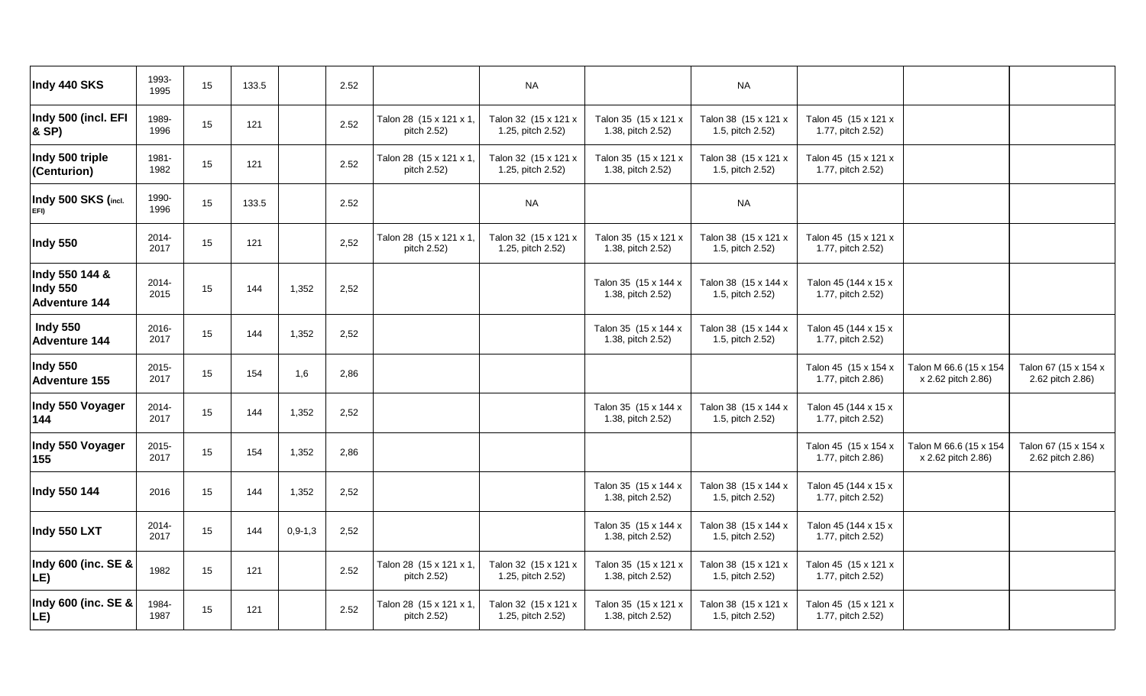| Indy 440 SKS                                       | 1993-<br>1995    | 15 | 133.5 |           | 2.52 |                                        | <b>NA</b>                                 |                                           | <b>NA</b>                                |                                           |                                              |                                          |
|----------------------------------------------------|------------------|----|-------|-----------|------|----------------------------------------|-------------------------------------------|-------------------------------------------|------------------------------------------|-------------------------------------------|----------------------------------------------|------------------------------------------|
| Indy 500 (incl. EFI<br>& SP)                       | 1989-<br>1996    | 15 | 121   |           | 2.52 | Talon 28 (15 x 121 x 1,<br>pitch 2.52) | Talon 32 (15 x 121 x<br>1.25, pitch 2.52) | Talon 35 (15 x 121 x<br>1.38, pitch 2.52) | Talon 38 (15 x 121 x<br>1.5, pitch 2.52) | Talon 45 (15 x 121 x<br>1.77, pitch 2.52) |                                              |                                          |
| Indy 500 triple<br>(Centurion)                     | 1981-<br>1982    | 15 | 121   |           | 2.52 | Talon 28 (15 x 121 x 1,<br>pitch 2.52) | Talon 32 (15 x 121 x<br>1.25, pitch 2.52) | Talon 35 (15 x 121 x<br>1.38, pitch 2.52) | Talon 38 (15 x 121 x<br>1.5, pitch 2.52) | Talon 45 (15 x 121 x<br>1.77, pitch 2.52) |                                              |                                          |
| Indy 500 SKS (incl.<br>EFI)                        | 1990-<br>1996    | 15 | 133.5 |           | 2.52 |                                        | <b>NA</b>                                 |                                           | <b>NA</b>                                |                                           |                                              |                                          |
| <b>Indy 550</b>                                    | 2014-<br>2017    | 15 | 121   |           | 2,52 | Talon 28 (15 x 121 x 1,<br>pitch 2.52) | Talon 32 (15 x 121 x<br>1.25, pitch 2.52) | Talon 35 (15 x 121 x<br>1.38, pitch 2.52) | Talon 38 (15 x 121 x<br>1.5, pitch 2.52) | Talon 45 (15 x 121 x<br>1.77, pitch 2.52) |                                              |                                          |
| Indy 550 144 &<br>Indy 550<br><b>Adventure 144</b> | 2014-<br>2015    | 15 | 144   | 1,352     | 2,52 |                                        |                                           | Talon 35 (15 x 144 x<br>1.38, pitch 2.52) | Talon 38 (15 x 144 x<br>1.5, pitch 2.52) | Talon 45 (144 x 15 x<br>1.77, pitch 2.52) |                                              |                                          |
| <b>Indy 550</b><br><b>Adventure 144</b>            | 2016-<br>2017    | 15 | 144   | 1,352     | 2,52 |                                        |                                           | Talon 35 (15 x 144 x<br>1.38, pitch 2.52) | Talon 38 (15 x 144 x<br>1.5, pitch 2.52) | Talon 45 (144 x 15 x<br>1.77, pitch 2.52) |                                              |                                          |
| Indy 550<br><b>Adventure 155</b>                   | $2015 -$<br>2017 | 15 | 154   | 1,6       | 2,86 |                                        |                                           |                                           |                                          | Talon 45 (15 x 154 x<br>1.77, pitch 2.86) | Talon M 66.6 (15 x 154<br>x 2.62 pitch 2.86) | Talon 67 (15 x 154 x<br>2.62 pitch 2.86) |
| Indy 550 Voyager<br>144                            | 2014-<br>2017    | 15 | 144   | 1,352     | 2,52 |                                        |                                           | Talon 35 (15 x 144 x<br>1.38, pitch 2.52) | Talon 38 (15 x 144 x<br>1.5, pitch 2.52) | Talon 45 (144 x 15 x<br>1.77, pitch 2.52) |                                              |                                          |
| Indy 550 Voyager<br>155                            | 2015-<br>2017    | 15 | 154   | 1,352     | 2,86 |                                        |                                           |                                           |                                          | Talon 45 (15 x 154 x<br>1.77, pitch 2.86) | Talon M 66.6 (15 x 154<br>x 2.62 pitch 2.86) | Talon 67 (15 x 154 x<br>2.62 pitch 2.86) |
| Indy 550 144                                       | 2016             | 15 | 144   | 1,352     | 2,52 |                                        |                                           | Talon 35 (15 x 144 x<br>1.38, pitch 2.52) | Talon 38 (15 x 144 x<br>1.5, pitch 2.52) | Talon 45 (144 x 15 x<br>1.77, pitch 2.52) |                                              |                                          |
| Indy 550 LXT                                       | 2014-<br>2017    | 15 | 144   | $0,9-1,3$ | 2,52 |                                        |                                           | Talon 35 (15 x 144 x<br>1.38, pitch 2.52) | Talon 38 (15 x 144 x<br>1.5, pitch 2.52) | Talon 45 (144 x 15 x<br>1.77, pitch 2.52) |                                              |                                          |
| Indy 600 (inc. SE &<br>LE)                         | 1982             | 15 | 121   |           | 2.52 | Talon 28 (15 x 121 x 1,<br>pitch 2.52) | Talon 32 (15 x 121 x<br>1.25, pitch 2.52) | Talon 35 (15 x 121 x<br>1.38, pitch 2.52) | Talon 38 (15 x 121 x<br>1.5, pitch 2.52) | Talon 45 (15 x 121 x<br>1.77, pitch 2.52) |                                              |                                          |
| Indy 600 (inc. SE &<br>LE)                         | 1984-<br>1987    | 15 | 121   |           | 2.52 | Talon 28 (15 x 121 x 1<br>pitch 2.52)  | Talon 32 (15 x 121 x<br>1.25, pitch 2.52) | Talon 35 (15 x 121 x<br>1.38, pitch 2.52) | Talon 38 (15 x 121 x<br>1.5, pitch 2.52) | Talon 45 (15 x 121 x<br>1.77, pitch 2.52) |                                              |                                          |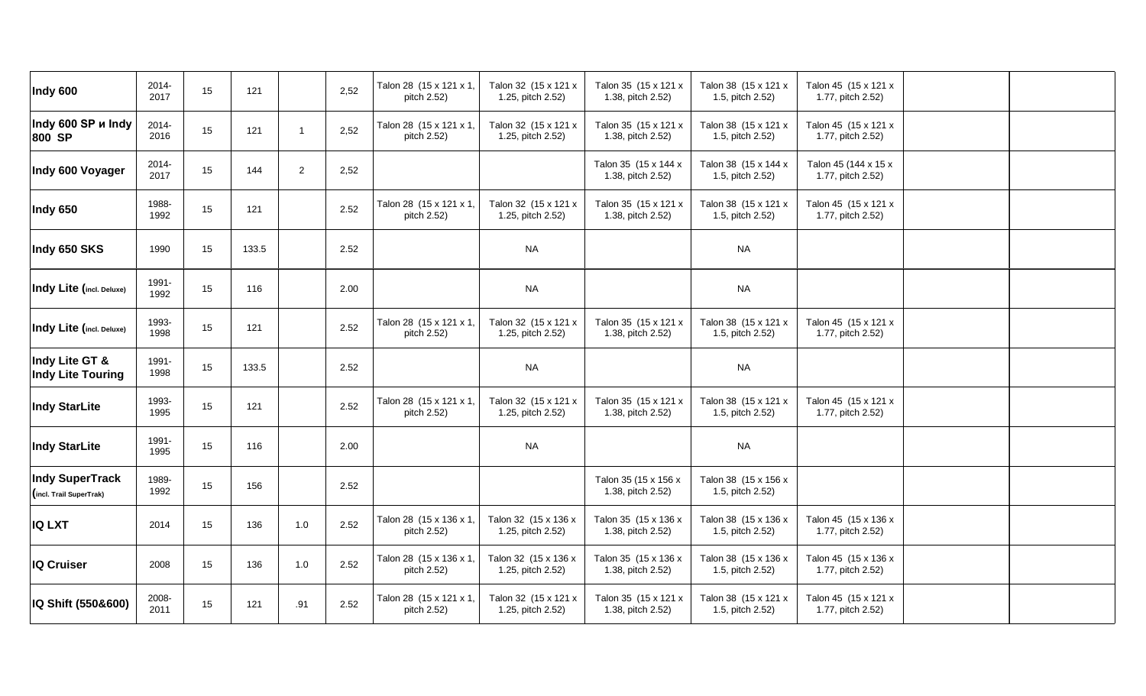| 2014-<br>2017 | 15    | 121   |                | 2,52 | Talon 28 (15 x 121 x 1,<br>pitch 2.52) | Talon 32 (15 x 121 x<br>1.25, pitch 2.52) | Talon 35 (15 x 121 x<br>1.38, pitch 2.52) | Talon 38 (15 x 121 x<br>1.5, pitch 2.52) | Talon 45 (15 x 121 x<br>1.77, pitch 2.52) |                                                                                                                         |  |
|---------------|-------|-------|----------------|------|----------------------------------------|-------------------------------------------|-------------------------------------------|------------------------------------------|-------------------------------------------|-------------------------------------------------------------------------------------------------------------------------|--|
| 2014-<br>2016 | 15    | 121   | $\overline{1}$ | 2,52 | Talon 28 (15 x 121 x 1,<br>pitch 2.52) | Talon 32 (15 x 121 x<br>1.25, pitch 2.52) | Talon 35 (15 x 121 x<br>1.38, pitch 2.52) | Talon 38 (15 x 121 x<br>1.5, pitch 2.52) | Talon 45 (15 x 121 x<br>1.77, pitch 2.52) |                                                                                                                         |  |
| 2014-<br>2017 | 15    | 144   | $\overline{a}$ | 2,52 |                                        |                                           | Talon 35 (15 x 144 x<br>1.38, pitch 2.52) | Talon 38 (15 x 144 x<br>1.5, pitch 2.52) | Talon 45 (144 x 15 x<br>1.77, pitch 2.52) |                                                                                                                         |  |
| 1988-<br>1992 | 15    | 121   |                | 2.52 | Talon 28 (15 x 121 x 1,<br>pitch 2.52) | Talon 32 (15 x 121 x<br>1.25, pitch 2.52) | Talon 35 (15 x 121 x<br>1.38, pitch 2.52) | Talon 38 (15 x 121 x<br>1.5, pitch 2.52) | Talon 45 (15 x 121 x<br>1.77, pitch 2.52) |                                                                                                                         |  |
| 1990          | 15    | 133.5 |                | 2.52 |                                        | <b>NA</b>                                 |                                           | <b>NA</b>                                |                                           |                                                                                                                         |  |
| 1991-<br>1992 | 15    | 116   |                | 2.00 |                                        | <b>NA</b>                                 |                                           | <b>NA</b>                                |                                           |                                                                                                                         |  |
| 1993-<br>1998 | 15    | 121   |                | 2.52 | Talon 28 (15 x 121 x 1,<br>pitch 2.52) | Talon 32 (15 x 121 x<br>1.25, pitch 2.52) | Talon 35 (15 x 121 x<br>1.38, pitch 2.52) | Talon 38 (15 x 121 x<br>1.5, pitch 2.52) | Talon 45 (15 x 121 x<br>1.77, pitch 2.52) |                                                                                                                         |  |
| 1991-<br>1998 | 15    | 133.5 |                | 2.52 |                                        | <b>NA</b>                                 |                                           | $\sf NA$                                 |                                           |                                                                                                                         |  |
| 1993-<br>1995 | 15    | 121   |                | 2.52 | Talon 28 (15 x 121 x 1,<br>pitch 2.52) | Talon 32 (15 x 121 x<br>1.25, pitch 2.52) | Talon 35 (15 x 121 x<br>1.38, pitch 2.52) | Talon 38 (15 x 121 x<br>1.5, pitch 2.52) | Talon 45 (15 x 121 x<br>1.77, pitch 2.52) |                                                                                                                         |  |
| 1991-<br>1995 | 15    | 116   |                | 2.00 |                                        | <b>NA</b>                                 |                                           | <b>NA</b>                                |                                           |                                                                                                                         |  |
| 1989-<br>1992 | 15    | 156   |                | 2.52 |                                        |                                           | Talon 35 (15 x 156 x<br>1.38, pitch 2.52) | Talon 38 (15 x 156 x<br>1.5, pitch 2.52) |                                           |                                                                                                                         |  |
| 2014          | 15    | 136   | 1.0            | 2.52 | Talon 28 (15 x 136 x 1,<br>pitch 2.52) | Talon 32 (15 x 136 x<br>1.25, pitch 2.52) | Talon 35 (15 x 136 x<br>1.38, pitch 2.52) | Talon 38 (15 x 136 x<br>1.5, pitch 2.52) | Talon 45 (15 x 136 x<br>1.77, pitch 2.52) |                                                                                                                         |  |
| 2008          | 15    | 136   | 1.0            | 2.52 | Talon 28 (15 x 136 x 1,<br>pitch 2.52) | Talon 32 (15 x 136 x<br>1.25, pitch 2.52) | Talon 35 (15 x 136 x<br>1.38, pitch 2.52) | Talon 38 (15 x 136 x<br>1.5, pitch 2.52) | Talon 45 (15 x 136 x<br>1.77, pitch 2.52) |                                                                                                                         |  |
|               |       |       |                |      |                                        |                                           |                                           |                                          |                                           |                                                                                                                         |  |
|               | 2008- |       |                |      |                                        |                                           |                                           |                                          |                                           | Talon 32 (15 x 121 x<br>Talon 35 (15 x 121 x<br>Talon 45 (15 x 121 x<br>Talon 28 (15 x 121 x 1,<br>Talon 38 (15 x 121 x |  |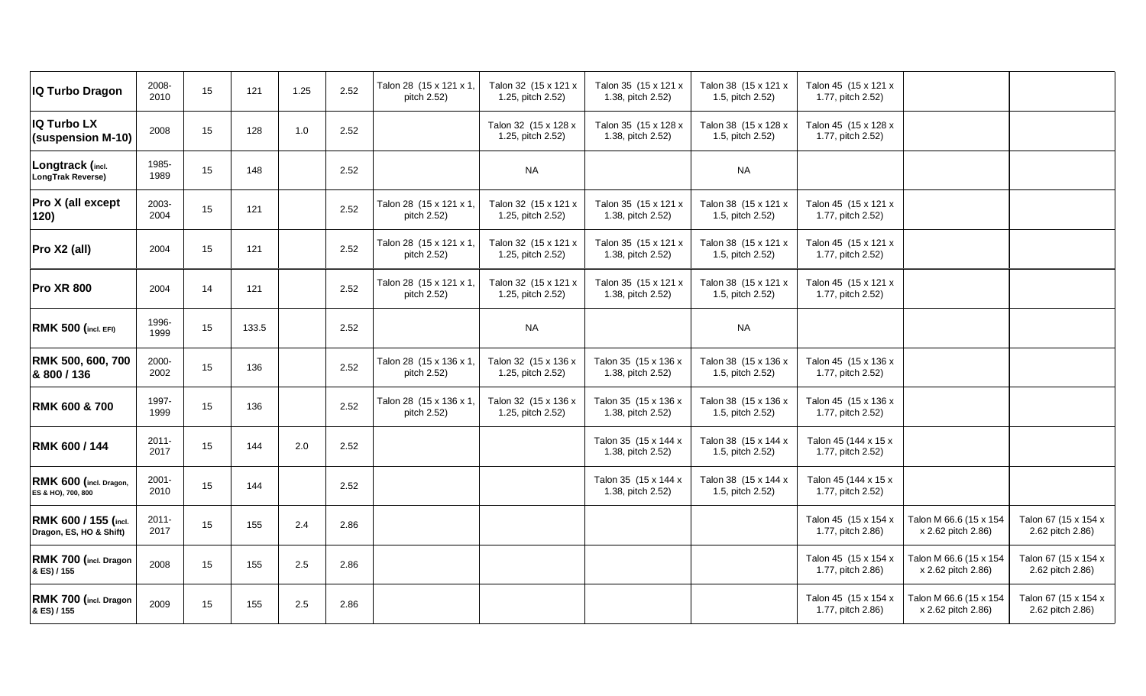| IQ Turbo Dragon                                 | 2008-<br>2010    | 15 | 121   | 1.25 | 2.52 | Talon 28 (15 x 121 x 1,<br>pitch 2.52) | Talon 32 (15 x 121 x<br>1.25, pitch 2.52) | Talon 35 (15 x 121 x<br>1.38, pitch 2.52) | Talon 38 (15 x 121 x<br>1.5, pitch 2.52) | Talon 45 (15 x 121 x<br>1.77, pitch 2.52) |                                              |                                          |
|-------------------------------------------------|------------------|----|-------|------|------|----------------------------------------|-------------------------------------------|-------------------------------------------|------------------------------------------|-------------------------------------------|----------------------------------------------|------------------------------------------|
| <b>IQ Turbo LX</b><br>(suspension M-10)         | 2008             | 15 | 128   | 1.0  | 2.52 |                                        | Talon 32 (15 x 128 x<br>1.25, pitch 2.52) | Talon 35 (15 x 128 x<br>1.38, pitch 2.52) | Talon 38 (15 x 128 x<br>1.5, pitch 2.52) | Talon 45 (15 x 128 x<br>1.77, pitch 2.52) |                                              |                                          |
| Longtrack (incl.<br>LongTrak Reverse)           | 1985-<br>1989    | 15 | 148   |      | 2.52 |                                        | <b>NA</b>                                 |                                           | <b>NA</b>                                |                                           |                                              |                                          |
| Pro X (all except<br>120)                       | 2003-<br>2004    | 15 | 121   |      | 2.52 | Talon 28 (15 x 121 x 1,<br>pitch 2.52) | Talon 32 (15 x 121 x<br>1.25, pitch 2.52) | Talon 35 (15 x 121 x<br>1.38, pitch 2.52) | Talon 38 (15 x 121 x<br>1.5, pitch 2.52) | Talon 45 (15 x 121 x<br>1.77, pitch 2.52) |                                              |                                          |
| Pro X2 (all)                                    | 2004             | 15 | 121   |      | 2.52 | Talon 28 (15 x 121 x 1)<br>pitch 2.52) | Talon 32 (15 x 121 x<br>1.25, pitch 2.52) | Talon 35 (15 x 121 x<br>1.38, pitch 2.52) | Talon 38 (15 x 121 x<br>1.5, pitch 2.52) | Talon 45 (15 x 121 x<br>1.77, pitch 2.52) |                                              |                                          |
| <b>Pro XR 800</b>                               | 2004             | 14 | 121   |      | 2.52 | Talon 28 (15 x 121 x 1,<br>pitch 2.52) | Talon 32 (15 x 121 x<br>1.25, pitch 2.52) | Talon 35 (15 x 121 x<br>1.38, pitch 2.52) | Talon 38 (15 x 121 x<br>1.5, pitch 2.52) | Talon 45 (15 x 121 x<br>1.77, pitch 2.52) |                                              |                                          |
| <b>RMK 500 (incl. EFI)</b>                      | 1996-<br>1999    | 15 | 133.5 |      | 2.52 |                                        | <b>NA</b>                                 |                                           | <b>NA</b>                                |                                           |                                              |                                          |
| RMK 500, 600, 700<br>& 800 / 136                | 2000-<br>2002    | 15 | 136   |      | 2.52 | Talon 28 (15 x 136 x 1,<br>pitch 2.52) | Talon 32 (15 x 136 x<br>1.25, pitch 2.52) | Talon 35 (15 x 136 x<br>1.38, pitch 2.52) | Talon 38 (15 x 136 x<br>1.5, pitch 2.52) | Talon 45 (15 x 136 x<br>1.77, pitch 2.52) |                                              |                                          |
| <b>RMK 600 &amp; 700</b>                        | 1997-<br>1999    | 15 | 136   |      | 2.52 | Talon 28 (15 x 136 x 1,<br>pitch 2.52) | Talon 32 (15 x 136 x<br>1.25, pitch 2.52) | Talon 35 (15 x 136 x<br>1.38, pitch 2.52) | Talon 38 (15 x 136 x<br>1.5, pitch 2.52) | Talon 45 (15 x 136 x<br>1.77, pitch 2.52) |                                              |                                          |
| RMK 600 / 144                                   | $2011 -$<br>2017 | 15 | 144   | 2.0  | 2.52 |                                        |                                           | Talon 35 (15 x 144 x<br>1.38, pitch 2.52) | Talon 38 (15 x 144 x<br>1.5, pitch 2.52) | Talon 45 (144 x 15 x<br>1.77, pitch 2.52) |                                              |                                          |
| RMK 600 (incl. Dragon,<br>ES & HO), 700, 800    | 2001-<br>2010    | 15 | 144   |      | 2.52 |                                        |                                           | Talon 35 (15 x 144 x<br>1.38, pitch 2.52) | Talon 38 (15 x 144 x<br>1.5, pitch 2.52) | Talon 45 (144 x 15 x<br>1.77, pitch 2.52) |                                              |                                          |
| RMK 600 / 155 (incl.<br>Dragon, ES, HO & Shift) | $2011 -$<br>2017 | 15 | 155   | 2.4  | 2.86 |                                        |                                           |                                           |                                          | Talon 45 (15 x 154 x<br>1.77, pitch 2.86) | Talon M 66.6 (15 x 154<br>x 2.62 pitch 2.86) | Talon 67 (15 x 154 x<br>2.62 pitch 2.86) |
| RMK 700 (incl. Dragon<br>& ES) / 155            | 2008             | 15 | 155   | 2.5  | 2.86 |                                        |                                           |                                           |                                          | Talon 45 (15 x 154 x<br>1.77, pitch 2.86) | Talon M 66.6 (15 x 154<br>x 2.62 pitch 2.86) | Talon 67 (15 x 154 x<br>2.62 pitch 2.86) |
| RMK 700 (incl. Dragon<br>& ES) / 155            | 2009             | 15 | 155   | 2.5  | 2.86 |                                        |                                           |                                           |                                          | Talon 45 (15 x 154 x<br>1.77, pitch 2.86) | Talon M 66.6 (15 x 154<br>x 2.62 pitch 2.86) | Talon 67 (15 x 154 x<br>2.62 pitch 2.86) |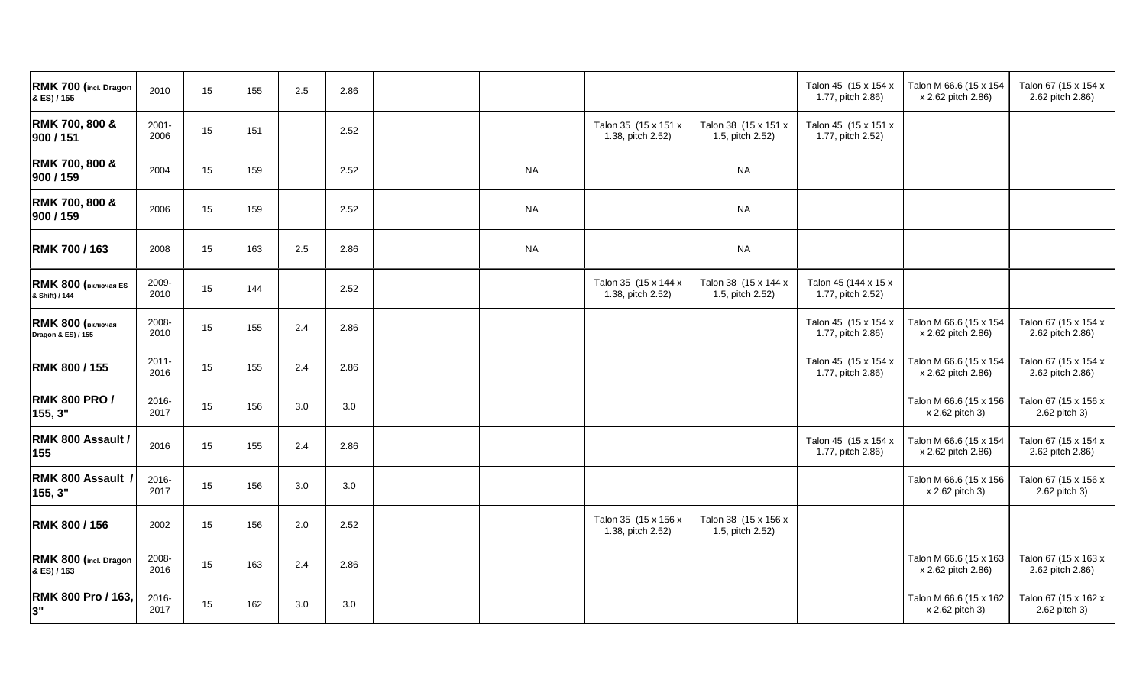| RMK 700 (incl. Dragon<br>& ES) / 155          | 2010             | 15 | 155 | 2.5 | 2.86 |           |                                           |                                          | Talon 45 (15 x 154 x<br>1.77, pitch 2.86) | Talon M 66.6 (15 x 154<br>x 2.62 pitch 2.86) | Talon 67 (15 x 154 x<br>2.62 pitch 2.86) |
|-----------------------------------------------|------------------|----|-----|-----|------|-----------|-------------------------------------------|------------------------------------------|-------------------------------------------|----------------------------------------------|------------------------------------------|
| RMK 700, 800 &<br>900 / 151                   | 2001-<br>2006    | 15 | 151 |     | 2.52 |           | Talon 35 (15 x 151 x<br>1.38, pitch 2.52) | Talon 38 (15 x 151 x<br>1.5, pitch 2.52) | Talon 45 (15 x 151 x<br>1.77, pitch 2.52) |                                              |                                          |
| RMK 700, 800 &<br>900 / 159                   | 2004             | 15 | 159 |     | 2.52 | <b>NA</b> |                                           | <b>NA</b>                                |                                           |                                              |                                          |
| RMK 700, 800 &<br>900 / 159                   | 2006             | 15 | 159 |     | 2.52 | <b>NA</b> |                                           | <b>NA</b>                                |                                           |                                              |                                          |
| RMK 700 / 163                                 | 2008             | 15 | 163 | 2.5 | 2.86 | <b>NA</b> |                                           | <b>NA</b>                                |                                           |                                              |                                          |
| RMK 800 (BKJIO48R ES<br>& Shift) / 144        | 2009-<br>2010    | 15 | 144 |     | 2.52 |           | Talon 35 (15 x 144 x<br>1.38, pitch 2.52) | Talon 38 (15 x 144 x<br>1.5, pitch 2.52) | Talon 45 (144 x 15 x<br>1.77, pitch 2.52) |                                              |                                          |
| <b>RMK 800 (включая</b><br>Dragon & ES) / 155 | 2008-<br>2010    | 15 | 155 | 2.4 | 2.86 |           |                                           |                                          | Talon 45 (15 x 154 x<br>1.77, pitch 2.86) | Talon M 66.6 (15 x 154<br>x 2.62 pitch 2.86) | Talon 67 (15 x 154 x<br>2.62 pitch 2.86) |
| RMK 800 / 155                                 | $2011 -$<br>2016 | 15 | 155 | 2.4 | 2.86 |           |                                           |                                          | Talon 45 (15 x 154 x<br>1.77, pitch 2.86) | Talon M 66.6 (15 x 154<br>x 2.62 pitch 2.86) | Talon 67 (15 x 154 x<br>2.62 pitch 2.86) |
| <b>RMK 800 PRO /</b><br>155, 3"               | 2016-<br>2017    | 15 | 156 | 3.0 | 3.0  |           |                                           |                                          |                                           | Talon M 66.6 (15 x 156<br>x 2.62 pitch 3)    | Talon 67 (15 x 156 x<br>2.62 pitch 3)    |
| RMK 800 Assault /<br>155                      | 2016             | 15 | 155 | 2.4 | 2.86 |           |                                           |                                          | Talon 45 (15 x 154 x<br>1.77, pitch 2.86) | Talon M 66.6 (15 x 154<br>x 2.62 pitch 2.86) | Talon 67 (15 x 154 x<br>2.62 pitch 2.86) |
| RMK 800 Assault<br>155, 3"                    | 2016-<br>2017    | 15 | 156 | 3.0 | 3.0  |           |                                           |                                          |                                           | Talon M 66.6 (15 x 156<br>x 2.62 pitch 3)    | Talon 67 (15 x 156 x<br>2.62 pitch 3)    |
| RMK 800 / 156                                 | 2002             | 15 | 156 | 2.0 | 2.52 |           | Talon 35 (15 x 156 x<br>1.38, pitch 2.52) | Talon 38 (15 x 156 x<br>1.5, pitch 2.52) |                                           |                                              |                                          |
| RMK 800 (incl. Dragon<br>& ES) / 163          | 2008-<br>2016    | 15 | 163 | 2.4 | 2.86 |           |                                           |                                          |                                           | Talon M 66.6 (15 x 163<br>x 2.62 pitch 2.86) | Talon 67 (15 x 163 x<br>2.62 pitch 2.86) |
| RMK 800 Pro / 163<br>3"                       | 2016-<br>2017    | 15 | 162 | 3.0 | 3.0  |           |                                           |                                          |                                           | Talon M 66.6 (15 x 162<br>x 2.62 pitch 3)    | Talon 67 (15 x 162 x<br>2.62 pitch 3)    |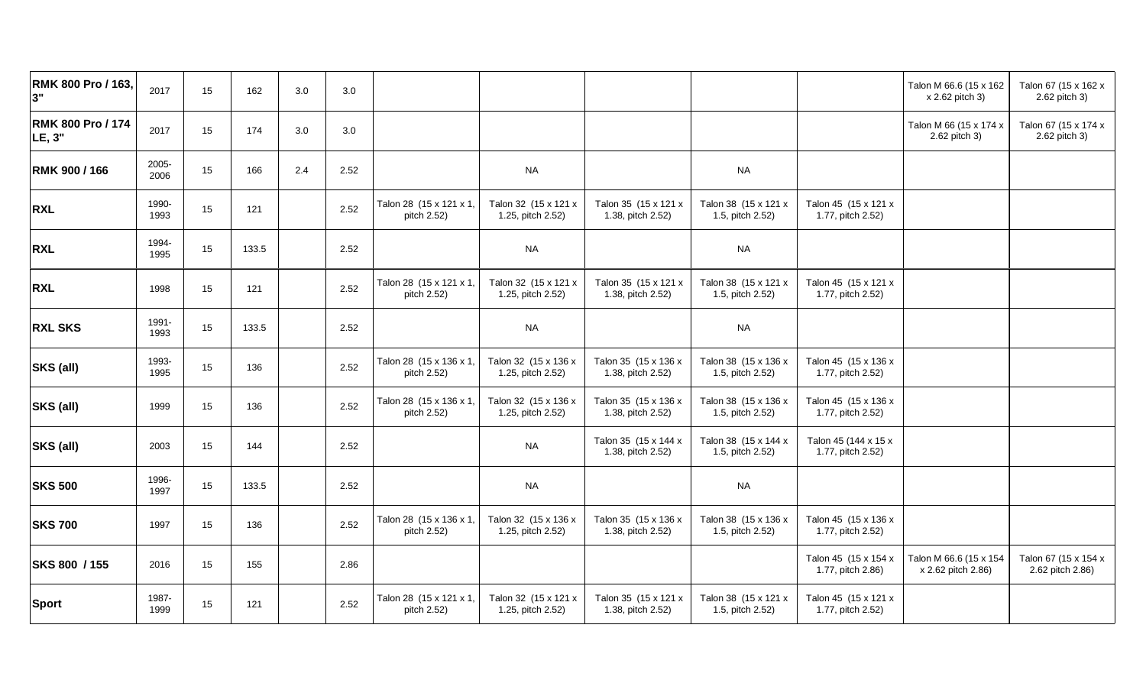| RMK 800 Pro / 163,<br>3"    | 2017          | 15 | 162   | 3.0 | 3.0  |                                        |                                           |                                           |                                          |                                           | Talon M 66.6 (15 x 162<br>x 2.62 pitch 3)    | Talon 67 (15 x 162 x<br>2.62 pitch 3)    |
|-----------------------------|---------------|----|-------|-----|------|----------------------------------------|-------------------------------------------|-------------------------------------------|------------------------------------------|-------------------------------------------|----------------------------------------------|------------------------------------------|
| RMK 800 Pro / 174<br>LE, 3" | 2017          | 15 | 174   | 3.0 | 3.0  |                                        |                                           |                                           |                                          |                                           | Talon M 66 (15 x 174 x<br>2.62 pitch 3)      | Talon 67 (15 x 174 x<br>2.62 pitch 3)    |
| RMK 900 / 166               | 2005-<br>2006 | 15 | 166   | 2.4 | 2.52 |                                        | <b>NA</b>                                 |                                           | <b>NA</b>                                |                                           |                                              |                                          |
| <b>RXL</b>                  | 1990-<br>1993 | 15 | 121   |     | 2.52 | Talon 28 (15 x 121 x 1)<br>pitch 2.52) | Talon 32 (15 x 121 x<br>1.25, pitch 2.52) | Talon 35 (15 x 121 x<br>1.38, pitch 2.52) | Talon 38 (15 x 121 x<br>1.5, pitch 2.52) | Talon 45 (15 x 121 x<br>1.77, pitch 2.52) |                                              |                                          |
| <b>RXL</b>                  | 1994-<br>1995 | 15 | 133.5 |     | 2.52 |                                        | <b>NA</b>                                 |                                           | <b>NA</b>                                |                                           |                                              |                                          |
| <b>RXL</b>                  | 1998          | 15 | 121   |     | 2.52 | Talon 28 (15 x 121 x 1,<br>pitch 2.52) | Talon 32 (15 x 121 x<br>1.25, pitch 2.52) | Talon 35 (15 x 121 x<br>1.38, pitch 2.52) | Talon 38 (15 x 121 x<br>1.5, pitch 2.52) | Talon 45 (15 x 121 x<br>1.77, pitch 2.52) |                                              |                                          |
| <b>RXL SKS</b>              | 1991-<br>1993 | 15 | 133.5 |     | 2.52 |                                        | <b>NA</b>                                 |                                           | <b>NA</b>                                |                                           |                                              |                                          |
| SKS (all)                   | 1993-<br>1995 | 15 | 136   |     | 2.52 | Talon 28 (15 x 136 x 1<br>pitch 2.52)  | Talon 32 (15 x 136 x<br>1.25, pitch 2.52) | Talon 35 (15 x 136 x<br>1.38, pitch 2.52) | Talon 38 (15 x 136 x<br>1.5, pitch 2.52) | Talon 45 (15 x 136 x<br>1.77, pitch 2.52) |                                              |                                          |
| SKS (all)                   | 1999          | 15 | 136   |     | 2.52 | Talon 28 (15 x 136 x 1,<br>pitch 2.52) | Talon 32 (15 x 136 x<br>1.25, pitch 2.52) | Talon 35 (15 x 136 x<br>1.38, pitch 2.52) | Talon 38 (15 x 136 x<br>1.5, pitch 2.52) | Talon 45 (15 x 136 x<br>1.77, pitch 2.52) |                                              |                                          |
| SKS (all)                   | 2003          | 15 | 144   |     | 2.52 |                                        | <b>NA</b>                                 | Talon 35 (15 x 144 x<br>1.38, pitch 2.52) | Talon 38 (15 x 144 x<br>1.5, pitch 2.52) | Talon 45 (144 x 15 x<br>1.77, pitch 2.52) |                                              |                                          |
| <b>SKS 500</b>              | 1996-<br>1997 | 15 | 133.5 |     | 2.52 |                                        | <b>NA</b>                                 |                                           | <b>NA</b>                                |                                           |                                              |                                          |
| <b>SKS 700</b>              | 1997          | 15 | 136   |     | 2.52 | Talon 28 (15 x 136 x 1,<br>pitch 2.52) | Talon 32 (15 x 136 x<br>1.25, pitch 2.52) | Talon 35 (15 x 136 x<br>1.38, pitch 2.52) | Talon 38 (15 x 136 x<br>1.5, pitch 2.52) | Talon 45 (15 x 136 x<br>1.77, pitch 2.52) |                                              |                                          |
| SKS 800 / 155               | 2016          | 15 | 155   |     | 2.86 |                                        |                                           |                                           |                                          | Talon 45 (15 x 154 x<br>1.77, pitch 2.86) | Talon M 66.6 (15 x 154<br>x 2.62 pitch 2.86) | Talon 67 (15 x 154 x<br>2.62 pitch 2.86) |
| <b>Sport</b>                | 1987-<br>1999 | 15 | 121   |     | 2.52 | Talon 28 (15 x 121 x 1)<br>pitch 2.52) | Talon 32 (15 x 121 x<br>1.25, pitch 2.52) | Talon 35 (15 x 121 x<br>1.38, pitch 2.52) | Talon 38 (15 x 121 x<br>1.5, pitch 2.52) | Talon 45 (15 x 121 x<br>1.77, pitch 2.52) |                                              |                                          |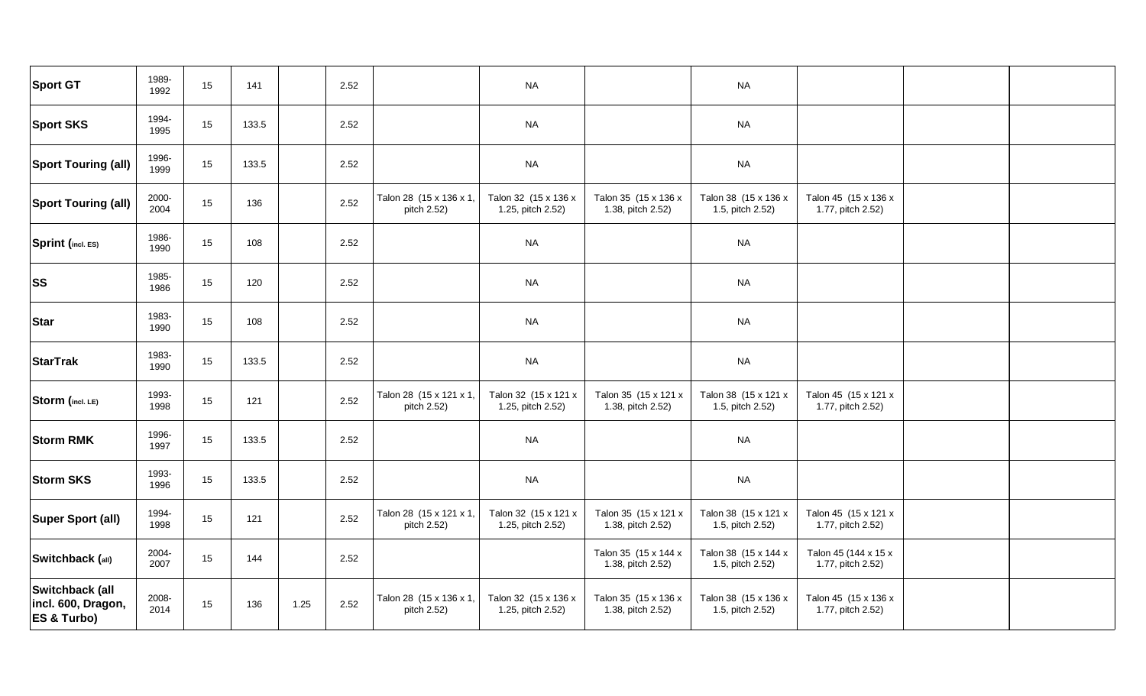| <b>Sport GT</b>                                                 | 1989-<br>1992 | 15 | 141   |      | 2.52 |                                        | <b>NA</b>                                 |                                           | <b>NA</b>                                |                                           |  |
|-----------------------------------------------------------------|---------------|----|-------|------|------|----------------------------------------|-------------------------------------------|-------------------------------------------|------------------------------------------|-------------------------------------------|--|
| <b>Sport SKS</b>                                                | 1994-<br>1995 | 15 | 133.5 |      | 2.52 |                                        | <b>NA</b>                                 |                                           | <b>NA</b>                                |                                           |  |
| <b>Sport Touring (all)</b>                                      | 1996-<br>1999 | 15 | 133.5 |      | 2.52 |                                        | <b>NA</b>                                 |                                           | <b>NA</b>                                |                                           |  |
| <b>Sport Touring (all)</b>                                      | 2000-<br>2004 | 15 | 136   |      | 2.52 | Talon 28 (15 x 136 x 1,<br>pitch 2.52) | Talon 32 (15 x 136 x<br>1.25, pitch 2.52) | Talon 35 (15 x 136 x<br>1.38, pitch 2.52) | Talon 38 (15 x 136 x<br>1.5, pitch 2.52) | Talon 45 (15 x 136 x<br>1.77, pitch 2.52) |  |
| Sprint (incl. ES)                                               | 1986-<br>1990 | 15 | 108   |      | 2.52 |                                        | <b>NA</b>                                 |                                           | <b>NA</b>                                |                                           |  |
| <b>SS</b>                                                       | 1985-<br>1986 | 15 | 120   |      | 2.52 |                                        | <b>NA</b>                                 |                                           | <b>NA</b>                                |                                           |  |
| <b>Star</b>                                                     | 1983-<br>1990 | 15 | 108   |      | 2.52 |                                        | <b>NA</b>                                 |                                           | <b>NA</b>                                |                                           |  |
| <b>StarTrak</b>                                                 | 1983-<br>1990 | 15 | 133.5 |      | 2.52 |                                        | <b>NA</b>                                 |                                           | <b>NA</b>                                |                                           |  |
| Storm (incl. LE)                                                | 1993-<br>1998 | 15 | 121   |      | 2.52 | Talon 28 (15 x 121 x 1,<br>pitch 2.52) | Talon 32 (15 x 121 x<br>1.25, pitch 2.52) | Talon 35 (15 x 121 x<br>1.38, pitch 2.52) | Talon 38 (15 x 121 x<br>1.5, pitch 2.52) | Talon 45 (15 x 121 x<br>1.77, pitch 2.52) |  |
| <b>Storm RMK</b>                                                | 1996-<br>1997 | 15 | 133.5 |      | 2.52 |                                        | <b>NA</b>                                 |                                           | <b>NA</b>                                |                                           |  |
| <b>Storm SKS</b>                                                | 1993-<br>1996 | 15 | 133.5 |      | 2.52 |                                        | <b>NA</b>                                 |                                           | <b>NA</b>                                |                                           |  |
| Super Sport (all)                                               | 1994-<br>1998 | 15 | 121   |      | 2.52 | Talon 28 (15 x 121 x 1,<br>pitch 2.52) | Talon 32 (15 x 121 x<br>1.25, pitch 2.52) | Talon 35 (15 x 121 x<br>1.38, pitch 2.52) | Talon 38 (15 x 121 x<br>1.5, pitch 2.52) | Talon 45 (15 x 121 x<br>1.77, pitch 2.52) |  |
| Switchback (all)                                                | 2004-<br>2007 | 15 | 144   |      | 2.52 |                                        |                                           | Talon 35 (15 x 144 x<br>1.38, pitch 2.52) | Talon 38 (15 x 144 x<br>1.5, pitch 2.52) | Talon 45 (144 x 15 x<br>1.77, pitch 2.52) |  |
| Switchback (all<br>incl. 600, Dragon,<br><b>ES &amp; Turbo)</b> | 2008-<br>2014 | 15 | 136   | 1.25 | 2.52 | Talon 28 (15 x 136 x 1,<br>pitch 2.52) | Talon 32 (15 x 136 x<br>1.25, pitch 2.52) | Talon 35 (15 x 136 x<br>1.38, pitch 2.52) | Talon 38 (15 x 136 x<br>1.5, pitch 2.52) | Talon 45 (15 x 136 x<br>1.77, pitch 2.52) |  |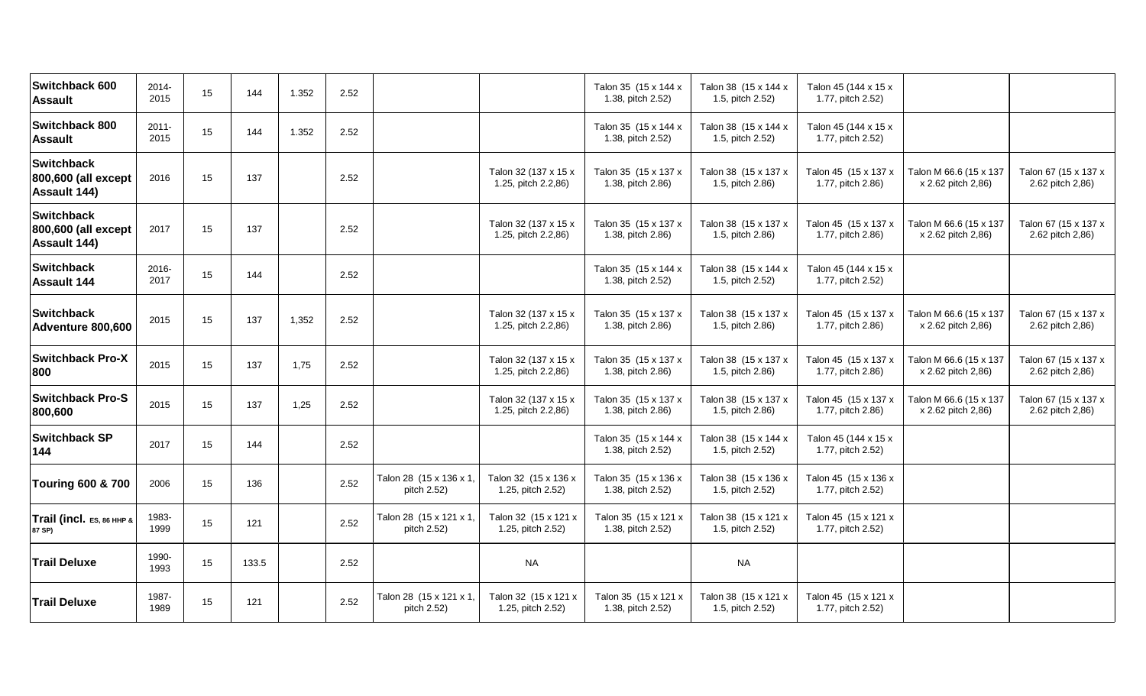| Switchback 600<br><b>Assault</b>                         | 2014-<br>2015    | 15 | 144   | 1.352 | 2.52 |                                        |                                             | Talon 35 (15 x 144 x<br>1.38, pitch 2.52) | Talon 38 (15 x 144 x<br>1.5, pitch 2.52) | Talon 45 (144 x 15 x<br>1.77, pitch 2.52) |                                              |                                          |
|----------------------------------------------------------|------------------|----|-------|-------|------|----------------------------------------|---------------------------------------------|-------------------------------------------|------------------------------------------|-------------------------------------------|----------------------------------------------|------------------------------------------|
| Switchback 800<br><b>Assault</b>                         | $2011 -$<br>2015 | 15 | 144   | 1.352 | 2.52 |                                        |                                             | Talon 35 (15 x 144 x<br>1.38, pitch 2.52) | Talon 38 (15 x 144 x<br>1.5, pitch 2.52) | Talon 45 (144 x 15 x<br>1.77, pitch 2.52) |                                              |                                          |
| <b>Switchback</b><br>800,600 (all except<br>Assault 144) | 2016             | 15 | 137   |       | 2.52 |                                        | Talon 32 (137 x 15 x<br>1.25, pitch 2.2,86) | Talon 35 (15 x 137 x<br>1.38, pitch 2.86) | Talon 38 (15 x 137 x<br>1.5, pitch 2.86) | Talon 45 (15 x 137 x<br>1.77, pitch 2.86) | Talon M 66.6 (15 x 137<br>x 2.62 pitch 2,86) | Talon 67 (15 x 137 x<br>2.62 pitch 2,86) |
| <b>Switchback</b><br>800,600 (all except<br>Assault 144) | 2017             | 15 | 137   |       | 2.52 |                                        | Talon 32 (137 x 15 x<br>1.25, pitch 2.2,86) | Talon 35 (15 x 137 x<br>1.38, pitch 2.86) | Talon 38 (15 x 137 x<br>1.5, pitch 2.86) | Talon 45 (15 x 137 x<br>1.77, pitch 2.86) | Talon M 66.6 (15 x 137<br>x 2.62 pitch 2,86) | Talon 67 (15 x 137 x<br>2.62 pitch 2,86) |
| <b>Switchback</b><br><b>Assault 144</b>                  | 2016-<br>2017    | 15 | 144   |       | 2.52 |                                        |                                             | Talon 35 (15 x 144 x<br>1.38, pitch 2.52) | Talon 38 (15 x 144 x<br>1.5, pitch 2.52) | Talon 45 (144 x 15 x<br>1.77, pitch 2.52) |                                              |                                          |
| <b>Switchback</b><br>Adventure 800,600                   | 2015             | 15 | 137   | 1,352 | 2.52 |                                        | Talon 32 (137 x 15 x<br>1.25, pitch 2.2,86) | Talon 35 (15 x 137 x<br>1.38, pitch 2.86) | Talon 38 (15 x 137 x<br>1.5, pitch 2.86) | Talon 45 (15 x 137 x<br>1.77, pitch 2.86) | Talon M 66.6 (15 x 137<br>x 2.62 pitch 2,86) | Talon 67 (15 x 137 x<br>2.62 pitch 2,86) |
| <b>Switchback Pro-X</b><br>800                           | 2015             | 15 | 137   | 1,75  | 2.52 |                                        | Talon 32 (137 x 15 x<br>1.25, pitch 2.2,86) | Talon 35 (15 x 137 x<br>1.38, pitch 2.86) | Talon 38 (15 x 137 x<br>1.5, pitch 2.86) | Talon 45 (15 x 137 x<br>1.77, pitch 2.86) | Talon M 66.6 (15 x 137<br>x 2.62 pitch 2,86) | Talon 67 (15 x 137 x<br>2.62 pitch 2,86) |
| <b>Switchback Pro-S</b><br>800,600                       | 2015             | 15 | 137   | 1,25  | 2.52 |                                        | Talon 32 (137 x 15 x<br>1.25, pitch 2.2,86) | Talon 35 (15 x 137 x<br>1.38, pitch 2.86) | Talon 38 (15 x 137 x<br>1.5, pitch 2.86) | Talon 45 (15 x 137 x<br>1.77, pitch 2.86) | Talon M 66.6 (15 x 137<br>x 2.62 pitch 2,86) | Talon 67 (15 x 137 x<br>2.62 pitch 2,86) |
| <b>Switchback SP</b><br>144                              | 2017             | 15 | 144   |       | 2.52 |                                        |                                             | Talon 35 (15 x 144 x<br>1.38, pitch 2.52) | Talon 38 (15 x 144 x<br>1.5, pitch 2.52) | Talon 45 (144 x 15 x<br>1.77, pitch 2.52) |                                              |                                          |
| <b>Touring 600 &amp; 700</b>                             | 2006             | 15 | 136   |       | 2.52 | Talon 28 (15 x 136 x 1<br>pitch 2.52)  | Talon 32 (15 x 136 x<br>1.25, pitch 2.52)   | Talon 35 (15 x 136 x<br>1.38, pitch 2.52) | Talon 38 (15 x 136 x<br>1.5, pitch 2.52) | Talon 45 (15 x 136 x<br>1.77, pitch 2.52) |                                              |                                          |
| Trail (incl. ES, 86 ННР &<br>87 SP)                      | 1983-<br>1999    | 15 | 121   |       | 2.52 | Talon 28 (15 x 121 x 1,<br>pitch 2.52) | Talon 32 (15 x 121 x<br>1.25, pitch 2.52)   | Talon 35 (15 x 121 x<br>1.38, pitch 2.52) | Talon 38 (15 x 121 x<br>1.5, pitch 2.52) | Talon 45 (15 x 121 x<br>1.77, pitch 2.52) |                                              |                                          |
| <b>Trail Deluxe</b>                                      | 1990-<br>1993    | 15 | 133.5 |       | 2.52 |                                        | <b>NA</b>                                   |                                           | <b>NA</b>                                |                                           |                                              |                                          |
| <b>Trail Deluxe</b>                                      | 1987-<br>1989    | 15 | 121   |       | 2.52 | Talon 28 (15 x 121 x 1,<br>pitch 2.52) | Talon 32 (15 x 121 x<br>1.25, pitch 2.52)   | Talon 35 (15 x 121 x<br>1.38, pitch 2.52) | Talon 38 (15 x 121 x<br>1.5, pitch 2.52) | Talon 45 (15 x 121 x<br>1.77, pitch 2.52) |                                              |                                          |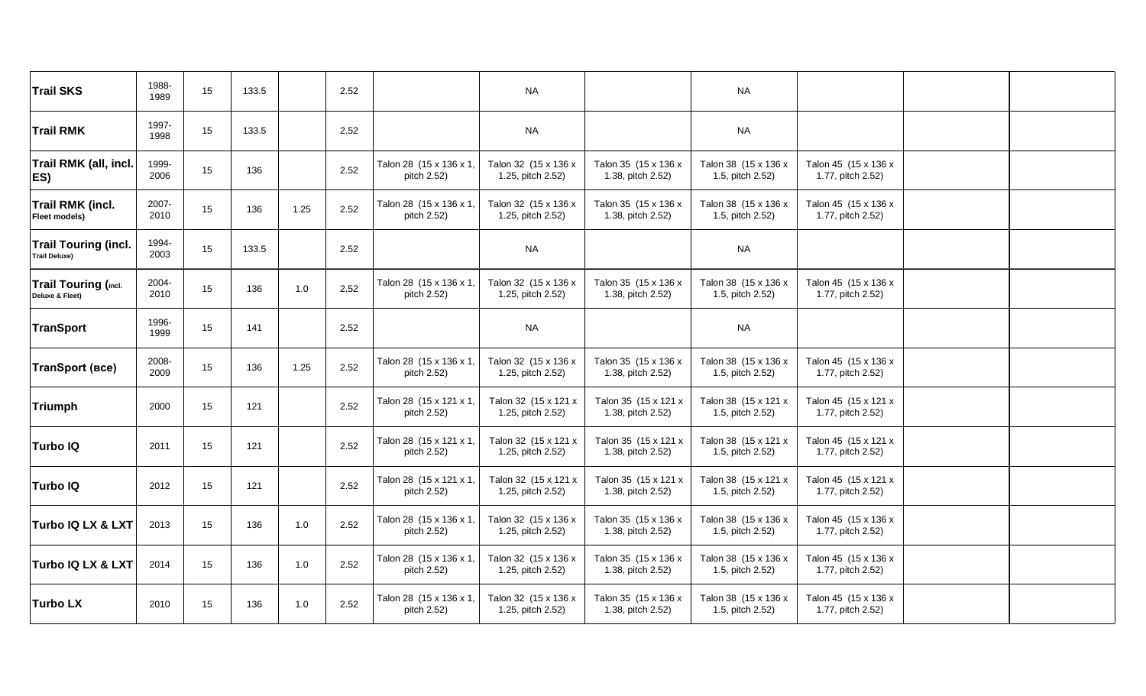| <b>Trail SKS</b>                                    | 1988-<br>1989 | 15 | 133.5 |      | 2.52 |                                        | <b>NA</b>                                 |                                           | <b>NA</b>                                |                                           |  |
|-----------------------------------------------------|---------------|----|-------|------|------|----------------------------------------|-------------------------------------------|-------------------------------------------|------------------------------------------|-------------------------------------------|--|
| <b>Trail RMK</b>                                    | 1997-<br>1998 | 15 | 133.5 |      | 2.52 |                                        | <b>NA</b>                                 |                                           | <b>NA</b>                                |                                           |  |
| <b>Trail RMK (all, incl.</b><br>ES)                 | 1999-<br>2006 | 15 | 136   |      | 2.52 | Talon 28 (15 x 136 x 1,<br>pitch 2.52) | Talon 32 (15 x 136 x<br>1.25, pitch 2.52) | Talon 35 (15 x 136 x<br>1.38, pitch 2.52) | Talon 38 (15 x 136 x<br>1.5, pitch 2.52) | Talon 45 (15 x 136 x<br>1.77, pitch 2.52) |  |
| <b>Trail RMK (incl.</b><br>Fleet models)            | 2007-<br>2010 | 15 | 136   | 1.25 | 2.52 | Talon 28 (15 x 136 x 1,<br>pitch 2.52) | Talon 32 (15 x 136 x<br>1.25, pitch 2.52) | Talon 35 (15 x 136 x<br>1.38, pitch 2.52) | Talon 38 (15 x 136 x<br>1.5, pitch 2.52) | Talon 45 (15 x 136 x<br>1.77, pitch 2.52) |  |
| <b>Trail Touring (incl.</b><br><b>Trail Deluxe)</b> | 1994-<br>2003 | 15 | 133.5 |      | 2.52 |                                        | <b>NA</b>                                 |                                           | <b>NA</b>                                |                                           |  |
| <b>Trail Touring (incl.</b><br>Deluxe & Fleet)      | 2004-<br>2010 | 15 | 136   | 1.0  | 2.52 | Talon 28 (15 x 136 x 1,<br>pitch 2.52) | Talon 32 (15 x 136 x<br>1.25, pitch 2.52) | Talon 35 (15 x 136 x<br>1.38, pitch 2.52) | Talon 38 (15 x 136 x<br>1.5, pitch 2.52) | Talon 45 (15 x 136 x<br>1.77, pitch 2.52) |  |
| TranSport                                           | 1996-<br>1999 | 15 | 141   |      | 2.52 |                                        | <b>NA</b>                                 |                                           | <b>NA</b>                                |                                           |  |
| <b>TranSport (BCe)</b>                              | 2008-<br>2009 | 15 | 136   | 1.25 | 2.52 | Talon 28 (15 x 136 x 1,<br>pitch 2.52) | Talon 32 (15 x 136 x<br>1.25, pitch 2.52) | Talon 35 (15 x 136 x<br>1.38, pitch 2.52) | Talon 38 (15 x 136 x<br>1.5, pitch 2.52) | Talon 45 (15 x 136 x<br>1.77, pitch 2.52) |  |
| Triumph                                             | 2000          | 15 | 121   |      | 2.52 | Talon 28 (15 x 121 x 1,<br>pitch 2.52) | Talon 32 (15 x 121 x<br>1.25, pitch 2.52) | Talon 35 (15 x 121 x<br>1.38, pitch 2.52) | Talon 38 (15 x 121 x<br>1.5, pitch 2.52) | Talon 45 (15 x 121 x<br>1.77, pitch 2.52) |  |
| <b>Turbo IQ</b>                                     | 2011          | 15 | 121   |      | 2.52 | Talon 28 (15 x 121 x 1,<br>pitch 2.52) | Talon 32 (15 x 121 x<br>1.25, pitch 2.52) | Talon 35 (15 x 121 x<br>1.38, pitch 2.52) | Talon 38 (15 x 121 x<br>1.5, pitch 2.52) | Talon 45 (15 x 121 x<br>1.77, pitch 2.52) |  |
| Turbo IQ                                            | 2012          | 15 | 121   |      | 2.52 | Talon 28 (15 x 121 x 1,<br>pitch 2.52) | Talon 32 (15 x 121 x<br>1.25, pitch 2.52) | Talon 35 (15 x 121 x<br>1.38, pitch 2.52) | Talon 38 (15 x 121 x<br>1.5, pitch 2.52) | Talon 45 (15 x 121 x<br>1.77, pitch 2.52) |  |
| Turbo IQ LX & LXT                                   | 2013          | 15 | 136   | 1.0  | 2.52 | Talon 28 (15 x 136 x 1,<br>pitch 2.52) | Talon 32 (15 x 136 x<br>1.25, pitch 2.52) | Talon 35 (15 x 136 x<br>1.38, pitch 2.52) | Talon 38 (15 x 136 x<br>1.5, pitch 2.52) | Talon 45 (15 x 136 x<br>1.77, pitch 2.52) |  |
| <b>Turbo IQ LX &amp; LXT</b>                        | 2014          | 15 | 136   | 1.0  | 2.52 | Talon 28 (15 x 136 x 1,<br>pitch 2.52) | Talon 32 (15 x 136 x<br>1.25, pitch 2.52) | Talon 35 (15 x 136 x<br>1.38, pitch 2.52) | Talon 38 (15 x 136 x<br>1.5, pitch 2.52) | Talon 45 (15 x 136 x<br>1.77, pitch 2.52) |  |
| <b>Turbo LX</b>                                     | 2010          | 15 | 136   | 1.0  | 2.52 | Talon 28 (15 x 136 x 1,<br>pitch 2.52) | Talon 32 (15 x 136 x<br>1.25, pitch 2.52) | Talon 35 (15 x 136 x<br>1.38, pitch 2.52) | Talon 38 (15 x 136 x<br>1.5, pitch 2.52) | Talon 45 (15 x 136 x<br>1.77, pitch 2.52) |  |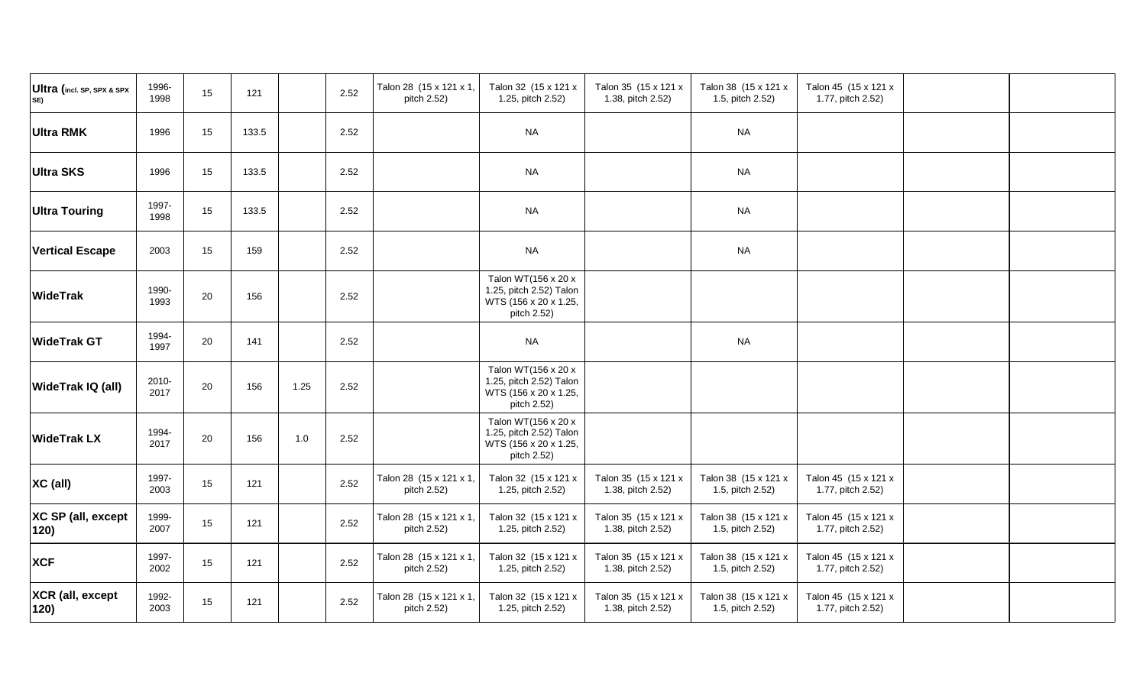| Ultra (incl. SP, SPX & SPX<br>SE) | 1996-<br>1998 | 15     | 121   | 2.52         | Talon 28 (15 x 121 x 1,<br>pitch 2.52) | Talon 32 (15 x 121 x<br>1.25, pitch 2.52)                                              | Talon 35 (15 x 121 x<br>1.38, pitch 2.52) | Talon 38 (15 x 121 x<br>1.5, pitch 2.52) | Talon 45 (15 x 121 x<br>1.77, pitch 2.52) |
|-----------------------------------|---------------|--------|-------|--------------|----------------------------------------|----------------------------------------------------------------------------------------|-------------------------------------------|------------------------------------------|-------------------------------------------|
| <b>Ultra RMK</b>                  | 1996          | 15     | 133.5 | 2.52         |                                        | <b>NA</b>                                                                              |                                           | <b>NA</b>                                |                                           |
| <b>Ultra SKS</b>                  | 1996          | $15\,$ | 133.5 | 2.52         |                                        | <b>NA</b>                                                                              |                                           | <b>NA</b>                                |                                           |
| <b>Ultra Touring</b>              | 1997-<br>1998 | 15     | 133.5 | 2.52         |                                        | <b>NA</b>                                                                              |                                           | <b>NA</b>                                |                                           |
| <b>Vertical Escape</b>            | 2003          | 15     | 159   | 2.52         |                                        | <b>NA</b>                                                                              |                                           | <b>NA</b>                                |                                           |
| <b>WideTrak</b>                   | 1990-<br>1993 | 20     | 156   | 2.52         |                                        | Talon WT(156 x 20 x<br>1.25, pitch 2.52) Talon<br>WTS (156 x 20 x 1.25,<br>pitch 2.52) |                                           |                                          |                                           |
| <b>WideTrak GT</b>                | 1994-<br>1997 | 20     | 141   | 2.52         |                                        | <b>NA</b>                                                                              |                                           | <b>NA</b>                                |                                           |
| WideTrak IQ (all)                 | 2010-<br>2017 | 20     | 156   | 1.25<br>2.52 |                                        | Talon WT(156 x 20 x<br>1.25, pitch 2.52) Talon<br>WTS (156 x 20 x 1.25,<br>pitch 2.52) |                                           |                                          |                                           |
| <b>WideTrak LX</b>                | 1994-<br>2017 | 20     | 156   | 1.0<br>2.52  |                                        | Talon WT(156 x 20 x<br>1.25, pitch 2.52) Talon<br>WTS (156 x 20 x 1.25,<br>pitch 2.52) |                                           |                                          |                                           |
| XC (all)                          | 1997-<br>2003 | 15     | 121   | 2.52         | Talon 28 (15 x 121 x 1,<br>pitch 2.52) | Talon 32 (15 x 121 x<br>1.25, pitch 2.52)                                              | Talon 35 (15 x 121 x<br>1.38, pitch 2.52) | Talon 38 (15 x 121 x<br>1.5, pitch 2.52) | Talon 45 (15 x 121 x<br>1.77, pitch 2.52) |
| XC SP (all, except<br>120)        | 1999-<br>2007 | 15     | 121   | 2.52         | Talon 28 (15 x 121 x 1,<br>pitch 2.52) | Talon 32 (15 x 121 x<br>1.25, pitch 2.52)                                              | Talon 35 (15 x 121 x<br>1.38, pitch 2.52) | Talon 38 (15 x 121 x<br>1.5, pitch 2.52) | Talon 45 (15 x 121 x<br>1.77, pitch 2.52) |
| <b>XCF</b>                        | 1997-<br>2002 | 15     | 121   | 2.52         | Talon 28 (15 x 121 x 1,<br>pitch 2.52) | Talon 32 (15 x 121 x<br>1.25, pitch 2.52)                                              | Talon 35 (15 x 121 x<br>1.38, pitch 2.52) | Talon 38 (15 x 121 x<br>1.5, pitch 2.52) | Talon 45 (15 x 121 x<br>1.77, pitch 2.52) |
| XCR (all, except<br>120)          | 1992-<br>2003 | 15     | 121   | 2.52         | Talon 28 (15 x 121 x 1,<br>pitch 2.52) | Talon 32 (15 x 121 x<br>1.25, pitch 2.52)                                              | Talon 35 (15 x 121 x<br>1.38, pitch 2.52) | Talon 38 (15 x 121 x<br>1.5, pitch 2.52) | Talon 45 (15 x 121 x<br>1.77, pitch 2.52) |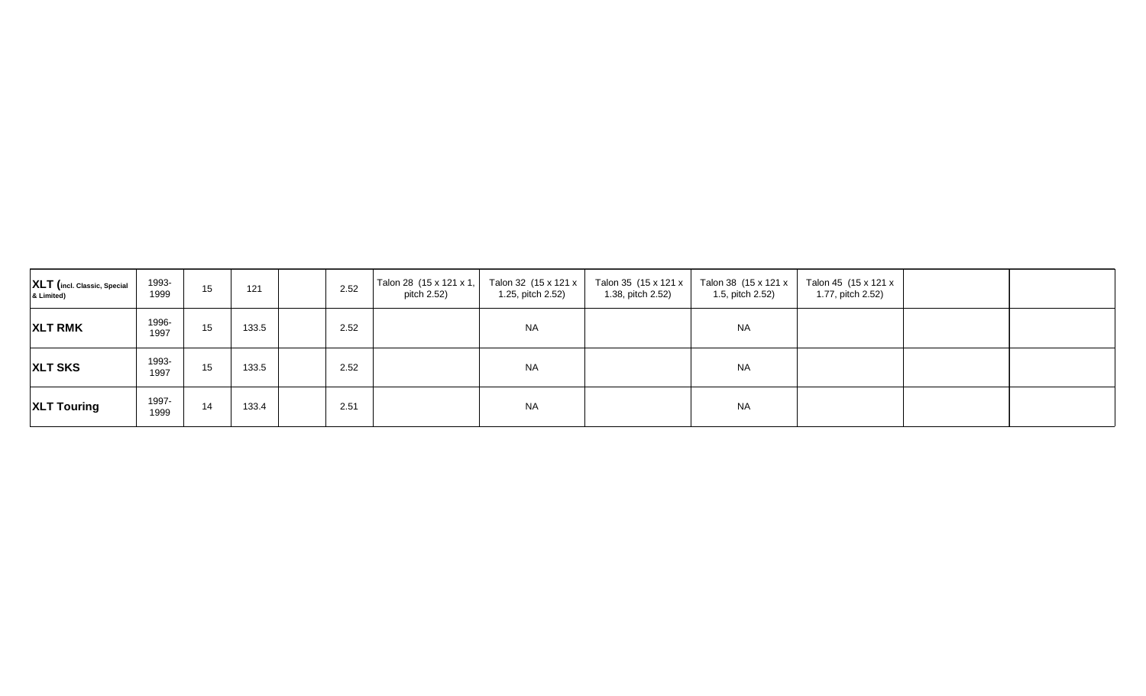| XLT (incl. Classic, Special<br>& Limited) | 1993-<br>1999 | 15 | 121   | 2.52 | Talon 28 $(15 \times 121 \times 1,$ Talon 32 $(15 \times 121 \times$<br>pitch 2.52) | 1.25, pitch 2.52) | 1.38, pitch 2.52) | Talon 35 (15 x 121 x   Talon 38 (15 x 121 x  <br>1.5, pitch 2.52) | Talon 45 (15 x 121 x<br>1.77, pitch 2.52) |  |
|-------------------------------------------|---------------|----|-------|------|-------------------------------------------------------------------------------------|-------------------|-------------------|-------------------------------------------------------------------|-------------------------------------------|--|
| <b>XLT RMK</b>                            | 1996-<br>1997 | 15 | 133.5 | 2.52 |                                                                                     | <b>NA</b>         |                   | <b>NA</b>                                                         |                                           |  |
| <b>XLT SKS</b>                            | 1993-<br>1997 | 15 | 133.5 | 2.52 |                                                                                     | <b>NA</b>         |                   | <b>NA</b>                                                         |                                           |  |
| <b>XLT Touring</b>                        | 1997-<br>1999 | 14 | 133.4 | 2.51 |                                                                                     | <b>NA</b>         |                   | <b>NA</b>                                                         |                                           |  |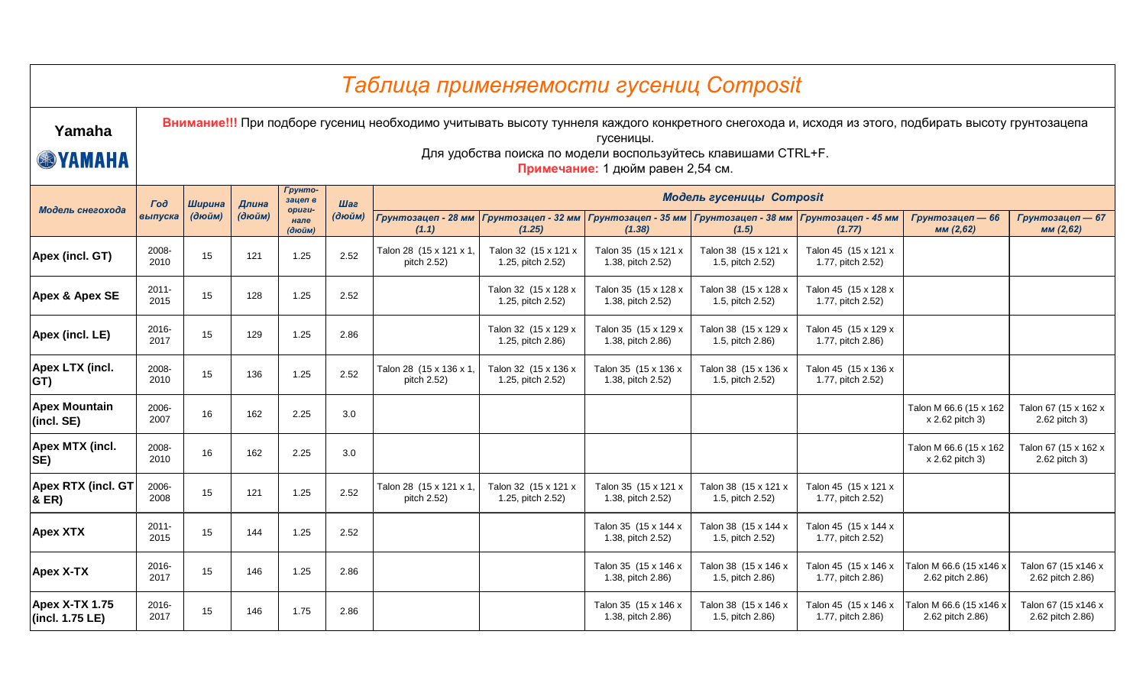|                                          |                  |        |        |                          |        |                                        | Таблица применяемости гусениц Composit                         |                                                |                                                                          |                                           |                                                                                                                                                     |                                         |
|------------------------------------------|------------------|--------|--------|--------------------------|--------|----------------------------------------|----------------------------------------------------------------|------------------------------------------------|--------------------------------------------------------------------------|-------------------------------------------|-----------------------------------------------------------------------------------------------------------------------------------------------------|-----------------------------------------|
| Yamaha<br><b>SYAMAHA</b>                 |                  |        |        |                          |        |                                        | Для удобства поиска по модели воспользуйтесь клавишами CTRL+F. | гусеницы.<br>Примечание: 1 дюйм равен 2,54 см. |                                                                          |                                           | Внимание!!! При подборе гусениц необходимо учитывать высоту туннеля каждого конкретного снегохода и, исходя из этого, подбирать высоту грунтозацепа |                                         |
|                                          | <b>Tod</b>       | Ширина | Длина  | Грунто-<br>зацеп в       | Шаг    |                                        |                                                                |                                                | Модель гусеницы Composit                                                 |                                           |                                                                                                                                                     |                                         |
| Модель снегохода                         | выпуска          | (дюйм) | (дюйм) | -usuqo<br>нале<br>(дюйм) | (дюйм) | (1.1)                                  | Грунтозацеп - 28 мм Грунтозацеп - 32 мм<br>(1.25)              | (1.38)                                         | Грунтозацеп - 35 мм   Грунтозацеп - 38 мм   Грунтозацеп - 45 мм<br>(1.5) | (1.77)                                    | Грунтозацеп - 66<br>мм (2,62)                                                                                                                       | Грунтозацеп — 67<br>мм (2,62)           |
| Apex (incl. GT)                          | 2008-<br>2010    | 15     | 121    | 1.25                     | 2.52   | Talon 28 (15 x 121 x 1,<br>pitch 2.52) | Talon 32 (15 x 121 x<br>1.25, pitch 2.52)                      | Talon 35 (15 x 121 x<br>1.38, pitch 2.52)      | Talon 38 (15 x 121 x<br>1.5, pitch 2.52)                                 | Talon 45 (15 x 121 x<br>1.77, pitch 2.52) |                                                                                                                                                     |                                         |
| <b>Apex &amp; Apex SE</b>                | $2011 -$<br>2015 | 15     | 128    | 1.25                     | 2.52   |                                        | Talon 32 (15 x 128 x<br>1.25, pitch 2.52)                      | Talon 35 (15 x 128 x<br>1.38, pitch 2.52)      | Talon 38 (15 x 128 x<br>1.5, pitch 2.52)                                 | Talon 45 (15 x 128 x<br>1.77, pitch 2.52) |                                                                                                                                                     |                                         |
| Apex (incl. LE)                          | 2016-<br>2017    | 15     | 129    | 1.25                     | 2.86   |                                        | Talon 32 (15 x 129 x<br>1.25, pitch 2.86)                      | Talon 35 (15 x 129 x<br>1.38, pitch 2.86)      | Talon 38 (15 x 129 x<br>1.5, pitch 2.86)                                 | Talon 45 (15 x 129 x<br>1.77, pitch 2.86) |                                                                                                                                                     |                                         |
| Apex LTX (incl.<br>GT)                   | 2008-<br>2010    | 15     | 136    | 1.25                     | 2.52   | Talon 28 (15 x 136 x 1)<br>pitch 2.52) | Talon 32 (15 x 136 x<br>1.25, pitch 2.52)                      | Talon 35 (15 x 136 x<br>1.38, pitch 2.52)      | Talon 38 (15 x 136 x<br>1.5, pitch 2.52)                                 | Talon 45 (15 x 136 x<br>1.77, pitch 2.52) |                                                                                                                                                     |                                         |
| <b>Apex Mountain</b><br>(incl. SE)       | 2006-<br>2007    | 16     | 162    | 2.25                     | 3.0    |                                        |                                                                |                                                |                                                                          |                                           | Talon M 66.6 (15 x 162<br>x 2.62 pitch 3)                                                                                                           | Talon 67 (15 x 162 x<br>2.62 pitch 3)   |
| Apex MTX (incl.<br>SE)                   | 2008-<br>2010    | 16     | 162    | 2.25                     | 3.0    |                                        |                                                                |                                                |                                                                          |                                           | Talon M 66.6 (15 x 162<br>x 2.62 pitch 3)                                                                                                           | Talon 67 (15 x 162 x<br>2.62 pitch 3)   |
| <b>Apex RTX (incl. GT</b><br>& ER)       | 2006-<br>2008    | 15     | 121    | 1.25                     | 2.52   | Talon 28 (15 x 121 x 1)<br>pitch 2.52) | Talon 32 (15 x 121 x<br>1.25, pitch 2.52)                      | Talon 35 (15 x 121 x<br>1.38, pitch 2.52)      | Talon 38 (15 x 121 x<br>1.5, pitch 2.52)                                 | Talon 45 (15 x 121 x<br>1.77, pitch 2.52) |                                                                                                                                                     |                                         |
| <b>Apex XTX</b>                          | $2011 -$<br>2015 | 15     | 144    | 1.25                     | 2.52   |                                        |                                                                | Talon 35 (15 x 144 x<br>1.38, pitch 2.52)      | Talon 38 (15 x 144 x<br>1.5, pitch 2.52)                                 | Talon 45 (15 x 144 x<br>1.77, pitch 2.52) |                                                                                                                                                     |                                         |
| <b>Apex X-TX</b>                         | 2016-<br>2017    | 15     | 146    | 1.25                     | 2.86   |                                        |                                                                | Talon 35 (15 x 146 x<br>1.38, pitch 2.86)      | Talon 38 (15 x 146 x<br>1.5, pitch 2.86)                                 | Talon 45 (15 x 146 x<br>1.77, pitch 2.86) | Talon M 66.6 (15 x146 x<br>2.62 pitch 2.86)                                                                                                         | Talon 67 (15 x146 x<br>2.62 pitch 2.86) |
| <b>Apex X-TX 1.75</b><br>(incl. 1.75 LE) | 2016-<br>2017    | 15     | 146    | 1.75                     | 2.86   |                                        |                                                                | Talon 35 (15 x 146 x<br>1.38, pitch 2.86)      | Talon 38 (15 x 146 x<br>1.5, pitch 2.86)                                 | Talon 45 (15 x 146 x<br>1.77, pitch 2.86) | Talon M 66.6 (15 x146 x<br>2.62 pitch 2.86)                                                                                                         | Talon 67 (15 x146 x<br>2.62 pitch 2.86) |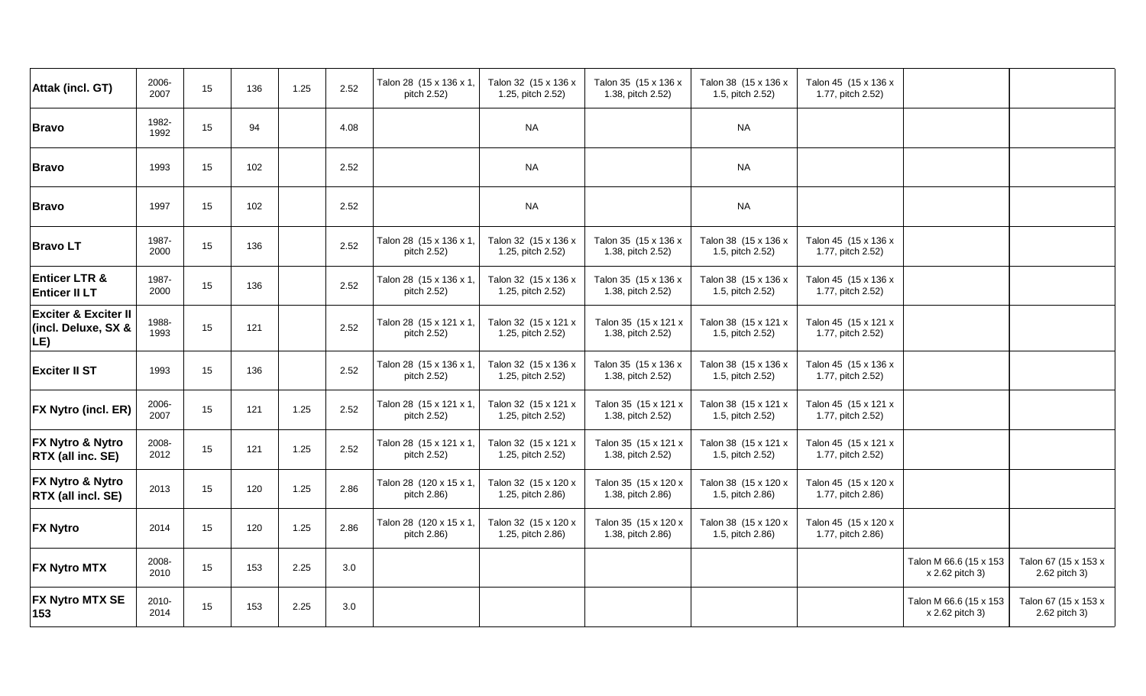| Attak (incl. GT)                                              | 2006-<br>2007 | 15 | 136 | 1.25 | 2.52 | Talon 28 (15 x 136 x 1,<br>pitch 2.52) | Talon 32 (15 x 136 x<br>1.25, pitch 2.52) | Talon 35 (15 x 136 x<br>1.38, pitch 2.52) | Talon 38 (15 x 136 x<br>1.5, pitch 2.52) | Talon 45 (15 x 136 x<br>1.77, pitch 2.52) |                                           |                                       |
|---------------------------------------------------------------|---------------|----|-----|------|------|----------------------------------------|-------------------------------------------|-------------------------------------------|------------------------------------------|-------------------------------------------|-------------------------------------------|---------------------------------------|
| <b>Bravo</b>                                                  | 1982-<br>1992 | 15 | 94  |      | 4.08 |                                        | <b>NA</b>                                 |                                           | <b>NA</b>                                |                                           |                                           |                                       |
| <b>Bravo</b>                                                  | 1993          | 15 | 102 |      | 2.52 |                                        | <b>NA</b>                                 |                                           | <b>NA</b>                                |                                           |                                           |                                       |
| <b>Bravo</b>                                                  | 1997          | 15 | 102 |      | 2.52 |                                        | <b>NA</b>                                 |                                           | <b>NA</b>                                |                                           |                                           |                                       |
| <b>BravoLT</b>                                                | 1987-<br>2000 | 15 | 136 |      | 2.52 | Talon 28 (15 x 136 x 1,<br>pitch 2.52) | Talon 32 (15 x 136 x<br>1.25, pitch 2.52) | Talon 35 (15 x 136 x<br>1.38, pitch 2.52) | Talon 38 (15 x 136 x<br>1.5, pitch 2.52) | Talon 45 (15 x 136 x<br>1.77, pitch 2.52) |                                           |                                       |
| <b>Enticer LTR &amp;</b><br><b>Enticer II LT</b>              | 1987-<br>2000 | 15 | 136 |      | 2.52 | Talon 28 (15 x 136 x 1,<br>pitch 2.52) | Talon 32 (15 x 136 x<br>1.25, pitch 2.52) | Talon 35 (15 x 136 x<br>1.38, pitch 2.52) | Talon 38 (15 x 136 x<br>1.5, pitch 2.52) | Talon 45 (15 x 136 x<br>1.77, pitch 2.52) |                                           |                                       |
| <b>Exciter &amp; Exciter II</b><br>(incl. Deluxe, SX &<br>LE) | 1988-<br>1993 | 15 | 121 |      | 2.52 | Talon 28 (15 x 121 x 1,<br>pitch 2.52) | Talon 32 (15 x 121 x<br>1.25, pitch 2.52) | Talon 35 (15 x 121 x<br>1.38, pitch 2.52) | Talon 38 (15 x 121 x<br>1.5, pitch 2.52) | Talon 45 (15 x 121 x<br>1.77, pitch 2.52) |                                           |                                       |
| <b>Exciter II ST</b>                                          | 1993          | 15 | 136 |      | 2.52 | Talon 28 (15 x 136 x 1,<br>pitch 2.52) | Talon 32 (15 x 136 x<br>1.25, pitch 2.52) | Talon 35 (15 x 136 x<br>1.38, pitch 2.52) | Talon 38 (15 x 136 x<br>1.5, pitch 2.52) | Talon 45 (15 x 136 x<br>1.77, pitch 2.52) |                                           |                                       |
| FX Nytro (incl. ER)                                           | 2006-<br>2007 | 15 | 121 | 1.25 | 2.52 | Talon 28 (15 x 121 x 1,<br>pitch 2.52) | Talon 32 (15 x 121 x<br>1.25, pitch 2.52) | Talon 35 (15 x 121 x<br>1.38, pitch 2.52) | Talon 38 (15 x 121 x<br>1.5, pitch 2.52) | Talon 45 (15 x 121 x<br>1.77, pitch 2.52) |                                           |                                       |
| FX Nytro & Nytro<br>RTX (all inc. SE)                         | 2008-<br>2012 | 15 | 121 | 1.25 | 2.52 | Talon 28 (15 x 121 x 1,<br>pitch 2.52) | Talon 32 (15 x 121 x<br>1.25, pitch 2.52) | Talon 35 (15 x 121 x<br>1.38, pitch 2.52) | Talon 38 (15 x 121 x<br>1.5, pitch 2.52) | Talon 45 (15 x 121 x<br>1.77, pitch 2.52) |                                           |                                       |
| FX Nytro & Nytro<br>RTX (all incl. SE)                        | 2013          | 15 | 120 | 1.25 | 2.86 | Talon 28 (120 x 15 x 1,<br>pitch 2.86) | Talon 32 (15 x 120 x<br>1.25, pitch 2.86) | Talon 35 (15 x 120 x<br>1.38, pitch 2.86) | Talon 38 (15 x 120 x<br>1.5, pitch 2.86) | Talon 45 (15 x 120 x<br>1.77, pitch 2.86) |                                           |                                       |
| <b>FX Nytro</b>                                               | 2014          | 15 | 120 | 1.25 | 2.86 | Talon 28 (120 x 15 x 1,<br>pitch 2.86) | Talon 32 (15 x 120 x<br>1.25, pitch 2.86) | Talon 35 (15 x 120 x<br>1.38, pitch 2.86) | Talon 38 (15 x 120 x<br>1.5, pitch 2.86) | Talon 45 (15 x 120 x<br>1.77, pitch 2.86) |                                           |                                       |
| <b>FX Nytro MTX</b>                                           | 2008-<br>2010 | 15 | 153 | 2.25 | 3.0  |                                        |                                           |                                           |                                          |                                           | Talon M 66.6 (15 x 153<br>x 2.62 pitch 3) | Talon 67 (15 x 153 x<br>2.62 pitch 3) |
| <b>FX Nytro MTX SE</b><br>153                                 | 2010-<br>2014 | 15 | 153 | 2.25 | 3.0  |                                        |                                           |                                           |                                          |                                           | Talon M 66.6 (15 x 153<br>x 2.62 pitch 3) | Talon 67 (15 x 153 x<br>2.62 pitch 3) |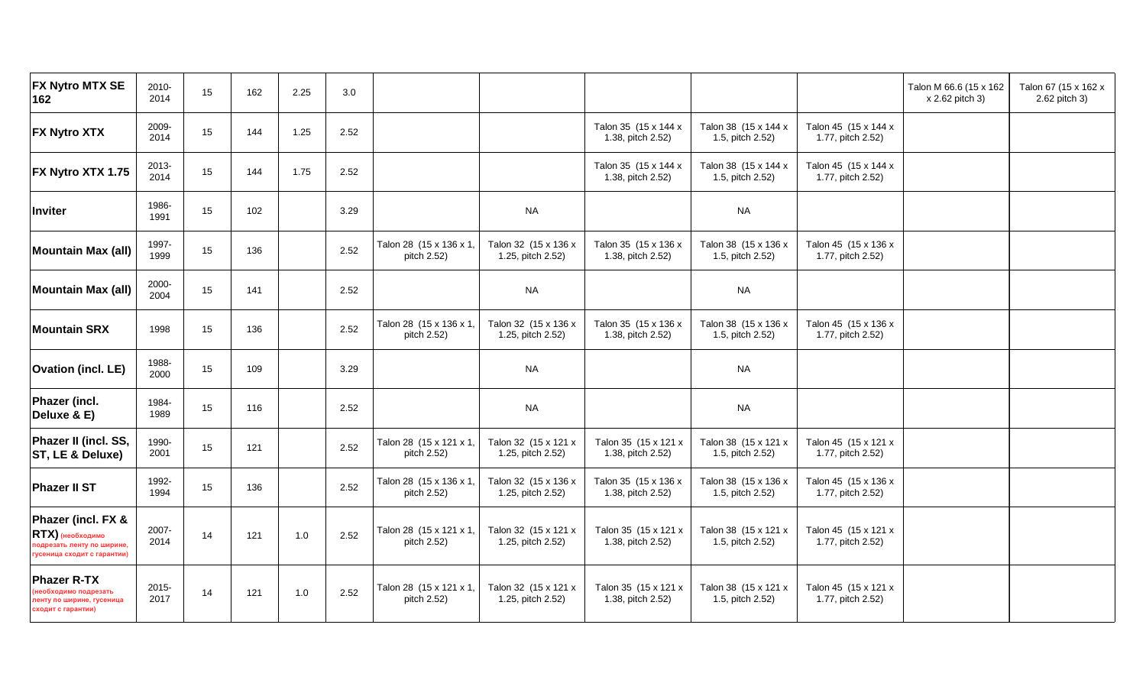| FX Nytro MTX SE<br>162                                                                              | 2010-<br>2014 | 15 | 162 | 2.25 | 3.0  |                                        |                                           |                                           |                                          |                                           | Talon M 66.6 (15 x 162<br>x 2.62 pitch 3) | Talon 67 (15 x 162 x<br>2.62 pitch 3) |
|-----------------------------------------------------------------------------------------------------|---------------|----|-----|------|------|----------------------------------------|-------------------------------------------|-------------------------------------------|------------------------------------------|-------------------------------------------|-------------------------------------------|---------------------------------------|
| <b>FX Nytro XTX</b>                                                                                 | 2009-<br>2014 | 15 | 144 | 1.25 | 2.52 |                                        |                                           | Talon 35 (15 x 144 x<br>1.38, pitch 2.52) | Talon 38 (15 x 144 x<br>1.5, pitch 2.52) | Talon 45 (15 x 144 x<br>1.77, pitch 2.52) |                                           |                                       |
| FX Nytro XTX 1.75                                                                                   | 2013-<br>2014 | 15 | 144 | 1.75 | 2.52 |                                        |                                           | Talon 35 (15 x 144 x<br>1.38, pitch 2.52) | Talon 38 (15 x 144 x<br>1.5, pitch 2.52) | Talon 45 (15 x 144 x<br>1.77, pitch 2.52) |                                           |                                       |
| Inviter                                                                                             | 1986-<br>1991 | 15 | 102 |      | 3.29 |                                        | <b>NA</b>                                 |                                           | <b>NA</b>                                |                                           |                                           |                                       |
| <b>Mountain Max (all)</b>                                                                           | 1997-<br>1999 | 15 | 136 |      | 2.52 | Talon 28 (15 x 136 x 1<br>pitch 2.52)  | Talon 32 (15 x 136 x<br>1.25, pitch 2.52) | Talon 35 (15 x 136 x<br>1.38, pitch 2.52) | Talon 38 (15 x 136 x<br>1.5, pitch 2.52) | Talon 45 (15 x 136 x<br>1.77, pitch 2.52) |                                           |                                       |
| <b>Mountain Max (all)</b>                                                                           | 2000-<br>2004 | 15 | 141 |      | 2.52 |                                        | <b>NA</b>                                 |                                           | <b>NA</b>                                |                                           |                                           |                                       |
| <b>Mountain SRX</b>                                                                                 | 1998          | 15 | 136 |      | 2.52 | Talon 28 (15 x 136 x 1,<br>pitch 2.52) | Talon 32 (15 x 136 x<br>1.25, pitch 2.52) | Talon 35 (15 x 136 x<br>1.38, pitch 2.52) | Talon 38 (15 x 136 x<br>1.5, pitch 2.52) | Talon 45 (15 x 136 x<br>1.77, pitch 2.52) |                                           |                                       |
| <b>Ovation (incl. LE)</b>                                                                           | 1988-<br>2000 | 15 | 109 |      | 3.29 |                                        | <b>NA</b>                                 |                                           | <b>NA</b>                                |                                           |                                           |                                       |
| Phazer (incl.<br>Deluxe & E)                                                                        | 1984-<br>1989 | 15 | 116 |      | 2.52 |                                        | <b>NA</b>                                 |                                           | <b>NA</b>                                |                                           |                                           |                                       |
| Phazer II (incl. SS,<br>ST, LE & Deluxe)                                                            | 1990-<br>2001 | 15 | 121 |      | 2.52 | Talon 28 (15 x 121 x 1,<br>pitch 2.52) | Talon 32 (15 x 121 x<br>1.25, pitch 2.52) | Talon 35 (15 x 121 x<br>1.38, pitch 2.52) | Talon 38 (15 x 121 x<br>1.5, pitch 2.52) | Talon 45 (15 x 121 x<br>1.77, pitch 2.52) |                                           |                                       |
| <b>Phazer II ST</b>                                                                                 | 1992-<br>1994 | 15 | 136 |      | 2.52 | Talon 28 (15 x 136 x 1,<br>pitch 2.52) | Talon 32 (15 x 136 x<br>1.25, pitch 2.52) | Talon 35 (15 x 136 x<br>1.38, pitch 2.52) | Talon 38 (15 x 136 x<br>1.5, pitch 2.52) | Talon 45 (15 x 136 x<br>1.77, pitch 2.52) |                                           |                                       |
| Phazer (incl. FX &<br>RTX) (необходимо<br>подрезать ленту по ширине.<br>гусеница сходит с гарантии) | 2007-<br>2014 | 14 | 121 | 1.0  | 2.52 | Talon 28 (15 x 121 x 1,<br>pitch 2.52) | Talon 32 (15 x 121 x<br>1.25, pitch 2.52) | Talon 35 (15 x 121 x<br>1.38, pitch 2.52) | Talon 38 (15 x 121 x<br>1.5, pitch 2.52) | Talon 45 (15 x 121 x<br>1.77, pitch 2.52) |                                           |                                       |
| <b>Phazer R-TX</b><br>необходимо подрезать<br>пенту по ширине, гусеница<br>сходит с гарантии)       | 2015-<br>2017 | 14 | 121 | 1.0  | 2.52 | Talon 28 (15 x 121 x 1,<br>pitch 2.52) | Talon 32 (15 x 121 x<br>1.25, pitch 2.52) | Talon 35 (15 x 121 x<br>1.38, pitch 2.52) | Talon 38 (15 x 121 x<br>1.5, pitch 2.52) | Talon 45 (15 x 121 x<br>1.77, pitch 2.52) |                                           |                                       |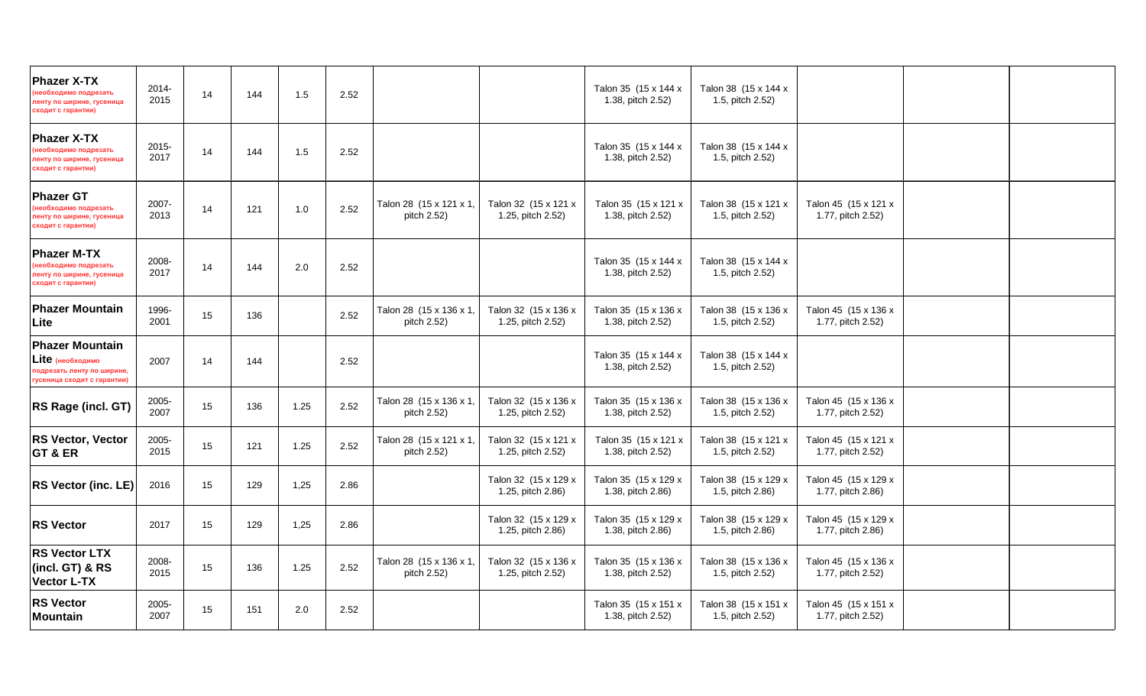| <b>Phazer X-TX</b><br>необходимо подрезать<br>тенту по ширине, гусеница<br>сходит с гарантии)           | 2014-<br>2015 | 14 | 144 | 1.5  | 2.52 |                                        |                                           | Talon 35 (15 x 144 x<br>1.38, pitch 2.52) | Talon 38 (15 x 144 x<br>1.5, pitch 2.52) |                                           |  |
|---------------------------------------------------------------------------------------------------------|---------------|----|-----|------|------|----------------------------------------|-------------------------------------------|-------------------------------------------|------------------------------------------|-------------------------------------------|--|
| <b>Phazer X-TX</b><br>необходимо подрезать<br>пенту по ширине, гусеница<br>сходит с гарантии)           | 2015-<br>2017 | 14 | 144 | 1.5  | 2.52 |                                        |                                           | Talon 35 (15 x 144 x<br>1.38, pitch 2.52) | Talon 38 (15 x 144 x<br>1.5, pitch 2.52) |                                           |  |
| <b>Phazer GT</b><br>необходимо подрезать<br>пенту по ширине, гусеница<br>сходит с гарантии)             | 2007-<br>2013 | 14 | 121 | 1.0  | 2.52 | Talon 28 (15 x 121 x 1<br>pitch 2.52)  | Talon 32 (15 x 121 x<br>1.25, pitch 2.52) | Talon 35 (15 x 121 x<br>1.38, pitch 2.52) | Talon 38 (15 x 121 x<br>1.5, pitch 2.52) | Talon 45 (15 x 121 x<br>1.77, pitch 2.52) |  |
| <b>Phazer M-TX</b><br>необходимо подрезать<br>ленту по ширине, гусеница<br>сходит с гарантии)           | 2008-<br>2017 | 14 | 144 | 2.0  | 2.52 |                                        |                                           | Talon 35 (15 x 144 x<br>1.38, pitch 2.52) | Talon 38 (15 x 144 x<br>1.5, pitch 2.52) |                                           |  |
| <b>Phazer Mountain</b><br>Lite                                                                          | 1996-<br>2001 | 15 | 136 |      | 2.52 | Talon 28 (15 x 136 x 1<br>pitch 2.52)  | Talon 32 (15 x 136 x<br>1.25, pitch 2.52) | Talon 35 (15 x 136 x<br>1.38, pitch 2.52) | Talon 38 (15 x 136 x<br>1.5, pitch 2.52) | Talon 45 (15 x 136 x<br>1.77, pitch 2.52) |  |
| <b>Phazer Mountain</b><br>Lite (необходимо<br>подрезать ленту по ширине,<br>гусеница сходит с гарантии) | 2007          | 14 | 144 |      | 2.52 |                                        |                                           | Talon 35 (15 x 144 x<br>1.38, pitch 2.52) | Talon 38 (15 x 144 x<br>1.5, pitch 2.52) |                                           |  |
| RS Rage (incl. GT)                                                                                      | 2005-<br>2007 | 15 | 136 | 1.25 | 2.52 | Talon 28 (15 x 136 x 1<br>pitch 2.52)  | Talon 32 (15 x 136 x<br>1.25, pitch 2.52) | Talon 35 (15 x 136 x<br>1.38, pitch 2.52) | Talon 38 (15 x 136 x<br>1.5, pitch 2.52) | Talon 45 (15 x 136 x<br>1.77, pitch 2.52) |  |
| <b>RS Vector, Vector</b><br>GT & ER                                                                     | 2005-<br>2015 | 15 | 121 | 1.25 | 2.52 | Talon 28 (15 x 121 x 1,<br>pitch 2.52) | Talon 32 (15 x 121 x<br>1.25, pitch 2.52) | Talon 35 (15 x 121 x<br>1.38, pitch 2.52) | Talon 38 (15 x 121 x<br>1.5, pitch 2.52) | Talon 45 (15 x 121 x<br>1.77, pitch 2.52) |  |
| RS Vector (inc. LE)                                                                                     | 2016          | 15 | 129 | 1,25 | 2.86 |                                        | Talon 32 (15 x 129 x<br>1.25, pitch 2.86) | Talon 35 (15 x 129 x<br>1.38, pitch 2.86) | Talon 38 (15 x 129 x<br>1.5, pitch 2.86) | Talon 45 (15 x 129 x<br>1.77, pitch 2.86) |  |
| <b>RS Vector</b>                                                                                        | 2017          | 15 | 129 | 1,25 | 2.86 |                                        | Talon 32 (15 x 129 x<br>1.25, pitch 2.86) | Talon 35 (15 x 129 x<br>1.38, pitch 2.86) | Talon 38 (15 x 129 x<br>1.5, pitch 2.86) | Talon 45 (15 x 129 x<br>1.77, pitch 2.86) |  |
| <b>RS Vector LTX</b><br>(incl. GT) & RS<br><b>Vector L-TX</b>                                           | 2008-<br>2015 | 15 | 136 | 1.25 | 2.52 | Talon 28 (15 x 136 x 1,<br>pitch 2.52) | Talon 32 (15 x 136 x<br>1.25, pitch 2.52) | Talon 35 (15 x 136 x<br>1.38, pitch 2.52) | Talon 38 (15 x 136 x<br>1.5, pitch 2.52) | Talon 45 (15 x 136 x<br>1.77, pitch 2.52) |  |
| <b>RS Vector</b><br><b>Mountain</b>                                                                     | 2005-<br>2007 | 15 | 151 | 2.0  | 2.52 |                                        |                                           | Talon 35 (15 x 151 x<br>1.38, pitch 2.52) | Talon 38 (15 x 151 x<br>1.5, pitch 2.52) | Talon 45 (15 x 151 x<br>1.77, pitch 2.52) |  |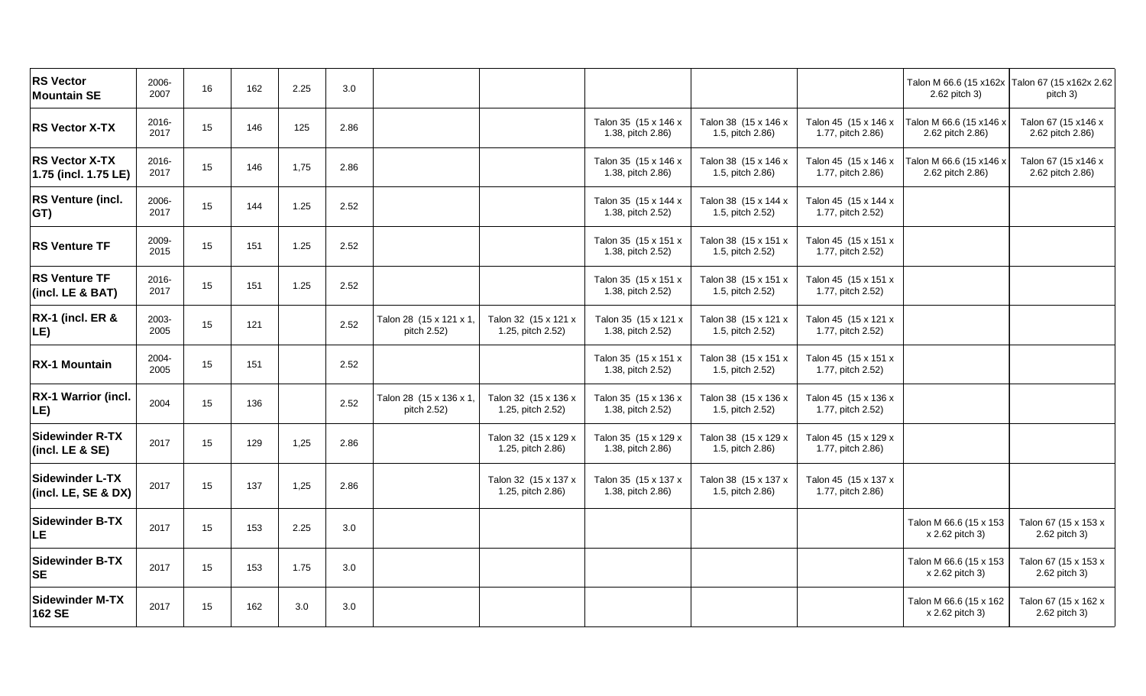| <b>RS Vector</b><br><b>Mountain SE</b>        | 2006-<br>2007 | $16\,$ | 162 | 2.25 | 3.0     |                                        |                                           |                                           |                                          |                                           | Talon M 66.6 (15 x162x Talon 67 (15 x162x 2.62)<br>2.62 pitch 3) | pitch 3)                                |
|-----------------------------------------------|---------------|--------|-----|------|---------|----------------------------------------|-------------------------------------------|-------------------------------------------|------------------------------------------|-------------------------------------------|------------------------------------------------------------------|-----------------------------------------|
| <b>RS Vector X-TX</b>                         | 2016-<br>2017 | 15     | 146 | 125  | 2.86    |                                        |                                           | Talon 35 (15 x 146 x<br>1.38, pitch 2.86) | Talon 38 (15 x 146 x<br>1.5, pitch 2.86) | Talon 45 (15 x 146 x<br>1.77, pitch 2.86) | Talon M 66.6 (15 x146 x<br>2.62 pitch 2.86)                      | Talon 67 (15 x146 x<br>2.62 pitch 2.86) |
| <b>RS Vector X-TX</b><br>1.75 (incl. 1.75 LE) | 2016-<br>2017 | 15     | 146 | 1,75 | 2.86    |                                        |                                           | Talon 35 (15 x 146 x<br>1.38, pitch 2.86) | Talon 38 (15 x 146 x<br>1.5, pitch 2.86) | Talon 45 (15 x 146 x<br>1.77, pitch 2.86) | Talon M 66.6 (15 x146 x<br>2.62 pitch 2.86)                      | Talon 67 (15 x146 x<br>2.62 pitch 2.86) |
| <b>RS Venture (incl.</b><br>GT)               | 2006-<br>2017 | 15     | 144 | 1.25 | 2.52    |                                        |                                           | Talon 35 (15 x 144 x<br>1.38, pitch 2.52) | Talon 38 (15 x 144 x<br>1.5, pitch 2.52) | Talon 45 (15 x 144 x<br>1.77, pitch 2.52) |                                                                  |                                         |
| <b>RS Venture TF</b>                          | 2009-<br>2015 | 15     | 151 | 1.25 | 2.52    |                                        |                                           | Talon 35 (15 x 151 x<br>1.38, pitch 2.52) | Talon 38 (15 x 151 x<br>1.5, pitch 2.52) | Talon 45 (15 x 151 x<br>1.77, pitch 2.52) |                                                                  |                                         |
| <b>RS Venture TF</b><br>(incl. LE & BAT)      | 2016-<br>2017 | 15     | 151 | 1.25 | 2.52    |                                        |                                           | Talon 35 (15 x 151 x<br>1.38, pitch 2.52) | Talon 38 (15 x 151 x<br>1.5, pitch 2.52) | Talon 45 (15 x 151 x<br>1.77, pitch 2.52) |                                                                  |                                         |
| <b>RX-1 (incl. ER &amp;</b><br>LE)            | 2003-<br>2005 | 15     | 121 |      | 2.52    | Talon 28 (15 x 121 x 1,<br>pitch 2.52) | Talon 32 (15 x 121 x<br>1.25, pitch 2.52) | Talon 35 (15 x 121 x<br>1.38, pitch 2.52) | Talon 38 (15 x 121 x<br>1.5, pitch 2.52) | Talon 45 (15 x 121 x<br>1.77, pitch 2.52) |                                                                  |                                         |
| <b>RX-1 Mountain</b>                          | 2004-<br>2005 | 15     | 151 |      | 2.52    |                                        |                                           | Talon 35 (15 x 151 x<br>1.38, pitch 2.52) | Talon 38 (15 x 151 x<br>1.5, pitch 2.52) | Talon 45 (15 x 151 x<br>1.77, pitch 2.52) |                                                                  |                                         |
| RX-1 Warrior (incl.<br>LE)                    | 2004          | 15     | 136 |      | 2.52    | Talon 28 (15 x 136 x 1,<br>pitch 2.52) | Talon 32 (15 x 136 x<br>1.25, pitch 2.52) | Talon 35 (15 x 136 x<br>1.38, pitch 2.52) | Talon 38 (15 x 136 x<br>1.5, pitch 2.52) | Talon 45 (15 x 136 x<br>1.77, pitch 2.52) |                                                                  |                                         |
| <b>Sidewinder R-TX</b><br>(incl. LE & SE)     | 2017          | 15     | 129 | 1,25 | 2.86    |                                        | Talon 32 (15 x 129 x<br>1.25, pitch 2.86) | Talon 35 (15 x 129 x<br>1.38, pitch 2.86) | Talon 38 (15 x 129 x<br>1.5, pitch 2.86) | Talon 45 (15 x 129 x<br>1.77, pitch 2.86) |                                                                  |                                         |
| <b>Sidewinder L-TX</b><br>(incl. LE, SE & DX) | 2017          | 15     | 137 | 1,25 | 2.86    |                                        | Talon 32 (15 x 137 x<br>1.25, pitch 2.86) | Talon 35 (15 x 137 x<br>1.38, pitch 2.86) | Talon 38 (15 x 137 x<br>1.5, pitch 2.86) | Talon 45 (15 x 137 x<br>1.77, pitch 2.86) |                                                                  |                                         |
| <b>Sidewinder B-TX</b><br>LE                  | 2017          | 15     | 153 | 2.25 | $3.0\,$ |                                        |                                           |                                           |                                          |                                           | Talon M 66.6 (15 x 153<br>x 2.62 pitch 3)                        | Talon 67 (15 x 153 x<br>2.62 pitch 3)   |
| <b>Sidewinder B-TX</b><br><b>SE</b>           | 2017          | 15     | 153 | 1.75 | 3.0     |                                        |                                           |                                           |                                          |                                           | Talon M 66.6 (15 x 153<br>x 2.62 pitch 3)                        | Talon 67 (15 x 153 x<br>2.62 pitch 3)   |
| <b>Sidewinder M-TX</b><br>162 SE              | 2017          | 15     | 162 | 3.0  | 3.0     |                                        |                                           |                                           |                                          |                                           | Talon M 66.6 (15 x 162<br>x 2.62 pitch 3)                        | Talon 67 (15 x 162 x<br>2.62 pitch 3)   |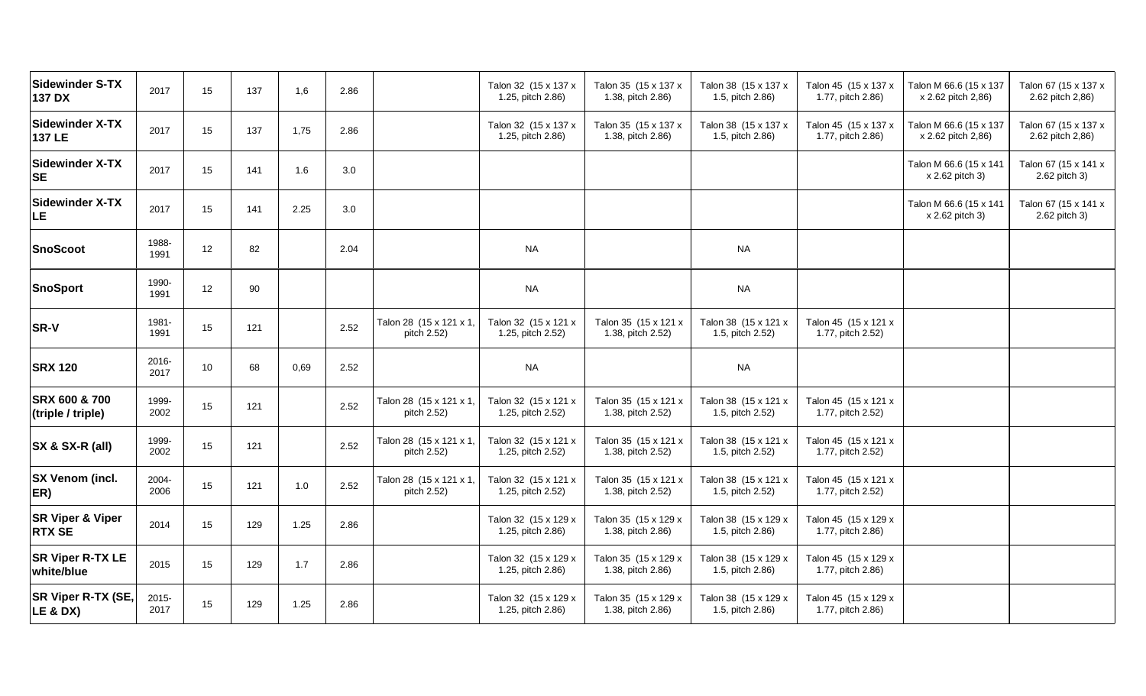| 2017          | 15 | 137 | 1,6  | 2.86 |                                        | Talon 32 (15 x 137 x<br>1.25, pitch 2.86) | Talon 35 (15 x 137 x<br>1.38, pitch 2.86) | Talon 38 (15 x 137 x<br>1.5, pitch 2.86) | Talon 45 (15 x 137 x<br>1.77, pitch 2.86) | Talon M 66.6 (15 x 137<br>x 2.62 pitch 2,86) | Talon 67 (15 x 137 x<br>2.62 pitch 2,86) |
|---------------|----|-----|------|------|----------------------------------------|-------------------------------------------|-------------------------------------------|------------------------------------------|-------------------------------------------|----------------------------------------------|------------------------------------------|
| 2017          | 15 | 137 | 1,75 | 2.86 |                                        | Talon 32 (15 x 137 x<br>1.25, pitch 2.86) | Talon 35 (15 x 137 x<br>1.38, pitch 2.86) | Talon 38 (15 x 137 x<br>1.5, pitch 2.86) | Talon 45 (15 x 137 x<br>1.77, pitch 2.86) | Talon M 66.6 (15 x 137<br>x 2.62 pitch 2,86) | Talon 67 (15 x 137 x<br>2.62 pitch 2,86) |
| 2017          | 15 | 141 | 1.6  | 3.0  |                                        |                                           |                                           |                                          |                                           | Talon M 66.6 (15 x 141<br>x 2.62 pitch 3)    | Talon 67 (15 x 141 x<br>2.62 pitch 3)    |
| 2017          | 15 | 141 | 2.25 | 3.0  |                                        |                                           |                                           |                                          |                                           | Talon M 66.6 (15 x 141<br>x 2.62 pitch 3)    | Talon 67 (15 x 141 x<br>2.62 pitch 3)    |
| 1988-<br>1991 | 12 | 82  |      | 2.04 |                                        | <b>NA</b>                                 |                                           | <b>NA</b>                                |                                           |                                              |                                          |
| 1990-<br>1991 | 12 | 90  |      |      |                                        | <b>NA</b>                                 |                                           | <b>NA</b>                                |                                           |                                              |                                          |
| 1981-<br>1991 | 15 | 121 |      | 2.52 | Talon 28 (15 x 121 x 1,<br>pitch 2.52) | Talon 32 (15 x 121 x<br>1.25, pitch 2.52) | Talon 35 (15 x 121 x<br>1.38, pitch 2.52) | Talon 38 (15 x 121 x<br>1.5, pitch 2.52) | Talon 45 (15 x 121 x<br>1.77, pitch 2.52) |                                              |                                          |
| 2016-<br>2017 | 10 | 68  | 0,69 | 2.52 |                                        | <b>NA</b>                                 |                                           | <b>NA</b>                                |                                           |                                              |                                          |
| 1999-<br>2002 | 15 | 121 |      | 2.52 | Talon 28 (15 x 121 x 1,<br>pitch 2.52) | Talon 32 (15 x 121 x<br>1.25, pitch 2.52) | Talon 35 (15 x 121 x<br>1.38, pitch 2.52) | Talon 38 (15 x 121 x<br>1.5, pitch 2.52) | Talon 45 (15 x 121 x<br>1.77, pitch 2.52) |                                              |                                          |
| 1999-<br>2002 | 15 | 121 |      | 2.52 | Talon 28 (15 x 121 x 1,<br>pitch 2.52) | Talon 32 (15 x 121 x<br>1.25, pitch 2.52) | Talon 35 (15 x 121 x<br>1.38, pitch 2.52) | Talon 38 (15 x 121 x<br>1.5, pitch 2.52) | Talon 45 (15 x 121 x<br>1.77, pitch 2.52) |                                              |                                          |
| 2004-<br>2006 | 15 | 121 | 1.0  | 2.52 | Talon 28 (15 x 121 x 1)<br>pitch 2.52) | Talon 32 (15 x 121 x<br>1.25, pitch 2.52) | Talon 35 (15 x 121 x<br>1.38, pitch 2.52) | Talon 38 (15 x 121 x<br>1.5, pitch 2.52) | Talon 45 (15 x 121 x<br>1.77, pitch 2.52) |                                              |                                          |
| 2014          | 15 | 129 | 1.25 | 2.86 |                                        | Talon 32 (15 x 129 x<br>1.25, pitch 2.86) | Talon 35 (15 x 129 x<br>1.38, pitch 2.86) | Talon 38 (15 x 129 x<br>1.5, pitch 2.86) | Talon 45 (15 x 129 x<br>1.77, pitch 2.86) |                                              |                                          |
| 2015          | 15 | 129 | 1.7  | 2.86 |                                        | Talon 32 (15 x 129 x<br>1.25, pitch 2.86) | Talon 35 (15 x 129 x<br>1.38, pitch 2.86) | Talon 38 (15 x 129 x<br>1.5, pitch 2.86) | Talon 45 (15 x 129 x<br>1.77, pitch 2.86) |                                              |                                          |
| 2015-<br>2017 | 15 | 129 | 1.25 | 2.86 |                                        | Talon 32 (15 x 129 x<br>1.25, pitch 2.86) | Talon 35 (15 x 129 x<br>1.38, pitch 2.86) | Talon 38 (15 x 129 x<br>1.5, pitch 2.86) | Talon 45 (15 x 129 x<br>1.77, pitch 2.86) |                                              |                                          |
|               |    |     |      |      |                                        |                                           |                                           |                                          |                                           |                                              |                                          |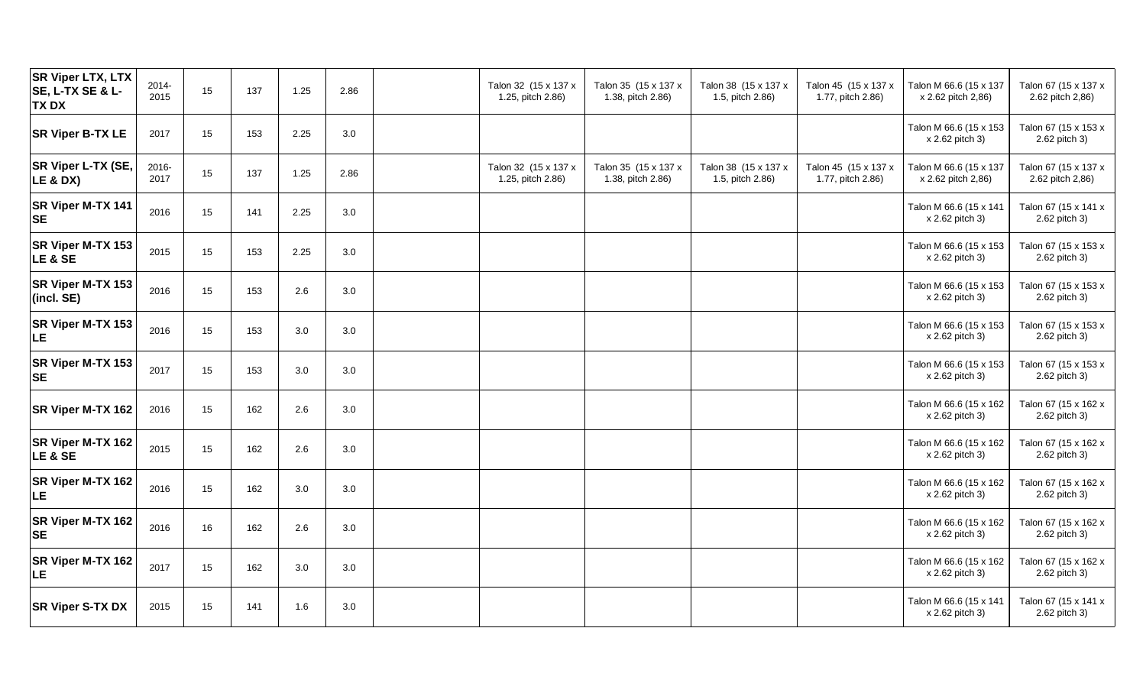| <b>SR Viper LTX, LTX</b><br><b>SE, L-TX SE &amp; L-</b><br><b>TXDX</b> | 2014-<br>2015 | 15 | 137 | 1.25 | 2.86 | Talon 32 (15 x 137 x<br>1.25, pitch 2.86) | Talon 35 (15 x 137 x<br>1.38, pitch 2.86) | Talon 38 (15 x 137 x<br>1.5, pitch 2.86) | Talon 45 (15 x 137 x<br>1.77, pitch 2.86) | Talon M 66.6 (15 x 137<br>x 2.62 pitch 2,86) | Talon 67 (15 x 137 x<br>2.62 pitch 2,86) |
|------------------------------------------------------------------------|---------------|----|-----|------|------|-------------------------------------------|-------------------------------------------|------------------------------------------|-------------------------------------------|----------------------------------------------|------------------------------------------|
| <b>SR Viper B-TX LE</b>                                                | 2017          | 15 | 153 | 2.25 | 3.0  |                                           |                                           |                                          |                                           | Talon M 66.6 (15 x 153<br>x 2.62 pitch 3)    | Talon 67 (15 x 153 x<br>2.62 pitch 3)    |
| SR Viper L-TX (SE,<br>LE & DX)                                         | 2016-<br>2017 | 15 | 137 | 1.25 | 2.86 | Talon 32 (15 x 137 x<br>1.25, pitch 2.86) | Talon 35 (15 x 137 x<br>1.38, pitch 2.86) | Talon 38 (15 x 137 x<br>1.5, pitch 2.86) | Talon 45 (15 x 137 x<br>1.77, pitch 2.86) | Talon M 66.6 (15 x 137<br>x 2.62 pitch 2,86) | Talon 67 (15 x 137 x<br>2.62 pitch 2,86) |
| SR Viper M-TX 141<br><b>SE</b>                                         | 2016          | 15 | 141 | 2.25 | 3.0  |                                           |                                           |                                          |                                           | Talon M 66.6 (15 x 141<br>x 2.62 pitch 3)    | Talon 67 (15 x 141 x<br>2.62 pitch 3)    |
| SR Viper M-TX 153<br><b>LE &amp; SE</b>                                | 2015          | 15 | 153 | 2.25 | 3.0  |                                           |                                           |                                          |                                           | Talon M 66.6 (15 x 153<br>x 2.62 pitch 3)    | Talon 67 (15 x 153 x<br>2.62 pitch 3)    |
| SR Viper M-TX 153<br>(incl. SE)                                        | 2016          | 15 | 153 | 2.6  | 3.0  |                                           |                                           |                                          |                                           | Talon M 66.6 (15 x 153<br>x 2.62 pitch 3)    | Talon 67 (15 x 153 x<br>2.62 pitch 3)    |
| SR Viper M-TX 153<br><b>LE</b>                                         | 2016          | 15 | 153 | 3.0  | 3.0  |                                           |                                           |                                          |                                           | Talon M 66.6 (15 x 153<br>x 2.62 pitch 3)    | Talon 67 (15 x 153 x<br>2.62 pitch 3)    |
| SR Viper M-TX 153<br><b>SE</b>                                         | 2017          | 15 | 153 | 3.0  | 3.0  |                                           |                                           |                                          |                                           | Talon M 66.6 (15 x 153<br>x 2.62 pitch 3)    | Talon 67 (15 x 153 x<br>2.62 pitch 3)    |
| SR Viper M-TX 162                                                      | 2016          | 15 | 162 | 2.6  | 3.0  |                                           |                                           |                                          |                                           | Talon M 66.6 (15 x 162<br>x 2.62 pitch 3)    | Talon 67 (15 x 162 x<br>2.62 pitch 3)    |
| SR Viper M-TX 162<br><b>LE &amp; SE</b>                                | 2015          | 15 | 162 | 2.6  | 3.0  |                                           |                                           |                                          |                                           | Talon M 66.6 (15 x 162<br>x 2.62 pitch 3)    | Talon 67 (15 x 162 x<br>2.62 pitch 3)    |
| SR Viper M-TX 162<br><b>LE</b>                                         | 2016          | 15 | 162 | 3.0  | 3.0  |                                           |                                           |                                          |                                           | Talon M 66.6 (15 x 162<br>x 2.62 pitch 3)    | Talon 67 (15 x 162 x<br>2.62 pitch 3)    |
| SR Viper M-TX 162<br><b>SE</b>                                         | 2016          | 16 | 162 | 2.6  | 3.0  |                                           |                                           |                                          |                                           | Talon M 66.6 (15 x 162<br>x 2.62 pitch 3)    | Talon 67 (15 x 162 x<br>2.62 pitch 3)    |
| SR Viper M-TX 162<br><b>LE</b>                                         | 2017          | 15 | 162 | 3.0  | 3.0  |                                           |                                           |                                          |                                           | Talon M 66.6 (15 x 162<br>x 2.62 pitch 3)    | Talon 67 (15 x 162 x<br>2.62 pitch 3)    |
| <b>SR Viper S-TX DX</b>                                                | 2015          | 15 | 141 | 1.6  | 3.0  |                                           |                                           |                                          |                                           | Talon M 66.6 (15 x 141<br>x 2.62 pitch 3)    | Talon 67 (15 x 141 x<br>2.62 pitch 3)    |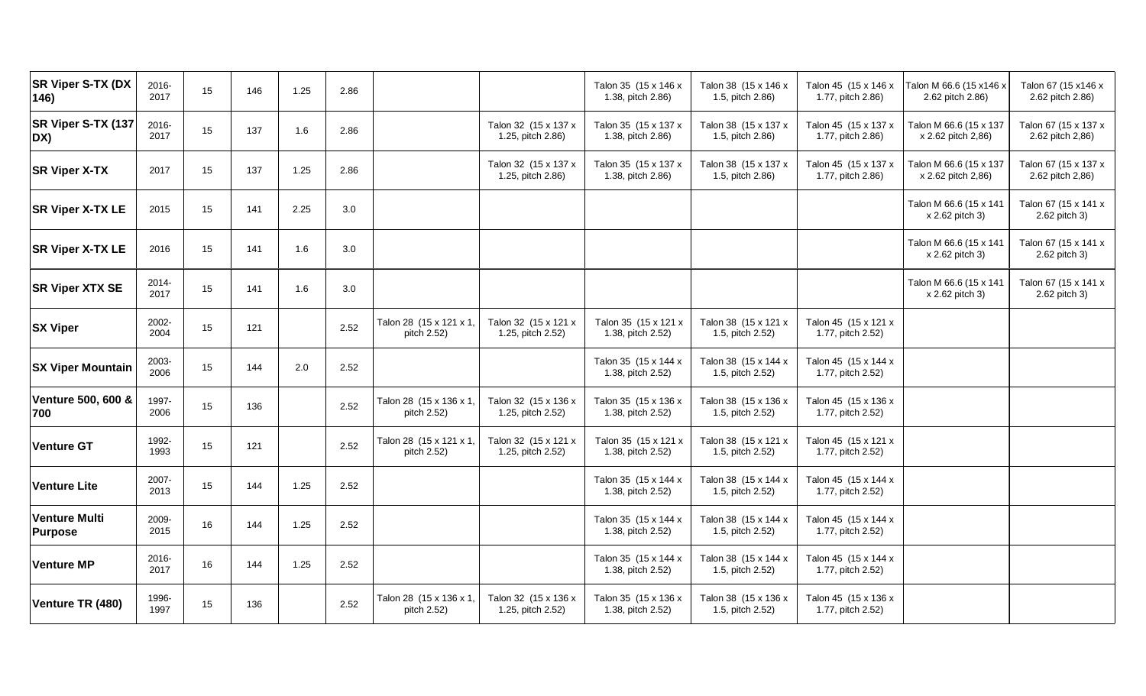| SR Viper S-TX (DX<br>146)              | 2016-<br>2017 | 15 | 146 | 1.25 | 2.86 |                                        |                                           | Talon 35 (15 x 146 x<br>1.38, pitch 2.86) | Talon 38 (15 x 146 x<br>1.5, pitch 2.86) | Talon 45 (15 x 146 x<br>1.77, pitch 2.86) | Talon M 66.6 (15 x 146 x<br>2.62 pitch 2.86) | Talon 67 (15 x146 x<br>2.62 pitch 2.86)  |
|----------------------------------------|---------------|----|-----|------|------|----------------------------------------|-------------------------------------------|-------------------------------------------|------------------------------------------|-------------------------------------------|----------------------------------------------|------------------------------------------|
| SR Viper S-TX (137<br>DX)              | 2016-<br>2017 | 15 | 137 | 1.6  | 2.86 |                                        | Talon 32 (15 x 137 x<br>1.25, pitch 2.86) | Talon 35 (15 x 137 x<br>1.38, pitch 2.86) | Talon 38 (15 x 137 x<br>1.5, pitch 2.86) | Talon 45 (15 x 137 x<br>1.77, pitch 2.86) | Talon M 66.6 (15 x 137<br>x 2.62 pitch 2,86) | Talon 67 (15 x 137 x<br>2.62 pitch 2,86) |
| <b>SR Viper X-TX</b>                   | 2017          | 15 | 137 | 1.25 | 2.86 |                                        | Talon 32 (15 x 137 x<br>1.25, pitch 2.86) | Talon 35 (15 x 137 x<br>1.38, pitch 2.86) | Talon 38 (15 x 137 x<br>1.5, pitch 2.86) | Talon 45 (15 x 137 x<br>1.77, pitch 2.86) | Talon M 66.6 (15 x 137<br>x 2.62 pitch 2,86) | Talon 67 (15 x 137 x<br>2.62 pitch 2,86) |
| <b>SR Viper X-TX LE</b>                | 2015          | 15 | 141 | 2.25 | 3.0  |                                        |                                           |                                           |                                          |                                           | Talon M 66.6 (15 x 141<br>x 2.62 pitch 3)    | Talon 67 (15 x 141 x<br>2.62 pitch 3)    |
| <b>SR Viper X-TX LE</b>                | 2016          | 15 | 141 | 1.6  | 3.0  |                                        |                                           |                                           |                                          |                                           | Talon M 66.6 (15 x 141<br>x 2.62 pitch 3)    | Talon 67 (15 x 141 x<br>2.62 pitch 3)    |
| <b>SR Viper XTX SE</b>                 | 2014-<br>2017 | 15 | 141 | 1.6  | 3.0  |                                        |                                           |                                           |                                          |                                           | Talon M 66.6 (15 x 141<br>x 2.62 pitch 3)    | Talon 67 (15 x 141 x<br>2.62 pitch 3)    |
| <b>SX Viper</b>                        | 2002-<br>2004 | 15 | 121 |      | 2.52 | Talon 28 (15 x 121 x 1,<br>pitch 2.52) | Talon 32 (15 x 121 x<br>1.25, pitch 2.52) | Talon 35 (15 x 121 x<br>1.38, pitch 2.52) | Talon 38 (15 x 121 x<br>1.5, pitch 2.52) | Talon 45 (15 x 121 x<br>1.77, pitch 2.52) |                                              |                                          |
| <b>SX Viper Mountain</b>               | 2003-<br>2006 | 15 | 144 | 2.0  | 2.52 |                                        |                                           | Talon 35 (15 x 144 x<br>1.38, pitch 2.52) | Talon 38 (15 x 144 x<br>1.5, pitch 2.52) | Talon 45 (15 x 144 x<br>1.77, pitch 2.52) |                                              |                                          |
| Venture 500, 600 &<br>700              | 1997-<br>2006 | 15 | 136 |      | 2.52 | Talon 28 (15 x 136 x 1,<br>pitch 2.52) | Talon 32 (15 x 136 x<br>1.25, pitch 2.52) | Talon 35 (15 x 136 x<br>1.38, pitch 2.52) | Talon 38 (15 x 136 x<br>1.5, pitch 2.52) | Talon 45 (15 x 136 x<br>1.77, pitch 2.52) |                                              |                                          |
| <b>Venture GT</b>                      | 1992-<br>1993 | 15 | 121 |      | 2.52 | Talon 28 (15 x 121 x 1,<br>pitch 2.52) | Talon 32 (15 x 121 x<br>1.25, pitch 2.52) | Talon 35 (15 x 121 x<br>1.38, pitch 2.52) | Talon 38 (15 x 121 x<br>1.5, pitch 2.52) | Talon 45 (15 x 121 x<br>1.77, pitch 2.52) |                                              |                                          |
| <b>Venture Lite</b>                    | 2007-<br>2013 | 15 | 144 | 1.25 | 2.52 |                                        |                                           | Talon 35 (15 x 144 x<br>1.38, pitch 2.52) | Talon 38 (15 x 144 x<br>1.5, pitch 2.52) | Talon 45 (15 x 144 x<br>1.77, pitch 2.52) |                                              |                                          |
| <b>Venture Multi</b><br><b>Purpose</b> | 2009-<br>2015 | 16 | 144 | 1.25 | 2.52 |                                        |                                           | Talon 35 (15 x 144 x<br>1.38, pitch 2.52) | Talon 38 (15 x 144 x<br>1.5, pitch 2.52) | Talon 45 (15 x 144 x<br>1.77, pitch 2.52) |                                              |                                          |
| <b>Venture MP</b>                      | 2016-<br>2017 | 16 | 144 | 1.25 | 2.52 |                                        |                                           | Talon 35 (15 x 144 x<br>1.38, pitch 2.52) | Talon 38 (15 x 144 x<br>1.5, pitch 2.52) | Talon 45 (15 x 144 x<br>1.77, pitch 2.52) |                                              |                                          |
| Venture TR (480)                       | 1996-<br>1997 | 15 | 136 |      | 2.52 | Talon 28 (15 x 136 x 1<br>pitch 2.52)  | Talon 32 (15 x 136 x<br>1.25, pitch 2.52) | Talon 35 (15 x 136 x<br>1.38, pitch 2.52) | Talon 38 (15 x 136 x<br>1.5, pitch 2.52) | Talon 45 (15 x 136 x<br>1.77, pitch 2.52) |                                              |                                          |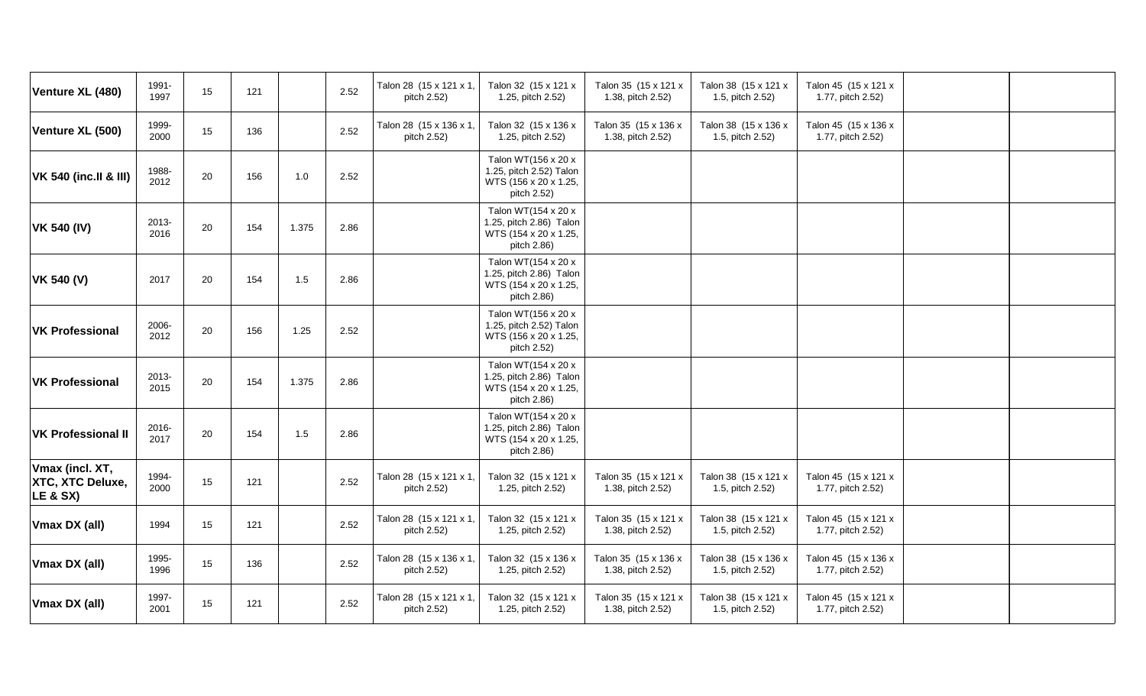| Venture XL (480)                                           | 1991-<br>1997 | 15     | 121 |       | 2.52 | Talon 28 (15 x 121 x 1,<br>pitch 2.52) | Talon 32 (15 x 121 x<br>1.25, pitch 2.52)                                              | Talon 35 (15 x 121 x<br>1.38, pitch 2.52) | Talon 38 (15 x 121 x<br>1.5, pitch 2.52) | Talon 45 (15 x 121 x<br>1.77, pitch 2.52) |  |
|------------------------------------------------------------|---------------|--------|-----|-------|------|----------------------------------------|----------------------------------------------------------------------------------------|-------------------------------------------|------------------------------------------|-------------------------------------------|--|
| Venture XL (500)                                           | 1999-<br>2000 | 15     | 136 |       | 2.52 | Talon 28 (15 x 136 x 1,<br>pitch 2.52) | Talon 32 (15 x 136 x<br>1.25, pitch 2.52)                                              | Talon 35 (15 x 136 x<br>1.38, pitch 2.52) | Talon 38 (15 x 136 x<br>1.5, pitch 2.52) | Talon 45 (15 x 136 x<br>1.77, pitch 2.52) |  |
| <b>VK 540 (inc.II &amp; III)</b>                           | 1988-<br>2012 | 20     | 156 | 1.0   | 2.52 |                                        | Talon WT(156 x 20 x<br>1.25, pitch 2.52) Talon<br>WTS (156 x 20 x 1.25,<br>pitch 2.52) |                                           |                                          |                                           |  |
| <b>VK 540 (IV)</b>                                         | 2013-<br>2016 | 20     | 154 | 1.375 | 2.86 |                                        | Talon WT(154 x 20 x<br>1.25, pitch 2.86) Talon<br>WTS (154 x 20 x 1.25,<br>pitch 2.86) |                                           |                                          |                                           |  |
| <b>VK 540 (V)</b>                                          | 2017          | 20     | 154 | 1.5   | 2.86 |                                        | Talon WT(154 x 20 x<br>1.25, pitch 2.86) Talon<br>WTS (154 x 20 x 1.25,<br>pitch 2.86) |                                           |                                          |                                           |  |
| <b>VK Professional</b>                                     | 2006-<br>2012 | $20\,$ | 156 | 1.25  | 2.52 |                                        | Talon WT(156 x 20 x<br>1.25, pitch 2.52) Talon<br>WTS (156 x 20 x 1.25,<br>pitch 2.52) |                                           |                                          |                                           |  |
| <b>VK Professional</b>                                     | 2013-<br>2015 | 20     | 154 | 1.375 | 2.86 |                                        | Talon WT(154 x 20 x<br>1.25, pitch 2.86) Talon<br>WTS (154 x 20 x 1.25,<br>pitch 2.86) |                                           |                                          |                                           |  |
| <b>VK Professional II</b>                                  | 2016-<br>2017 | 20     | 154 | 1.5   | 2.86 |                                        | Talon WT(154 x 20 x<br>1.25, pitch 2.86) Talon<br>WTS (154 x 20 x 1.25,<br>pitch 2.86) |                                           |                                          |                                           |  |
| Vmax (incl. XT,<br>XTC, XTC Deluxe,<br><b>LE &amp; SX)</b> | 1994-<br>2000 | 15     | 121 |       | 2.52 | Talon 28 (15 x 121 x 1,<br>pitch 2.52) | Talon 32 (15 x 121 x<br>1.25, pitch 2.52)                                              | Talon 35 (15 x 121 x<br>1.38, pitch 2.52) | Talon 38 (15 x 121 x<br>1.5, pitch 2.52) | Talon 45 (15 x 121 x<br>1.77, pitch 2.52) |  |
| Vmax DX (all)                                              | 1994          | 15     | 121 |       | 2.52 | Talon 28 (15 x 121 x 1,<br>pitch 2.52) | Talon 32 (15 x 121 x<br>1.25, pitch 2.52)                                              | Talon 35 (15 x 121 x<br>1.38, pitch 2.52) | Talon 38 (15 x 121 x<br>1.5, pitch 2.52) | Talon 45 (15 x 121 x<br>1.77, pitch 2.52) |  |
| Vmax DX (all)                                              | 1995-<br>1996 | 15     | 136 |       | 2.52 | Talon 28 (15 x 136 x 1,<br>pitch 2.52) | Talon 32 (15 x 136 x<br>1.25, pitch 2.52)                                              | Talon 35 (15 x 136 x<br>1.38, pitch 2.52) | Talon 38 (15 x 136 x<br>1.5, pitch 2.52) | Talon 45 (15 x 136 x<br>1.77, pitch 2.52) |  |
| Vmax DX (all)                                              | 1997-<br>2001 | 15     | 121 |       | 2.52 | Talon 28 (15 x 121 x 1,<br>pitch 2.52) | Talon 32 (15 x 121 x<br>1.25, pitch 2.52)                                              | Talon 35 (15 x 121 x<br>1.38, pitch 2.52) | Talon 38 (15 x 121 x<br>1.5, pitch 2.52) | Talon 45 (15 x 121 x<br>1.77, pitch 2.52) |  |